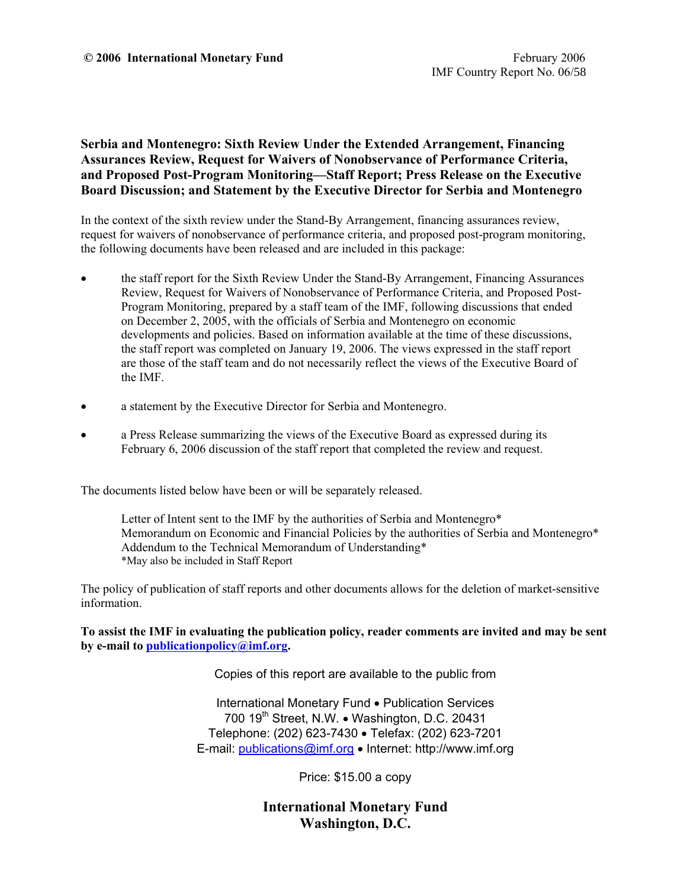## **Serbia and Montenegro: Sixth Review Under the Extended Arrangement, Financing Assurances Review, Request for Waivers of Nonobservance of Performance Criteria, and Proposed Post-Program Monitoring—Staff Report; Press Release on the Executive Board Discussion; and Statement by the Executive Director for Serbia and Montenegro**

In the context of the sixth review under the Stand-By Arrangement, financing assurances review, request for waivers of nonobservance of performance criteria, and proposed post-program monitoring, the following documents have been released and are included in this package:

- the staff report for the Sixth Review Under the Stand-By Arrangement, Financing Assurances Review, Request for Waivers of Nonobservance of Performance Criteria, and Proposed Post-Program Monitoring, prepared by a staff team of the IMF, following discussions that ended on December 2, 2005, with the officials of Serbia and Montenegro on economic developments and policies. Based on information available at the time of these discussions, the staff report was completed on January 19, 2006. The views expressed in the staff report are those of the staff team and do not necessarily reflect the views of the Executive Board of the IMF.
- a statement by the Executive Director for Serbia and Montenegro.
- a Press Release summarizing the views of the Executive Board as expressed during its February 6, 2006 discussion of the staff report that completed the review and request.

The documents listed below have been or will be separately released.

 Letter of Intent sent to the IMF by the authorities of Serbia and Montenegro\* Memorandum on Economic and Financial Policies by the authorities of Serbia and Montenegro\* Addendum to the Technical Memorandum of Understanding\* \*May also be included in Staff Report

The policy of publication of staff reports and other documents allows for the deletion of market-sensitive information.

**To assist the IMF in evaluating the publication policy, reader comments are invited and may be sent by e-mail to publicationpolicy@imf.org.**

Copies of this report are available to the public from

International Monetary Fund • Publication Services 700 19<sup>th</sup> Street, N.W. • Washington, D.C. 20431 Telephone: (202) 623-7430 • Telefax: (202) 623-7201 E-mail: publications@imf.org • Internet: http://www.imf.org

Price: \$15.00 a copy

**International Monetary Fund Washington, D.C.**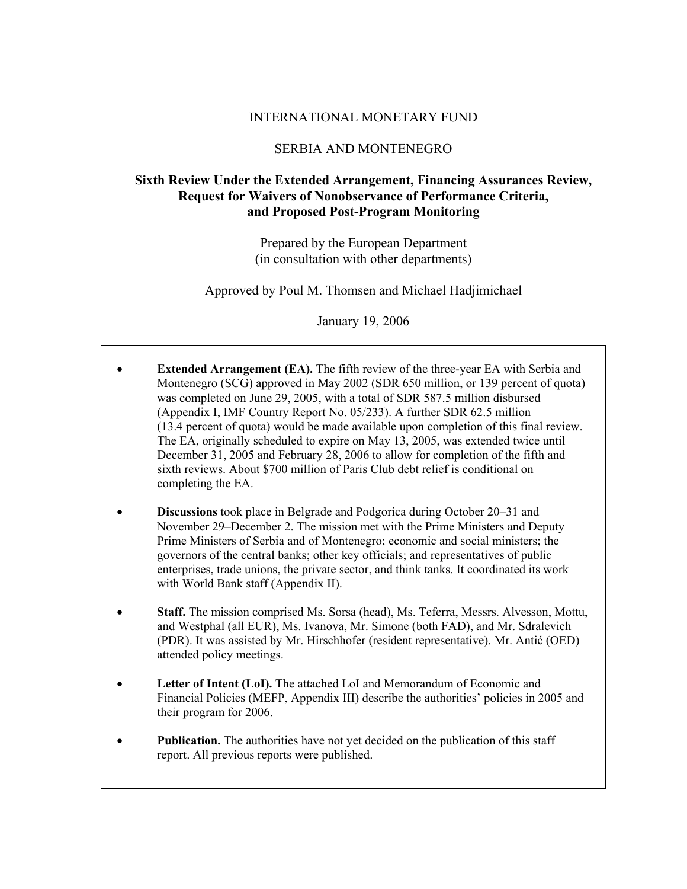## INTERNATIONAL MONETARY FUND

## SERBIA AND MONTENEGRO

## **Sixth Review Under the Extended Arrangement, Financing Assurances Review, Request for Waivers of Nonobservance of Performance Criteria, and Proposed Post-Program Monitoring**

Prepared by the European Department (in consultation with other departments)

Approved by Poul M. Thomsen and Michael Hadjimichael

January 19, 2006

- **Extended Arrangement (EA).** The fifth review of the three-year EA with Serbia and Montenegro (SCG) approved in May 2002 (SDR 650 million, or 139 percent of quota) was completed on June 29, 2005, with a total of SDR 587.5 million disbursed (Appendix I, IMF Country Report No. 05/233). A further SDR 62.5 million (13.4 percent of quota) would be made available upon completion of this final review. The EA, originally scheduled to expire on May 13, 2005, was extended twice until December 31, 2005 and February 28, 2006 to allow for completion of the fifth and sixth reviews. About \$700 million of Paris Club debt relief is conditional on completing the EA.
- **Discussions** took place in Belgrade and Podgorica during October 20–31 and November 29–December 2. The mission met with the Prime Ministers and Deputy Prime Ministers of Serbia and of Montenegro; economic and social ministers; the governors of the central banks; other key officials; and representatives of public enterprises, trade unions, the private sector, and think tanks. It coordinated its work with World Bank staff (Appendix II).
- **Staff.** The mission comprised Ms. Sorsa (head), Ms. Teferra, Messrs. Alvesson, Mottu, and Westphal (all EUR), Ms. Ivanova, Mr. Simone (both FAD), and Mr. Sdralevich (PDR). It was assisted by Mr. Hirschhofer (resident representative). Mr. Antić (OED) attended policy meetings.
- **Letter of Intent (LoI).** The attached LoI and Memorandum of Economic and Financial Policies (MEFP, Appendix III) describe the authorities' policies in 2005 and their program for 2006.
- Publication. The authorities have not yet decided on the publication of this staff report. All previous reports were published.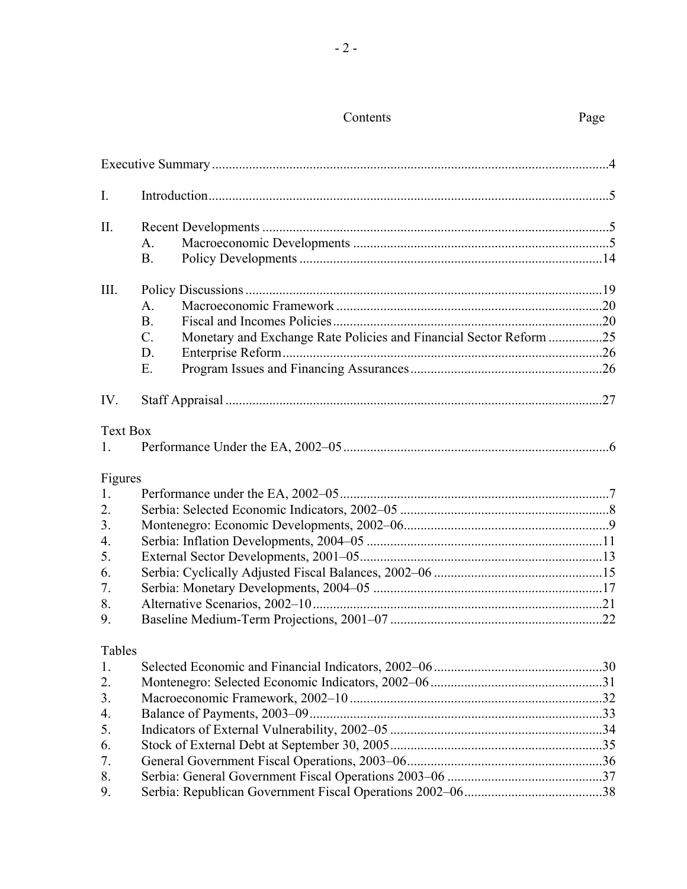# Contents Page

| $\mathbf{I}$ .                                                |                                                                                                                |  |
|---------------------------------------------------------------|----------------------------------------------------------------------------------------------------------------|--|
| $\prod$ .                                                     | A.<br><b>B.</b>                                                                                                |  |
| III.                                                          | A.<br><b>B.</b><br>Monetary and Exchange Rate Policies and Financial Sector Reform 25<br>$\mathcal{C}$ .<br>D. |  |
| IV.                                                           | E.                                                                                                             |  |
| <b>Text Box</b><br>1.                                         |                                                                                                                |  |
| Figures<br>1.<br>2.<br>3.<br>4.<br>5.<br>6.<br>7.<br>8.<br>9. |                                                                                                                |  |
| Tables<br>1.<br>2.<br>3.<br>4.<br>5.<br>6.<br>7.<br>8.<br>9.  |                                                                                                                |  |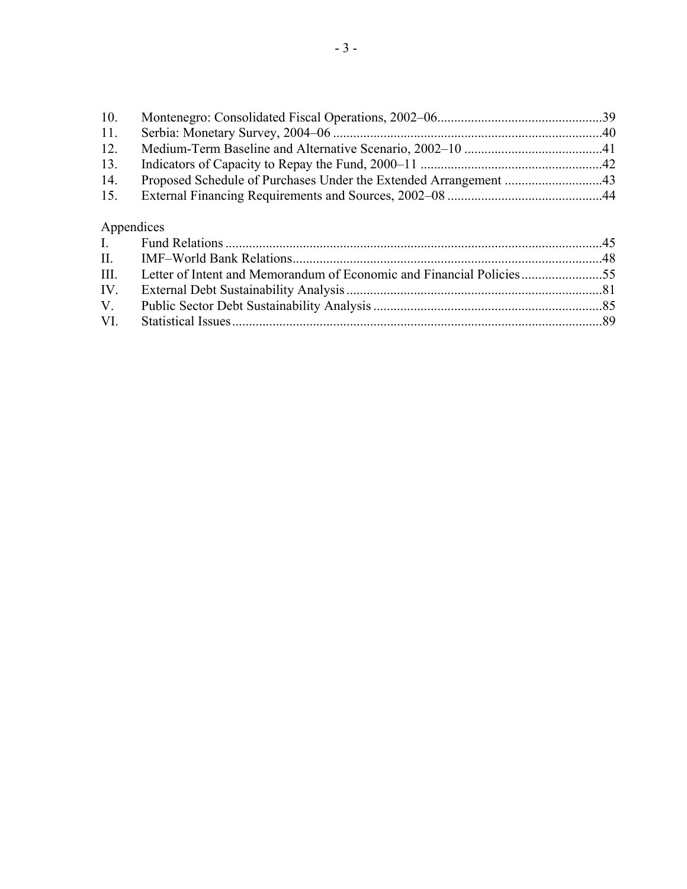| 10. |            |  |
|-----|------------|--|
| 11. |            |  |
| 12. |            |  |
| 13. |            |  |
| 14. |            |  |
| 15. |            |  |
|     | Appendices |  |
|     |            |  |
|     |            |  |

| . | $\pm 1111$ . The second and $\pm 1001001$ and $\pm 1001001$ and $\pm 1001001$ and $\pm 100101$ and $\pm 100101$ and $\pm 100101$ and $\pm 100101$ |  |
|---|---------------------------------------------------------------------------------------------------------------------------------------------------|--|
|   | III. Letter of Intent and Memorandum of Economic and Financial Policies55                                                                         |  |
|   |                                                                                                                                                   |  |
|   |                                                                                                                                                   |  |
|   |                                                                                                                                                   |  |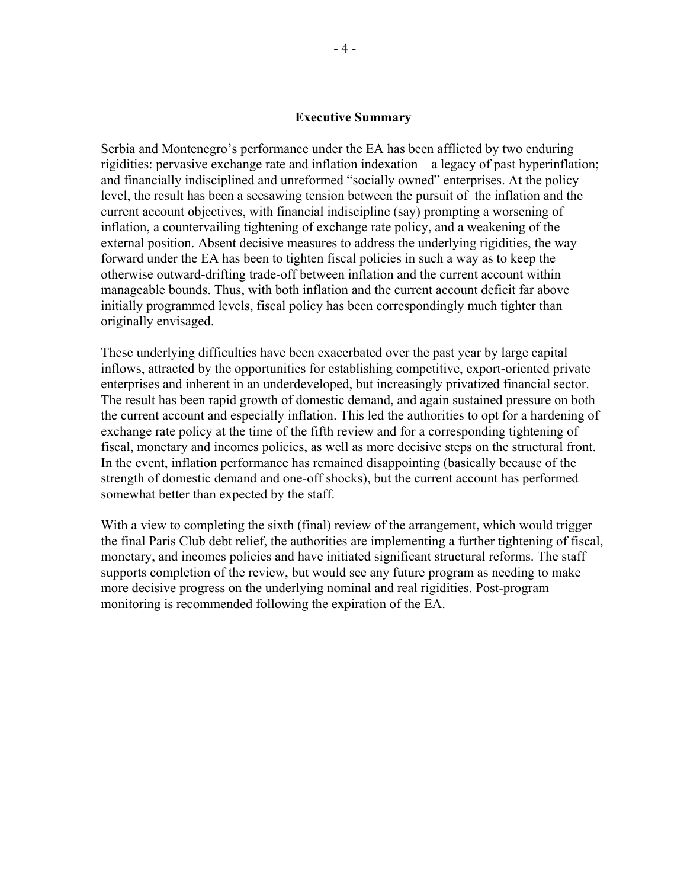### **Executive Summary**

Serbia and Montenegro's performance under the EA has been afflicted by two enduring rigidities: pervasive exchange rate and inflation indexation—a legacy of past hyperinflation; and financially indisciplined and unreformed "socially owned" enterprises. At the policy level, the result has been a seesawing tension between the pursuit of the inflation and the current account objectives, with financial indiscipline (say) prompting a worsening of inflation, a countervailing tightening of exchange rate policy, and a weakening of the external position. Absent decisive measures to address the underlying rigidities, the way forward under the EA has been to tighten fiscal policies in such a way as to keep the otherwise outward-drifting trade-off between inflation and the current account within manageable bounds. Thus, with both inflation and the current account deficit far above initially programmed levels, fiscal policy has been correspondingly much tighter than originally envisaged.

These underlying difficulties have been exacerbated over the past year by large capital inflows, attracted by the opportunities for establishing competitive, export-oriented private enterprises and inherent in an underdeveloped, but increasingly privatized financial sector. The result has been rapid growth of domestic demand, and again sustained pressure on both the current account and especially inflation. This led the authorities to opt for a hardening of exchange rate policy at the time of the fifth review and for a corresponding tightening of fiscal, monetary and incomes policies, as well as more decisive steps on the structural front. In the event, inflation performance has remained disappointing (basically because of the strength of domestic demand and one-off shocks), but the current account has performed somewhat better than expected by the staff.

With a view to completing the sixth (final) review of the arrangement, which would trigger the final Paris Club debt relief, the authorities are implementing a further tightening of fiscal, monetary, and incomes policies and have initiated significant structural reforms. The staff supports completion of the review, but would see any future program as needing to make more decisive progress on the underlying nominal and real rigidities. Post-program monitoring is recommended following the expiration of the EA.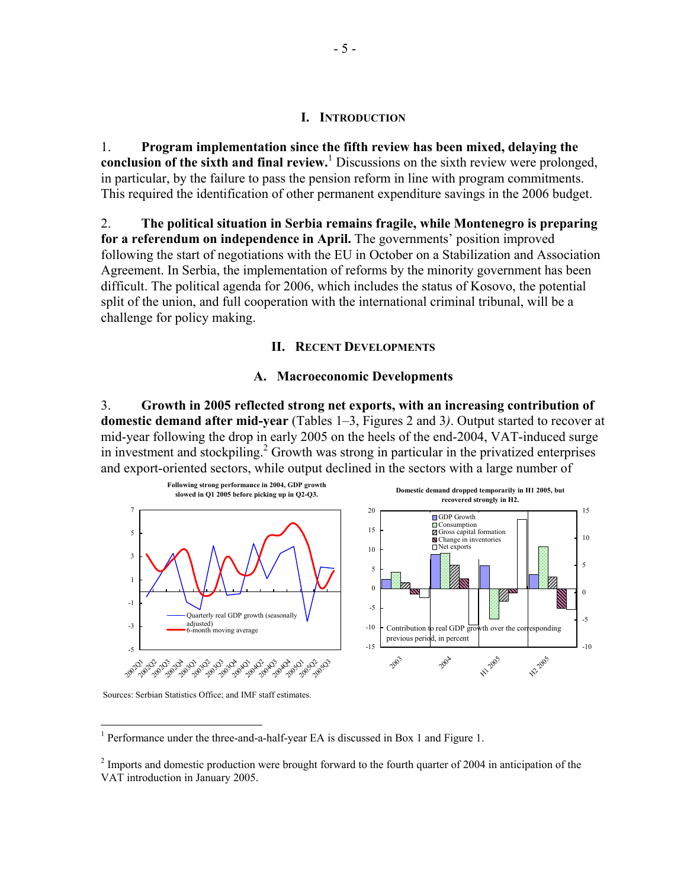#### **I. INTRODUCTION**

1. **Program implementation since the fifth review has been mixed, delaying the**  conclusion of the sixth and final review.<sup>1</sup> Discussions on the sixth review were prolonged, in particular, by the failure to pass the pension reform in line with program commitments. This required the identification of other permanent expenditure savings in the 2006 budget.

2. **The political situation in Serbia remains fragile, while Montenegro is preparing for a referendum on independence in April.** The governments' position improved following the start of negotiations with the EU in October on a Stabilization and Association Agreement. In Serbia, the implementation of reforms by the minority government has been difficult. The political agenda for 2006, which includes the status of Kosovo, the potential split of the union, and full cooperation with the international criminal tribunal, will be a challenge for policy making.

### **II. RECENT DEVELOPMENTS**

### **A. Macroeconomic Developments**

3. **Growth in 2005 reflected strong net exports, with an increasing contribution of domestic demand after mid-year** (Tables 1–3, Figures 2 and 3*)*. Output started to recover at mid-year following the drop in early 2005 on the heels of the end-2004, VAT-induced surge in investment and stockpiling.<sup>2</sup> Growth was strong in particular in the privatized enterprises and export-oriented sectors, while output declined in the sectors with a large number of



Sources: Serbian Statistics Office; and IMF staff estimates.

1

<sup>1</sup> Performance under the three-and-a-half-year EA is discussed in Box 1 and Figure 1.

 $2^{2}$  Imports and domestic production were brought forward to the fourth quarter of 2004 in anticipation of the VAT introduction in January 2005.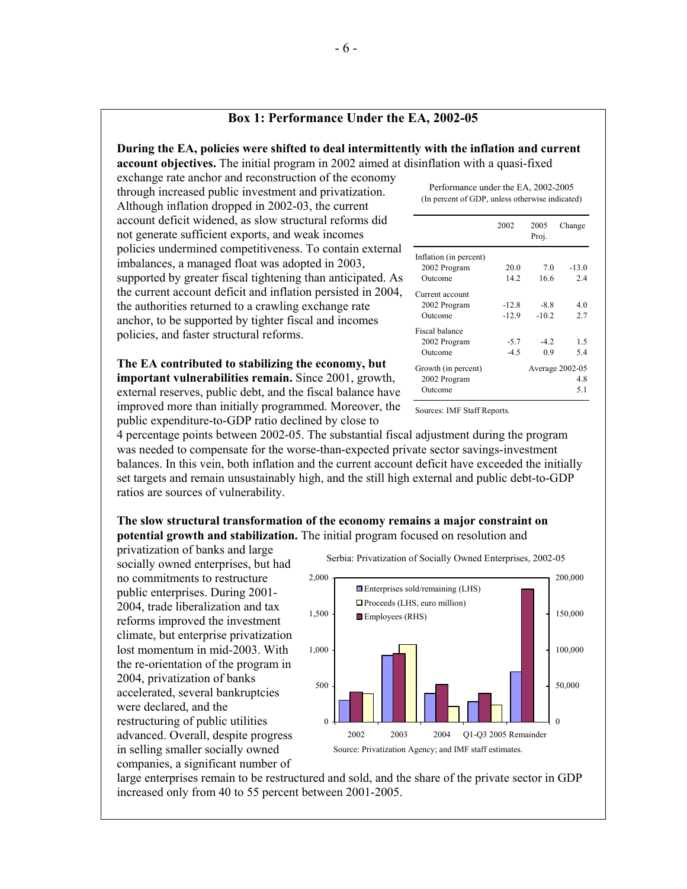### **Box 1: Performance Under the EA, 2002-05**

# **During the EA, policies were shifted to deal intermittently with the inflation and current**

**account objectives.** The initial program in 2002 aimed at disinflation with a quasi-fixed

exchange rate anchor and reconstruction of the economy through increased public investment and privatization. Although inflation dropped in 2002-03, the current account deficit widened, as slow structural reforms did not generate sufficient exports, and weak incomes policies undermined competitiveness. To contain external imbalances, a managed float was adopted in 2003, supported by greater fiscal tightening than anticipated. As the current account deficit and inflation persisted in 2004, the authorities returned to a crawling exchange rate anchor, to be supported by tighter fiscal and incomes policies, and faster structural reforms.

**The EA contributed to stabilizing the economy, but important vulnerabilities remain.** Since 2001, growth, external reserves, public debt, and the fiscal balance have improved more than initially programmed. Moreover, the public expenditure-to-GDP ratio declined by close to

Performance under the EA, 2002-2005 (In percent of GDP, unless otherwise indicated)

|                        | 2002    | 2005<br>Proj. | Change          |
|------------------------|---------|---------------|-----------------|
| Inflation (in percent) |         |               |                 |
| 2002 Program           | 20.0    | 7.0           | $-13.0$         |
| Outcome                | 142     | 16.6          | 2.4             |
| Current account        |         |               |                 |
| 2002 Program           | $-12.8$ | $-8.8$        | 4.0             |
| Outcome                | $-12.9$ | $-10.2$       | 2.7             |
| Fiscal balance         |         |               |                 |
| 2002 Program           | $-5.7$  | $-42$         | 1.5             |
| Outcome                | $-45$   | 0.9           | 5.4             |
| Growth (in percent)    |         |               | Average 2002-05 |
| 2002 Program           |         |               | 4.8             |
| Outcome                |         |               | 5.1             |

Sources: IMF Staff Reports.

4 percentage points between 2002-05. The substantial fiscal adjustment during the program was needed to compensate for the worse-than-expected private sector savings-investment balances. In this vein, both inflation and the current account deficit have exceeded the initially set targets and remain unsustainably high, and the still high external and public debt-to-GDP ratios are sources of vulnerability.

## **The slow structural transformation of the economy remains a major constraint on potential growth and stabilization.** The initial program focused on resolution and

privatization of banks and large socially owned enterprises, but had no commitments to restructure public enterprises. During 2001- 2004, trade liberalization and tax reforms improved the investment climate, but enterprise privatization lost momentum in mid-2003. With the re-orientation of the program in 2004, privatization of banks accelerated, several bankruptcies were declared, and the restructuring of public utilities advanced. Overall, despite progress in selling smaller socially owned companies, a significant number of



large enterprises remain to be restructured and sold, and the share of the private sector in GDP increased only from 40 to 55 percent between 2001-2005.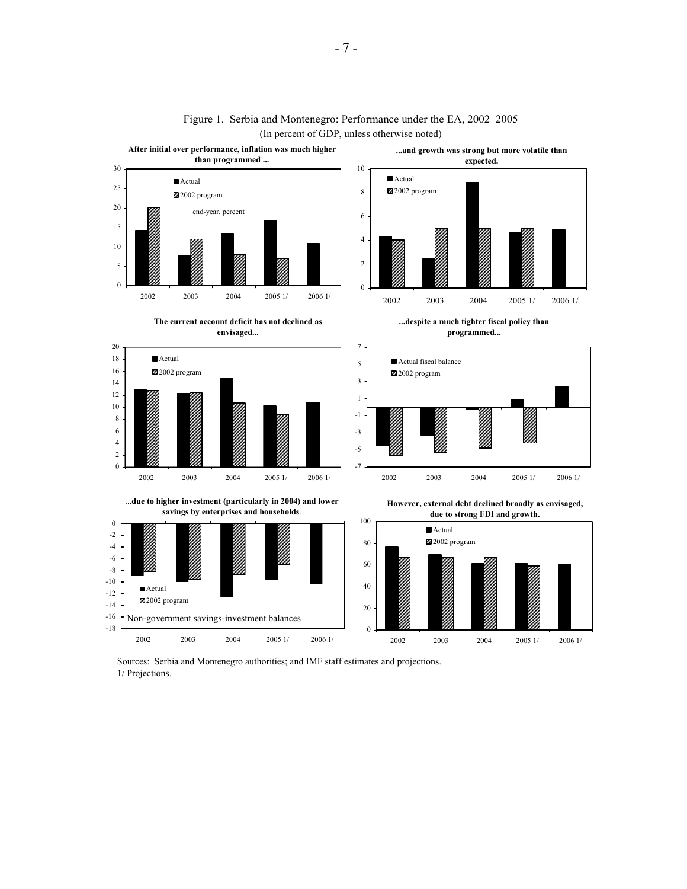

### Figure 1. Serbia and Montenegro: Performance under the EA, 2002–2005 (In percent of GDP, unless otherwise noted)

Sources: Serbia and Montenegro authorities; and IMF staff estimates and projections. 1/ Projections.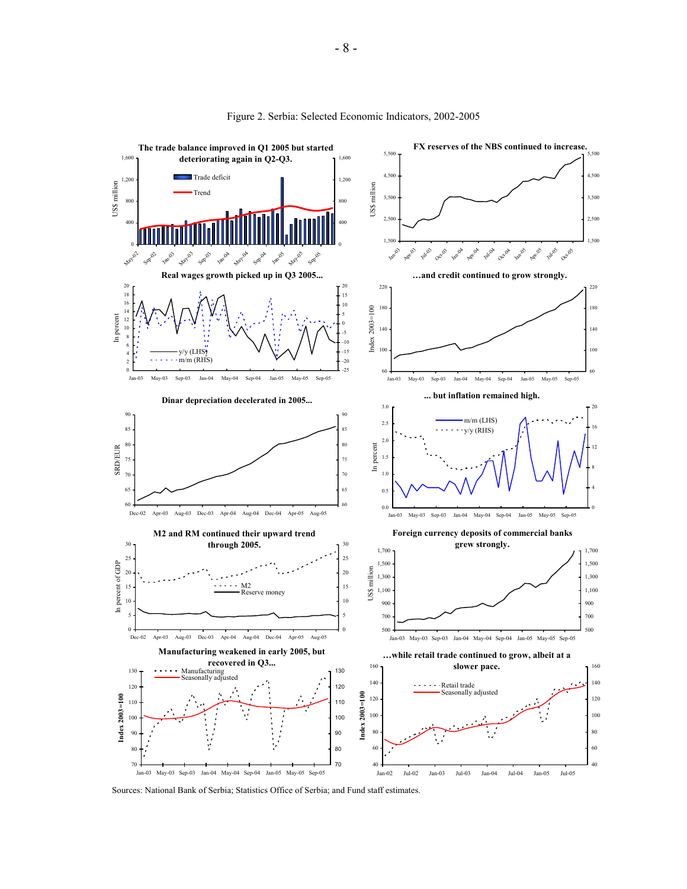

Figure 2. Serbia: Selected Economic Indicators, 2002-2005

Sources: National Bank of Serbia; Statistics Office of Serbia; and Fund staff estimates.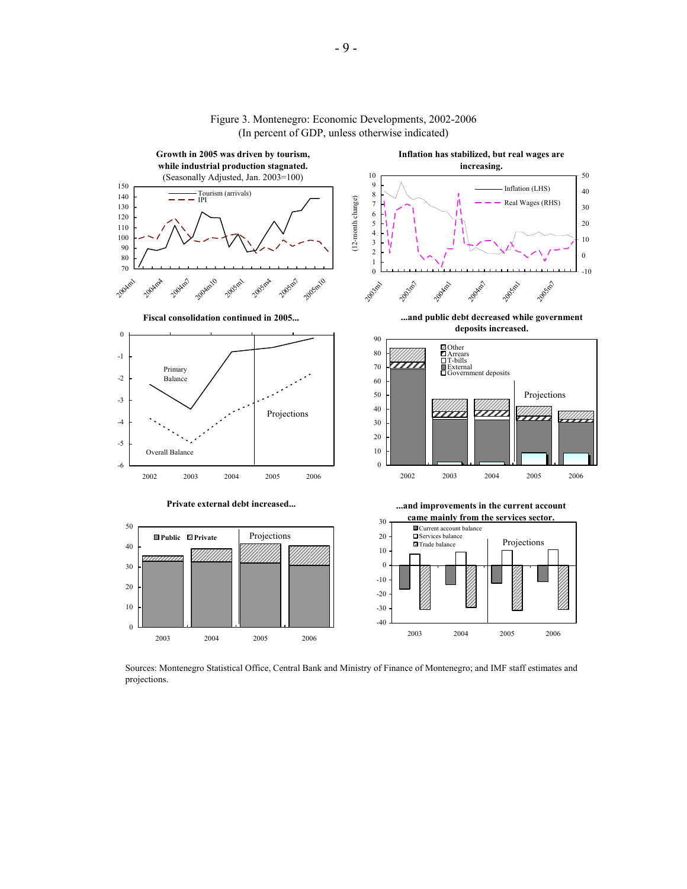

#### Figure 3. Montenegro: Economic Developments, 2002-2006 (In percent of GDP, unless otherwise indicated)

Sources: Montenegro Statistical Office, Central Bank and Ministry of Finance of Montenegro; and IMF staff estimates and projections.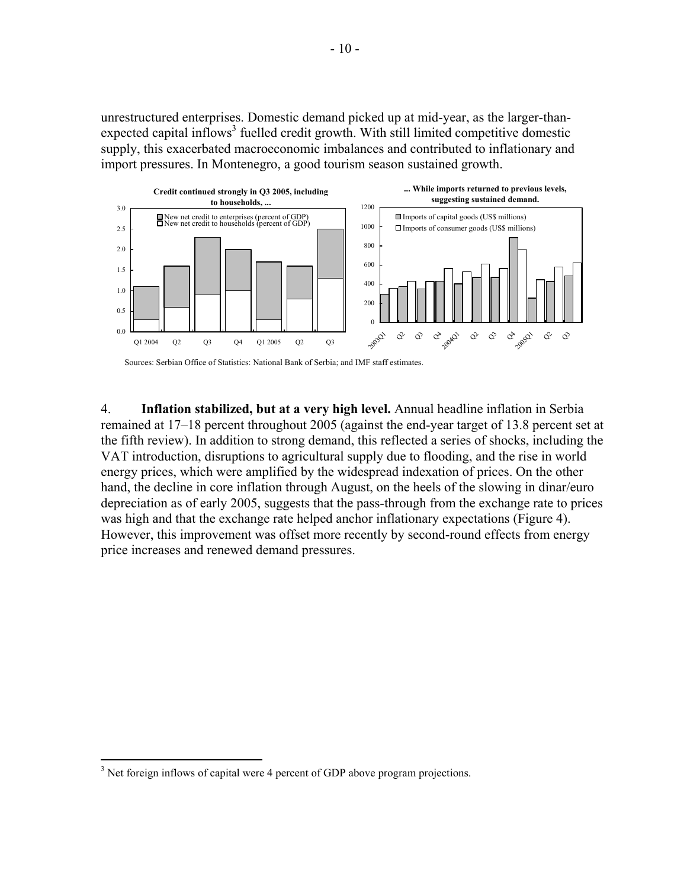unrestructured enterprises. Domestic demand picked up at mid-year, as the larger-thanexpected capital inflows<sup>3</sup> fuelled credit growth. With still limited competitive domestic supply, this exacerbated macroeconomic imbalances and contributed to inflationary and import pressures. In Montenegro, a good tourism season sustained growth.



Sources: Serbian Office of Statistics: National Bank of Serbia; and IMF staff estimates.

4. **Inflation stabilized, but at a very high level.** Annual headline inflation in Serbia remained at 17–18 percent throughout 2005 (against the end-year target of 13.8 percent set at the fifth review). In addition to strong demand, this reflected a series of shocks, including the VAT introduction, disruptions to agricultural supply due to flooding, and the rise in world energy prices, which were amplified by the widespread indexation of prices. On the other hand, the decline in core inflation through August, on the heels of the slowing in dinar/euro depreciation as of early 2005, suggests that the pass-through from the exchange rate to prices was high and that the exchange rate helped anchor inflationary expectations (Figure 4). However, this improvement was offset more recently by second-round effects from energy price increases and renewed demand pressures.

1

 $3$  Net foreign inflows of capital were 4 percent of GDP above program projections.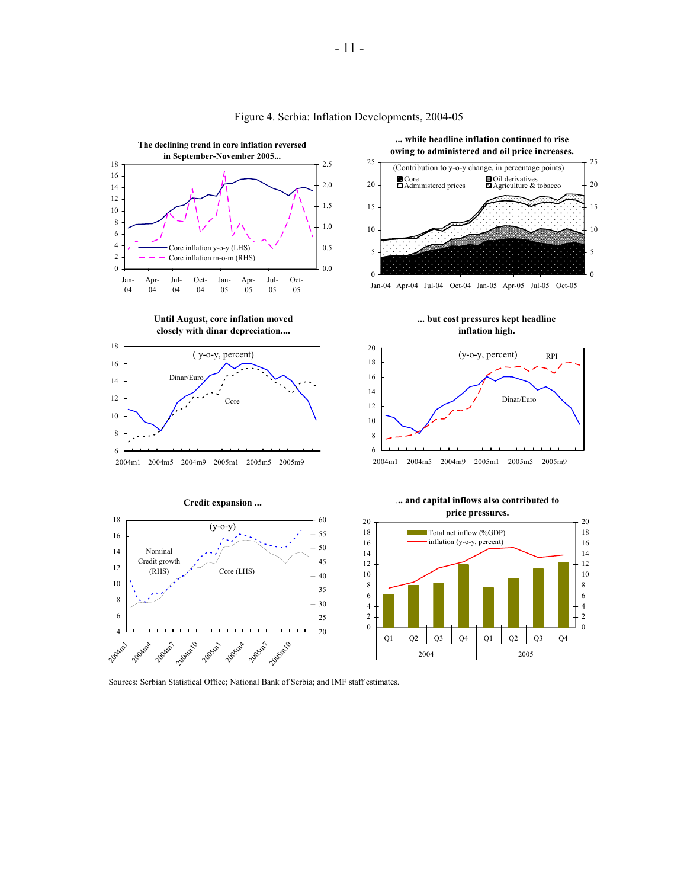

#### Figure 4. Serbia: Inflation Developments, 2004-05

Sources: Serbian Statistical Office; National Bank of Serbia; and IMF staff estimates.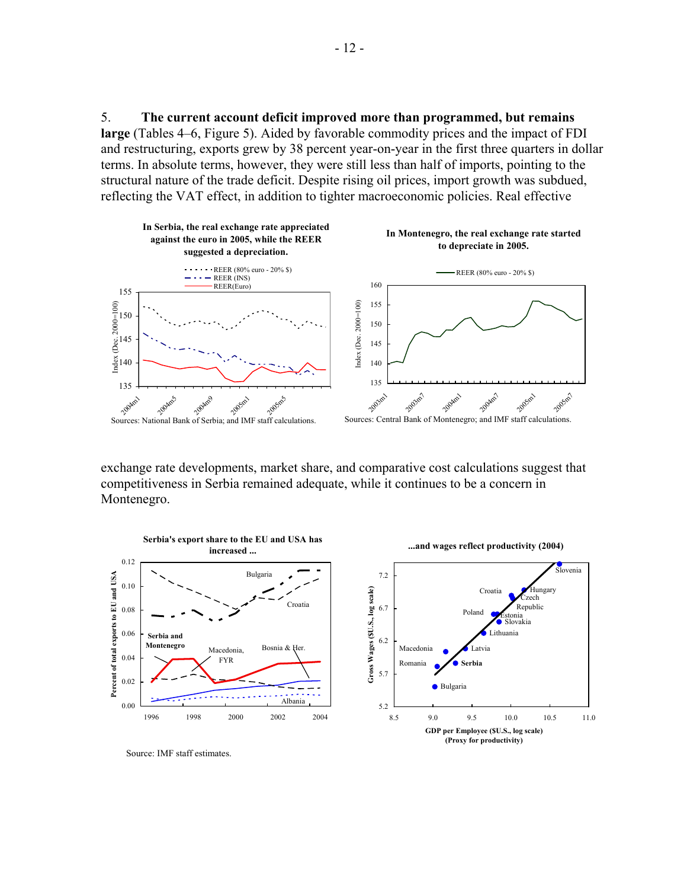5. **The current account deficit improved more than programmed, but remains large** (Tables 4–6, Figure 5). Aided by favorable commodity prices and the impact of FDI and restructuring, exports grew by 38 percent year-on-year in the first three quarters in dollar terms. In absolute terms, however, they were still less than half of imports, pointing to the structural nature of the trade deficit. Despite rising oil prices, import growth was subdued, reflecting the VAT effect, in addition to tighter macroeconomic policies. Real effective



exchange rate developments, market share, and comparative cost calculations suggest that competitiveness in Serbia remained adequate, while it continues to be a concern in Montenegro.



Source: IMF staff estimates.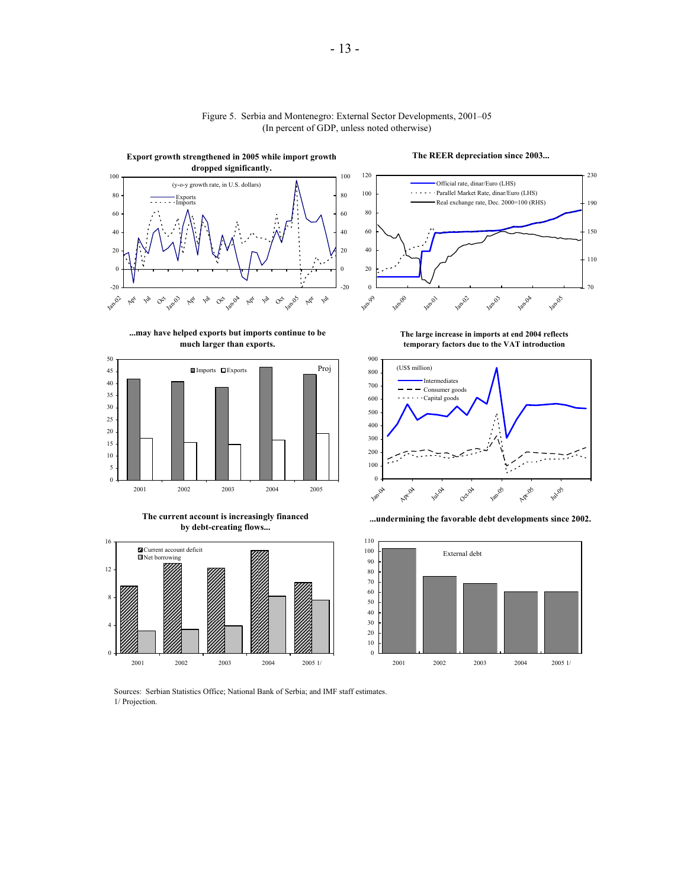

#### Figure 5. Serbia and Montenegro: External Sector Developments, 2001–05 (In percent of GDP, unless noted otherwise)

**The REER depreciation since 2003...**



**...may have helped exports but imports continue to be much larger than exports.**



**The current account is increasingly financed by debt-creating flows...**



**The large increase in imports at end 2004 reflects temporary factors due to the VAT introduction**







Sources: Serbian Statistics Office; National Bank of Serbia; and IMF staff estimates. 1/ Projection.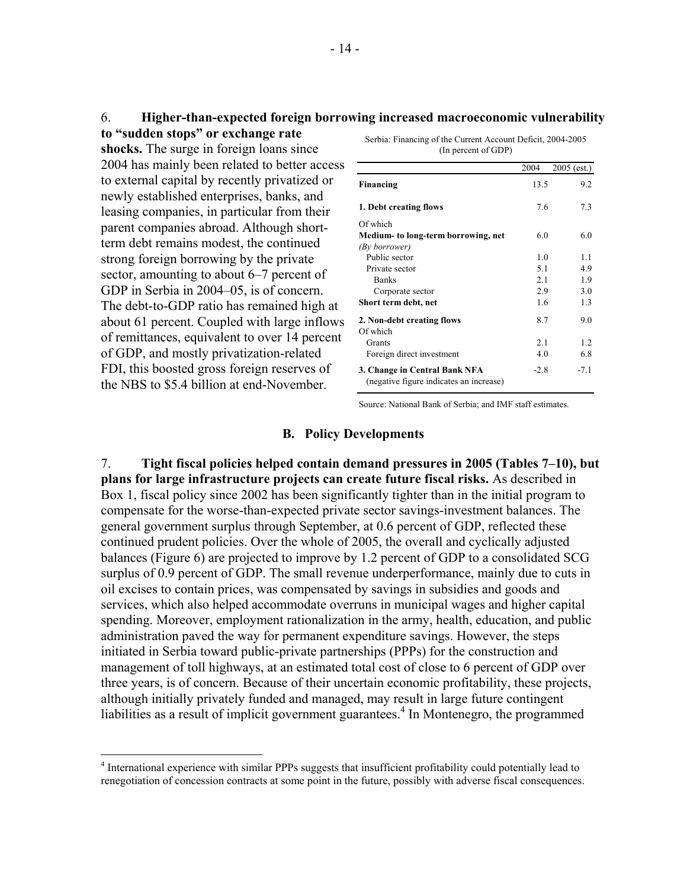## 6. **Higher-than-expected foreign borrowing increased macroeconomic vulnerability**

**to "sudden stops" or exchange rate shocks.** The surge in foreign loans since 2004 has mainly been related to better access to external capital by recently privatized or newly established enterprises, banks, and leasing companies, in particular from their parent companies abroad. Although shortterm debt remains modest, the continued strong foreign borrowing by the private sector, amounting to about 6–7 percent of GDP in Serbia in 2004–05, is of concern. The debt-to-GDP ratio has remained high at about 61 percent. Coupled with large inflows of remittances, equivalent to over 14 percent of GDP, and mostly privatization-related FDI, this boosted gross foreign reserves of the NBS to \$5.4 billion at end-November.

Serbia: Financing of the Current Account Deficit, 2004-2005 (In percent of GDP)

|                                                                          | 2004   | $2005$ (est.) |
|--------------------------------------------------------------------------|--------|---------------|
| Financing                                                                | 13.5   | 9.2           |
| 1. Debt creating flows                                                   | 7.6    | 7.3           |
| Of which                                                                 |        |               |
| Medium- to long-term borrowing, net                                      | 6.0    | 6.0           |
| (By borrower)                                                            |        |               |
| Public sector                                                            | 1.0    | 1.1           |
| Private sector                                                           | 5.1    | 4.9           |
| <b>Banks</b>                                                             | 2.1    | 1.9           |
| Corporate sector                                                         | 2.9    | 3.0           |
| Short term debt, net                                                     | 1.6    | 1.3           |
| 2. Non-debt creating flows<br>Of which                                   | 8.7    | 9.0           |
| Grants                                                                   | 2.1    | 1.2           |
| Foreign direct investment                                                | 4.0    | 6.8           |
| 3. Change in Central Bank NFA<br>(negative figure indicates an increase) | $-2.8$ | $-7.1$        |

Source: National Bank of Serbia; and IMF staff estimates.

## **B. Policy Developments**

7. **Tight fiscal policies helped contain demand pressures in 2005 (Tables 7–10), but plans for large infrastructure projects can create future fiscal risks.** As described in Box 1, fiscal policy since 2002 has been significantly tighter than in the initial program to compensate for the worse-than-expected private sector savings-investment balances. The general government surplus through September, at 0.6 percent of GDP, reflected these continued prudent policies. Over the whole of 2005, the overall and cyclically adjusted balances (Figure 6) are projected to improve by 1.2 percent of GDP to a consolidated SCG surplus of 0.9 percent of GDP. The small revenue underperformance, mainly due to cuts in oil excises to contain prices, was compensated by savings in subsidies and goods and services, which also helped accommodate overruns in municipal wages and higher capital spending. Moreover, employment rationalization in the army, health, education, and public administration paved the way for permanent expenditure savings. However, the steps initiated in Serbia toward public-private partnerships (PPPs) for the construction and management of toll highways, at an estimated total cost of close to 6 percent of GDP over three years, is of concern. Because of their uncertain economic profitability, these projects, although initially privately funded and managed, may result in large future contingent liabilities as a result of implicit government guarantees.<sup>4</sup> In Montenegro, the programmed

 4 International experience with similar PPPs suggests that insufficient profitability could potentially lead to renegotiation of concession contracts at some point in the future, possibly with adverse fiscal consequences.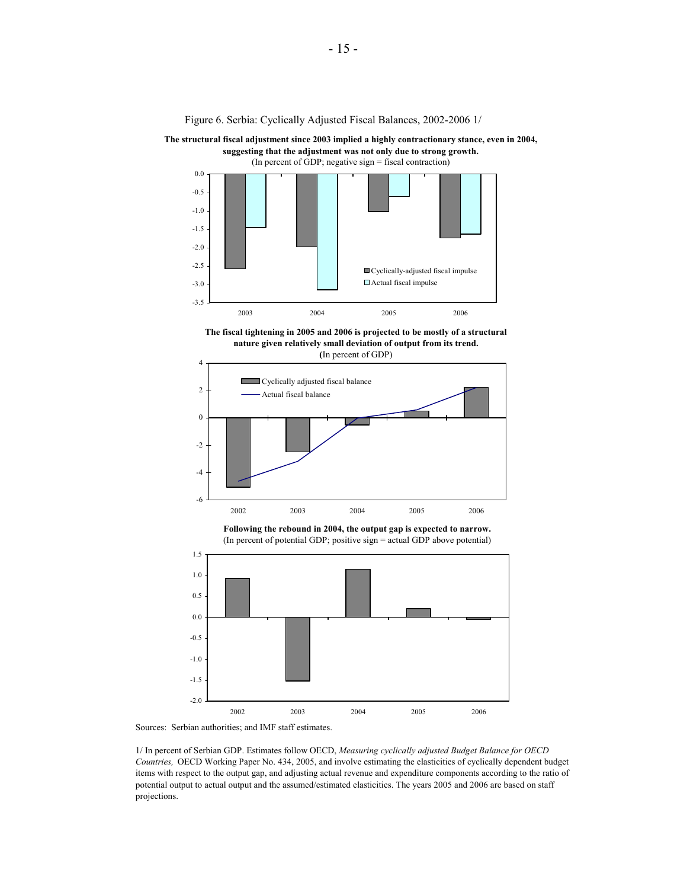Figure 6. Serbia: Cyclically Adjusted Fiscal Balances, 2002-2006 1/

**The structural fiscal adjustment since 2003 implied a highly contractionary stance, even in 2004, suggesting that the adjustment was not only due to strong growth.** 



**The fiscal tightening in 2005 and 2006 is projected to be mostly of a structural nature given relatively small deviation of output from its trend. (**In percent of GDP)



**Following the rebound in 2004, the output gap is expected to narrow.** (In percent of potential GDP; positive sign = actual GDP above potential)





1/ In percent of Serbian GDP. Estimates follow OECD, *Measuring cyclically adjusted Budget Balance for OECD Countries,* OECD Working Paper No. 434, 2005, and involve estimating the elasticities of cyclically dependent budget items with respect to the output gap, and adjusting actual revenue and expenditure components according to the ratio of potential output to actual output and the assumed/estimated elasticities. The years 2005 and 2006 are based on staff projections.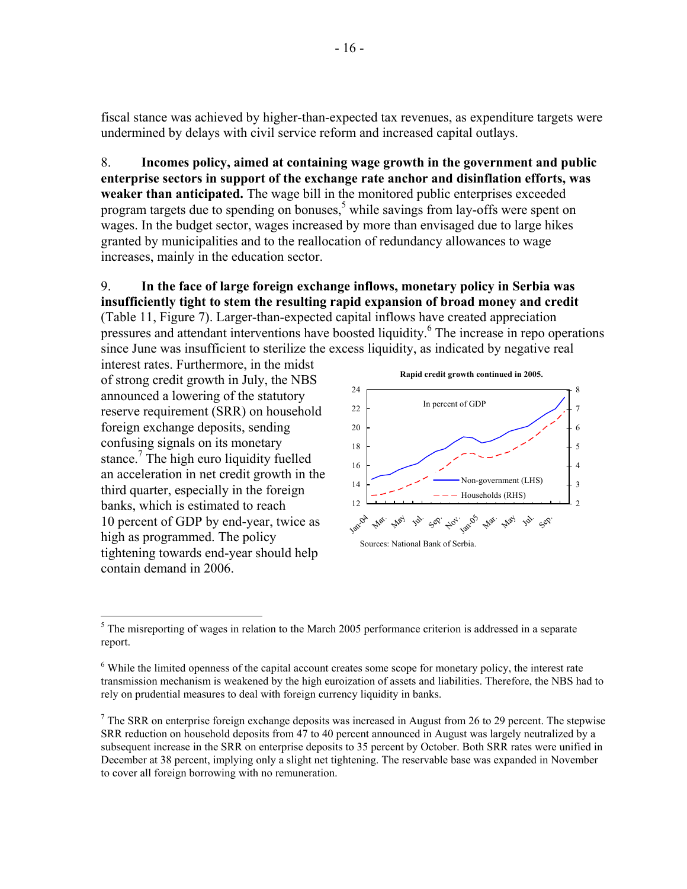fiscal stance was achieved by higher-than-expected tax revenues, as expenditure targets were undermined by delays with civil service reform and increased capital outlays.

8. **Incomes policy, aimed at containing wage growth in the government and public enterprise sectors in support of the exchange rate anchor and disinflation efforts, was weaker than anticipated.** The wage bill in the monitored public enterprises exceeded program targets due to spending on bonuses,<sup>5</sup> while savings from lay-offs were spent on wages. In the budget sector, wages increased by more than envisaged due to large hikes granted by municipalities and to the reallocation of redundancy allowances to wage increases, mainly in the education sector.

## 9. **In the face of large foreign exchange inflows, monetary policy in Serbia was insufficiently tight to stem the resulting rapid expansion of broad money and credit**  (Table 11, Figure 7). Larger-than-expected capital inflows have created appreciation

pressures and attendant interventions have boosted liquidity.<sup>6</sup> The increase in repo operations since June was insufficient to sterilize the excess liquidity, as indicated by negative real

interest rates. Furthermore, in the midst of strong credit growth in July, the NBS announced a lowering of the statutory reserve requirement (SRR) on household foreign exchange deposits, sending confusing signals on its monetary stance.<sup>7</sup> The high euro liquidity fuelled an acceleration in net credit growth in the third quarter, especially in the foreign banks, which is estimated to reach 10 percent of GDP by end-year, twice as high as programmed. The policy tightening towards end-year should help contain demand in 2006.



 $\overline{a}$  $<sup>5</sup>$  The misreporting of wages in relation to the March 2005 performance criterion is addressed in a separate</sup> report.

<sup>&</sup>lt;sup>6</sup> While the limited openness of the capital account creates some scope for monetary policy, the interest rate transmission mechanism is weakened by the high euroization of assets and liabilities. Therefore, the NBS had to rely on prudential measures to deal with foreign currency liquidity in banks.

 $<sup>7</sup>$  The SRR on enterprise foreign exchange deposits was increased in August from 26 to 29 percent. The stepwise</sup> SRR reduction on household deposits from 47 to 40 percent announced in August was largely neutralized by a subsequent increase in the SRR on enterprise deposits to 35 percent by October. Both SRR rates were unified in December at 38 percent, implying only a slight net tightening. The reservable base was expanded in November to cover all foreign borrowing with no remuneration.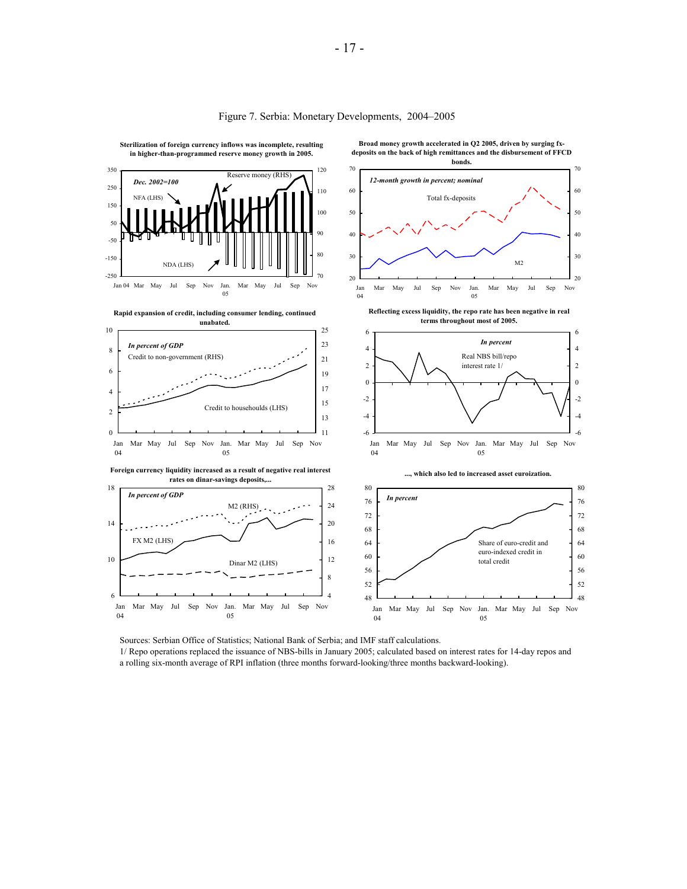

#### Figure 7. Serbia: Monetary Developments, 2004–2005

Sources: Serbian Office of Statistics; National Bank of Serbia; and IMF staff calculations. 1/ Repo operations replaced the issuance of NBS-bills in January 2005; calculated based on interest rates for 14-day repos and a rolling six-month average of RPI inflation (three months forward-looking/three months backward-looking).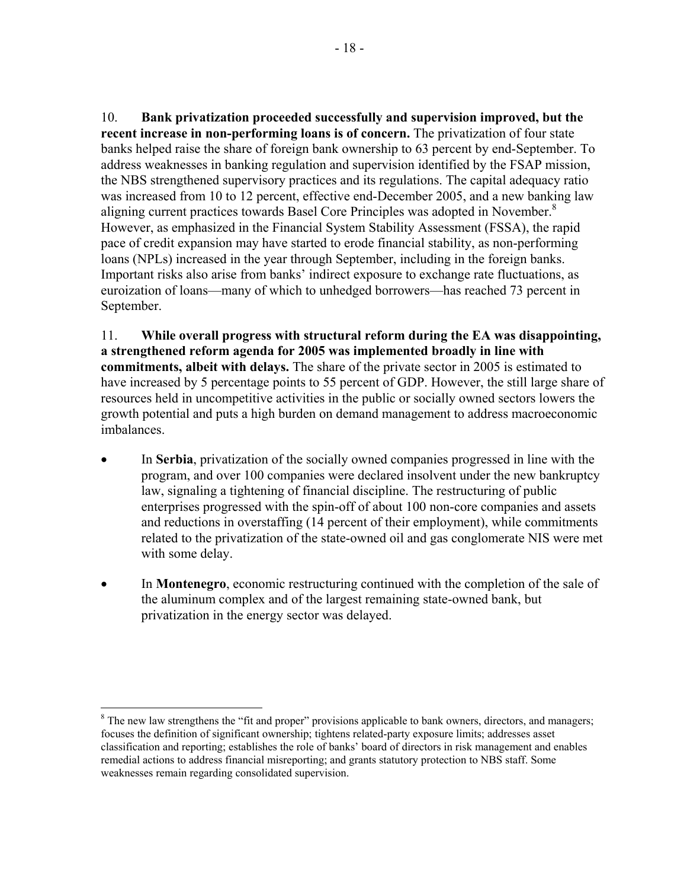10. **Bank privatization proceeded successfully and supervision improved, but the recent increase in non-performing loans is of concern.** The privatization of four state banks helped raise the share of foreign bank ownership to 63 percent by end-September. To address weaknesses in banking regulation and supervision identified by the FSAP mission, the NBS strengthened supervisory practices and its regulations. The capital adequacy ratio was increased from 10 to 12 percent, effective end-December 2005, and a new banking law aligning current practices towards Basel Core Principles was adopted in November.<sup>8</sup> However, as emphasized in the Financial System Stability Assessment (FSSA), the rapid pace of credit expansion may have started to erode financial stability, as non-performing loans (NPLs) increased in the year through September, including in the foreign banks. Important risks also arise from banks' indirect exposure to exchange rate fluctuations, as euroization of loans—many of which to unhedged borrowers—has reached 73 percent in September.

11. **While overall progress with structural reform during the EA was disappointing, a strengthened reform agenda for 2005 was implemented broadly in line with commitments, albeit with delays.** The share of the private sector in 2005 is estimated to have increased by 5 percentage points to 55 percent of GDP. However, the still large share of resources held in uncompetitive activities in the public or socially owned sectors lowers the growth potential and puts a high burden on demand management to address macroeconomic imbalances.

- In **Serbia**, privatization of the socially owned companies progressed in line with the program, and over 100 companies were declared insolvent under the new bankruptcy law, signaling a tightening of financial discipline. The restructuring of public enterprises progressed with the spin-off of about 100 non-core companies and assets and reductions in overstaffing (14 percent of their employment), while commitments related to the privatization of the state-owned oil and gas conglomerate NIS were met with some delay.
- In **Montenegro**, economic restructuring continued with the completion of the sale of the aluminum complex and of the largest remaining state-owned bank, but privatization in the energy sector was delayed.

 $\overline{a}$ 

<sup>&</sup>lt;sup>8</sup> The new law strengthens the "fit and proper" provisions applicable to bank owners, directors, and managers; focuses the definition of significant ownership; tightens related-party exposure limits; addresses asset classification and reporting; establishes the role of banks' board of directors in risk management and enables remedial actions to address financial misreporting; and grants statutory protection to NBS staff. Some weaknesses remain regarding consolidated supervision.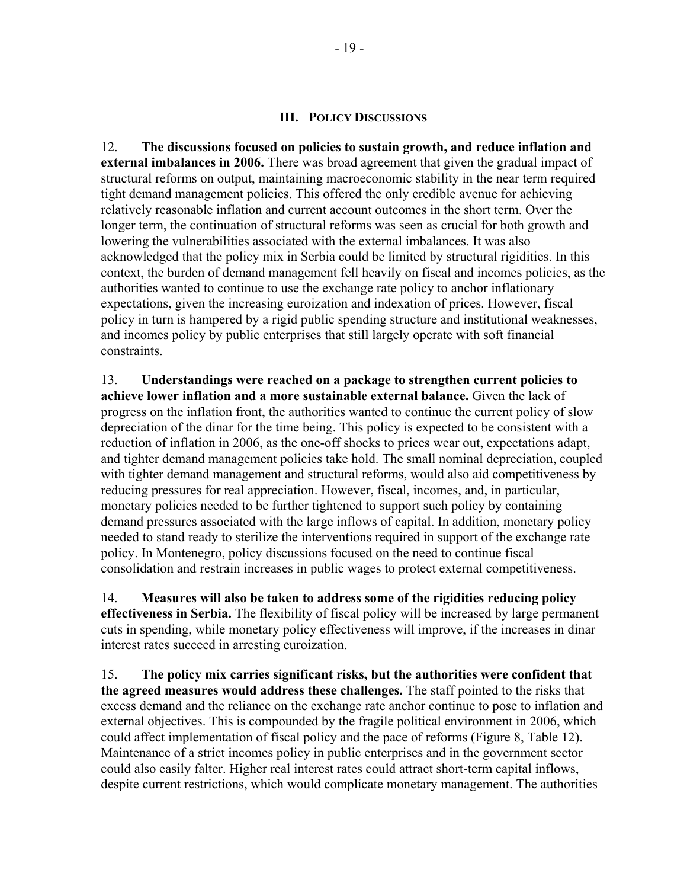### **III. POLICY DISCUSSIONS**

12. **The discussions focused on policies to sustain growth, and reduce inflation and external imbalances in 2006.** There was broad agreement that given the gradual impact of structural reforms on output, maintaining macroeconomic stability in the near term required tight demand management policies. This offered the only credible avenue for achieving relatively reasonable inflation and current account outcomes in the short term. Over the longer term, the continuation of structural reforms was seen as crucial for both growth and lowering the vulnerabilities associated with the external imbalances. It was also acknowledged that the policy mix in Serbia could be limited by structural rigidities. In this context, the burden of demand management fell heavily on fiscal and incomes policies, as the authorities wanted to continue to use the exchange rate policy to anchor inflationary expectations, given the increasing euroization and indexation of prices. However, fiscal policy in turn is hampered by a rigid public spending structure and institutional weaknesses, and incomes policy by public enterprises that still largely operate with soft financial constraints.

13. **Understandings were reached on a package to strengthen current policies to achieve lower inflation and a more sustainable external balance.** Given the lack of progress on the inflation front, the authorities wanted to continue the current policy of slow depreciation of the dinar for the time being. This policy is expected to be consistent with a reduction of inflation in 2006, as the one-off shocks to prices wear out, expectations adapt, and tighter demand management policies take hold. The small nominal depreciation, coupled with tighter demand management and structural reforms, would also aid competitiveness by reducing pressures for real appreciation. However, fiscal, incomes, and, in particular, monetary policies needed to be further tightened to support such policy by containing demand pressures associated with the large inflows of capital. In addition, monetary policy needed to stand ready to sterilize the interventions required in support of the exchange rate policy. In Montenegro, policy discussions focused on the need to continue fiscal consolidation and restrain increases in public wages to protect external competitiveness.

14. **Measures will also be taken to address some of the rigidities reducing policy effectiveness in Serbia.** The flexibility of fiscal policy will be increased by large permanent cuts in spending, while monetary policy effectiveness will improve, if the increases in dinar interest rates succeed in arresting euroization.

15. **The policy mix carries significant risks, but the authorities were confident that the agreed measures would address these challenges.** The staff pointed to the risks that excess demand and the reliance on the exchange rate anchor continue to pose to inflation and external objectives. This is compounded by the fragile political environment in 2006, which could affect implementation of fiscal policy and the pace of reforms (Figure 8, Table 12). Maintenance of a strict incomes policy in public enterprises and in the government sector could also easily falter. Higher real interest rates could attract short-term capital inflows, despite current restrictions, which would complicate monetary management. The authorities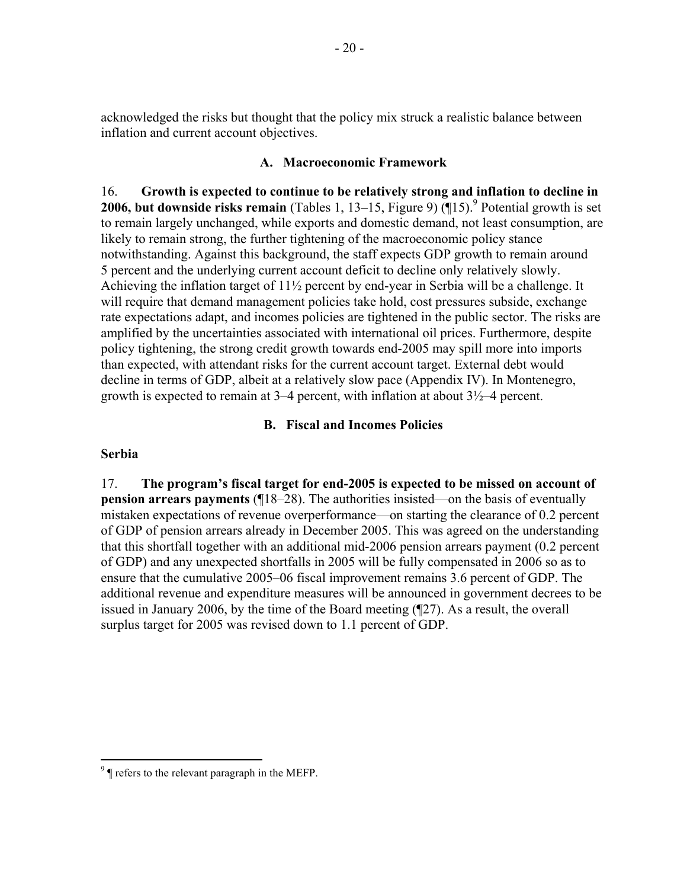acknowledged the risks but thought that the policy mix struck a realistic balance between inflation and current account objectives.

## **A. Macroeconomic Framework**

16. **Growth is expected to continue to be relatively strong and inflation to decline in 2006, but downside risks remain** (Tables 1, 13–15, Figure 9)  $(\text{\texttt{N15}})$ .<sup>9</sup> Potential growth is set to remain largely unchanged, while exports and domestic demand, not least consumption, are likely to remain strong, the further tightening of the macroeconomic policy stance notwithstanding. Against this background, the staff expects GDP growth to remain around 5 percent and the underlying current account deficit to decline only relatively slowly. Achieving the inflation target of 11½ percent by end-year in Serbia will be a challenge. It will require that demand management policies take hold, cost pressures subside, exchange rate expectations adapt, and incomes policies are tightened in the public sector. The risks are amplified by the uncertainties associated with international oil prices. Furthermore, despite policy tightening, the strong credit growth towards end-2005 may spill more into imports than expected, with attendant risks for the current account target. External debt would decline in terms of GDP, albeit at a relatively slow pace (Appendix IV). In Montenegro, growth is expected to remain at  $3-4$  percent, with inflation at about  $3\frac{1}{2}$ -4 percent.

## **B. Fiscal and Incomes Policies**

## **Serbia**

1

17. **The program's fiscal target for end-2005 is expected to be missed on account of pension arrears payments (¶18–28)**. The authorities insisted—on the basis of eventually mistaken expectations of revenue overperformance—on starting the clearance of 0.2 percent of GDP of pension arrears already in December 2005. This was agreed on the understanding that this shortfall together with an additional mid-2006 pension arrears payment (0.2 percent of GDP) and any unexpected shortfalls in 2005 will be fully compensated in 2006 so as to ensure that the cumulative 2005–06 fiscal improvement remains 3.6 percent of GDP. The additional revenue and expenditure measures will be announced in government decrees to be issued in January 2006, by the time of the Board meeting (¶27). As a result, the overall surplus target for 2005 was revised down to 1.1 percent of GDP.

 $9^9$   $\parallel$  refers to the relevant paragraph in the MEFP.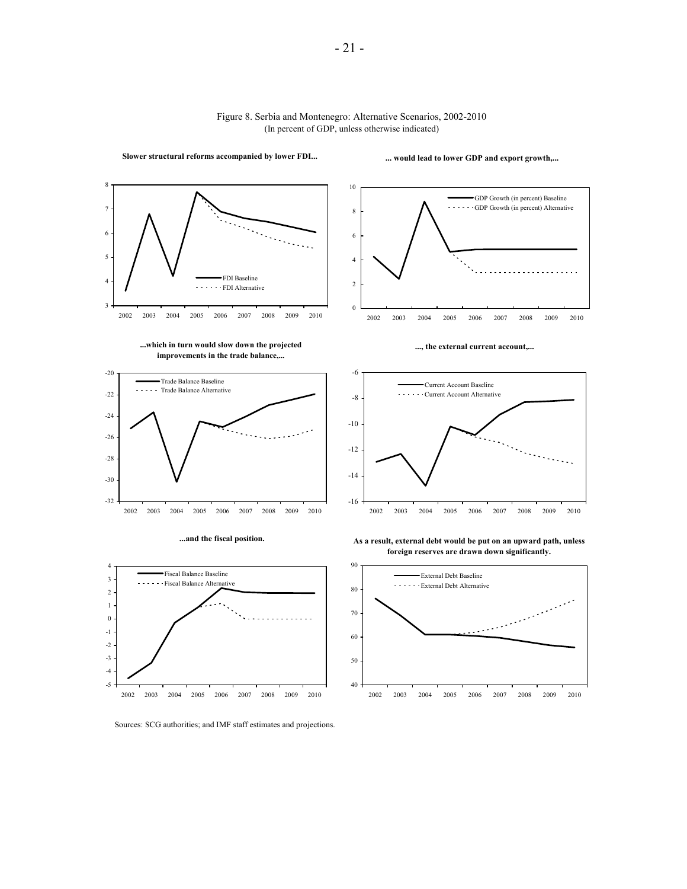

#### Figure 8. Serbia and Montenegro: Alternative Scenarios, 2002-2010 (In percent of GDP, unless otherwise indicated)

- 21 -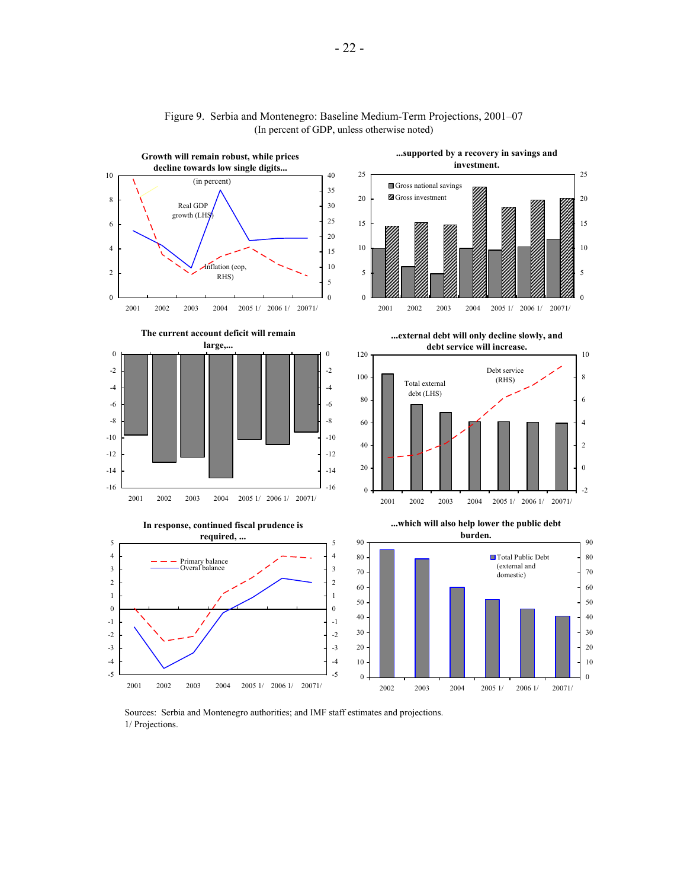

#### Figure 9. Serbia and Montenegro: Baseline Medium-Term Projections, 2001–07 (In percent of GDP, unless otherwise noted)

Sources: Serbia and Montenegro authorities; and IMF staff estimates and projections. 1/ Projections.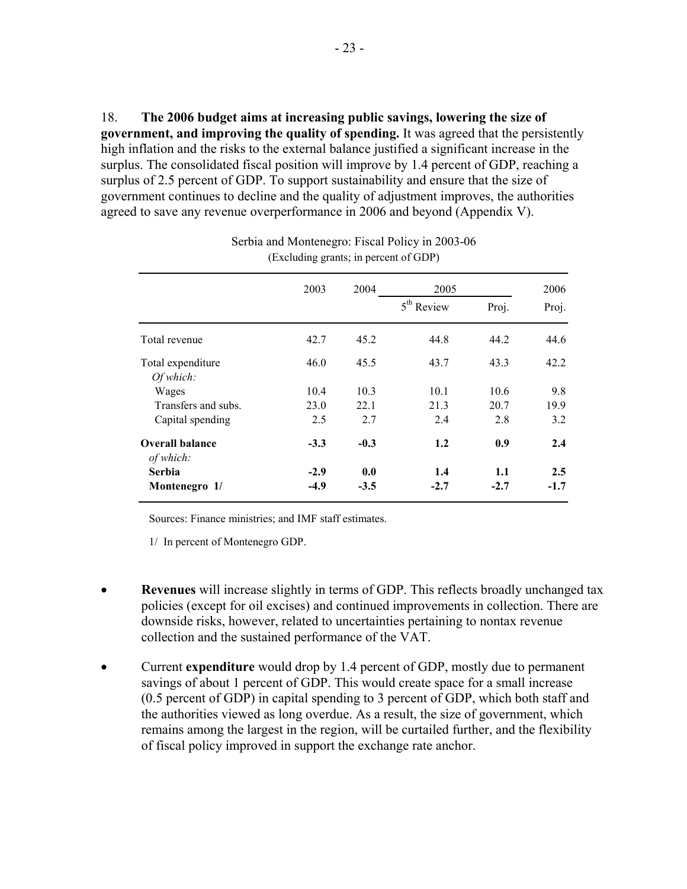18. **The 2006 budget aims at increasing public savings, lowering the size of government, and improving the quality of spending.** It was agreed that the persistently high inflation and the risks to the external balance justified a significant increase in the surplus. The consolidated fiscal position will improve by 1.4 percent of GDP, reaching a surplus of 2.5 percent of GDP. To support sustainability and ensure that the size of government continues to decline and the quality of adjustment improves, the authorities agreed to save any revenue overperformance in 2006 and beyond (Appendix V).

|                                     | 2003   | 2004   | 2005         |        | 2006   |  |
|-------------------------------------|--------|--------|--------------|--------|--------|--|
|                                     |        |        | $5th$ Review | Proj.  | Proj.  |  |
| Total revenue                       | 42.7   | 45.2   | 44.8         | 44.2   | 44.6   |  |
| Total expenditure                   | 46.0   | 45.5   | 43.7         | 43.3   | 42.2   |  |
| Of which:                           |        |        |              |        |        |  |
| Wages                               | 10.4   | 10.3   | 10.1         | 10.6   | 9.8    |  |
| Transfers and subs.                 | 23.0   | 22.1   | 21.3         | 20.7   | 19.9   |  |
| Capital spending                    | 2.5    | 2.7    | 2.4          | 2.8    | 3.2    |  |
| <b>Overall balance</b><br>of which: | $-3.3$ | $-0.3$ | 1.2          | 0.9    | 2.4    |  |
| <b>Serbia</b>                       | $-2.9$ | 0.0    | 1.4          | 1.1    | 2.5    |  |
| Montenegro 1/                       | $-4.9$ | $-3.5$ | $-2.7$       | $-2.7$ | $-1.7$ |  |

| Serbia and Montenegro: Fiscal Policy in 2003-06 |  |
|-------------------------------------------------|--|
| (Excluding grants; in percent of GDP)           |  |

Sources: Finance ministries; and IMF staff estimates.

1/ In percent of Montenegro GDP.

- **Revenues** will increase slightly in terms of GDP. This reflects broadly unchanged tax policies (except for oil excises) and continued improvements in collection. There are downside risks, however, related to uncertainties pertaining to nontax revenue collection and the sustained performance of the VAT.
- Current **expenditure** would drop by 1.4 percent of GDP, mostly due to permanent savings of about 1 percent of GDP. This would create space for a small increase (0.5 percent of GDP) in capital spending to 3 percent of GDP, which both staff and the authorities viewed as long overdue. As a result, the size of government, which remains among the largest in the region, will be curtailed further, and the flexibility of fiscal policy improved in support the exchange rate anchor.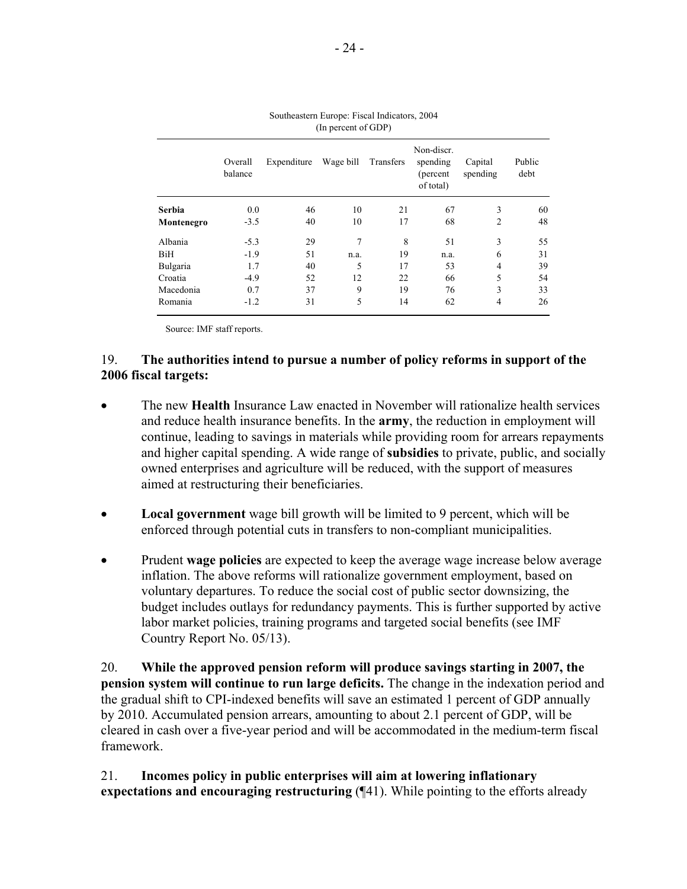|               | Overall<br>Expenditure<br>balance |    | Wage bill | Transfers | Non-discr.<br>spending<br>(percent)<br>of total) |                | Public<br>debt |  |
|---------------|-----------------------------------|----|-----------|-----------|--------------------------------------------------|----------------|----------------|--|
| <b>Serbia</b> | 0.0                               | 46 | 10        | 21        | 67                                               | 3              | 60             |  |
| Montenegro    | $-3.5$                            | 40 | 10        | 17        | 68                                               | $\overline{2}$ | 48             |  |
| Albania       | $-5.3$                            | 29 | 7         | 8         | 51                                               | 3              | 55             |  |
| BiH           | $-1.9$                            | 51 | n.a.      | 19        | n.a.                                             | 6              | 31             |  |
| Bulgaria      | 1.7                               | 40 | 5         | 17        | 53                                               | $\overline{4}$ | 39             |  |
| Croatia       | $-4.9$                            | 52 | 12        | 22        | 66                                               | 5              | 54             |  |
| Macedonia     | 0.7                               | 37 | 9         | 19        | 76                                               | 3              | 33             |  |
| Romania       | $-1.2$                            | 31 | 5         | 14        | 62                                               | 4              | 26             |  |

| Southeastern Europe: Fiscal Indicators, 2004 |                     |  |
|----------------------------------------------|---------------------|--|
|                                              | (In percent of GDP) |  |

Source: IMF staff reports.

## 19. **The authorities intend to pursue a number of policy reforms in support of the 2006 fiscal targets:**

- The new **Health** Insurance Law enacted in November will rationalize health services and reduce health insurance benefits. In the **army**, the reduction in employment will continue, leading to savings in materials while providing room for arrears repayments and higher capital spending. A wide range of **subsidies** to private, public, and socially owned enterprises and agriculture will be reduced, with the support of measures aimed at restructuring their beneficiaries.
- **Local government** wage bill growth will be limited to 9 percent, which will be enforced through potential cuts in transfers to non-compliant municipalities.
- Prudent **wage policies** are expected to keep the average wage increase below average inflation. The above reforms will rationalize government employment, based on voluntary departures. To reduce the social cost of public sector downsizing, the budget includes outlays for redundancy payments. This is further supported by active labor market policies, training programs and targeted social benefits (see IMF Country Report No. 05/13).

20. **While the approved pension reform will produce savings starting in 2007, the pension system will continue to run large deficits.** The change in the indexation period and the gradual shift to CPI-indexed benefits will save an estimated 1 percent of GDP annually by 2010. Accumulated pension arrears, amounting to about 2.1 percent of GDP, will be cleared in cash over a five-year period and will be accommodated in the medium-term fiscal framework.

21. **Incomes policy in public enterprises will aim at lowering inflationary expectations and encouraging restructuring** (¶41). While pointing to the efforts already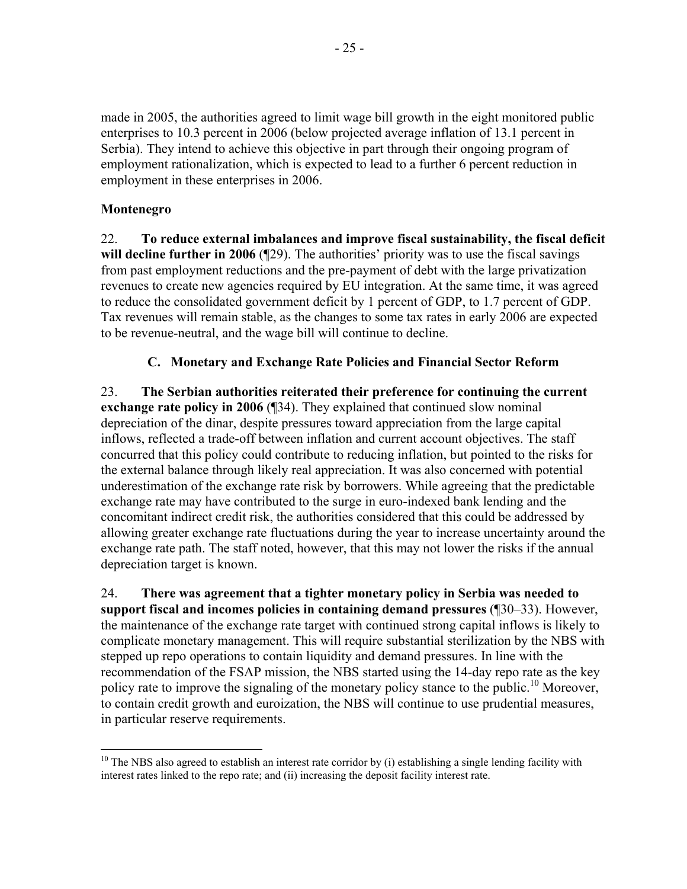made in 2005, the authorities agreed to limit wage bill growth in the eight monitored public enterprises to 10.3 percent in 2006 (below projected average inflation of 13.1 percent in Serbia). They intend to achieve this objective in part through their ongoing program of employment rationalization, which is expected to lead to a further 6 percent reduction in employment in these enterprises in 2006.

# **Montenegro**

22. **To reduce external imbalances and improve fiscal sustainability, the fiscal deficit**  will decline further in 2006 (¶29). The authorities' priority was to use the fiscal savings from past employment reductions and the pre-payment of debt with the large privatization revenues to create new agencies required by EU integration. At the same time, it was agreed to reduce the consolidated government deficit by 1 percent of GDP, to 1.7 percent of GDP. Tax revenues will remain stable, as the changes to some tax rates in early 2006 are expected to be revenue-neutral, and the wage bill will continue to decline.

# **C. Monetary and Exchange Rate Policies and Financial Sector Reform**

23. **The Serbian authorities reiterated their preference for continuing the current exchange rate policy in 2006** (134). They explained that continued slow nominal depreciation of the dinar, despite pressures toward appreciation from the large capital inflows, reflected a trade-off between inflation and current account objectives. The staff concurred that this policy could contribute to reducing inflation, but pointed to the risks for the external balance through likely real appreciation. It was also concerned with potential underestimation of the exchange rate risk by borrowers. While agreeing that the predictable exchange rate may have contributed to the surge in euro-indexed bank lending and the concomitant indirect credit risk, the authorities considered that this could be addressed by allowing greater exchange rate fluctuations during the year to increase uncertainty around the exchange rate path. The staff noted, however, that this may not lower the risks if the annual depreciation target is known.

24. **There was agreement that a tighter monetary policy in Serbia was needed to support fiscal and incomes policies in containing demand pressures** (¶30–33). However, the maintenance of the exchange rate target with continued strong capital inflows is likely to complicate monetary management. This will require substantial sterilization by the NBS with stepped up repo operations to contain liquidity and demand pressures. In line with the recommendation of the FSAP mission, the NBS started using the 14-day repo rate as the key policy rate to improve the signaling of the monetary policy stance to the public.<sup>10</sup> Moreover, to contain credit growth and euroization, the NBS will continue to use prudential measures, in particular reserve requirements.

<sup>1</sup>  $10$  The NBS also agreed to establish an interest rate corridor by (i) establishing a single lending facility with interest rates linked to the repo rate; and (ii) increasing the deposit facility interest rate.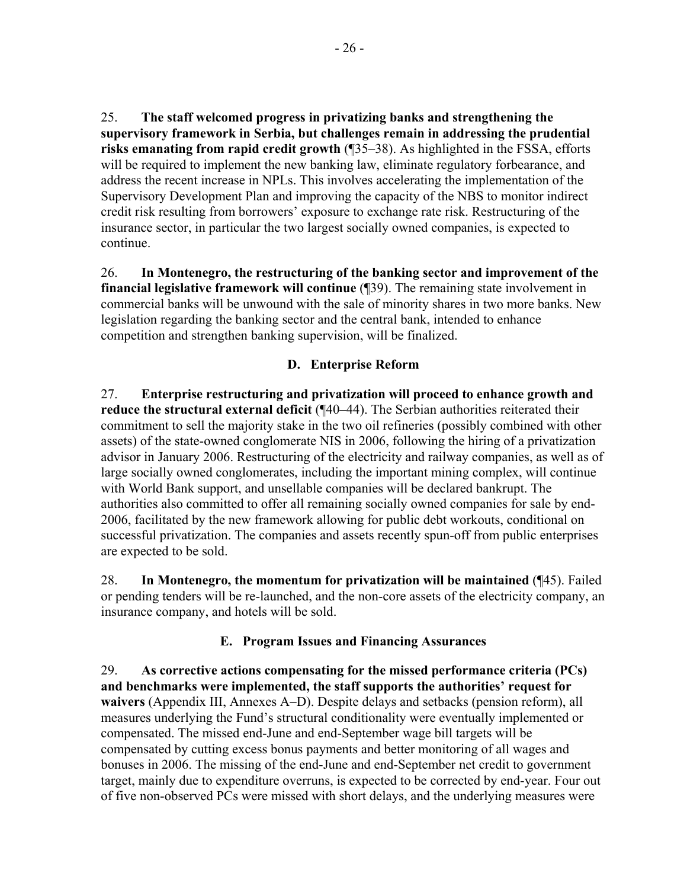25. **The staff welcomed progress in privatizing banks and strengthening the supervisory framework in Serbia, but challenges remain in addressing the prudential risks emanating from rapid credit growth** (¶35–38). As highlighted in the FSSA, efforts will be required to implement the new banking law, eliminate regulatory forbearance, and address the recent increase in NPLs. This involves accelerating the implementation of the Supervisory Development Plan and improving the capacity of the NBS to monitor indirect credit risk resulting from borrowers' exposure to exchange rate risk. Restructuring of the insurance sector, in particular the two largest socially owned companies, is expected to continue.

26. **In Montenegro, the restructuring of the banking sector and improvement of the financial legislative framework will continue** (¶39). The remaining state involvement in commercial banks will be unwound with the sale of minority shares in two more banks. New legislation regarding the banking sector and the central bank, intended to enhance competition and strengthen banking supervision, will be finalized.

# **D. Enterprise Reform**

27. **Enterprise restructuring and privatization will proceed to enhance growth and reduce the structural external deficit** (¶40–44). The Serbian authorities reiterated their commitment to sell the majority stake in the two oil refineries (possibly combined with other assets) of the state-owned conglomerate NIS in 2006, following the hiring of a privatization advisor in January 2006. Restructuring of the electricity and railway companies, as well as of large socially owned conglomerates, including the important mining complex, will continue with World Bank support, and unsellable companies will be declared bankrupt. The authorities also committed to offer all remaining socially owned companies for sale by end-2006, facilitated by the new framework allowing for public debt workouts, conditional on successful privatization. The companies and assets recently spun-off from public enterprises are expected to be sold.

28. **In Montenegro, the momentum for privatization will be maintained** (¶45). Failed or pending tenders will be re-launched, and the non-core assets of the electricity company, an insurance company, and hotels will be sold.

# **E. Program Issues and Financing Assurances**

29. **As corrective actions compensating for the missed performance criteria (PCs) and benchmarks were implemented, the staff supports the authorities' request for waivers** (Appendix III, Annexes A–D). Despite delays and setbacks (pension reform), all measures underlying the Fund's structural conditionality were eventually implemented or compensated. The missed end-June and end-September wage bill targets will be compensated by cutting excess bonus payments and better monitoring of all wages and bonuses in 2006. The missing of the end-June and end-September net credit to government target, mainly due to expenditure overruns, is expected to be corrected by end-year. Four out of five non-observed PCs were missed with short delays, and the underlying measures were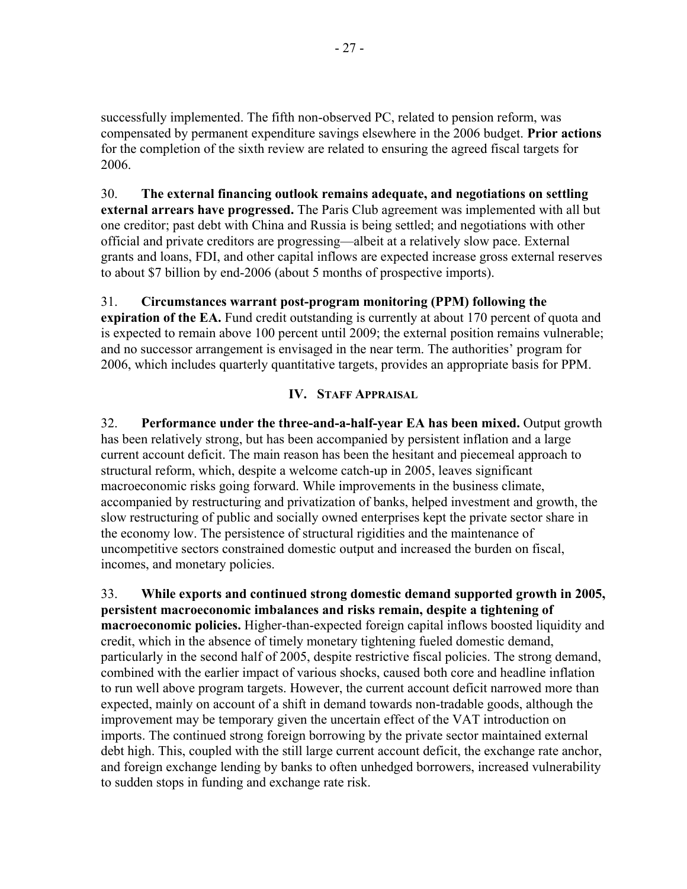successfully implemented. The fifth non-observed PC, related to pension reform, was compensated by permanent expenditure savings elsewhere in the 2006 budget. **Prior actions** for the completion of the sixth review are related to ensuring the agreed fiscal targets for 2006.

30. **The external financing outlook remains adequate, and negotiations on settling external arrears have progressed.** The Paris Club agreement was implemented with all but one creditor; past debt with China and Russia is being settled; and negotiations with other official and private creditors are progressing—albeit at a relatively slow pace. External grants and loans, FDI, and other capital inflows are expected increase gross external reserves to about \$7 billion by end-2006 (about 5 months of prospective imports).

31. **Circumstances warrant post-program monitoring (PPM) following the expiration of the EA.** Fund credit outstanding is currently at about 170 percent of quota and is expected to remain above 100 percent until 2009; the external position remains vulnerable; and no successor arrangement is envisaged in the near term. The authorities' program for 2006, which includes quarterly quantitative targets, provides an appropriate basis for PPM.

# **IV. STAFF APPRAISAL**

32. **Performance under the three-and-a-half-year EA has been mixed.** Output growth has been relatively strong, but has been accompanied by persistent inflation and a large current account deficit. The main reason has been the hesitant and piecemeal approach to structural reform, which, despite a welcome catch-up in 2005, leaves significant macroeconomic risks going forward. While improvements in the business climate, accompanied by restructuring and privatization of banks, helped investment and growth, the slow restructuring of public and socially owned enterprises kept the private sector share in the economy low. The persistence of structural rigidities and the maintenance of uncompetitive sectors constrained domestic output and increased the burden on fiscal, incomes, and monetary policies.

33. **While exports and continued strong domestic demand supported growth in 2005, persistent macroeconomic imbalances and risks remain, despite a tightening of macroeconomic policies.** Higher-than-expected foreign capital inflows boosted liquidity and credit, which in the absence of timely monetary tightening fueled domestic demand, particularly in the second half of 2005, despite restrictive fiscal policies. The strong demand, combined with the earlier impact of various shocks, caused both core and headline inflation to run well above program targets. However, the current account deficit narrowed more than expected, mainly on account of a shift in demand towards non-tradable goods, although the improvement may be temporary given the uncertain effect of the VAT introduction on imports. The continued strong foreign borrowing by the private sector maintained external debt high. This, coupled with the still large current account deficit, the exchange rate anchor, and foreign exchange lending by banks to often unhedged borrowers, increased vulnerability to sudden stops in funding and exchange rate risk.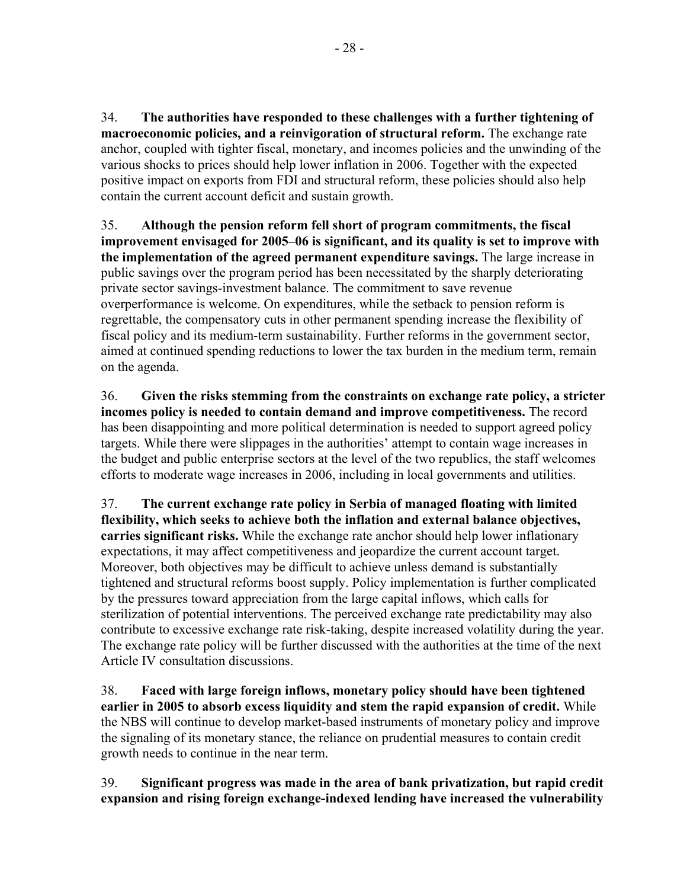34. **The authorities have responded to these challenges with a further tightening of macroeconomic policies, and a reinvigoration of structural reform.** The exchange rate anchor, coupled with tighter fiscal, monetary, and incomes policies and the unwinding of the various shocks to prices should help lower inflation in 2006. Together with the expected positive impact on exports from FDI and structural reform, these policies should also help contain the current account deficit and sustain growth.

35. **Although the pension reform fell short of program commitments, the fiscal improvement envisaged for 2005–06 is significant, and its quality is set to improve with the implementation of the agreed permanent expenditure savings.** The large increase in public savings over the program period has been necessitated by the sharply deteriorating private sector savings-investment balance. The commitment to save revenue overperformance is welcome. On expenditures, while the setback to pension reform is regrettable, the compensatory cuts in other permanent spending increase the flexibility of fiscal policy and its medium-term sustainability. Further reforms in the government sector, aimed at continued spending reductions to lower the tax burden in the medium term, remain on the agenda.

36. **Given the risks stemming from the constraints on exchange rate policy, a stricter incomes policy is needed to contain demand and improve competitiveness.** The record has been disappointing and more political determination is needed to support agreed policy targets. While there were slippages in the authorities' attempt to contain wage increases in the budget and public enterprise sectors at the level of the two republics, the staff welcomes efforts to moderate wage increases in 2006, including in local governments and utilities.

37. **The current exchange rate policy in Serbia of managed floating with limited flexibility, which seeks to achieve both the inflation and external balance objectives, carries significant risks.** While the exchange rate anchor should help lower inflationary expectations, it may affect competitiveness and jeopardize the current account target. Moreover, both objectives may be difficult to achieve unless demand is substantially tightened and structural reforms boost supply. Policy implementation is further complicated by the pressures toward appreciation from the large capital inflows, which calls for sterilization of potential interventions. The perceived exchange rate predictability may also contribute to excessive exchange rate risk-taking, despite increased volatility during the year. The exchange rate policy will be further discussed with the authorities at the time of the next Article IV consultation discussions.

38. **Faced with large foreign inflows, monetary policy should have been tightened earlier in 2005 to absorb excess liquidity and stem the rapid expansion of credit.** While the NBS will continue to develop market-based instruments of monetary policy and improve the signaling of its monetary stance, the reliance on prudential measures to contain credit growth needs to continue in the near term.

39. **Significant progress was made in the area of bank privatization, but rapid credit expansion and rising foreign exchange-indexed lending have increased the vulnerability**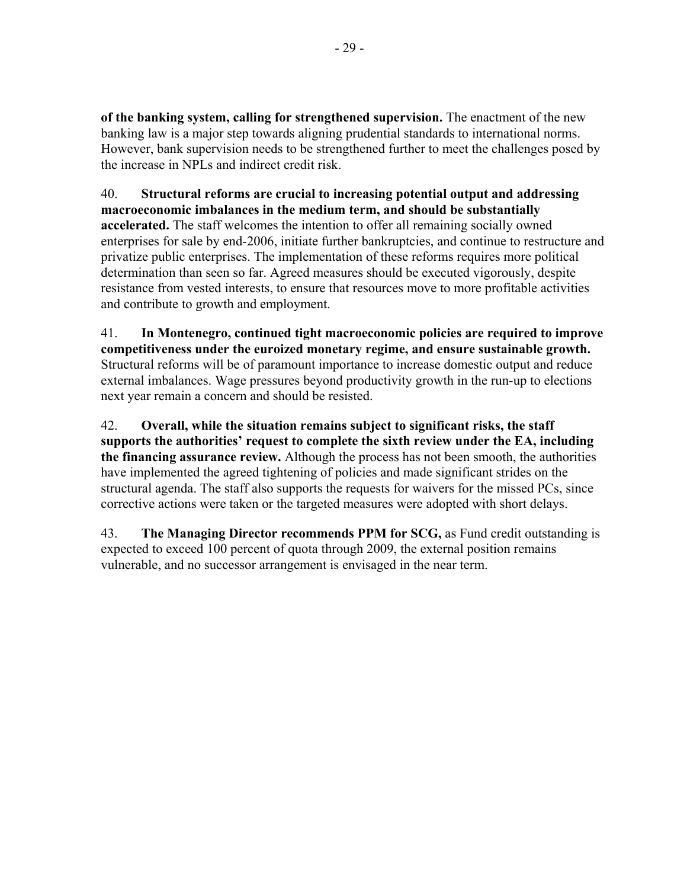**of the banking system, calling for strengthened supervision.** The enactment of the new banking law is a major step towards aligning prudential standards to international norms. However, bank supervision needs to be strengthened further to meet the challenges posed by the increase in NPLs and indirect credit risk.

40. **Structural reforms are crucial to increasing potential output and addressing macroeconomic imbalances in the medium term, and should be substantially accelerated.** The staff welcomes the intention to offer all remaining socially owned enterprises for sale by end-2006, initiate further bankruptcies, and continue to restructure and privatize public enterprises. The implementation of these reforms requires more political determination than seen so far. Agreed measures should be executed vigorously, despite resistance from vested interests, to ensure that resources move to more profitable activities and contribute to growth and employment.

41. **In Montenegro, continued tight macroeconomic policies are required to improve competitiveness under the euroized monetary regime, and ensure sustainable growth.** Structural reforms will be of paramount importance to increase domestic output and reduce external imbalances. Wage pressures beyond productivity growth in the run-up to elections next year remain a concern and should be resisted.

42. **Overall, while the situation remains subject to significant risks, the staff supports the authorities' request to complete the sixth review under the EA, including the financing assurance review.** Although the process has not been smooth, the authorities have implemented the agreed tightening of policies and made significant strides on the structural agenda. The staff also supports the requests for waivers for the missed PCs, since corrective actions were taken or the targeted measures were adopted with short delays.

43. **The Managing Director recommends PPM for SCG,** as Fund credit outstanding is expected to exceed 100 percent of quota through 2009, the external position remains vulnerable, and no successor arrangement is envisaged in the near term.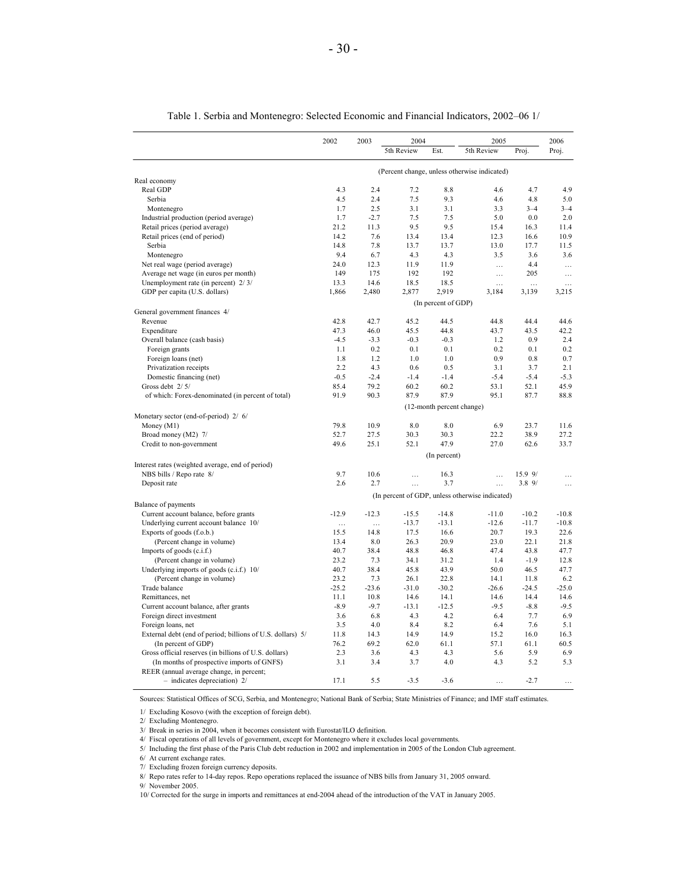| 5th Review<br>5th Review<br>Est.<br>Proj.<br>Proj.<br>(Percent change, unless otherwise indicated)<br>Real economy<br>Real GDP<br>4.3<br>2.4<br>7.2<br>8.8<br>4.7<br>4.6<br>4.5<br>2.4<br>7.5<br>9.3<br>4.8<br>Serbia<br>4.6<br>2.5<br>3.1<br>3.3<br>$3 - 4$<br>1.7<br>3.1<br>$3 - 4$<br>Montenegro<br>7.5<br>Industrial production (period average)<br>1.7<br>$-2.7$<br>7.5<br>5.0<br>0.0<br>Retail prices (period average)<br>21.2<br>11.3<br>9.5<br>9.5<br>15.4<br>16.3<br>11.4<br>Retail prices (end of period)<br>14.2<br>7.6<br>13.4<br>13.4<br>12.3<br>16.6<br>10.9<br>Serbia<br>14.8<br>7.8<br>13.7<br>13.7<br>13.0<br>17.7<br>11.5<br>9.4<br>6.7<br>4.3<br>4.3<br>3.5<br>3.6<br>Montenegro<br>24.0<br>12.3<br>11.9<br>11.9<br>4.4<br>Net real wage (period average)<br>$\ldots$<br>Average net wage (in euros per month)<br>149<br>175<br>192<br>192<br>205<br>.<br>13.3<br>14.6<br>18.5<br>18.5<br>Unemployment rate (in percent) 2/3/<br>$\ldots$<br>1,866<br>2,480<br>2,877<br>2,919<br>GDP per capita (U.S. dollars)<br>3,184<br>3,139<br>(In percent of GDP)<br>General government finances 4/<br>45.2<br>Revenue<br>42.8<br>42.7<br>44.5<br>44.8<br>44.4<br>47.3<br>46.0<br>45.5<br>44.8<br>43.7<br>43.5<br>Expenditure<br>$-4.5$<br>$-3.3$<br>$-0.3$<br>$-0.3$<br>0.9<br>Overall balance (cash basis)<br>1.2<br>0.2<br>0.1<br>0.1<br>0.2<br>Foreign grants<br>1.1<br>0.1<br>1.2<br>1.0<br>1.0<br>0.9<br>0.8<br>Foreign loans (net)<br>1.8<br>2.2<br>4.3<br>0.6<br>0.5<br>3.1<br>3.7<br>Privatization receipts<br>$-0.5$<br>$-2.4$<br>$-1.4$<br>$-1.4$<br>Domestic financing (net)<br>$-5.4$<br>$-5.4$<br>85.4<br>79.2<br>60.2<br>60.2<br>52.1<br>Gross debt 2/5/<br>53.1<br>91.9<br>90.3<br>87.9<br>87.9<br>95.1<br>of which: Forex-denominated (in percent of total)<br>87.7<br>(12-month percent change)<br>Monetary sector (end-of-period) 2/ 6/<br>79.8<br>10.9<br>6.9<br>23.7<br>Money (M1)<br>8.0<br>8.0<br>52.7<br>27.5<br>30.3<br>30.3<br>38.9<br>Broad money (M2) 7/<br>22.2<br>49.6<br>25.1<br>52.1<br>47.9<br>27.0<br>62.6<br>Credit to non-government<br>(In percent)<br>Interest rates (weighted average, end of period)<br>9.7<br>10.6<br>15.9 9/<br>NBS bills / Repo rate 8/<br>16.3<br>$\ddotsc$<br>$\mathcal{L}$<br>2.6<br>2.7<br>3.7<br>3.89/<br>Deposit rate<br>$\ddotsc$<br>$\ddotsc$<br>(In percent of GDP, unless otherwise indicated)<br>Balance of payments<br>$-12.9$<br>$-15.5$<br>$-14.8$<br>$-10.2$<br>Current account balance, before grants<br>$-12.3$<br>$-11.0$<br>Underlying current account balance 10/<br>$-13.7$<br>$-13.1$<br>$-12.6$<br>$-11.7$<br>$\ddotsc$<br>$\ddotsc$<br>15.5<br>14.8<br>17.5<br>16.6<br>20.7<br>19.3<br>Exports of goods (f.o.b.)<br>13.4<br>8.0<br>26.3<br>20.9<br>23.0<br>22.1<br>(Percent change in volume)<br>40.7<br>38.4<br>48.8<br>46.8<br>47.4<br>43.8<br>47.7<br>Imports of goods (c.i.f.)<br>23.2<br>7.3<br>34.1<br>$-1.9$<br>(Percent change in volume)<br>31.2<br>1.4<br>12.8<br>40.7<br>38.4<br>45.8<br>43.9<br>50.0<br>46.5<br>47.7<br>Underlying imports of goods (c.i.f.) 10/<br>7.3<br>6.2<br>(Percent change in volume)<br>23.2<br>26.1<br>22.8<br>14.1<br>11.8<br>$-25.2$<br>$-31.0$<br>$-30.2$<br>$-24.5$<br>$-25.0$<br>Trade balance<br>$-23.6$<br>$-26.6$<br>14.6<br>14.4<br>11.1<br>10.8<br>14.1<br>14.6<br>14.6<br>Remittances, net<br>$-9.7$<br>$-13.1$<br>$-12.5$<br>$-9.5$<br>$-8.9$<br>$-9.5$<br>$-8.8$<br>Current account balance, after grants<br>3.6<br>6.8<br>4.3<br>4.2<br>6.4<br>7.7<br>6.9<br>Foreign direct investment<br>3.5<br>4.0<br>8.4<br>8.2<br>6.4<br>7.6<br>5.1<br>Foreign loans, net | 2002 | 2003 | 2004 |  | 2005 |  | 2006      |  |
|--------------------------------------------------------------------------------------------------------------------------------------------------------------------------------------------------------------------------------------------------------------------------------------------------------------------------------------------------------------------------------------------------------------------------------------------------------------------------------------------------------------------------------------------------------------------------------------------------------------------------------------------------------------------------------------------------------------------------------------------------------------------------------------------------------------------------------------------------------------------------------------------------------------------------------------------------------------------------------------------------------------------------------------------------------------------------------------------------------------------------------------------------------------------------------------------------------------------------------------------------------------------------------------------------------------------------------------------------------------------------------------------------------------------------------------------------------------------------------------------------------------------------------------------------------------------------------------------------------------------------------------------------------------------------------------------------------------------------------------------------------------------------------------------------------------------------------------------------------------------------------------------------------------------------------------------------------------------------------------------------------------------------------------------------------------------------------------------------------------------------------------------------------------------------------------------------------------------------------------------------------------------------------------------------------------------------------------------------------------------------------------------------------------------------------------------------------------------------------------------------------------------------------------------------------------------------------------------------------------------------------------------------------------------------------------------------------------------------------------------------------------------------------------------------------------------------------------------------------------------------------------------------------------------------------------------------------------------------------------------------------------------------------------------------------------------------------------------------------------------------------------------------------------------------------------------------------------------------------------------------------------------------------------------------------------------------------------------------------------------------------------------------------------------------------------------------------------------------------------------------------------------------------------------------------------------------------------------------------------|------|------|------|--|------|--|-----------|--|
|                                                                                                                                                                                                                                                                                                                                                                                                                                                                                                                                                                                                                                                                                                                                                                                                                                                                                                                                                                                                                                                                                                                                                                                                                                                                                                                                                                                                                                                                                                                                                                                                                                                                                                                                                                                                                                                                                                                                                                                                                                                                                                                                                                                                                                                                                                                                                                                                                                                                                                                                                                                                                                                                                                                                                                                                                                                                                                                                                                                                                                                                                                                                                                                                                                                                                                                                                                                                                                                                                                                                                                                                              |      |      |      |  |      |  |           |  |
|                                                                                                                                                                                                                                                                                                                                                                                                                                                                                                                                                                                                                                                                                                                                                                                                                                                                                                                                                                                                                                                                                                                                                                                                                                                                                                                                                                                                                                                                                                                                                                                                                                                                                                                                                                                                                                                                                                                                                                                                                                                                                                                                                                                                                                                                                                                                                                                                                                                                                                                                                                                                                                                                                                                                                                                                                                                                                                                                                                                                                                                                                                                                                                                                                                                                                                                                                                                                                                                                                                                                                                                                              |      |      |      |  |      |  |           |  |
|                                                                                                                                                                                                                                                                                                                                                                                                                                                                                                                                                                                                                                                                                                                                                                                                                                                                                                                                                                                                                                                                                                                                                                                                                                                                                                                                                                                                                                                                                                                                                                                                                                                                                                                                                                                                                                                                                                                                                                                                                                                                                                                                                                                                                                                                                                                                                                                                                                                                                                                                                                                                                                                                                                                                                                                                                                                                                                                                                                                                                                                                                                                                                                                                                                                                                                                                                                                                                                                                                                                                                                                                              |      |      |      |  |      |  |           |  |
|                                                                                                                                                                                                                                                                                                                                                                                                                                                                                                                                                                                                                                                                                                                                                                                                                                                                                                                                                                                                                                                                                                                                                                                                                                                                                                                                                                                                                                                                                                                                                                                                                                                                                                                                                                                                                                                                                                                                                                                                                                                                                                                                                                                                                                                                                                                                                                                                                                                                                                                                                                                                                                                                                                                                                                                                                                                                                                                                                                                                                                                                                                                                                                                                                                                                                                                                                                                                                                                                                                                                                                                                              |      |      |      |  |      |  | 4.9       |  |
|                                                                                                                                                                                                                                                                                                                                                                                                                                                                                                                                                                                                                                                                                                                                                                                                                                                                                                                                                                                                                                                                                                                                                                                                                                                                                                                                                                                                                                                                                                                                                                                                                                                                                                                                                                                                                                                                                                                                                                                                                                                                                                                                                                                                                                                                                                                                                                                                                                                                                                                                                                                                                                                                                                                                                                                                                                                                                                                                                                                                                                                                                                                                                                                                                                                                                                                                                                                                                                                                                                                                                                                                              |      |      |      |  |      |  | 5.0       |  |
|                                                                                                                                                                                                                                                                                                                                                                                                                                                                                                                                                                                                                                                                                                                                                                                                                                                                                                                                                                                                                                                                                                                                                                                                                                                                                                                                                                                                                                                                                                                                                                                                                                                                                                                                                                                                                                                                                                                                                                                                                                                                                                                                                                                                                                                                                                                                                                                                                                                                                                                                                                                                                                                                                                                                                                                                                                                                                                                                                                                                                                                                                                                                                                                                                                                                                                                                                                                                                                                                                                                                                                                                              |      |      |      |  |      |  |           |  |
|                                                                                                                                                                                                                                                                                                                                                                                                                                                                                                                                                                                                                                                                                                                                                                                                                                                                                                                                                                                                                                                                                                                                                                                                                                                                                                                                                                                                                                                                                                                                                                                                                                                                                                                                                                                                                                                                                                                                                                                                                                                                                                                                                                                                                                                                                                                                                                                                                                                                                                                                                                                                                                                                                                                                                                                                                                                                                                                                                                                                                                                                                                                                                                                                                                                                                                                                                                                                                                                                                                                                                                                                              |      |      |      |  |      |  | 2.0       |  |
|                                                                                                                                                                                                                                                                                                                                                                                                                                                                                                                                                                                                                                                                                                                                                                                                                                                                                                                                                                                                                                                                                                                                                                                                                                                                                                                                                                                                                                                                                                                                                                                                                                                                                                                                                                                                                                                                                                                                                                                                                                                                                                                                                                                                                                                                                                                                                                                                                                                                                                                                                                                                                                                                                                                                                                                                                                                                                                                                                                                                                                                                                                                                                                                                                                                                                                                                                                                                                                                                                                                                                                                                              |      |      |      |  |      |  |           |  |
|                                                                                                                                                                                                                                                                                                                                                                                                                                                                                                                                                                                                                                                                                                                                                                                                                                                                                                                                                                                                                                                                                                                                                                                                                                                                                                                                                                                                                                                                                                                                                                                                                                                                                                                                                                                                                                                                                                                                                                                                                                                                                                                                                                                                                                                                                                                                                                                                                                                                                                                                                                                                                                                                                                                                                                                                                                                                                                                                                                                                                                                                                                                                                                                                                                                                                                                                                                                                                                                                                                                                                                                                              |      |      |      |  |      |  |           |  |
|                                                                                                                                                                                                                                                                                                                                                                                                                                                                                                                                                                                                                                                                                                                                                                                                                                                                                                                                                                                                                                                                                                                                                                                                                                                                                                                                                                                                                                                                                                                                                                                                                                                                                                                                                                                                                                                                                                                                                                                                                                                                                                                                                                                                                                                                                                                                                                                                                                                                                                                                                                                                                                                                                                                                                                                                                                                                                                                                                                                                                                                                                                                                                                                                                                                                                                                                                                                                                                                                                                                                                                                                              |      |      |      |  |      |  | 3.6       |  |
|                                                                                                                                                                                                                                                                                                                                                                                                                                                                                                                                                                                                                                                                                                                                                                                                                                                                                                                                                                                                                                                                                                                                                                                                                                                                                                                                                                                                                                                                                                                                                                                                                                                                                                                                                                                                                                                                                                                                                                                                                                                                                                                                                                                                                                                                                                                                                                                                                                                                                                                                                                                                                                                                                                                                                                                                                                                                                                                                                                                                                                                                                                                                                                                                                                                                                                                                                                                                                                                                                                                                                                                                              |      |      |      |  |      |  | $\ddotsc$ |  |
|                                                                                                                                                                                                                                                                                                                                                                                                                                                                                                                                                                                                                                                                                                                                                                                                                                                                                                                                                                                                                                                                                                                                                                                                                                                                                                                                                                                                                                                                                                                                                                                                                                                                                                                                                                                                                                                                                                                                                                                                                                                                                                                                                                                                                                                                                                                                                                                                                                                                                                                                                                                                                                                                                                                                                                                                                                                                                                                                                                                                                                                                                                                                                                                                                                                                                                                                                                                                                                                                                                                                                                                                              |      |      |      |  |      |  | .         |  |
|                                                                                                                                                                                                                                                                                                                                                                                                                                                                                                                                                                                                                                                                                                                                                                                                                                                                                                                                                                                                                                                                                                                                                                                                                                                                                                                                                                                                                                                                                                                                                                                                                                                                                                                                                                                                                                                                                                                                                                                                                                                                                                                                                                                                                                                                                                                                                                                                                                                                                                                                                                                                                                                                                                                                                                                                                                                                                                                                                                                                                                                                                                                                                                                                                                                                                                                                                                                                                                                                                                                                                                                                              |      |      |      |  |      |  |           |  |
|                                                                                                                                                                                                                                                                                                                                                                                                                                                                                                                                                                                                                                                                                                                                                                                                                                                                                                                                                                                                                                                                                                                                                                                                                                                                                                                                                                                                                                                                                                                                                                                                                                                                                                                                                                                                                                                                                                                                                                                                                                                                                                                                                                                                                                                                                                                                                                                                                                                                                                                                                                                                                                                                                                                                                                                                                                                                                                                                                                                                                                                                                                                                                                                                                                                                                                                                                                                                                                                                                                                                                                                                              |      |      |      |  |      |  | 3,215     |  |
|                                                                                                                                                                                                                                                                                                                                                                                                                                                                                                                                                                                                                                                                                                                                                                                                                                                                                                                                                                                                                                                                                                                                                                                                                                                                                                                                                                                                                                                                                                                                                                                                                                                                                                                                                                                                                                                                                                                                                                                                                                                                                                                                                                                                                                                                                                                                                                                                                                                                                                                                                                                                                                                                                                                                                                                                                                                                                                                                                                                                                                                                                                                                                                                                                                                                                                                                                                                                                                                                                                                                                                                                              |      |      |      |  |      |  |           |  |
|                                                                                                                                                                                                                                                                                                                                                                                                                                                                                                                                                                                                                                                                                                                                                                                                                                                                                                                                                                                                                                                                                                                                                                                                                                                                                                                                                                                                                                                                                                                                                                                                                                                                                                                                                                                                                                                                                                                                                                                                                                                                                                                                                                                                                                                                                                                                                                                                                                                                                                                                                                                                                                                                                                                                                                                                                                                                                                                                                                                                                                                                                                                                                                                                                                                                                                                                                                                                                                                                                                                                                                                                              |      |      |      |  |      |  |           |  |
|                                                                                                                                                                                                                                                                                                                                                                                                                                                                                                                                                                                                                                                                                                                                                                                                                                                                                                                                                                                                                                                                                                                                                                                                                                                                                                                                                                                                                                                                                                                                                                                                                                                                                                                                                                                                                                                                                                                                                                                                                                                                                                                                                                                                                                                                                                                                                                                                                                                                                                                                                                                                                                                                                                                                                                                                                                                                                                                                                                                                                                                                                                                                                                                                                                                                                                                                                                                                                                                                                                                                                                                                              |      |      |      |  |      |  | 44.6      |  |
|                                                                                                                                                                                                                                                                                                                                                                                                                                                                                                                                                                                                                                                                                                                                                                                                                                                                                                                                                                                                                                                                                                                                                                                                                                                                                                                                                                                                                                                                                                                                                                                                                                                                                                                                                                                                                                                                                                                                                                                                                                                                                                                                                                                                                                                                                                                                                                                                                                                                                                                                                                                                                                                                                                                                                                                                                                                                                                                                                                                                                                                                                                                                                                                                                                                                                                                                                                                                                                                                                                                                                                                                              |      |      |      |  |      |  | 42.2      |  |
|                                                                                                                                                                                                                                                                                                                                                                                                                                                                                                                                                                                                                                                                                                                                                                                                                                                                                                                                                                                                                                                                                                                                                                                                                                                                                                                                                                                                                                                                                                                                                                                                                                                                                                                                                                                                                                                                                                                                                                                                                                                                                                                                                                                                                                                                                                                                                                                                                                                                                                                                                                                                                                                                                                                                                                                                                                                                                                                                                                                                                                                                                                                                                                                                                                                                                                                                                                                                                                                                                                                                                                                                              |      |      |      |  |      |  | 2.4       |  |
|                                                                                                                                                                                                                                                                                                                                                                                                                                                                                                                                                                                                                                                                                                                                                                                                                                                                                                                                                                                                                                                                                                                                                                                                                                                                                                                                                                                                                                                                                                                                                                                                                                                                                                                                                                                                                                                                                                                                                                                                                                                                                                                                                                                                                                                                                                                                                                                                                                                                                                                                                                                                                                                                                                                                                                                                                                                                                                                                                                                                                                                                                                                                                                                                                                                                                                                                                                                                                                                                                                                                                                                                              |      |      |      |  |      |  | 0.2       |  |
|                                                                                                                                                                                                                                                                                                                                                                                                                                                                                                                                                                                                                                                                                                                                                                                                                                                                                                                                                                                                                                                                                                                                                                                                                                                                                                                                                                                                                                                                                                                                                                                                                                                                                                                                                                                                                                                                                                                                                                                                                                                                                                                                                                                                                                                                                                                                                                                                                                                                                                                                                                                                                                                                                                                                                                                                                                                                                                                                                                                                                                                                                                                                                                                                                                                                                                                                                                                                                                                                                                                                                                                                              |      |      |      |  |      |  | 0.7       |  |
|                                                                                                                                                                                                                                                                                                                                                                                                                                                                                                                                                                                                                                                                                                                                                                                                                                                                                                                                                                                                                                                                                                                                                                                                                                                                                                                                                                                                                                                                                                                                                                                                                                                                                                                                                                                                                                                                                                                                                                                                                                                                                                                                                                                                                                                                                                                                                                                                                                                                                                                                                                                                                                                                                                                                                                                                                                                                                                                                                                                                                                                                                                                                                                                                                                                                                                                                                                                                                                                                                                                                                                                                              |      |      |      |  |      |  | 2.1       |  |
|                                                                                                                                                                                                                                                                                                                                                                                                                                                                                                                                                                                                                                                                                                                                                                                                                                                                                                                                                                                                                                                                                                                                                                                                                                                                                                                                                                                                                                                                                                                                                                                                                                                                                                                                                                                                                                                                                                                                                                                                                                                                                                                                                                                                                                                                                                                                                                                                                                                                                                                                                                                                                                                                                                                                                                                                                                                                                                                                                                                                                                                                                                                                                                                                                                                                                                                                                                                                                                                                                                                                                                                                              |      |      |      |  |      |  | $-5.3$    |  |
|                                                                                                                                                                                                                                                                                                                                                                                                                                                                                                                                                                                                                                                                                                                                                                                                                                                                                                                                                                                                                                                                                                                                                                                                                                                                                                                                                                                                                                                                                                                                                                                                                                                                                                                                                                                                                                                                                                                                                                                                                                                                                                                                                                                                                                                                                                                                                                                                                                                                                                                                                                                                                                                                                                                                                                                                                                                                                                                                                                                                                                                                                                                                                                                                                                                                                                                                                                                                                                                                                                                                                                                                              |      |      |      |  |      |  | 45.9      |  |
|                                                                                                                                                                                                                                                                                                                                                                                                                                                                                                                                                                                                                                                                                                                                                                                                                                                                                                                                                                                                                                                                                                                                                                                                                                                                                                                                                                                                                                                                                                                                                                                                                                                                                                                                                                                                                                                                                                                                                                                                                                                                                                                                                                                                                                                                                                                                                                                                                                                                                                                                                                                                                                                                                                                                                                                                                                                                                                                                                                                                                                                                                                                                                                                                                                                                                                                                                                                                                                                                                                                                                                                                              |      |      |      |  |      |  | 88.8      |  |
|                                                                                                                                                                                                                                                                                                                                                                                                                                                                                                                                                                                                                                                                                                                                                                                                                                                                                                                                                                                                                                                                                                                                                                                                                                                                                                                                                                                                                                                                                                                                                                                                                                                                                                                                                                                                                                                                                                                                                                                                                                                                                                                                                                                                                                                                                                                                                                                                                                                                                                                                                                                                                                                                                                                                                                                                                                                                                                                                                                                                                                                                                                                                                                                                                                                                                                                                                                                                                                                                                                                                                                                                              |      |      |      |  |      |  |           |  |
|                                                                                                                                                                                                                                                                                                                                                                                                                                                                                                                                                                                                                                                                                                                                                                                                                                                                                                                                                                                                                                                                                                                                                                                                                                                                                                                                                                                                                                                                                                                                                                                                                                                                                                                                                                                                                                                                                                                                                                                                                                                                                                                                                                                                                                                                                                                                                                                                                                                                                                                                                                                                                                                                                                                                                                                                                                                                                                                                                                                                                                                                                                                                                                                                                                                                                                                                                                                                                                                                                                                                                                                                              |      |      |      |  |      |  | 11.6      |  |
|                                                                                                                                                                                                                                                                                                                                                                                                                                                                                                                                                                                                                                                                                                                                                                                                                                                                                                                                                                                                                                                                                                                                                                                                                                                                                                                                                                                                                                                                                                                                                                                                                                                                                                                                                                                                                                                                                                                                                                                                                                                                                                                                                                                                                                                                                                                                                                                                                                                                                                                                                                                                                                                                                                                                                                                                                                                                                                                                                                                                                                                                                                                                                                                                                                                                                                                                                                                                                                                                                                                                                                                                              |      |      |      |  |      |  | 27.2      |  |
|                                                                                                                                                                                                                                                                                                                                                                                                                                                                                                                                                                                                                                                                                                                                                                                                                                                                                                                                                                                                                                                                                                                                                                                                                                                                                                                                                                                                                                                                                                                                                                                                                                                                                                                                                                                                                                                                                                                                                                                                                                                                                                                                                                                                                                                                                                                                                                                                                                                                                                                                                                                                                                                                                                                                                                                                                                                                                                                                                                                                                                                                                                                                                                                                                                                                                                                                                                                                                                                                                                                                                                                                              |      |      |      |  |      |  | 33.7      |  |
|                                                                                                                                                                                                                                                                                                                                                                                                                                                                                                                                                                                                                                                                                                                                                                                                                                                                                                                                                                                                                                                                                                                                                                                                                                                                                                                                                                                                                                                                                                                                                                                                                                                                                                                                                                                                                                                                                                                                                                                                                                                                                                                                                                                                                                                                                                                                                                                                                                                                                                                                                                                                                                                                                                                                                                                                                                                                                                                                                                                                                                                                                                                                                                                                                                                                                                                                                                                                                                                                                                                                                                                                              |      |      |      |  |      |  |           |  |
|                                                                                                                                                                                                                                                                                                                                                                                                                                                                                                                                                                                                                                                                                                                                                                                                                                                                                                                                                                                                                                                                                                                                                                                                                                                                                                                                                                                                                                                                                                                                                                                                                                                                                                                                                                                                                                                                                                                                                                                                                                                                                                                                                                                                                                                                                                                                                                                                                                                                                                                                                                                                                                                                                                                                                                                                                                                                                                                                                                                                                                                                                                                                                                                                                                                                                                                                                                                                                                                                                                                                                                                                              |      |      |      |  |      |  |           |  |
|                                                                                                                                                                                                                                                                                                                                                                                                                                                                                                                                                                                                                                                                                                                                                                                                                                                                                                                                                                                                                                                                                                                                                                                                                                                                                                                                                                                                                                                                                                                                                                                                                                                                                                                                                                                                                                                                                                                                                                                                                                                                                                                                                                                                                                                                                                                                                                                                                                                                                                                                                                                                                                                                                                                                                                                                                                                                                                                                                                                                                                                                                                                                                                                                                                                                                                                                                                                                                                                                                                                                                                                                              |      |      |      |  |      |  | $\cdots$  |  |
|                                                                                                                                                                                                                                                                                                                                                                                                                                                                                                                                                                                                                                                                                                                                                                                                                                                                                                                                                                                                                                                                                                                                                                                                                                                                                                                                                                                                                                                                                                                                                                                                                                                                                                                                                                                                                                                                                                                                                                                                                                                                                                                                                                                                                                                                                                                                                                                                                                                                                                                                                                                                                                                                                                                                                                                                                                                                                                                                                                                                                                                                                                                                                                                                                                                                                                                                                                                                                                                                                                                                                                                                              |      |      |      |  |      |  | $\ddotsc$ |  |
|                                                                                                                                                                                                                                                                                                                                                                                                                                                                                                                                                                                                                                                                                                                                                                                                                                                                                                                                                                                                                                                                                                                                                                                                                                                                                                                                                                                                                                                                                                                                                                                                                                                                                                                                                                                                                                                                                                                                                                                                                                                                                                                                                                                                                                                                                                                                                                                                                                                                                                                                                                                                                                                                                                                                                                                                                                                                                                                                                                                                                                                                                                                                                                                                                                                                                                                                                                                                                                                                                                                                                                                                              |      |      |      |  |      |  |           |  |
|                                                                                                                                                                                                                                                                                                                                                                                                                                                                                                                                                                                                                                                                                                                                                                                                                                                                                                                                                                                                                                                                                                                                                                                                                                                                                                                                                                                                                                                                                                                                                                                                                                                                                                                                                                                                                                                                                                                                                                                                                                                                                                                                                                                                                                                                                                                                                                                                                                                                                                                                                                                                                                                                                                                                                                                                                                                                                                                                                                                                                                                                                                                                                                                                                                                                                                                                                                                                                                                                                                                                                                                                              |      |      |      |  |      |  |           |  |
|                                                                                                                                                                                                                                                                                                                                                                                                                                                                                                                                                                                                                                                                                                                                                                                                                                                                                                                                                                                                                                                                                                                                                                                                                                                                                                                                                                                                                                                                                                                                                                                                                                                                                                                                                                                                                                                                                                                                                                                                                                                                                                                                                                                                                                                                                                                                                                                                                                                                                                                                                                                                                                                                                                                                                                                                                                                                                                                                                                                                                                                                                                                                                                                                                                                                                                                                                                                                                                                                                                                                                                                                              |      |      |      |  |      |  | $-10.8$   |  |
|                                                                                                                                                                                                                                                                                                                                                                                                                                                                                                                                                                                                                                                                                                                                                                                                                                                                                                                                                                                                                                                                                                                                                                                                                                                                                                                                                                                                                                                                                                                                                                                                                                                                                                                                                                                                                                                                                                                                                                                                                                                                                                                                                                                                                                                                                                                                                                                                                                                                                                                                                                                                                                                                                                                                                                                                                                                                                                                                                                                                                                                                                                                                                                                                                                                                                                                                                                                                                                                                                                                                                                                                              |      |      |      |  |      |  | $-10.8$   |  |
|                                                                                                                                                                                                                                                                                                                                                                                                                                                                                                                                                                                                                                                                                                                                                                                                                                                                                                                                                                                                                                                                                                                                                                                                                                                                                                                                                                                                                                                                                                                                                                                                                                                                                                                                                                                                                                                                                                                                                                                                                                                                                                                                                                                                                                                                                                                                                                                                                                                                                                                                                                                                                                                                                                                                                                                                                                                                                                                                                                                                                                                                                                                                                                                                                                                                                                                                                                                                                                                                                                                                                                                                              |      |      |      |  |      |  | 22.6      |  |
|                                                                                                                                                                                                                                                                                                                                                                                                                                                                                                                                                                                                                                                                                                                                                                                                                                                                                                                                                                                                                                                                                                                                                                                                                                                                                                                                                                                                                                                                                                                                                                                                                                                                                                                                                                                                                                                                                                                                                                                                                                                                                                                                                                                                                                                                                                                                                                                                                                                                                                                                                                                                                                                                                                                                                                                                                                                                                                                                                                                                                                                                                                                                                                                                                                                                                                                                                                                                                                                                                                                                                                                                              |      |      |      |  |      |  | 21.8      |  |
|                                                                                                                                                                                                                                                                                                                                                                                                                                                                                                                                                                                                                                                                                                                                                                                                                                                                                                                                                                                                                                                                                                                                                                                                                                                                                                                                                                                                                                                                                                                                                                                                                                                                                                                                                                                                                                                                                                                                                                                                                                                                                                                                                                                                                                                                                                                                                                                                                                                                                                                                                                                                                                                                                                                                                                                                                                                                                                                                                                                                                                                                                                                                                                                                                                                                                                                                                                                                                                                                                                                                                                                                              |      |      |      |  |      |  |           |  |
|                                                                                                                                                                                                                                                                                                                                                                                                                                                                                                                                                                                                                                                                                                                                                                                                                                                                                                                                                                                                                                                                                                                                                                                                                                                                                                                                                                                                                                                                                                                                                                                                                                                                                                                                                                                                                                                                                                                                                                                                                                                                                                                                                                                                                                                                                                                                                                                                                                                                                                                                                                                                                                                                                                                                                                                                                                                                                                                                                                                                                                                                                                                                                                                                                                                                                                                                                                                                                                                                                                                                                                                                              |      |      |      |  |      |  |           |  |
|                                                                                                                                                                                                                                                                                                                                                                                                                                                                                                                                                                                                                                                                                                                                                                                                                                                                                                                                                                                                                                                                                                                                                                                                                                                                                                                                                                                                                                                                                                                                                                                                                                                                                                                                                                                                                                                                                                                                                                                                                                                                                                                                                                                                                                                                                                                                                                                                                                                                                                                                                                                                                                                                                                                                                                                                                                                                                                                                                                                                                                                                                                                                                                                                                                                                                                                                                                                                                                                                                                                                                                                                              |      |      |      |  |      |  |           |  |
|                                                                                                                                                                                                                                                                                                                                                                                                                                                                                                                                                                                                                                                                                                                                                                                                                                                                                                                                                                                                                                                                                                                                                                                                                                                                                                                                                                                                                                                                                                                                                                                                                                                                                                                                                                                                                                                                                                                                                                                                                                                                                                                                                                                                                                                                                                                                                                                                                                                                                                                                                                                                                                                                                                                                                                                                                                                                                                                                                                                                                                                                                                                                                                                                                                                                                                                                                                                                                                                                                                                                                                                                              |      |      |      |  |      |  |           |  |
|                                                                                                                                                                                                                                                                                                                                                                                                                                                                                                                                                                                                                                                                                                                                                                                                                                                                                                                                                                                                                                                                                                                                                                                                                                                                                                                                                                                                                                                                                                                                                                                                                                                                                                                                                                                                                                                                                                                                                                                                                                                                                                                                                                                                                                                                                                                                                                                                                                                                                                                                                                                                                                                                                                                                                                                                                                                                                                                                                                                                                                                                                                                                                                                                                                                                                                                                                                                                                                                                                                                                                                                                              |      |      |      |  |      |  |           |  |
|                                                                                                                                                                                                                                                                                                                                                                                                                                                                                                                                                                                                                                                                                                                                                                                                                                                                                                                                                                                                                                                                                                                                                                                                                                                                                                                                                                                                                                                                                                                                                                                                                                                                                                                                                                                                                                                                                                                                                                                                                                                                                                                                                                                                                                                                                                                                                                                                                                                                                                                                                                                                                                                                                                                                                                                                                                                                                                                                                                                                                                                                                                                                                                                                                                                                                                                                                                                                                                                                                                                                                                                                              |      |      |      |  |      |  |           |  |
|                                                                                                                                                                                                                                                                                                                                                                                                                                                                                                                                                                                                                                                                                                                                                                                                                                                                                                                                                                                                                                                                                                                                                                                                                                                                                                                                                                                                                                                                                                                                                                                                                                                                                                                                                                                                                                                                                                                                                                                                                                                                                                                                                                                                                                                                                                                                                                                                                                                                                                                                                                                                                                                                                                                                                                                                                                                                                                                                                                                                                                                                                                                                                                                                                                                                                                                                                                                                                                                                                                                                                                                                              |      |      |      |  |      |  |           |  |
|                                                                                                                                                                                                                                                                                                                                                                                                                                                                                                                                                                                                                                                                                                                                                                                                                                                                                                                                                                                                                                                                                                                                                                                                                                                                                                                                                                                                                                                                                                                                                                                                                                                                                                                                                                                                                                                                                                                                                                                                                                                                                                                                                                                                                                                                                                                                                                                                                                                                                                                                                                                                                                                                                                                                                                                                                                                                                                                                                                                                                                                                                                                                                                                                                                                                                                                                                                                                                                                                                                                                                                                                              |      |      |      |  |      |  |           |  |
| 14.3<br>14.9<br>14.9<br>16.0<br>11.8<br>15.2                                                                                                                                                                                                                                                                                                                                                                                                                                                                                                                                                                                                                                                                                                                                                                                                                                                                                                                                                                                                                                                                                                                                                                                                                                                                                                                                                                                                                                                                                                                                                                                                                                                                                                                                                                                                                                                                                                                                                                                                                                                                                                                                                                                                                                                                                                                                                                                                                                                                                                                                                                                                                                                                                                                                                                                                                                                                                                                                                                                                                                                                                                                                                                                                                                                                                                                                                                                                                                                                                                                                                                 |      |      |      |  |      |  | 16.3      |  |
| External debt (end of period; billions of U.S. dollars) 5/<br>62.0<br>76.2<br>69.2<br>61.1<br>57.1<br>61.1<br>(In percent of GDP)                                                                                                                                                                                                                                                                                                                                                                                                                                                                                                                                                                                                                                                                                                                                                                                                                                                                                                                                                                                                                                                                                                                                                                                                                                                                                                                                                                                                                                                                                                                                                                                                                                                                                                                                                                                                                                                                                                                                                                                                                                                                                                                                                                                                                                                                                                                                                                                                                                                                                                                                                                                                                                                                                                                                                                                                                                                                                                                                                                                                                                                                                                                                                                                                                                                                                                                                                                                                                                                                            |      |      |      |  |      |  | 60.5      |  |
| 2.3<br>4.3<br>4.3<br>5.6<br>5.9<br>Gross official reserves (in billions of U.S. dollars)<br>3.6                                                                                                                                                                                                                                                                                                                                                                                                                                                                                                                                                                                                                                                                                                                                                                                                                                                                                                                                                                                                                                                                                                                                                                                                                                                                                                                                                                                                                                                                                                                                                                                                                                                                                                                                                                                                                                                                                                                                                                                                                                                                                                                                                                                                                                                                                                                                                                                                                                                                                                                                                                                                                                                                                                                                                                                                                                                                                                                                                                                                                                                                                                                                                                                                                                                                                                                                                                                                                                                                                                              |      |      |      |  |      |  | 6.9       |  |
| 3.1<br>3.4<br>3.7<br>4.0<br>4.3<br>5.2<br>(In months of prospective imports of GNFS)                                                                                                                                                                                                                                                                                                                                                                                                                                                                                                                                                                                                                                                                                                                                                                                                                                                                                                                                                                                                                                                                                                                                                                                                                                                                                                                                                                                                                                                                                                                                                                                                                                                                                                                                                                                                                                                                                                                                                                                                                                                                                                                                                                                                                                                                                                                                                                                                                                                                                                                                                                                                                                                                                                                                                                                                                                                                                                                                                                                                                                                                                                                                                                                                                                                                                                                                                                                                                                                                                                                         |      |      |      |  |      |  | 5.3       |  |
| REER (annual average change, in percent;                                                                                                                                                                                                                                                                                                                                                                                                                                                                                                                                                                                                                                                                                                                                                                                                                                                                                                                                                                                                                                                                                                                                                                                                                                                                                                                                                                                                                                                                                                                                                                                                                                                                                                                                                                                                                                                                                                                                                                                                                                                                                                                                                                                                                                                                                                                                                                                                                                                                                                                                                                                                                                                                                                                                                                                                                                                                                                                                                                                                                                                                                                                                                                                                                                                                                                                                                                                                                                                                                                                                                                     |      |      |      |  |      |  |           |  |
| 17.1<br>5.5<br>$-$ indicates depreciation) $2/$<br>$-3.5$<br>$-3.6$<br>$-2.7$                                                                                                                                                                                                                                                                                                                                                                                                                                                                                                                                                                                                                                                                                                                                                                                                                                                                                                                                                                                                                                                                                                                                                                                                                                                                                                                                                                                                                                                                                                                                                                                                                                                                                                                                                                                                                                                                                                                                                                                                                                                                                                                                                                                                                                                                                                                                                                                                                                                                                                                                                                                                                                                                                                                                                                                                                                                                                                                                                                                                                                                                                                                                                                                                                                                                                                                                                                                                                                                                                                                                |      |      |      |  |      |  |           |  |

Table 1. Serbia and Montenegro: Selected Economic and Financial Indicators, 2002–06 1/

Sources: Statistical Offices of SCG, Serbia, and Montenegro; National Bank of Serbia; State Ministries of Finance; and IMF staff estimates.

1/ Excluding Kosovo (with the exception of foreign debt).

2/ Excluding Montenegro.

3/ Break in series in 2004, when it becomes consistent with Eurostat/ILO definition.

4/ Fiscal operations of all levels of government, except for Montenegro where it excludes local governments.

5/ Including the first phase of the Paris Club debt reduction in 2002 and implementation in 2005 of the London Club agreement.

6/ At current exchange rates.

7/ Excluding frozen foreign currency deposits.

8/ Repo rates refer to 14-day repos. Repo operations replaced the issuance of NBS bills from January 31, 2005 onward.

9/ November 2005.

10/ Corrected for the surge in imports and remittances at end-2004 ahead of the introduction of the VAT in January 2005.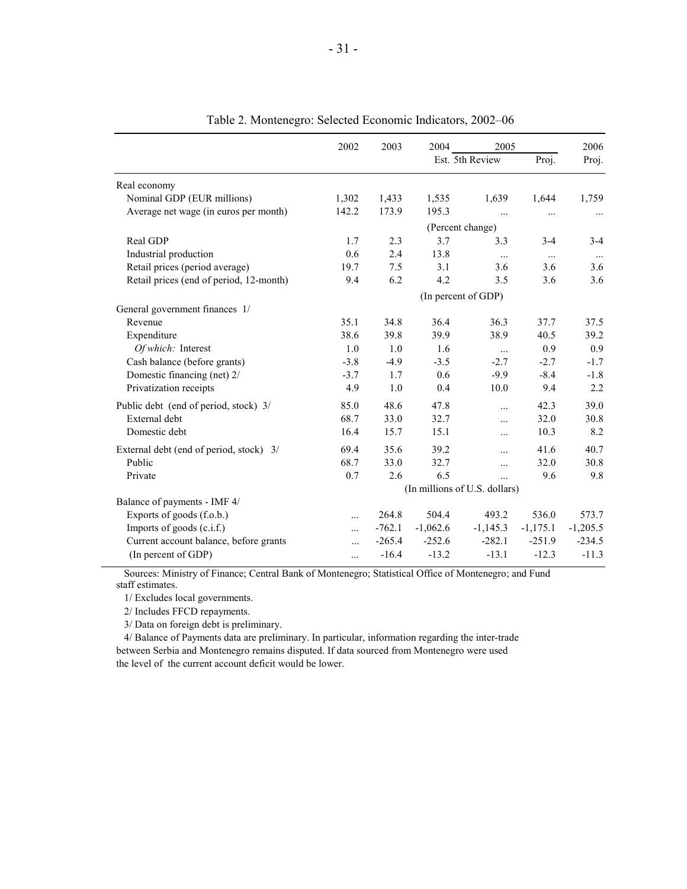|                                         | 2002     | 2003                          | 2004            | 2005                |            | 2006       |  |  |  |
|-----------------------------------------|----------|-------------------------------|-----------------|---------------------|------------|------------|--|--|--|
|                                         |          |                               | Est. 5th Review |                     | Proj.      | Proj.      |  |  |  |
| Real economy                            |          |                               |                 |                     |            |            |  |  |  |
| Nominal GDP (EUR millions)              | 1,302    | 1,433                         | 1,535           | 1,639               | 1,644      | 1,759      |  |  |  |
| Average net wage (in euros per month)   | 142.2    | 173.9                         | 195.3           | $\cdots$            | $\cdots$   | $\ldots$   |  |  |  |
|                                         |          |                               |                 | (Percent change)    |            |            |  |  |  |
| Real GDP                                | 1.7      | 2.3                           | 3.7             | 3.3                 | $3 - 4$    | $3-4$      |  |  |  |
| Industrial production                   | 0.6      | 2.4                           | 13.8            | $\ldots$            | $\cdots$   | $\cdots$   |  |  |  |
| Retail prices (period average)          | 19.7     | 7.5                           | 3.1             | 3.6                 | 3.6        | 3.6        |  |  |  |
| Retail prices (end of period, 12-month) | 9.4      | 6.2                           | 4.2             | 3.5                 | 3.6        | 3.6        |  |  |  |
|                                         |          |                               |                 | (In percent of GDP) |            |            |  |  |  |
| General government finances 1/          |          |                               |                 |                     |            |            |  |  |  |
| Revenue                                 | 35.1     | 34.8                          | 36.4            | 36.3                | 37.7       | 37.5       |  |  |  |
| Expenditure                             | 38.6     | 39.8                          | 39.9            | 38.9                | 40.5       | 39.2       |  |  |  |
| Of which: Interest                      | 1.0      | 1.0                           | 1.6             | $\ldots$            | 0.9        | 0.9        |  |  |  |
| Cash balance (before grants)            | $-3.8$   | $-4.9$                        | $-3.5$          | $-2.7$              | $-2.7$     | $-1.7$     |  |  |  |
| Domestic financing (net) 2/             | $-3.7$   | 1.7                           | 0.6             | $-9.9$              | $-8.4$     | $-1.8$     |  |  |  |
| Privatization receipts                  | 4.9      | 1.0                           | 0.4             | 10.0                | 9.4        | 2.2        |  |  |  |
| Public debt (end of period, stock) 3/   | 85.0     | 48.6                          | 47.8            | $\dddotsc$          | 42.3       | 39.0       |  |  |  |
| External debt                           | 68.7     | 33.0                          | 32.7            | .                   | 32.0       | 30.8       |  |  |  |
| Domestic debt                           | 16.4     | 15.7                          | 15.1            | $\dddotsc$          | 10.3       | 8.2        |  |  |  |
| External debt (end of period, stock) 3/ | 69.4     | 35.6                          | 39.2            | $\cdots$            | 41.6       | 40.7       |  |  |  |
| Public                                  | 68.7     | 33.0                          | 32.7            | $\cdots$            | 32.0       | 30.8       |  |  |  |
| Private                                 | 0.7      | 2.6                           | 6.5             | $\ddotsc$           | 9.6        | 9.8        |  |  |  |
|                                         |          | (In millions of U.S. dollars) |                 |                     |            |            |  |  |  |
| Balance of payments - IMF 4/            |          |                               |                 |                     |            |            |  |  |  |
| Exports of goods (f.o.b.)               | $\cdots$ | 264.8                         | 504.4           | 493.2               | 536.0      | 573.7      |  |  |  |
| Imports of goods (c.i.f.)               | $\cdots$ | $-762.1$                      | $-1,062.6$      | $-1,145.3$          | $-1,175.1$ | $-1,205.5$ |  |  |  |
| Current account balance, before grants  | .        | $-265.4$                      | $-252.6$        | $-282.1$            | $-251.9$   | $-234.5$   |  |  |  |
| (In percent of GDP)                     | $\cdots$ | $-16.4$                       | $-13.2$         | $-13.1$             | $-12.3$    | $-11.3$    |  |  |  |

Table 2. Montenegro: Selected Economic Indicators, 2002–06

 Sources: Ministry of Finance; Central Bank of Montenegro; Statistical Office of Montenegro; and Fund staff estimates.

1/ Excludes local governments.

2/ Includes FFCD repayments.

3/ Data on foreign debt is preliminary.

 4/ Balance of Payments data are preliminary. In particular, information regarding the inter-trade between Serbia and Montenegro remains disputed. If data sourced from Montenegro were used the level of the current account deficit would be lower.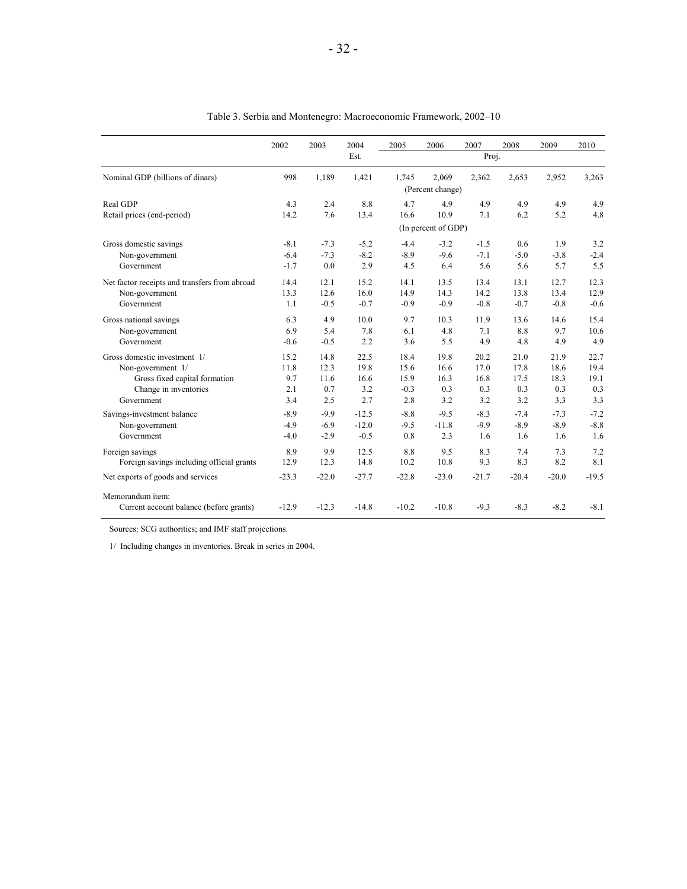|                                               | 2002    | 2003    | 2004    | 2005    | 2006                | 2007    | 2008    | 2009    | 2010    |
|-----------------------------------------------|---------|---------|---------|---------|---------------------|---------|---------|---------|---------|
|                                               |         |         | Est.    |         | Proj.               |         |         |         |         |
| Nominal GDP (billions of dinars)              | 998     | 1,189   | 1,421   | 1,745   | 2,069               | 2,362   | 2,653   | 2,952   | 3,263   |
|                                               |         |         |         |         | (Percent change)    |         |         |         |         |
| Real GDP                                      | 4.3     | 2.4     | 8.8     | 4.7     | 4.9                 | 4.9     | 4.9     | 4.9     | 4.9     |
| Retail prices (end-period)                    | 14.2    | 7.6     | 13.4    | 16.6    | 10.9                | 7.1     | 6.2     | 5.2     | 4.8     |
|                                               |         |         |         |         | (In percent of GDP) |         |         |         |         |
| Gross domestic savings                        | $-8.1$  | $-7.3$  | $-5.2$  | $-4.4$  | $-3.2$              | $-1.5$  | 0.6     | 1.9     | 3.2     |
| Non-government                                | $-6.4$  | $-7.3$  | $-8.2$  | $-8.9$  | $-9.6$              | $-7.1$  | $-5.0$  | $-3.8$  | $-2.4$  |
| Government                                    | $-1.7$  | 0.0     | 2.9     | 4.5     | 6.4                 | 5.6     | 5.6     | 5.7     | 5.5     |
| Net factor receipts and transfers from abroad | 14.4    | 12.1    | 15.2    | 14.1    | 13.5                | 13.4    | 13.1    | 12.7    | 12.3    |
| Non-government                                | 13.3    | 12.6    | 16.0    | 14.9    | 14.3                | 14.2    | 13.8    | 13.4    | 12.9    |
| Government                                    | 1.1     | $-0.5$  | $-0.7$  | $-0.9$  | $-0.9$              | $-0.8$  | $-0.7$  | $-0.8$  | $-0.6$  |
| Gross national savings                        | 6.3     | 4.9     | 10.0    | 9.7     | 10.3                | 11.9    | 13.6    | 14.6    | 15.4    |
| Non-government                                | 6.9     | 5.4     | 7.8     | 6.1     | 4.8                 | 7.1     | 8.8     | 9.7     | 10.6    |
| Government                                    | $-0.6$  | $-0.5$  | 2.2     | 3.6     | 5.5                 | 4.9     | 4.8     | 4.9     | 4.9     |
| Gross domestic investment 1/                  | 15.2    | 14.8    | 22.5    | 18.4    | 19.8                | 20.2    | 21.0    | 21.9    | 22.7    |
| Non-government 1/                             | 11.8    | 12.3    | 19.8    | 15.6    | 16.6                | 17.0    | 17.8    | 18.6    | 19.4    |
| Gross fixed capital formation                 | 9.7     | 11.6    | 16.6    | 15.9    | 16.3                | 16.8    | 17.5    | 18.3    | 19.1    |
| Change in inventories                         | 2.1     | 0.7     | 3.2     | $-0.3$  | 0.3                 | 0.3     | 0.3     | 0.3     | 0.3     |
| Government                                    | 3.4     | 2.5     | 2.7     | 2.8     | 3.2                 | 3.2     | 3.2     | 3.3     | 3.3     |
| Savings-investment balance                    | $-8.9$  | $-9.9$  | $-12.5$ | $-8.8$  | $-9.5$              | $-8.3$  | $-7.4$  | $-7.3$  | $-7.2$  |
| Non-government                                | $-4.9$  | $-6.9$  | $-12.0$ | $-9.5$  | $-11.8$             | $-9.9$  | $-8.9$  | $-8.9$  | $-8.8$  |
| Government                                    | $-4.0$  | $-2.9$  | $-0.5$  | 0.8     | 2.3                 | 1.6     | 1.6     | 1.6     | 1.6     |
| Foreign savings                               | 8.9     | 9.9     | 12.5    | 8.8     | 9.5                 | 8.3     | 7.4     | 7.3     | 7.2     |
| Foreign savings including official grants     | 12.9    | 12.3    | 14.8    | 10.2    | 10.8                | 9.3     | 8.3     | 8.2     | 8.1     |
| Net exports of goods and services             | $-23.3$ | $-22.0$ | $-27.7$ | $-22.8$ | $-23.0$             | $-21.7$ | $-20.4$ | $-20.0$ | $-19.5$ |
| Memorandum item:                              |         |         |         |         |                     |         |         |         |         |
| Current account balance (before grants)       | $-12.9$ | $-12.3$ | $-14.8$ | $-10.2$ | $-10.8$             | $-9.3$  | $-8.3$  | $-8.2$  | $-8.1$  |

Table 3. Serbia and Montenegro: Macroeconomic Framework, 2002–10

Sources: SCG authorities; and IMF staff projections.

1/ Including changes in inventories. Break in series in 2004.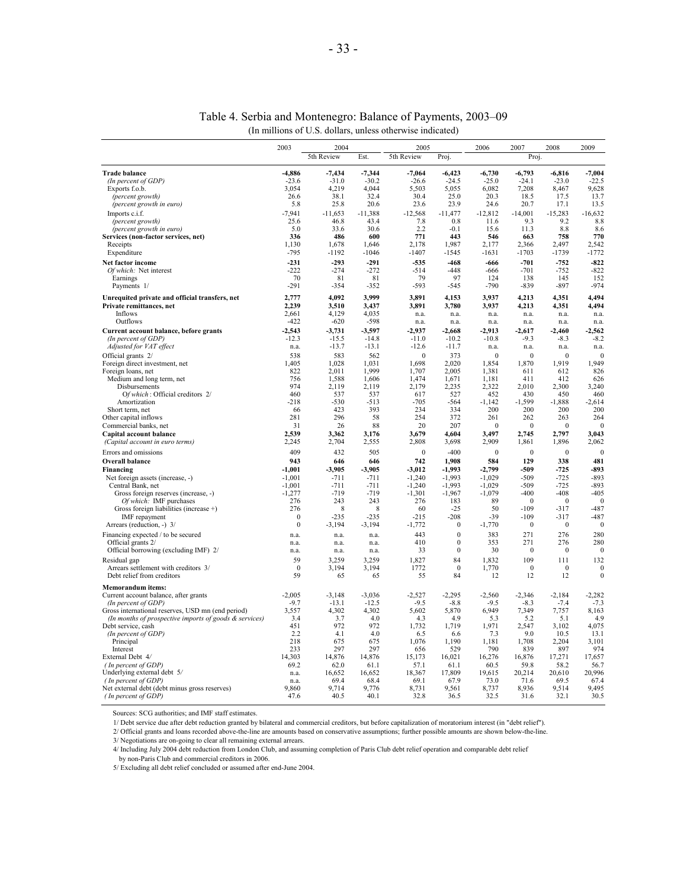|                                                                          | 2003                 | 2004             |                  | 2005                 |                      | 2006                 | 2007             | 2008             | 2009             |
|--------------------------------------------------------------------------|----------------------|------------------|------------------|----------------------|----------------------|----------------------|------------------|------------------|------------------|
|                                                                          |                      | 5th Review       | Est.             | 5th Review           | Proj.                |                      | Proj.            |                  |                  |
| <b>Trade balance</b>                                                     | $-4,886$             | $-7,434$         | $-7,344$         | $-7,064$             | $-6,423$             | $-6,730$             | $-6,793$         | $-6,816$         | $-7,004$         |
| (In percent of GDP)                                                      | $-23.6$              | $-31.0$          | $-30.2$          | $-26.6$              | $-24.5$              | $-25.0$              | $-24.1$          | $-23.0$          | $-22.5$          |
| Exports f.o.b.<br>(percent growth)                                       | 3.054<br>26.6        | 4,219<br>38.1    | 4,044<br>32.4    | 5,503<br>30.4        | 5,055<br>25.0        | 6,082<br>20.3        | 7,208<br>18.5    | 8,467<br>17.5    | 9,628<br>13.7    |
| (percent growth in euro)                                                 | 5.8                  | 25.8             | 20.6             | 23.6                 | 23.9                 | 24.6                 | 20.7             | 17.1             | 13.5             |
| Imports c.i.f.                                                           | $-7.941$             | $-11.653$        | $-11.388$        | $-12.568$            | $-11.477$            | $-12.812$            | $-14.001$        | $-15.283$        | $-16.632$        |
| (percent growth)                                                         | 25.6                 | 46.8             | 43.4             | 7.8                  | 0.8                  | 11.6                 | 93               | 92               | 8.8              |
| (percent growth in euro)<br>Services (non-factor services, net)          | 5.0<br>336           | 33.6<br>486      | 30.6<br>600      | 2.2<br>771           | $-0.1$<br>443        | 15.6<br>546          | 11.3<br>663      | 8.8<br>758       | 8.6<br>770       |
| Receipts                                                                 | 1,130                | 1,678            | 1,646            | 2,178                | 1,987                | 2,177                | 2,366            | 2,497            | 2,542            |
| Expenditure                                                              | -795                 | $-1192$          | $-1046$          | $-1407$              | -1545                | $-1631$              | $-1703$          | $-1739$          | $-1772$          |
| Net factor income                                                        | $-231$               | $-293$           | $-291$           | $-535$               | $-468$               | $-666$               | $-701$           | $-752$           | $-822$           |
| Of which: Net interest<br>Earnings                                       | $-222$<br>70         | $-274$<br>81     | $-272$<br>81     | $-514$<br>79         | $-448$<br>97         | $-666$<br>124        | $-701$<br>138    | $-752$<br>145    | $-822$<br>152    |
| Payments 1/                                                              | $-291$               | $-354$           | $-352$           | $-593$               | $-545$               | $-790$               | $-839$           | $-897$           | $-974$           |
| Unrequited private and official transfers, net                           | 2,777                | 4.092            | 3.999            | 3.891                | 4,153                | 3.937                | 4.213            | 4,351            | 4.494            |
| Private remittances, net                                                 | 2,239                | 3,510            | 3,437            | 3,891                | 3,780                | 3,937                | 4,213            | 4,351            | 4,494            |
| Inflows<br>Outflows                                                      | 2,661<br>$-422$      | 4,129<br>$-620$  | 4,035<br>$-598$  | n.a.                 | n.a.                 | n.a.                 | n.a.             | n.a.             | n.a              |
| Current account balance, before grants                                   | $-2,543$             | $-3,731$         | $-3,597$         | n.a.<br>$-2,937$     | n.a.<br>$-2,668$     | n.a.<br>$-2,913$     | n.a.<br>$-2,617$ | n.a.<br>$-2,460$ | n.a.<br>$-2,562$ |
| (In percent of GDP)                                                      | $-12.3$              | $-15.5$          | $-14.8$          | $-11.0$              | $-10.2$              | $-10.8$              | $-9.3$           | -8.3             | $-8.2$           |
| Adjusted for VAT effect                                                  | n.a.                 | $-13.7$          | $-13.1$          | $-12.6$              | $-11.7$              | n.a.                 | n.a.             | n.a.             | n.a.             |
| Official grants 2/                                                       | 538                  | 583              | 562              | $\mathbf{0}$         | 373                  | $\mathbf{0}$         | $\mathbf{0}$     | $\mathbf{0}$     | $\mathbf{0}$     |
| Foreign direct investment, net<br>Foreign loans, net                     | 1,405<br>822         | 1,028<br>2.011   | 1,031<br>1,999   | 1,698<br>1,707       | 2,020<br>2.005       | 1,854<br>1,381       | 1,870<br>611     | 1,919<br>612     | 1,949<br>826     |
| Medium and long term, net                                                | 756                  | 1,588            | 1,606            | 1,474                | 1,671                | 1,181                | 411              | 412              | 626              |
| Disbursements                                                            | 974                  | 2,119            | 2,119            | 2,179                | 2,235                | 2,322                | 2,010            | 2,300            | 3,240            |
| Of which: Official creditors 2/<br>Amortization                          | 460<br>$-218$        | 537<br>$-530$    | 537<br>$-513$    | 617<br>$-705$        | 527<br>$-564$        | 452<br>$-1,142$      | 430<br>$-1,599$  | 450<br>$-1,888$  | 460<br>$-2,614$  |
| Short term, net                                                          | 66                   | 423              | 393              | 234                  | 334                  | 200                  | 200              | 200              | 200              |
| Other capital inflows                                                    | 281                  | 296              | 58               | 254                  | 372                  | 261                  | 262              | 263              | 264              |
| Commercial banks, net                                                    | 31                   | 26               | 88               | 20                   | 207                  | $\mathbf{0}$         | $\mathbf{0}$     | $\mathbf{0}$     | $\Omega$         |
| Capital account balance<br>(Capital account in euro terms)               | 2,539<br>2,245       | 3,362<br>2,704   | 3,176<br>2,555   | 3,679<br>2,808       | 4,604<br>3,698       | 3,497<br>2,909       | 2,745<br>1,861   | 2,797<br>1,896   | 3,043<br>2,062   |
| Errors and omissions                                                     | 409                  | 432              | 505              | $\mathbf{0}$         | $-400$               | $\mathbf{0}$         | $\mathbf{0}$     | $\mathbf{0}$     | $\theta$         |
| Overall balance                                                          | 943                  | 646              | 646              | 742                  | 1,908                | 584                  | 129              | 338              | 481              |
| Financing                                                                | $-1,001$             | $-3,905$         | $-3,905$         | $-3,012$             | $-1,993$             | $-2,799$             | $-509$           | $-725$           | $-893$           |
| Net foreign assets (increase, -)<br>Central Bank, net                    | $-1,001$<br>$-1.001$ | $-711$<br>$-711$ | $-711$<br>$-711$ | $-1,240$<br>$-1.240$ | $-1,993$<br>$-1.993$ | $-1,029$<br>$-1,029$ | $-509$<br>$-509$ | $-725$<br>$-725$ | $-893$<br>$-893$ |
| Gross foreign reserves (increase, -)                                     | $-1,277$             | $-719$           | $-719$           | $-1,301$             | $-1,967$             | $-1,079$             | $-400$           | $-408$           | $-405$           |
| Of which: IMF purchases                                                  | 276                  | 243              | 243              | 276                  | 183                  | 89                   | $\Omega$         | $\theta$         | $\theta$         |
| Gross foreign liabilities (increase $+$ )                                | 276<br>$\bf{0}$      | 8<br>$-235$      | 8<br>-235        | 60<br>-215           | $-25$<br>$-208$      | 50<br>-39            | $-109$<br>$-109$ | $-317$<br>$-317$ | $-487$<br>$-487$ |
| IMF repayment<br>Arrears (reduction, -) 3/                               | $\mathbf{0}$         | $-3,194$         | $-3,194$         | $-1,772$             | $\mathbf{0}$         | $-1,770$             | $\mathbf{0}$     | $\mathbf{0}$     | $\mathbf{0}$     |
| Financing expected / to be secured                                       | n.a.                 | n.a.             | n.a.             | 443                  | $\mathbf{0}$         | 383                  | 271              | 276              | 280              |
| Official grants 2/                                                       | n.a.                 | n.a.             | n.a.             | 410                  | $\mathbf{0}$         | 353                  | 271              | 276              | 280              |
| Official borrowing (excluding IMF) 2/                                    | n.a.                 | n.a.             | n.a.             | 33                   | $\boldsymbol{0}$     | 30                   | $\mathbf{0}$     | $\boldsymbol{0}$ | $\boldsymbol{0}$ |
| Residual gap<br>Arrears settlement with creditors 3/                     | 59<br>$\Omega$       | 3.259<br>3,194   | 3.259<br>3,194   | 1,827<br>1772        | 84<br>$\mathbf{0}$   | 1,832<br>1,770       | 109<br>$\Omega$  | 111<br>$\bf{0}$  | 132<br>$\Omega$  |
| Debt relief from creditors                                               | 59                   | 65               | 65               | 55                   | 84                   | 12                   | 12               | 12               | $\mathbf{0}$     |
| <b>Memorandum items:</b>                                                 |                      |                  |                  |                      |                      |                      |                  |                  |                  |
| Current account balance, after grants                                    | $-2,005$             | $-3,148$         | $-3,036$         | $-2,527$             | $-2,295$             | $-2,560$             | $-2,346$         | $-2,184$         | $-2,282$         |
| (In percent of GDP)<br>Gross international reserves, USD mn (end period) | $-9.7$<br>3,557      | $-13.1$<br>4,302 | $-12.5$<br>4,302 | $-9.5$<br>5,602      | $-8.8$<br>5,870      | $-9.5$<br>6,949      | $-8.3$<br>7,349  | $-7.4$<br>7,757  | $-7.3$<br>8,163  |
| (In months of prospective imports of goods & services)                   | 3.4                  | 3.7              | 4.0              | 4.3                  | 4.9                  | 5.3                  | 5.2              | 5.1              | 4.9              |
| Debt service, cash                                                       | 451                  | 972              | 972              | 1,732                | 1,719                | 1,971                | 2,547            | 3,102            | 4,075            |
| (In percent of GDP)<br>Principal                                         | 2.2<br>218           | 4.1<br>675       | 4.0<br>675       | 6.5<br>1,076         | 6.6<br>1,190         | 7.3<br>1,181         | 9.0<br>1,708     | 10.5<br>2,204    | 13.1<br>3,101    |
| Interest                                                                 | 233                  | 297              | 297              | 656                  | 529                  | 790                  | 839              | 897              | 974              |
| External Debt 4/                                                         | 14.303               | 14,876           | 14,876           | 15,173               | 16,021               | 16,276               | 16,876           | 17,271           | 17,657           |
| (In percent of GDP)                                                      | 69.2                 | 62.0             | 61.1             | 57.1                 | 61.1                 | 60.5                 | 59.8             | 58.2             | 56.7             |
| Underlying external debt 5/<br>(In percent of GDP)                       | n.a.<br>n.a.         | 16,652<br>69.4   | 16,652<br>68.4   | 18,367<br>69.1       | 17,809<br>67.9       | 19,615<br>73.0       | 20,214<br>71.6   | 20,610<br>69.5   | 20,996<br>67.4   |
| Net external debt (debt minus gross reserves)                            | 9.860                | 9.714            | 9,776            | 8,731                | 9,561                | 8,737                | 8.936            | 9.514            | 9.495            |
| (In percent of GDP)                                                      | 47.6                 | 40.5             | 40.1             | 32.8                 | 36.5                 | 32.5                 | 31.6             | 32.1             | 30.5             |

#### Table 4. Serbia and Montenegro: Balance of Payments, 2003–09 (In millions of U.S. dollars, unless otherwise indicated)

Sources: SCG authorities; and IMF staff estimates.

1/ Debt service due after debt reduction granted by bilateral and commercial creditors, but before capitalization of moratorium interest (in "debt relief").

2/ Official grants and loans recorded above-the-line are amounts based on conservative assumptions; further possible amounts are shown below-the-line.

3/ Negotiations are on-going to clear all remaining external arrears.

4/ Including July 2004 debt reduction from London Club, and assuming completion of Paris Club debt relief operation and comparable debt relief

by non-Paris Club and commercial creditors in 2006.

5/ Excluding all debt relief concluded or assumed after end-June 2004.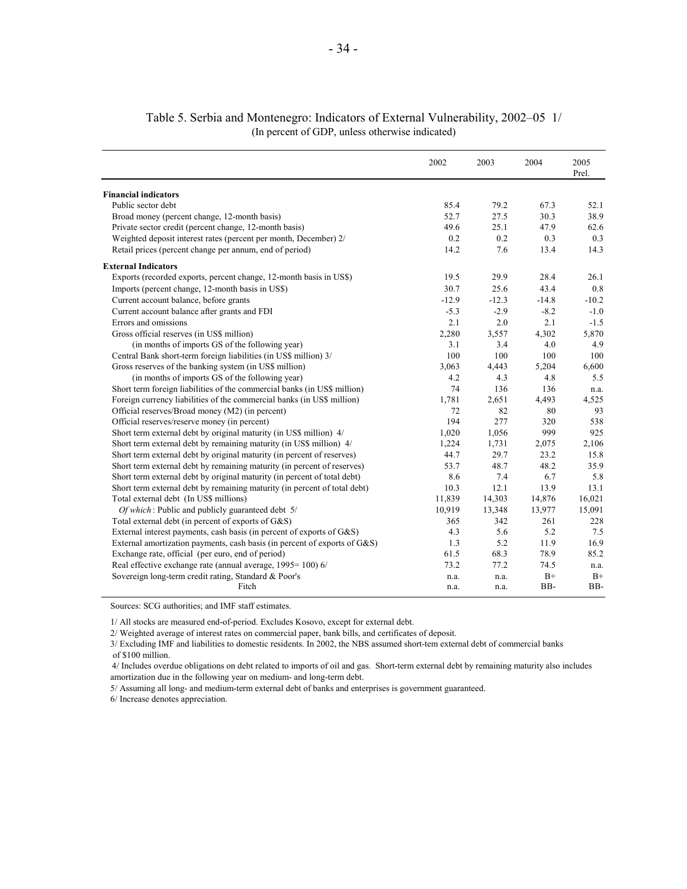|                                                                           | 2002    | 2003    | 2004    | 2005<br>Prel. |
|---------------------------------------------------------------------------|---------|---------|---------|---------------|
| <b>Financial indicators</b>                                               |         |         |         |               |
| Public sector debt                                                        | 85.4    | 79.2    | 67.3    | 52.1          |
| Broad money (percent change, 12-month basis)                              | 52.7    | 27.5    | 30.3    | 38.9          |
| Private sector credit (percent change, 12-month basis)                    | 49.6    | 25.1    | 47.9    | 62.6          |
| Weighted deposit interest rates (percent per month, December) 2/          | 0.2     | 0.2     | 0.3     | 0.3           |
| Retail prices (percent change per annum, end of period)                   | 14.2    | 7.6     | 13.4    | 14.3          |
| <b>External Indicators</b>                                                |         |         |         |               |
| Exports (recorded exports, percent change, 12-month basis in US\$)        | 19.5    | 29.9    | 28.4    | 26.1          |
| Imports (percent change, 12-month basis in US\$)                          | 30.7    | 25.6    | 43.4    | 0.8           |
| Current account balance, before grants                                    | $-12.9$ | $-12.3$ | $-14.8$ | $-10.2$       |
| Current account balance after grants and FDI                              | $-5.3$  | $-2.9$  | $-8.2$  | $-1.0$        |
| Errors and omissions                                                      | 2.1     | 2.0     | 2.1     | $-1.5$        |
| Gross official reserves (in US\$ million)                                 | 2,280   | 3,557   | 4,302   | 5.870         |
| (in months of imports GS of the following year)                           | 3.1     | 3.4     | 4.0     | 4.9           |
| Central Bank short-term foreign liabilities (in US\$ million) 3/          | 100     | 100     | 100     | 100           |
| Gross reserves of the banking system (in US\$ million)                    | 3,063   | 4,443   | 5,204   | 6,600         |
| (in months of imports GS of the following year)                           | 4.2     | 4.3     | 4.8     | 5.5           |
| Short term foreign liabilities of the commercial banks (in US\$ million)  | 74      | 136     | 136     | n.a.          |
| Foreign currency liabilities of the commercial banks (in US\$ million)    | 1,781   | 2,651   | 4,493   | 4,525         |
| Official reserves/Broad money (M2) (in percent)                           | 72      | 82      | 80      | 93            |
| Official reserves/reserve money (in percent)                              | 194     | 277     | 320     | 538           |
| Short term external debt by original maturity (in US\$ million) 4/        | 1,020   | 1,056   | 999     | 925           |
| Short term external debt by remaining maturity (in US\$ million) 4/       | 1,224   | 1,731   | 2,075   | 2,106         |
| Short term external debt by original maturity (in percent of reserves)    | 44.7    | 29.7    | 23.2    | 15.8          |
| Short term external debt by remaining maturity (in percent of reserves)   | 53.7    | 48.7    | 48.2    | 35.9          |
| Short term external debt by original maturity (in percent of total debt)  | 8.6     | 7.4     | 6.7     | 5.8           |
| Short term external debt by remaining maturity (in percent of total debt) | 10.3    | 12.1    | 13.9    | 13.1          |
| Total external debt (In US\$ millions)                                    | 11,839  | 14,303  | 14,876  | 16,021        |
| Of which: Public and publicly guaranteed debt 5/                          | 10,919  | 13,348  | 13,977  | 15,091        |
| Total external debt (in percent of exports of G&S)                        | 365     | 342     | 261     | 228           |
| External interest payments, cash basis (in percent of exports of G&S)     | 4.3     | 5.6     | 5.2     | 7.5           |
| External amortization payments, cash basis (in percent of exports of G&S) | 1.3     | 5.2     | 11.9    | 16.9          |
| Exchange rate, official (per euro, end of period)                         | 61.5    | 68.3    | 78.9    | 85.2          |
| Real effective exchange rate (annual average, 1995=100) 6/                | 73.2    | 77.2    | 74.5    | n.a.          |
| Sovereign long-term credit rating, Standard & Poor's                      | n.a.    | n.a.    | $B+$    | $B+$          |
| Fitch                                                                     | n.a.    | n.a.    | BB-     | BB-           |

### Table 5. Serbia and Montenegro: Indicators of External Vulnerability, 2002–05 1/ (In percent of GDP, unless otherwise indicated)

Sources: SCG authorities; and IMF staff estimates.

1/ All stocks are measured end-of-period. Excludes Kosovo, except for external debt.

2/ Weighted average of interest rates on commercial paper, bank bills, and certificates of deposit.

3/ Excluding IMF and liabilities to domestic residents. In 2002, the NBS assumed short-tem external debt of commercial banks of \$100 million.

 4/ Includes overdue obligations on debt related to imports of oil and gas. Short-term external debt by remaining maturity also includes amortization due in the following year on medium- and long-term debt.

5/ Assuming all long- and medium-term external debt of banks and enterprises is government guaranteed.

6/ Increase denotes appreciation.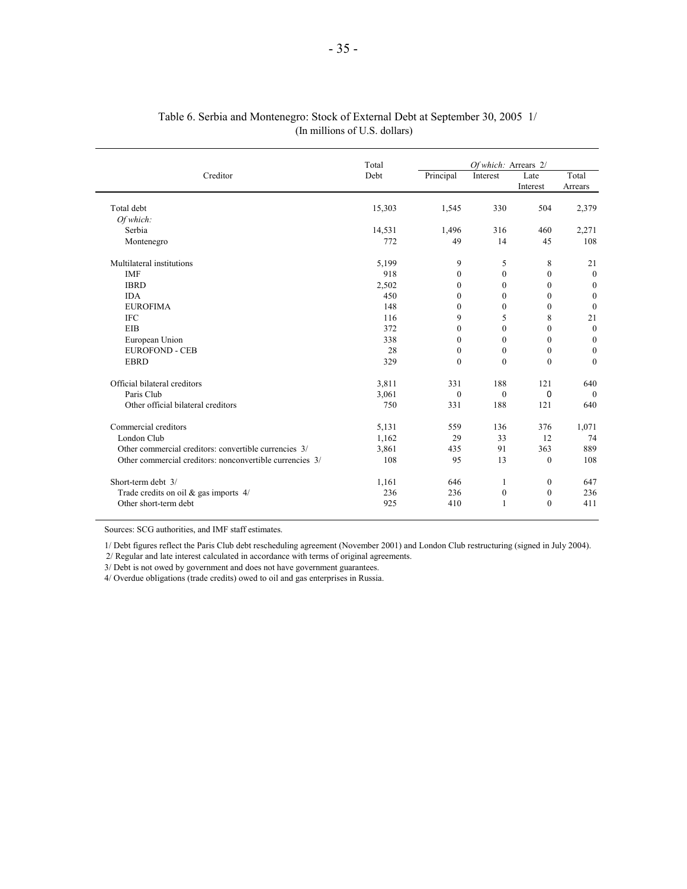#### Table 6. Serbia and Montenegro: Stock of External Debt at September 30, 2005 1/ (In millions of U.S. dollars)

|                                                          | Total  |              | Of which: Arrears 2/ |              |                  |
|----------------------------------------------------------|--------|--------------|----------------------|--------------|------------------|
| Creditor                                                 | Debt   | Principal    | Interest             | Late         | Total            |
|                                                          |        |              |                      | Interest     | Arrears          |
| Total debt                                               | 15,303 | 1,545        | 330                  | 504          | 2,379            |
| Of which:                                                |        |              |                      |              |                  |
| Serbia                                                   | 14,531 | 1,496        | 316                  | 460          | 2,271            |
| Montenegro                                               | 772    | 49           | 14                   | 45           | 108              |
| Multilateral institutions                                | 5,199  | 9            | 5                    | 8            | 21               |
| <b>IMF</b>                                               | 918    | $\mathbf{0}$ | $\boldsymbol{0}$     | $\mathbf{0}$ | $\mathbf{0}$     |
| <b>IBRD</b>                                              | 2,502  | $\mathbf{0}$ | $\boldsymbol{0}$     | $\mathbf{0}$ | $\boldsymbol{0}$ |
| <b>IDA</b>                                               | 450    | $\mathbf{0}$ | $\boldsymbol{0}$     | $\mathbf{0}$ | $\mathbf{0}$     |
| <b>EUROFIMA</b>                                          | 148    | $\Omega$     | $\theta$             | $\theta$     | $\theta$         |
| <b>IFC</b>                                               | 116    | 9            | 5                    | 8            | 21               |
| EIB                                                      | 372    | 0            | $\boldsymbol{0}$     | $\mathbf{0}$ | $\mathbf{0}$     |
| European Union                                           | 338    | $\mathbf{0}$ | $\boldsymbol{0}$     | $\mathbf{0}$ | $\boldsymbol{0}$ |
| <b>EUROFOND - CEB</b>                                    | 28     | $\mathbf{0}$ | $\mathbf{0}$         | $\mathbf{0}$ | $\mathbf{0}$     |
| <b>EBRD</b>                                              | 329    | $\Omega$     | $\theta$             | $\theta$     | $\theta$         |
| Official bilateral creditors                             | 3,811  | 331          | 188                  | 121          | 640              |
| Paris Club                                               | 3,061  | $\mathbf{0}$ | $\mathbf{0}$         | 0            | $\overline{0}$   |
| Other official bilateral creditors                       | 750    | 331          | 188                  | 121          | 640              |
| Commercial creditors                                     | 5,131  | 559          | 136                  | 376          | 1,071            |
| London Club                                              | 1,162  | 29           | 33                   | 12           | 74               |
| Other commercial creditors: convertible currencies 3/    | 3,861  | 435          | 91                   | 363          | 889              |
| Other commercial creditors: nonconvertible currencies 3/ | 108    | 95           | 13                   | $\mathbf{0}$ | 108              |
| Short-term debt 3/                                       | 1,161  | 646          | 1                    | $\mathbf{0}$ | 647              |
| Trade credits on oil $&$ gas imports $4/$                | 236    | 236          | $\boldsymbol{0}$     | $\mathbf{0}$ | 236              |
| Other short-term debt                                    | 925    | 410          | 1                    | $\mathbf{0}$ | 411              |

Sources: SCG authorities, and IMF staff estimates.

L,

1/ Debt figures reflect the Paris Club debt rescheduling agreement (November 2001) and London Club restructuring (signed in July 2004).

2/ Regular and late interest calculated in accordance with terms of original agreements.

3/ Debt is not owed by government and does not have government guarantees.

4/ Overdue obligations (trade credits) owed to oil and gas enterprises in Russia.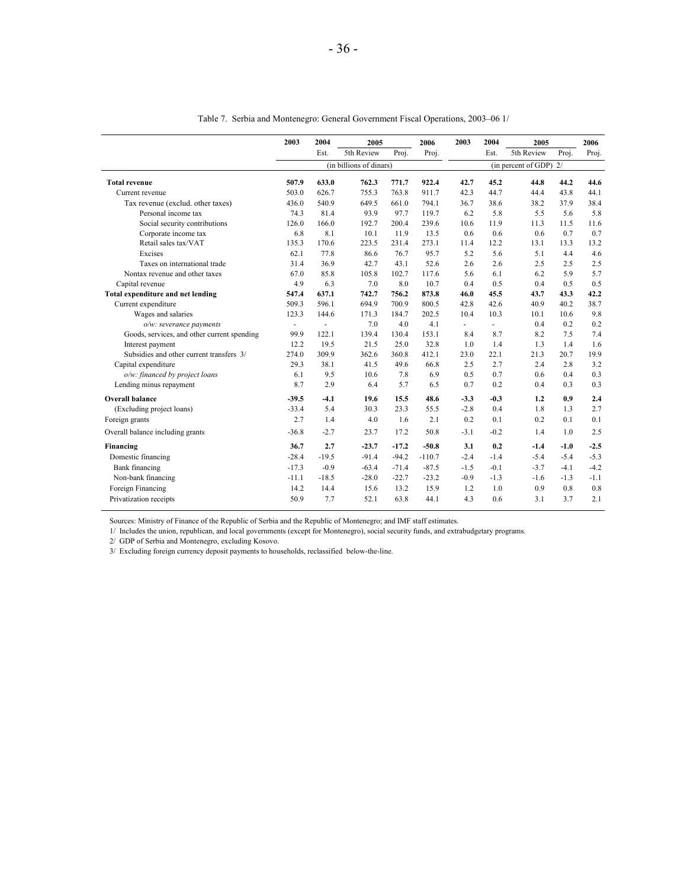|                                             | 2003           | 2004           | 2005                    |         | 2006     | 2003   | 2004         | 2005                     |        | 2006   |
|---------------------------------------------|----------------|----------------|-------------------------|---------|----------|--------|--------------|--------------------------|--------|--------|
|                                             |                | Est.           | 5th Review              | Proj.   | Proj.    |        | Est.         | 5th Review               | Proj.  | Proj.  |
|                                             |                |                | (in billions of dinars) |         |          |        |              | (in percent of GDP) $2/$ |        |        |
| <b>Total revenue</b>                        | 507.9          | 633.0          | 762.3                   | 771.7   | 922.4    | 42.7   | 45.2         | 44.8                     | 44.2   | 44.6   |
| Current revenue                             | 503.0          | 626.7          | 755.3                   | 763.8   | 911.7    | 42.3   | 44.7         | 44.4                     | 43.8   | 44.1   |
| Tax revenue (exclud. other taxes)           | 436.0          | 540.9          | 649.5                   | 661.0   | 794.1    | 36.7   | 38.6         | 38.2                     | 37.9   | 38.4   |
| Personal income tax                         | 74.3           | 81.4           | 93.9                    | 97.7    | 119.7    | 6.2    | 5.8          | 5.5                      | 5.6    | 5.8    |
| Social security contributions               | 126.0          | 166.0          | 192.7                   | 200.4   | 239.6    | 10.6   | 11.9         | 11.3                     | 11.5   | 11.6   |
| Corporate income tax                        | 6.8            | 8.1            | 10.1                    | 11.9    | 13.5     | 0.6    | 0.6          | 0.6                      | 0.7    | 0.7    |
| Retail sales tax/VAT                        | 135.3          | 170.6          | 223.5                   | 231.4   | 273.1    | 11.4   | 12.2         | 13.1                     | 13.3   | 13.2   |
| Excises                                     | 62.1           | 77.8           | 86.6                    | 76.7    | 95.7     | 5.2    | 5.6          | 5.1                      | 4.4    | 4.6    |
| Taxes on international trade                | 31.4           | 36.9           | 42.7                    | 43.1    | 52.6     | 2.6    | 2.6          | 2.5                      | 2.5    | 2.5    |
| Nontax revenue and other taxes              | 67.0           | 85.8           | 105.8                   | 102.7   | 117.6    | 5.6    | 6.1          | 6.2                      | 5.9    | 5.7    |
| Capital revenue                             | 4.9            | 6.3            | 7.0                     | 8.0     | 10.7     | 0.4    | 0.5          | 0.4                      | 0.5    | 0.5    |
| Total expenditure and net lending           | 547.4          | 637.1          | 742.7                   | 756.2   | 873.8    | 46.0   | 45.5         | 43.7                     | 43.3   | 42.2   |
| Current expenditure                         | 509.3          | 596.1          | 694.9                   | 700.9   | 800.5    | 42.8   | 42.6         | 40.9                     | 40.2   | 38.7   |
| Wages and salaries                          | 123.3          | 144.6          | 171.3                   | 184.7   | 202.5    | 10.4   | 10.3         | 10.1                     | 10.6   | 9.8    |
| o/w: severance payments                     | $\blacksquare$ | $\blacksquare$ | 7.0                     | 4.0     | 4.1      | ä,     | $\mathbf{r}$ | 0.4                      | 0.2    | 0.2    |
| Goods, services, and other current spending | 99.9           | 122.1          | 139.4                   | 130.4   | 153.1    | 8.4    | 8.7          | 8.2                      | 7.5    | 7.4    |
| Interest payment                            | 12.2           | 19.5           | 21.5                    | 25.0    | 32.8     | 1.0    | 1.4          | 1.3                      | 1.4    | 1.6    |
| Subsidies and other current transfers 3/    | 274.0          | 309.9          | 362.6                   | 360.8   | 412.1    | 23.0   | 22.1         | 21.3                     | 20.7   | 19.9   |
| Capital expenditure                         | 29.3           | 38.1           | 41.5                    | 49.6    | 66.8     | 2.5    | 2.7          | 24                       | 2.8    | 3.2    |
| o/w: financed by project loans              | 6.1            | 9.5            | 10.6                    | 7.8     | 6.9      | 0.5    | 0.7          | 0.6                      | 0.4    | 0.3    |
| Lending minus repayment                     | 8.7            | 2.9            | 6.4                     | 5.7     | 6.5      | 0.7    | 0.2          | 0.4                      | 0.3    | 0.3    |
| <b>Overall balance</b>                      | $-39.5$        | $-4.1$         | 19.6                    | 15.5    | 48.6     | $-3.3$ | $-0.3$       | 1.2                      | 0.9    | 2.4    |
| (Excluding project loans)                   | $-33.4$        | 5.4            | 30.3                    | 23.3    | 55.5     | $-2.8$ | 0.4          | 1.8                      | 1.3    | 2.7    |
| Foreign grants                              | 2.7            | 1.4            | 4.0                     | 1.6     | 2.1      | 0.2    | 0.1          | 0.2                      | 0.1    | 0.1    |
| Overall balance including grants            | $-36.8$        | $-2.7$         | 23.7                    | 17.2    | 50.8     | $-3.1$ | $-0.2$       | 1.4                      | 1.0    | 2.5    |
| Financing                                   | 36.7           | 2.7            | $-23.7$                 | $-17.2$ | $-50.8$  | 3.1    | 0.2          | $-1.4$                   | $-1.0$ | $-2.5$ |
| Domestic financing                          | $-28.4$        | $-19.5$        | $-91.4$                 | $-94.2$ | $-110.7$ | $-2.4$ | $-1.4$       | $-5.4$                   | $-5.4$ | $-5.3$ |
| Bank financing                              | $-17.3$        | $-0.9$         | $-63.4$                 | $-71.4$ | $-87.5$  | $-1.5$ | $-0.1$       | $-3.7$                   | $-4.1$ | $-4.2$ |
| Non-bank financing                          | $-11.1$        | $-18.5$        | $-28.0$                 | $-22.7$ | $-23.2$  | $-0.9$ | $-1.3$       | $-1.6$                   | $-1.3$ | $-1.1$ |
| Foreign Financing                           | 14.2           | 14.4           | 15.6                    | 13.2    | 15.9     | 1.2    | 1.0          | 0.9                      | 0.8    | 0.8    |
| Privatization receipts                      | 50.9           | 7.7            | 52.1                    | 63.8    | 44.1     | 4.3    | 0.6          | 3.1                      | 3.7    | 2.1    |

Table 7. Serbia and Montenegro: General Government Fiscal Operations, 2003–06 1/

Sources: Ministry of Finance of the Republic of Serbia and the Republic of Montenegro; and IMF staff estimates.

1/ Includes the union, republican, and local governments (except for Montenegro), social security funds, and extrabudgetary programs.

2/ GDP of Serbia and Montenegro, excluding Kosovo.

3/ Excluding foreign currency deposit payments to households, reclassified below-the-line.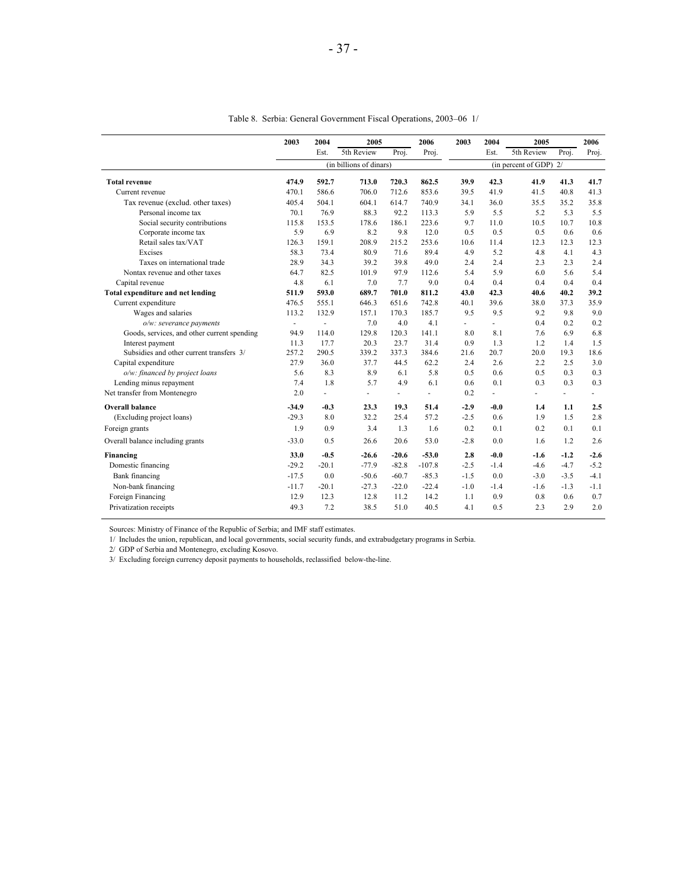|                                             | 2003    | 2004         | 2005                    |                | 2006     | 2003           | 2004   | 2005                   |                          | 2006           |
|---------------------------------------------|---------|--------------|-------------------------|----------------|----------|----------------|--------|------------------------|--------------------------|----------------|
|                                             |         | Est.         | 5th Review              | Proj.          | Proj.    |                | Est.   | 5th Review             | Proj.                    | Proj.          |
|                                             |         |              | (in billions of dinars) |                |          |                |        | (in percent of GDP) 2/ |                          |                |
| <b>Total revenue</b>                        | 474.9   | 592.7        | 713.0                   | 720.3          | 862.5    | 39.9           | 42.3   | 41.9                   | 41.3                     | 41.7           |
| Current revenue                             | 470.1   | 586.6        | 706.0                   | 712.6          | 853.6    | 39.5           | 41.9   | 41.5                   | 40.8                     | 41.3           |
| Tax revenue (exclud. other taxes)           | 405.4   | 504.1        | 604.1                   | 614.7          | 740.9    | 34.1           | 36.0   | 35.5                   | 35.2                     | 35.8           |
| Personal income tax                         | 70.1    | 76.9         | 88.3                    | 92.2           | 113.3    | 5.9            | 5.5    | 5.2                    | 5.3                      | 5.5            |
| Social security contributions               | 115.8   | 153.5        | 178.6                   | 186.1          | 223.6    | 9.7            | 11.0   | 10.5                   | 10.7                     | 10.8           |
| Corporate income tax                        | 5.9     | 6.9          | 8.2                     | 9.8            | 12.0     | 0.5            | 0.5    | 0.5                    | 0.6                      | 0.6            |
| Retail sales tax/VAT                        | 126.3   | 159.1        | 208.9                   | 215.2          | 253.6    | 10.6           | 11.4   | 12.3                   | 12.3                     | 12.3           |
| Excises                                     | 58.3    | 73.4         | 80.9                    | 71.6           | 89.4     | 49             | 5.2    | 4.8                    | 4.1                      | 4.3            |
| Taxes on international trade                | 28.9    | 34.3         | 39.2                    | 39.8           | 49.0     | 2.4            | 2.4    | 2.3                    | 2.3                      | 2.4            |
| Nontax revenue and other taxes              | 64.7    | 82.5         | 101.9                   | 97.9           | 112.6    | 5.4            | 5.9    | 6.0                    | 5.6                      | 5.4            |
| Capital revenue                             | 4.8     | 6.1          | 7.0                     | 7.7            | 9.0      | 0.4            | 0.4    | 0.4                    | 0.4                      | 0.4            |
| <b>Total expenditure and net lending</b>    | 511.9   | 593.0        | 689.7                   | 701.0          | 811.2    | 43.0           | 42.3   | 40.6                   | 40.2                     | 39.2           |
| Current expenditure                         | 476.5   | 555.1        | 646.3                   | 651.6          | 742.8    | 40.1           | 39.6   | 38.0                   | 37.3                     | 35.9           |
| Wages and salaries                          | 113.2   | 132.9        | 157.1                   | 170.3          | 185.7    | 9.5            | 9.5    | 9.2                    | 9.8                      | 9.0            |
| o/w: severance payments                     | $\sim$  | ÷,           | 7.0                     | 4.0            | 4.1      | $\overline{a}$ | ä,     | 0.4                    | 0.2                      | 0.2            |
| Goods, services, and other current spending | 94.9    | 114.0        | 129.8                   | 120.3          | 141.1    | 8.0            | 8.1    | 7.6                    | 6.9                      | 6.8            |
| Interest payment                            | 11.3    | 17.7         | 20.3                    | 23.7           | 31.4     | 0.9            | 1.3    | 1.2                    | 1.4                      | 1.5            |
| Subsidies and other current transfers 3/    | 257.2   | 290.5        | 339.2                   | 337.3          | 384.6    | 21.6           | 20.7   | 20.0                   | 19.3                     | 18.6           |
| Capital expenditure                         | 27.9    | 36.0         | 37.7                    | 44.5           | 62.2     | 2.4            | 2.6    | 2.2                    | 2.5                      | 3.0            |
| o/w: financed by project loans              | 5.6     | 8.3          | 8.9                     | 6.1            | 5.8      | 0.5            | 0.6    | 0.5                    | 0.3                      | 0.3            |
| Lending minus repayment                     | 7.4     | 1.8          | 5.7                     | 4.9            | 6.1      | 0.6            | 0.1    | 0.3                    | 0.3                      | 0.3            |
| Net transfer from Montenegro                | 2.0     | $\mathbf{r}$ | $\overline{a}$          | $\blacksquare$ | $\sim$   | 0.2            | ä,     | ٠                      | $\overline{\phantom{0}}$ | ÷.             |
| <b>Overall balance</b>                      | $-34.9$ | $-0.3$       | 23.3                    | 19.3           | 51.4     | $-2.9$         | $-0.0$ | 1.4                    | 1.1                      | 2.5            |
| (Excluding project loans)                   | $-29.3$ | 8.0          | 32.2                    | 25.4           | 57.2     | $-2.5$         | 0.6    | 1.9                    | 1.5                      | 2.8            |
| Foreign grants                              | 1.9     | 0.9          | 3.4                     | 1.3            | 1.6      | 0.2            | 0.1    | 0.2                    | 0.1                      | 0.1            |
| Overall balance including grants            | $-33.0$ | 0.5          | 26.6                    | 20.6           | 53.0     | $-2.8$         | 0.0    | 1.6                    | 1.2                      | 2.6            |
| Financing                                   | 33.0    | $-0.5$       | $-26.6$                 | $-20.6$        | $-53.0$  | 2.8            | $-0.0$ | $-1.6$                 | $-1.2$                   | $-2.6$         |
| Domestic financing                          | $-29.2$ | $-20.1$      | $-77.9$                 | $-82.8$        | $-107.8$ | $-2.5$         | $-1.4$ | $-4.6$                 | $-4.7$                   | $-5.2$         |
| Bank financing                              | $-17.5$ | 0.0          | $-50.6$                 | $-60.7$        | $-85.3$  | $-1.5$         | 0.0    | $-3.0$                 | $-3.5$                   | $-4.1$         |
| Non-bank financing                          | $-11.7$ | $-20.1$      | $-27.3$                 | $-22.0$        | $-22.4$  | $-1.0$         | $-1.4$ | $-1.6$                 | $-1.3$                   | $-1.1$         |
| Foreign Financing                           | 12.9    | 12.3         | 12.8                    | 11.2           | 14.2     | 1.1            | 0.9    | 0.8                    | 0.6                      | 0.7            |
| Privatization receipts                      | 49.3    | 7.2          | 38.5                    | 51.0           | 40.5     | 4.1            | 0.5    | 23                     | 29                       | 2 <sub>0</sub> |

Table 8. Serbia: General Government Fiscal Operations, 2003–06 1/

Sources: Ministry of Finance of the Republic of Serbia; and IMF staff estimates.

1/ Includes the union, republican, and local governments, social security funds, and extrabudgetary programs in Serbia.

2/ GDP of Serbia and Montenegro, excluding Kosovo.

3/ Excluding foreign currency deposit payments to households, reclassified below-the-line.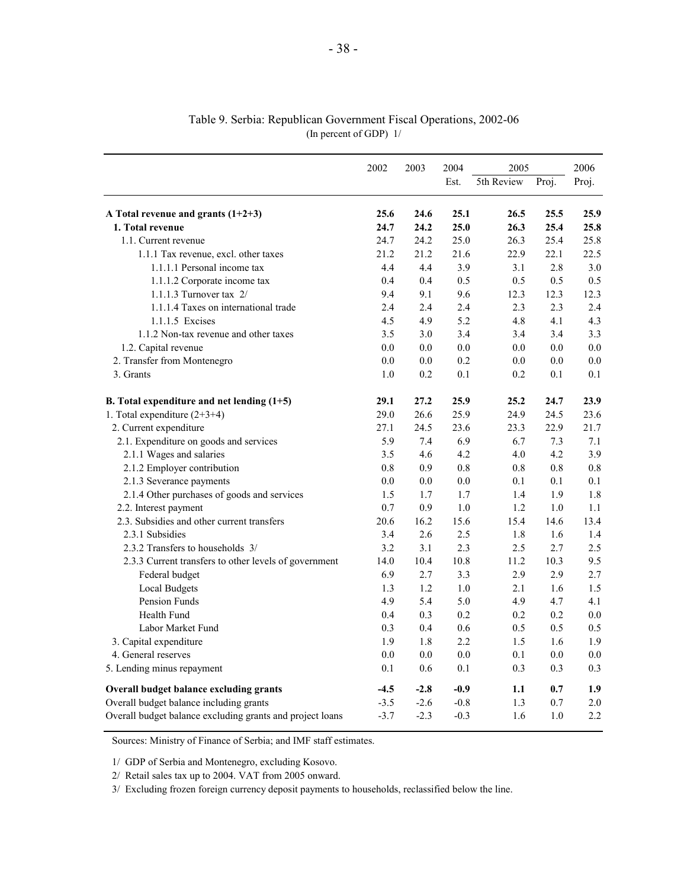|                                                           | 2002    | 2003    | 2004   | 2005       |       | 2006    |
|-----------------------------------------------------------|---------|---------|--------|------------|-------|---------|
|                                                           |         |         | Est.   | 5th Review | Proj. | Proj.   |
| A Total revenue and grants $(1+2+3)$                      | 25.6    | 24.6    | 25.1   | 26.5       | 25.5  | 25.9    |
| 1. Total revenue                                          | 24.7    | 24.2    | 25.0   | 26.3       | 25.4  | 25.8    |
| 1.1. Current revenue                                      | 24.7    | 24.2    | 25.0   | 26.3       | 25.4  | 25.8    |
| 1.1.1 Tax revenue, excl. other taxes                      | 21.2    | 21.2    | 21.6   | 22.9       | 22.1  | 22.5    |
| 1.1.1.1 Personal income tax                               | 4.4     | 4.4     | 3.9    | 3.1        | 2.8   | 3.0     |
| 1.1.1.2 Corporate income tax                              | 0.4     | 0.4     | 0.5    | 0.5        | 0.5   | 0.5     |
| 1.1.1.3 Turnover tax 2/                                   | 9.4     | 9.1     | 9.6    | 12.3       | 12.3  | 12.3    |
| 1.1.1.4 Taxes on international trade                      | 2.4     | 2.4     | 2.4    | 2.3        | 2.3   | 2.4     |
| 1.1.1.5 Excises                                           | 4.5     | 4.9     | 5.2    | 4.8        | 4.1   | 4.3     |
| 1.1.2 Non-tax revenue and other taxes                     | 3.5     | 3.0     | 3.4    | 3.4        | 3.4   | 3.3     |
| 1.2. Capital revenue                                      | 0.0     | 0.0     | 0.0    | 0.0        | 0.0   | $0.0\,$ |
| 2. Transfer from Montenegro                               | 0.0     | 0.0     | 0.2    | 0.0        | 0.0   | $0.0\,$ |
| 3. Grants                                                 | 1.0     | 0.2     | 0.1    | 0.2        | 0.1   | 0.1     |
| B. Total expenditure and net lending $(1+5)$              | 29.1    | 27.2    | 25.9   | 25.2       | 24.7  | 23.9    |
| 1. Total expenditure $(2+3+4)$                            | 29.0    | 26.6    | 25.9   | 24.9       | 24.5  | 23.6    |
| 2. Current expenditure                                    | 27.1    | 24.5    | 23.6   | 23.3       | 22.9  | 21.7    |
| 2.1. Expenditure on goods and services                    | 5.9     | 7.4     | 6.9    | 6.7        | 7.3   | 7.1     |
| 2.1.1 Wages and salaries                                  | 3.5     | 4.6     | 4.2    | 4.0        | 4.2   | 3.9     |
| 2.1.2 Employer contribution                               | 0.8     | 0.9     | 0.8    | 0.8        | 0.8   | 0.8     |
| 2.1.3 Severance payments                                  | 0.0     | $0.0\,$ | 0.0    | 0.1        | 0.1   | 0.1     |
| 2.1.4 Other purchases of goods and services               | 1.5     | 1.7     | 1.7    | 1.4        | 1.9   | 1.8     |
| 2.2. Interest payment                                     | 0.7     | 0.9     | 1.0    | 1.2        | 1.0   | 1.1     |
| 2.3. Subsidies and other current transfers                | 20.6    | 16.2    | 15.6   | 15.4       | 14.6  | 13.4    |
| 2.3.1 Subsidies                                           | 3.4     | 2.6     | 2.5    | 1.8        | 1.6   | 1.4     |
| 2.3.2 Transfers to households 3/                          | 3.2     | 3.1     | 2.3    | 2.5        | 2.7   | 2.5     |
| 2.3.3 Current transfers to other levels of government     | 14.0    | 10.4    | 10.8   | 11.2       | 10.3  | 9.5     |
| Federal budget                                            | 6.9     | 2.7     | 3.3    | 2.9        | 2.9   | 2.7     |
| <b>Local Budgets</b>                                      | 1.3     | 1.2     | 1.0    | 2.1        | 1.6   | 1.5     |
| Pension Funds                                             | 4.9     | 5.4     | 5.0    | 4.9        | 4.7   | 4.1     |
| Health Fund                                               | 0.4     | 0.3     | 0.2    | 0.2        | 0.2   | 0.0     |
| Labor Market Fund                                         | 0.3     | 0.4     | 0.6    | 0.5        | 0.5   | 0.5     |
| 3. Capital expenditure                                    | 1.9     | 1.8     | 2.2    | 1.5        | 1.6   | 1.9     |
| 4. General reserves                                       | $0.0\,$ | 0.0     | 0.0    | 0.1        | 0.0   | $0.0\,$ |
| 5. Lending minus repayment                                | 0.1     | 0.6     | 0.1    | 0.3        | 0.3   | 0.3     |
| Overall budget balance excluding grants                   | $-4.5$  | $-2.8$  | $-0.9$ | 1.1        | 0.7   | 1.9     |
| Overall budget balance including grants                   | $-3.5$  | $-2.6$  | $-0.8$ | 1.3        | 0.7   | 2.0     |
| Overall budget balance excluding grants and project loans | $-3.7$  | $-2.3$  | $-0.3$ | 1.6        | 1.0   | 2.2     |

#### Table 9. Serbia: Republican Government Fiscal Operations, 2002-06 (In percent of GDP) 1/

Sources: Ministry of Finance of Serbia; and IMF staff estimates.

1/ GDP of Serbia and Montenegro, excluding Kosovo.

2/ Retail sales tax up to 2004. VAT from 2005 onward.

3/ Excluding frozen foreign currency deposit payments to households, reclassified below the line.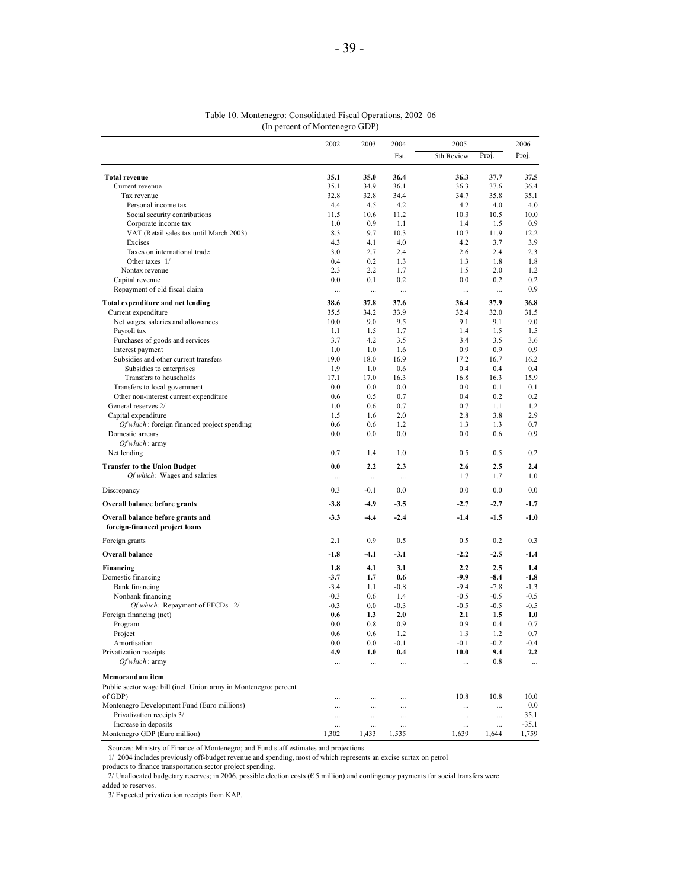#### Table 10. Montenegro: Consolidated Fiscal Operations, 2002–06 (In percent of Montenegro GDP)

|                                                                     | 2002      | 2003      | 2004      | 2005       |        | 2006     |
|---------------------------------------------------------------------|-----------|-----------|-----------|------------|--------|----------|
|                                                                     |           |           | Est.      | 5th Review | Proj.  | Proj.    |
| <b>Total revenue</b>                                                | 35.1      | 35.0      | 36.4      | 36.3       | 37.7   | 37.5     |
| Current revenue                                                     | 35.1      | 34.9      | 36.1      | 36.3       | 37.6   | 36.4     |
| Tax revenue                                                         | 32.8      | 32.8      | 34.4      | 34.7       | 35.8   | 35.1     |
| Personal income tax                                                 | 4.4       | 4.5       | 4.2       | 4.2        | 4.0    | 4.0      |
| Social security contributions                                       | 11.5      | 10.6      | 11.2      | 10.3       | 10.5   | 10.0     |
| Corporate income tax                                                | 1.0       | 0.9       | 1.1       | 1.4        | 1.5    | 0.9      |
| VAT (Retail sales tax until March 2003)                             | 8.3       | 9.7       | 10.3      | 10.7       | 11.9   | 12.2     |
| Excises                                                             | 4.3       | 4.1       | 4.0       | 4.2        | 3.7    | 3.9      |
| Taxes on international trade                                        | 3.0       | 2.7       | 2.4       | 2.6        | 2.4    | 2.3      |
| Other taxes 1/                                                      | 0.4       | 0.2       | 1.3       | 1.3        | 1.8    | 1.8      |
| Nontax revenue                                                      | 2.3       | 2.2       | 1.7       | 1.5        | 2.0    | 1.2      |
| Capital revenue                                                     | 0.0       | 0.1       | 0.2       | 0.0        | 0.2    | 0.2      |
| Repayment of old fiscal claim                                       | $\ddotsc$ | $\ddotsc$ | $\ldots$  | $\cdots$   |        | 0.9      |
| Total expenditure and net lending                                   | 38.6      | 37.8      | 37.6      | 36.4       | 37.9   | 36.8     |
| Current expenditure                                                 | 35.5      | 34.2      | 33.9      | 32.4       | 32.0   | 31.5     |
| Net wages, salaries and allowances                                  | 10.0      | 9.0       | 9.5       | 9.1        | 9.1    | 9.0      |
| Payroll tax                                                         | 1.1       | 1.5       | 1.7       | 1.4        | 1.5    | 1.5      |
| Purchases of goods and services                                     | 3.7       | 4.2       | 3.5       | 3.4        | 3.5    | 3.6      |
| Interest payment                                                    | 1.0       | 1.0       | 1.6       | 0.9        | 0.9    | 0.9      |
| Subsidies and other current transfers                               | 19.0      | 18.0      | 16.9      | 17.2       | 16.7   | 16.2     |
| Subsidies to enterprises                                            | 1.9       | 1.0       | 0.6       | 0.4        | 0.4    | 0.4      |
| Transfers to households                                             | 17.1      | 17.0      | 16.3      | 16.8       | 16.3   | 15.9     |
| Transfers to local government                                       | 0.0       | 0.0       | 0.0       | 0.0        | 0.1    | 0.1      |
| Other non-interest current expenditure                              | 0.6       | 0.5       | 0.7       | 0.4        | 0.2    | 0.2      |
| General reserves 2/                                                 | 1.0       | 0.6       | 0.7       | 0.7        | 1.1    | 1.2      |
| Capital expenditure                                                 | 1.5       | 1.6       | 2.0       | 2.8        | 3.8    | 2.9      |
| Of which: foreign financed project spending                         | 0.6       | 0.6       | 1.2       | 1.3        | 1.3    | 0.7      |
| Domestic arrears<br>Of which: army                                  | 0.0       | 0.0       | 0.0       | 0.0        | 0.6    | 0.9      |
| Net lending                                                         | 0.7       | 1.4       | 1.0       | 0.5        | 0.5    | 0.2      |
| <b>Transfer to the Union Budget</b>                                 | 0.0       | 2.2       | 2.3       | 2.6        | 2.5    | 2.4      |
| Of which: Wages and salaries                                        | $\cdots$  |           | $\cdots$  | 1.7        | 1.7    | 1.0      |
| Discrepancy                                                         | 0.3       | $-0.1$    | 0.0       | 0.0        | 0.0    | 0.0      |
| Overall balance before grants                                       | -3.8      | $-4.9$    | $-3.5$    | $-2.7$     | $-2.7$ | $-1.7$   |
| Overall balance before grants and<br>foreign-financed project loans | $-3.3$    | $-4.4$    | $-2.4$    | $-1.4$     | $-1.5$ | $-1.0$   |
| Foreign grants                                                      | 2.1       | 0.9       | 0.5       | 0.5        | 0.2    | 0.3      |
| Overall balance                                                     | $-1.8$    | $-4.1$    | $-3.1$    | $-2.2$     | $-2.5$ | $-1.4$   |
| Financing                                                           | 1.8       | 4.1       | 3.1       | 2.2        | 2.5    | 1.4      |
| Domestic financing                                                  | $-3.7$    | 1.7       | 0.6       | $-9.9$     | $-8.4$ | $-1.8$   |
| <b>Bank</b> financing                                               | $-3.4$    | 1.1       | $-0.8$    | $-9.4$     | $-7.8$ | $-1.3$   |
| Nonbank financing                                                   | $-0.3$    | 0.6       | 1.4       | $-0.5$     | $-0.5$ | $-0.5$   |
| Of which: Repayment of FFCDs 2/                                     | $-0.3$    | 0.0       | $-0.3$    | $-0.5$     | $-0.5$ | $-0.5$   |
| Foreign financing (net)                                             | 0.6       | 1.3       | 2.0       | 2.1        | 1.5    | 1.0      |
| Program                                                             | 0.0       | 0.8       | 0.9       | 0.9        | 0.4    | 0.7      |
| Project                                                             | 0.6       | 0.6       | 1.2       | 1.3        | 1.2    | 0.7      |
| Amortisation                                                        | 0.0       | 0.0       | $-0.1$    | $-0.1$     | $-0.2$ | $-0.4$   |
| Privatization receipts                                              | 4.9       | 1.0       | 0.4       | 10.0       | 9.4    | 2.2      |
| Of which: army                                                      | $\cdots$  | $\cdots$  | $\cdots$  |            | 0.8    | $\ldots$ |
| Memorandum item                                                     |           |           |           |            |        |          |
| Public sector wage bill (incl. Union army in Montenegro; percent    |           |           |           |            |        |          |
| of GDP)                                                             |           |           |           | 10.8       | 10.8   | 10.0     |
| Montenegro Development Fund (Euro millions)                         | $\cdots$  | $\cdots$  | $\cdots$  | $\cdots$   |        | 0.0      |
| Privatization receipts 3/                                           | $\cdots$  | $\cdots$  | $\ddotsc$ | $\cdots$   |        | 35.1     |
| Increase in deposits                                                | $\cdots$  | $\ddotsc$ | $\ddotsc$ | $\cdots$   |        | $-35.1$  |
| Montenegro GDP (Euro million)                                       | 1,302     | 1,433     | 1,535     | 1,639      | 1,644  | 1,759    |

Sources: Ministry of Finance of Montenegro; and Fund staff estimates and projections.

1/ 2004 includes previously off-budget revenue and spending, most of which represents an excise surtax on petrol

products to finance transportation sector project spending.

2/ Unallocated budgetary reserves; in 2006, possible election costs ( $\epsilon$  5 million) and contingency payments for social transfers were

added to reserves.

3/ Expected privatization receipts from KAP.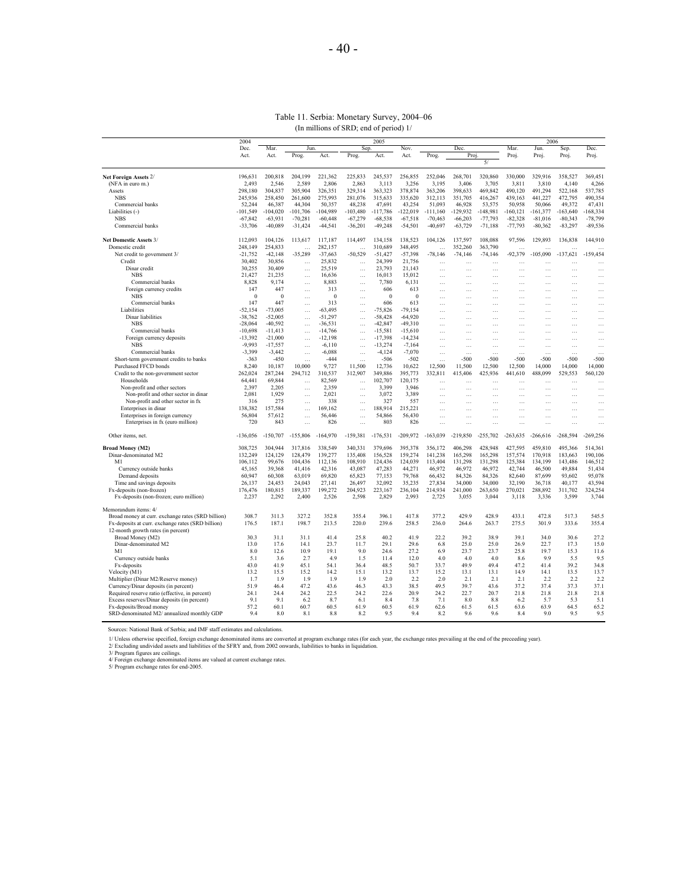#### Table 11. Serbia: Monetary Survey, 2004–06 (In millions of SRD; end of period) 1/

|                                                                             | 2004                   |                        |                      |                        |                        | 2005                   |                        |             |                    |                          |              | 2006                      |                    |                       |
|-----------------------------------------------------------------------------|------------------------|------------------------|----------------------|------------------------|------------------------|------------------------|------------------------|-------------|--------------------|--------------------------|--------------|---------------------------|--------------------|-----------------------|
|                                                                             | Dec.                   | Mar.                   | Jun.                 |                        | Sep.                   |                        | Nov.                   |             | Dec.               |                          | Mar.         | Jun.                      | Sep.               | Dec.                  |
|                                                                             | Act.                   | Act.                   | Prog.                | Act.                   | Prog.                  | Act.                   | Act.                   | Prog.       | Proj               |                          | Proj.        | Proj.                     | Proj.              | Proj.                 |
|                                                                             |                        |                        |                      |                        |                        |                        |                        |             |                    | 5/                       |              |                           |                    |                       |
| Net Foreign Assets 2/                                                       | 196,631                | 200,818                | 204,199              | 221,362                | 225,833                | 245,537                | 256,855                | 252,046     | 268,701            | 320,860                  | 330,000      | 329,916                   | 358,527            | 369,451               |
| (NFA in euro m.)                                                            | 2.493                  | 2,546                  | 2,589                | 2,806                  | 2,863                  | 3,113                  | 3,256                  | 3,195       | 3,406              | 3,705                    | 3,811        | 3,810                     | 4,140              | 4,266                 |
| Assets                                                                      | 298,180                | 304,837                | 305,904              | 326,351                | 329,314                | 363,323                | 378,874                | 363,206     | 398,633            | 469,842                  | 490,120      | 491,294                   | 522,168            | 537,785               |
| <b>NBS</b>                                                                  | 245,936                | 258,450                | 261,600              | 275,993                | 281,076                | 315,633                | 335,620                | 312,113     | 351,705            | 416,267                  | 439,163      | 441,227                   | 472,795            | 490.354               |
| Commercial banks                                                            | 52,244                 | 46,387                 | 44,304               | 50,357                 | 48,238                 | 47,691                 | 43,254                 | 51,093      | 46,928             | 53,575                   | 50,958       | 50,066                    | 49,372             | 47,431                |
| Liabilities (-)                                                             | $-101,549$             | $-104,020$             | $-101,706$           | $-104,989$             | $-103,480$             | $-117,786$             | $-122,019$             | $-111,160$  | $-129,932$         | $-148,981$               | $-160, 121$  | $-161,377$                | $-163,640$         | $-168,334$            |
| <b>NBS</b>                                                                  | $-67,842$              | $-63,931$              | $-70,281$            | $-60,448$              | $-67,279$              | $-68,538$              | $-67,518$              | $-70,463$   | $-66,203$          | $-77,793$                | $-82,328$    | $-81,016$                 | $-80,343$          | $-78,799$             |
| Commercial banks                                                            | $-33,706$              | $-40,089$              | $-31,424$            | $-44,541$              | $-36,201$              | $-49,248$              | $-54,501$              | $-40,697$   | $-63,729$          | $-71,188$                | $-77,793$    | $-80,362$                 | $-83,297$          | $-89,536$             |
| Net Domestic Assets 3/                                                      | 112,093                | 104,126                | 113,617              | 117,187                | 114,497                | 134,158                | 138,523                | 104,126     | 137,597            | 108,088                  | 97,596       | 129,893                   | 136,838            | 144,910               |
| Domestic credit                                                             | 248,149                | 254,833                | $\ddotsc$            | 282,157                |                        | 310,689                | 348,495                | .           | 352,260            | 363,790                  | Ш,           | à.                        | $\ddotsc$          |                       |
| Net credit to government 3/                                                 | $-21,752$              | $-42,148$              | $-35,289$            | $-37,663$              | $-50,529$              | $-51,427$              | $-57,398$              | $-78,146$   | $-74,146$          | $-74,146$                | $-92,379$    | $-105,090$                | $-137,621$         | $-159,454$            |
| Credit                                                                      | 30,402                 | 30,856                 | $\cdots$             | 25,832                 | $\cdots$               | 24,399                 | 21,756                 | $\ddotsc$   | $\ddotsc$          | $\ldots$                 | .            | $\sim$                    | .                  | $\ddotsc$             |
| Dinar credit                                                                | 30,255                 | 30,409                 |                      | 25,519                 | $\ddotsc$              | 23,793                 | 21.143                 | Ω,          | Ω,                 | $\ddotsc$                | Ω,           |                           |                    |                       |
| <b>NBS</b>                                                                  | 21,427                 | 21,235                 | $\ldots$             | 16,636                 | $\ddotsc$              | 16,013                 | 15,012                 | $\ldots$    | $\cdots$           | $\cdots$                 | $\cdots$     | $\cdots$                  | $\cdots$           | $\cdots$              |
| Commercial banks                                                            | 8,828                  | 9,174                  | $\cdots$             | 8,883                  | $\ddotsc$              | 7,780                  | 6,131                  | .           | $\ldots$           | $\cdots$                 | $\cdots$     | $\cdots$                  | $\cdots$           | $\ddotsc$             |
| Foreign currency credits                                                    | 147                    | 447                    | $\ddotsc$            | 313                    | $\ddotsc$              | 606                    | 613                    | Ω,          | .                  | $\cdots$                 | Ш,           | $\cdots$                  | Ω,                 | ă,                    |
| <b>NBS</b>                                                                  | $\theta$               | $\Omega$               | $\cdots$             | $\Omega$               | $\ddotsc$              | $\theta$               | $\Omega$               | Щ.          | $\cdots$           | $\cdots$                 | .            | $\cdots$                  | $\ddotsc$          | .                     |
| Commercial banks                                                            | 147                    | 447                    | $\ldots$             | 313                    | $\cdots$               | 606                    | 613                    | .           | .                  | $\ldots$                 | .            | $\cdots$                  | $\cdots$           | $\ddotsc$             |
| Liabilities                                                                 | $-52,154$              | $-73,005$              | $\cdots$             | $-63,495$              | $\cdots$               | $-75,826$              | $-79.154$              | $\ddotsc$   | .                  | $\cdots$                 | $\cdots$     | $\cdots$                  | $\cdots$           | $\ddotsc$             |
| Dinar liabilities<br><b>NBS</b>                                             | $-38.762$              | $-52.005$              | $\cdots$             | $-51.297$              | $\ddotsc$              | $-58.428$              | $-64.920$              | .           | $\ldots$           | $\ldots$                 | .            | $\cdots$                  | $\ddotsc$          | $\ddotsc$             |
|                                                                             | $-28,064$              | $-40,592$              | $\ldots$             | $-36,531$              | $\cdots$               | $-42,847$              | $-49,310$              | .           | $\cdots$           | $\ldots$                 | .            | $\cdots$                  | $\cdots$           | $\ddotsc$             |
| Commercial banks<br>Foreign currency deposits                               | $-10,698$<br>$-13.392$ | $-11,413$<br>$-21.000$ | $\ddotsc$            | $-14,766$<br>$-12.198$ | $\cdots$               | $-15,581$<br>$-17.398$ | $-15,610$<br>$-14.234$ | .           | .                  | $\cdots$                 | $\cdots$     | $\cdots$                  | $\cdots$           | $\ddotsc$             |
| <b>NBS</b>                                                                  | $-9,993$               | $-17,557$              | $\cdots$             | $-6,110$               | $\ddotsc$<br>$\ddotsc$ | $-13,274$              | $-7,164$               | .<br>.      | .                  | $\cdots$                 | $\cdots$     | $\cdots$                  | $\ddotsc$          | $\ddotsc$<br>$\cdots$ |
| Commercial banks                                                            | $-3,399$               | $-3,442$               | $\ldots$<br>$\cdots$ | $-6,088$               | $\ddotsc$              | $-4,124$               | $-7,070$               | $\cdots$    | $\cdots$<br>$\sim$ | $\ldots$<br>$\mathbf{r}$ | Ш,<br>$\sim$ | $\ddotsc$<br>$\mathbf{r}$ | Ш,<br>$\mathbf{r}$ | $\sim$                |
| Short-term government credits to banks                                      | $-363$                 | $-450$                 | à.                   | $-444$                 | ă,                     | $-506$                 | $-502$                 | Ω,          | $-500$             | $-500$                   | $-500$       | $-500$                    | $-500$             | $-500$                |
| Purchased FFCD bonds                                                        | 8,240                  | 10,187                 | 10,000               | 9,727                  | 11,500                 | 12,736                 | 10,622                 | 12,500      | 11,500             | 12,500                   | 12,500       | 14,000                    | 14,000             | 14,000                |
| Credit to the non-government sector                                         | 262,024                | 287,244                | 294,712              | 310.537                | 312,907                | 349.886                | 395,773                | 332,811     | 415,406            | 425,936                  | 441,610      | 488,099                   | 529,553            | 560.120               |
| Households                                                                  | 64,441                 | 69,844                 | $\ddotsc$            | 82,569                 | $\ddotsc$              | 102,707                | 120,175                | Ω,          | Ц,                 | $\ddotsc$                | Ш,           | $\ddotsc$                 | $\ddotsc$          | ò.                    |
| Non-profit and other sectors                                                | 2,397                  | 2,205                  | $\cdots$             | 2,359                  | $\ddotsc$              | 3,399                  | 3,946                  | $\cdots$    | $\ldots$           | $\ldots$                 | $\cdots$     | $\cdots$                  | .                  | $\ddotsc$             |
| Non-profit and other sector in dinar                                        | 2.081                  | 1.929                  | $\ddotsc$            | 2.021                  | $\ddotsc$              | 3.072                  | 3.389                  | Щ.          | Щ.                 | $\ddotsc$                | $\ddotsc$    | .                         |                    | $\sim$                |
| Non-profit and other sector in fx                                           | 316                    | 275                    | $\ddotsc$            | 338                    | $\ddotsc$              | 327                    | 557                    | Ω,          | Ω,                 | $\ddotsc$                | Ш,           | $\cdots$                  | .                  | ă,                    |
| Enterprises in dinar                                                        | 138,382                | 157,584                | $\ddotsc$            | 169,162                | $\cdots$               | 188,914                | 215,221                | $\cdots$    | $\cdots$           | $\cdots$                 | $\cdots$     | $\cdots$                  | $\cdots$           | $\ddotsc$             |
| Enterprises in foreign currency                                             | 56,804                 | 57,612                 | $\ldots$             | 56,446                 | .                      | 54,866                 | 56,430                 | .           | $\ldots$           | $\ldots$                 | $\cdots$     | $\ldots$                  | $\ddotsc$          | $\cdots$              |
| Enterprises in fx (euro million)                                            | 720                    | 843                    | $\ldots$             | 826                    | .                      | 803                    | 826                    | Ω,          | Ω,                 | $\ddotsc$                | Ш,           | $\cdots$                  | ă,                 | ă,                    |
| Other items, net.                                                           | $-136,056$             | $-150,707$             | $-155,806$           | $-164,970$             | $-159,381$             | $-176,531$             | $-209,972$             | $-163,039$  | $-219,850$         | $-255,702$               | $-263,635$   | $-266,616$                | $-268,594$         | $-269,256$            |
| <b>Broad Money (M2)</b>                                                     | 308,725                | 304.944                | 317,816              | 338.549                | 340,331                | 379,696                | 395,378                | 356,172     | 406,298            | 428.948                  | 427,595      | 459,810                   | 495,366            | 514.361               |
| Dinar-denominated M2                                                        | 132,249                | 124,129                | 128,479              | 139,277                | 135,408                | 156,528                | 159,274                | 141,238     | 165,298            | 165,298                  | 157,574      | 170,918                   | 183,663            | 190,106               |
| M1                                                                          | 106,112                | 99,676                 | 104,436              | 112,136                | 108,910                | 124,436                | 124,039                | 113,404     | 131,298            | 131,298                  | 125,384      | 134,199                   | 143,486            | 146,512               |
| Currency outside banks                                                      | 45,165                 | 39.368                 | 41.416               | 42.316                 | 43,087                 | 47,283                 | 44,271                 | 46.972      | 46,972             | 46,972                   | 42,744       | 46,500                    | 49,884             | 51,434                |
| Demand deposits                                                             | 60,947                 | 60,308                 | 63,019               | 69,820                 | 65,823                 | 77,153                 | 79,768                 | 66,432      | 84,326             | 84,326                   | 82,640       | 87,699                    | 93,602             | 95,078                |
| Time and savings deposits                                                   | 26,137                 | 24,453                 | 24,043               | 27,141                 | 26,497                 | 32,092                 | 35,235                 | 27,834      | 34,000             | 34,000                   | 32,190       | 36,718                    | 40,177             | 43,594                |
| Fx-deposits (non-frozen)                                                    | 176.476                | 180.815                | 189.337              | 199.272                | 204.923                | 223.167                | 236.104                | 214,934     | 241.000            | 263.650                  | 270,021      | 288,892                   | 311,702            | 324,254               |
| Fx-deposits (non-frozen; euro million)                                      | 2,237                  | 2,292                  | 2,400                | 2,526                  | 2,598                  | 2,829                  | 2,993                  | 2,725       | 3,055              | 3,044                    | 3,118        | 3,336                     | 3,599              | 3,744                 |
| Memorandum items: 4/                                                        |                        |                        |                      |                        |                        |                        |                        |             |                    |                          |              |                           |                    |                       |
| Broad money at curr. exchange rates (SRD billion)                           | 308.7                  | 311.3                  | 327.2                | 352.8                  | 355.4                  | 396.1                  | 417.8                  | 377.2       | 429.9              | 428.9                    | 433.1        | 472.8                     | 517.3              | 545.5                 |
| Fx-deposits at curr. exchange rates (SRD billion)                           | 176.5                  | 187.1                  | 198.7                | 213.5                  | 220.0                  | 239.6                  | 258.5                  | 236.0       | 264.6              | 263.7                    | 275.5        | 301.9                     | 333.6              | 355.4                 |
| 12-month growth rates (in percent)                                          |                        |                        |                      |                        |                        |                        |                        |             |                    |                          |              |                           |                    |                       |
| Broad Money (M2)                                                            | 30.3                   | 31.1                   | 31.1                 | 41.4                   | 25.8                   | 40.2                   | 41.9                   | 22.2        | 39.2               | 38.9                     | 39.1         | 34.0                      | 30.6               | 27.2                  |
| Dinar-denominated M2                                                        | 13.0                   | 17.6                   | 14.1                 | 23.7                   | 11.7                   | 29.1                   | 29.6                   | 6.8         | 25.0               | 25.0                     | 26.9         | 22.7                      | 17.3               | 15.0                  |
| M1                                                                          | 8.0                    | 12.6                   | 10.9                 | 19.1                   | 9.0                    | 24.6                   | 27.2                   | 6.9         | 23.7               | 23.7                     | 25.8         | 19.7                      | 15.3               | 11.6                  |
| Currency outside banks                                                      | 5.1                    | 3.6                    | 2.7                  | 4.9                    | 1.5                    | 11.4                   | 12.0                   | 4.0         | 4.0                | 4.0                      | 8.6          | 9.9                       | 5.5                | 9.5                   |
| Fx-deposits                                                                 | 43.0                   | 41.9                   | 45.1                 | 54.1                   | 36.4                   | 48.5                   | 50.7                   | 33.7        | 49.9               | 49.4                     | 47.2         | 41.4                      | 39.2               | 34.8                  |
| Velocity (M1)                                                               | 13.2                   | 15.5                   | 15.2<br>1.9          | 14.2<br>1.9            | 15.1                   | 13.2                   | 13.7                   | 15.2<br>2.0 | 13.1               | 13.1                     | 14.9<br>2.1  | 14.1                      | 13.5<br>2.2        | 13.7<br>2.2           |
| Multiplier (Dinar M2/Reserve money)<br>Currency/Dinar deposits (in percent) | 1.7<br>51.9            | 1.9<br>46.4            | 47.2                 | 43.6                   | 1.9<br>46.3            | 2.0<br>43.3            | 2.2<br>38.5            | 49.5        | 2.1<br>39.7        | 2.1<br>43.6              | 37.2         | 2.2<br>37.4               | 37.3               | 37.1                  |
| Required reserve ratio (effective, in percent)                              | 24.1                   | 24.4                   | 24.2                 | 22.5                   | 24.2                   | 22.6                   | 20.9                   | 24.2        | 22.7               | 20.7                     | 21.8         | 21.8                      | 21.8               | 21.8                  |
| Excess reserves/Dinar deposits (in percent)                                 | 9.1                    | 9.1                    | 6.2                  | 8.7                    | 6.1                    | 8.4                    | 7.8                    | 7.1         | 8.0                | 8.8                      | 6.2          | 5.7                       | 5.3                | 5.1                   |
| Fx-deposits/Broad money                                                     | 57.2                   | 60.1                   | 60.7                 | 60.5                   | 61.9                   | 60.5                   | 61.9                   | 62.6        | 61.5               | 61.5                     | 63.6         | 63.9                      | 64.5               | 65.2                  |
| SRD-denominated M2/ annualized monthly GDP                                  | 9.4                    | 8.0                    | 8.1                  | 8.8                    | 8.2                    | 9.5                    | 9.4                    | 8.2         | 9.6                | 9.6                      | 8.4          | 9.0                       | 9.5                | 9.5                   |
|                                                                             |                        |                        |                      |                        |                        |                        |                        |             |                    |                          |              |                           |                    |                       |

Sources: National Bank of Serbia; and IMF staff estimates and calculations.

1/ Unless otherwise specified, foreign exchange denominated items are converted at program exchange rates (for each year, the exchange rates prevailing at the end of the preceeding year).<br>2/ Excluding undivided assets and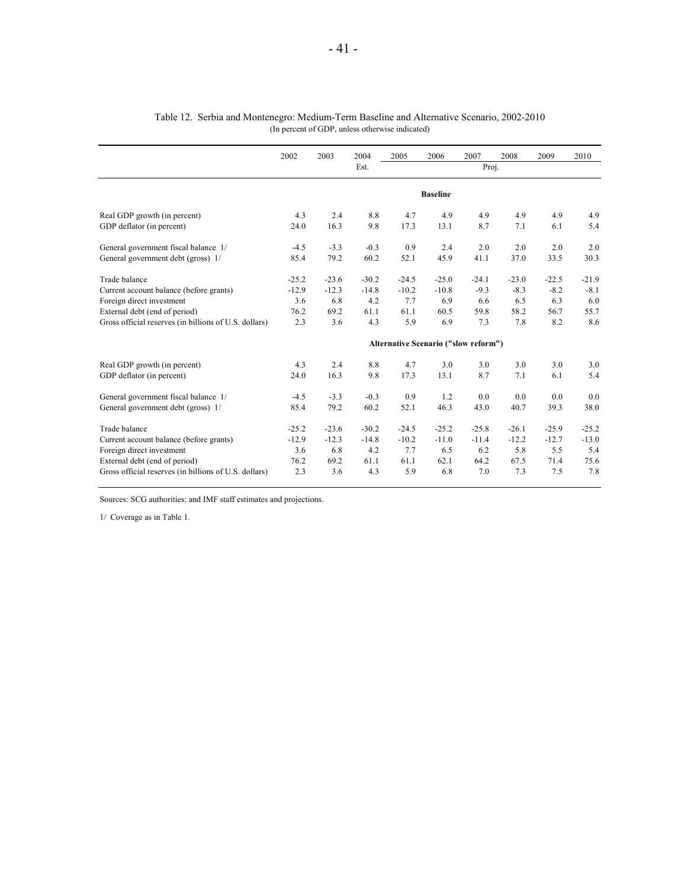|                                                       | 2002    | 2003    | 2004    | 2005    | 2006            | 2007                                        | 2008    | 2009    | 2010    |
|-------------------------------------------------------|---------|---------|---------|---------|-----------------|---------------------------------------------|---------|---------|---------|
|                                                       |         |         | Est.    |         |                 | Proj.                                       |         |         |         |
|                                                       |         |         |         |         | <b>Baseline</b> |                                             |         |         |         |
| Real GDP growth (in percent)                          | 4.3     | 2.4     | 8.8     | 4.7     | 4.9             | 4.9                                         | 4.9     | 4.9     | 4.9     |
| GDP deflator (in percent)                             | 24.0    | 16.3    | 9.8     | 17.3    | 13.1            | 8.7                                         | 7.1     | 6.1     | 5.4     |
| General government fiscal balance 1/                  | $-4.5$  | $-3.3$  | $-0.3$  | 0.9     | 2.4             | 2.0                                         | 2.0     | 2.0     | 2.0     |
| General government debt (gross) 1/                    | 85.4    | 79.2    | 60.2    | 52.1    | 45.9            | 41.1                                        | 37.0    | 33.5    | 30.3    |
| Trade balance                                         | $-25.2$ | $-23.6$ | $-30.2$ | $-24.5$ | $-25.0$         | $-24.1$                                     | $-23.0$ | $-22.5$ | $-21.9$ |
| Current account balance (before grants)               | $-12.9$ | $-12.3$ | $-14.8$ | $-10.2$ | $-10.8$         | $-9.3$                                      | $-8.3$  | $-8.2$  | $-8.1$  |
| Foreign direct investment                             | 3.6     | 6.8     | 4.2     | 7.7     | 6.9             | 6.6                                         | 6.5     | 6.3     | 6.0     |
| External debt (end of period)                         | 76.2    | 69.2    | 61.1    | 61.1    | 60.5            | 59.8                                        | 58.2    | 56.7    | 55.7    |
| Gross official reserves (in billions of U.S. dollars) | 2.3     | 3.6     | 4.3     | 5.9     | 6.9             | 7.3                                         | 7.8     | 8.2     | 8.6     |
|                                                       |         |         |         |         |                 | <b>Alternative Scenario ("slow reform")</b> |         |         |         |
| Real GDP growth (in percent)                          | 4.3     | 2.4     | 8.8     | 4.7     | 3.0             | 3.0                                         | 3.0     | 3.0     | 3.0     |
| GDP deflator (in percent)                             | 24.0    | 16.3    | 9.8     | 17.3    | 13.1            | 8.7                                         | 7.1     | 6.1     | 5.4     |
| General government fiscal balance 1/                  | $-4.5$  | $-3.3$  | $-0.3$  | 0.9     | 1.2             | 0.0                                         | 0.0     | 0.0     | 0.0     |
| General government debt (gross) 1/                    | 85.4    | 79.2    | 60.2    | 52.1    | 46.3            | 43.0                                        | 40.7    | 39.3    | 38.0    |
| Trade balance                                         | $-25.2$ | $-23.6$ | $-30.2$ | $-24.5$ | $-25.2$         | $-25.8$                                     | $-26.1$ | $-25.9$ | $-25.2$ |
| Current account balance (before grants)               | $-12.9$ | $-12.3$ | $-14.8$ | $-10.2$ | $-11.0$         | $-11.4$                                     | $-12.2$ | $-12.7$ | $-13.0$ |
| Foreign direct investment                             | 3.6     | 6.8     | 4.2     | 7.7     | 6.5             | 6.2                                         | 5.8     | 5.5     | 5.4     |
| External debt (end of period)                         | 76.2    | 69.2    | 61.1    | 61.1    | 62.1            | 64.2                                        | 67.5    | 71.4    | 75.6    |
| Gross official reserves (in billions of U.S. dollars) | 2.3     | 3.6     | 4.3     | 5.9     | 6.8             | 7.0                                         | 7.3     | 7.5     | 7.8     |

#### Table 12. Serbia and Montenegro: Medium-Term Baseline and Alternative Scenario, 2002-2010 (In percent of GDP, unless otherwise indicated)

Sources: SCG authorities; and IMF staff estimates and projections.

1/ Coverage as in Table 1.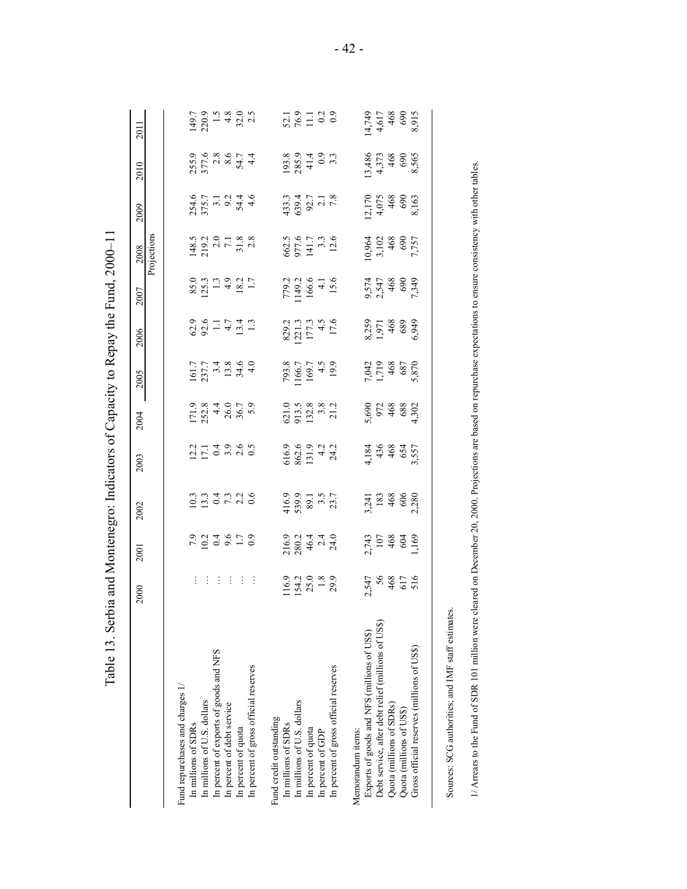| $149.7$<br>220.9<br>1 4 32.0<br>4 32.0<br>$52.1$<br>$76.9$<br>$11.3$<br>$0.3$<br>$(4,749$<br>4,617<br>4,68<br>468<br>$193.8$<br>$285.9$<br>$41.4$<br>$0.9$<br>$3.3$<br>255.9<br>377.8<br>377.8<br>44.4<br>13,486<br>4,373<br>468<br>690<br>8,565<br>433.3<br>639.4<br>92.7<br>2.1<br>7.8<br>2,170<br>4,075<br>468<br>690<br>8,163<br>Projections<br>148.5<br>219.2<br>7.1<br>7.1.8<br>2.8<br>662.5<br>977.6<br>141.7<br>13.3<br>12.6<br>10,964<br>3,102<br>468<br>7,757<br>7,757<br>$85.0$<br>125.3<br>1.3<br>1.3<br>1.7<br>1.7<br>779.2<br>1149.2<br>166.6<br>4.1<br>4.1<br>9,574<br>2,547<br>468<br>5949<br>7,349<br>$629$<br>$92 - 7$<br>$47$<br>$13$<br>$13$<br>829.2<br>1221.3<br>177.3<br>17.6<br>17.6<br>8,259<br>1,971<br>468<br>6,949<br>$\begin{array}{c} 161.7 \\ 237.7 \\ 34.8 \\ 13.8 \\ 4.0 \end{array}$<br>793.8<br>1166.7<br>169.7<br>4.5<br>4.5<br>7,042<br>1,719<br>468<br>5,870<br>5,870<br>$171.9$<br>252.8<br>26.0<br>26.7<br>36.7<br>$\begin{array}{c} 621.0 \\ 913.5 \\ 132.8 \\ 3.8 \\ 132.8 \\ \end{array}$<br>5,690<br>972<br>468<br>4,302<br>$21 - 4969$<br>$21 - 6960$<br>$616.9$<br>$862.6$<br>$131.3$<br>$42$<br>$24.2$<br>4,184<br>436<br>468<br>557<br>3,557<br>416.9<br>539.9<br>89.1<br>3.5<br>3.7<br>3,241<br>183<br>468<br>606<br>2,280<br>216.9<br>280.2<br>46.4<br>24.0<br>24.0<br>2,743<br>107<br>468<br>1,169<br>1,169<br>44444<br>$154.2$<br>$25.0$<br>$1.8$<br>$29.9$<br>2,547<br>56<br>468<br>516<br>516<br>116.9<br>Debt service, after debt relief (millions of US\$)<br>Exports of goods and NFS (millions of US\$)<br>Gross official reserves (millions of US\$)<br>In percent of exports of goods and NFS<br>In percent of gross official reserves<br>In percent of gross official reserves<br>Fund repurchases and charges 1/<br>In millions of U.S. dollars<br>In millions of U.S. dollars<br>In percent of debt service<br>Quota (millions of SDRs)<br>Quota (millions of US\$)<br>Fund credit outstanding<br>In millions of SDRs<br>In millions of SDRs<br>In percent of quota<br>In percent of quota<br>Memorandum items:<br>In percent of GDP |                                                                                                                                                                        | 2000 | 2001 | 2002 | 2003 | 2004 | 2005 | 2006 | 2007 | 2008 | 2009 | 2010 | 2011  |
|-----------------------------------------------------------------------------------------------------------------------------------------------------------------------------------------------------------------------------------------------------------------------------------------------------------------------------------------------------------------------------------------------------------------------------------------------------------------------------------------------------------------------------------------------------------------------------------------------------------------------------------------------------------------------------------------------------------------------------------------------------------------------------------------------------------------------------------------------------------------------------------------------------------------------------------------------------------------------------------------------------------------------------------------------------------------------------------------------------------------------------------------------------------------------------------------------------------------------------------------------------------------------------------------------------------------------------------------------------------------------------------------------------------------------------------------------------------------------------------------------------------------------------------------------------------------------------------------------------------------------------------------------------------------------------------------------------------------------------------------------------------------------------------------------------------------------------------------------------------------------------------------------------------------------------------------------------------------------------------------------------------------------------------------------------------------------------------------------------|------------------------------------------------------------------------------------------------------------------------------------------------------------------------|------|------|------|------|------|------|------|------|------|------|------|-------|
|                                                                                                                                                                                                                                                                                                                                                                                                                                                                                                                                                                                                                                                                                                                                                                                                                                                                                                                                                                                                                                                                                                                                                                                                                                                                                                                                                                                                                                                                                                                                                                                                                                                                                                                                                                                                                                                                                                                                                                                                                                                                                                     |                                                                                                                                                                        |      |      |      |      |      |      |      |      |      |      |      |       |
|                                                                                                                                                                                                                                                                                                                                                                                                                                                                                                                                                                                                                                                                                                                                                                                                                                                                                                                                                                                                                                                                                                                                                                                                                                                                                                                                                                                                                                                                                                                                                                                                                                                                                                                                                                                                                                                                                                                                                                                                                                                                                                     |                                                                                                                                                                        |      |      |      |      |      |      |      |      |      |      |      |       |
|                                                                                                                                                                                                                                                                                                                                                                                                                                                                                                                                                                                                                                                                                                                                                                                                                                                                                                                                                                                                                                                                                                                                                                                                                                                                                                                                                                                                                                                                                                                                                                                                                                                                                                                                                                                                                                                                                                                                                                                                                                                                                                     |                                                                                                                                                                        |      |      |      |      |      |      |      |      |      |      |      |       |
|                                                                                                                                                                                                                                                                                                                                                                                                                                                                                                                                                                                                                                                                                                                                                                                                                                                                                                                                                                                                                                                                                                                                                                                                                                                                                                                                                                                                                                                                                                                                                                                                                                                                                                                                                                                                                                                                                                                                                                                                                                                                                                     |                                                                                                                                                                        |      |      |      |      |      |      |      |      |      |      |      |       |
|                                                                                                                                                                                                                                                                                                                                                                                                                                                                                                                                                                                                                                                                                                                                                                                                                                                                                                                                                                                                                                                                                                                                                                                                                                                                                                                                                                                                                                                                                                                                                                                                                                                                                                                                                                                                                                                                                                                                                                                                                                                                                                     |                                                                                                                                                                        |      |      |      |      |      |      |      |      |      |      |      |       |
|                                                                                                                                                                                                                                                                                                                                                                                                                                                                                                                                                                                                                                                                                                                                                                                                                                                                                                                                                                                                                                                                                                                                                                                                                                                                                                                                                                                                                                                                                                                                                                                                                                                                                                                                                                                                                                                                                                                                                                                                                                                                                                     |                                                                                                                                                                        |      |      |      |      |      |      |      |      |      |      |      |       |
|                                                                                                                                                                                                                                                                                                                                                                                                                                                                                                                                                                                                                                                                                                                                                                                                                                                                                                                                                                                                                                                                                                                                                                                                                                                                                                                                                                                                                                                                                                                                                                                                                                                                                                                                                                                                                                                                                                                                                                                                                                                                                                     |                                                                                                                                                                        |      |      |      |      |      |      |      |      |      |      |      |       |
|                                                                                                                                                                                                                                                                                                                                                                                                                                                                                                                                                                                                                                                                                                                                                                                                                                                                                                                                                                                                                                                                                                                                                                                                                                                                                                                                                                                                                                                                                                                                                                                                                                                                                                                                                                                                                                                                                                                                                                                                                                                                                                     |                                                                                                                                                                        |      |      |      |      |      |      |      |      |      |      |      |       |
|                                                                                                                                                                                                                                                                                                                                                                                                                                                                                                                                                                                                                                                                                                                                                                                                                                                                                                                                                                                                                                                                                                                                                                                                                                                                                                                                                                                                                                                                                                                                                                                                                                                                                                                                                                                                                                                                                                                                                                                                                                                                                                     |                                                                                                                                                                        |      |      |      |      |      |      |      |      |      |      |      |       |
|                                                                                                                                                                                                                                                                                                                                                                                                                                                                                                                                                                                                                                                                                                                                                                                                                                                                                                                                                                                                                                                                                                                                                                                                                                                                                                                                                                                                                                                                                                                                                                                                                                                                                                                                                                                                                                                                                                                                                                                                                                                                                                     |                                                                                                                                                                        |      |      |      |      |      |      |      |      |      |      |      |       |
|                                                                                                                                                                                                                                                                                                                                                                                                                                                                                                                                                                                                                                                                                                                                                                                                                                                                                                                                                                                                                                                                                                                                                                                                                                                                                                                                                                                                                                                                                                                                                                                                                                                                                                                                                                                                                                                                                                                                                                                                                                                                                                     |                                                                                                                                                                        |      |      |      |      |      |      |      |      |      |      |      |       |
|                                                                                                                                                                                                                                                                                                                                                                                                                                                                                                                                                                                                                                                                                                                                                                                                                                                                                                                                                                                                                                                                                                                                                                                                                                                                                                                                                                                                                                                                                                                                                                                                                                                                                                                                                                                                                                                                                                                                                                                                                                                                                                     |                                                                                                                                                                        |      |      |      |      |      |      |      |      |      |      |      |       |
|                                                                                                                                                                                                                                                                                                                                                                                                                                                                                                                                                                                                                                                                                                                                                                                                                                                                                                                                                                                                                                                                                                                                                                                                                                                                                                                                                                                                                                                                                                                                                                                                                                                                                                                                                                                                                                                                                                                                                                                                                                                                                                     |                                                                                                                                                                        |      |      |      |      |      |      |      |      |      |      |      |       |
|                                                                                                                                                                                                                                                                                                                                                                                                                                                                                                                                                                                                                                                                                                                                                                                                                                                                                                                                                                                                                                                                                                                                                                                                                                                                                                                                                                                                                                                                                                                                                                                                                                                                                                                                                                                                                                                                                                                                                                                                                                                                                                     |                                                                                                                                                                        |      |      |      |      |      |      |      |      |      |      |      |       |
|                                                                                                                                                                                                                                                                                                                                                                                                                                                                                                                                                                                                                                                                                                                                                                                                                                                                                                                                                                                                                                                                                                                                                                                                                                                                                                                                                                                                                                                                                                                                                                                                                                                                                                                                                                                                                                                                                                                                                                                                                                                                                                     |                                                                                                                                                                        |      |      |      |      |      |      |      |      |      |      |      |       |
|                                                                                                                                                                                                                                                                                                                                                                                                                                                                                                                                                                                                                                                                                                                                                                                                                                                                                                                                                                                                                                                                                                                                                                                                                                                                                                                                                                                                                                                                                                                                                                                                                                                                                                                                                                                                                                                                                                                                                                                                                                                                                                     |                                                                                                                                                                        |      |      |      |      |      |      |      |      |      |      |      |       |
|                                                                                                                                                                                                                                                                                                                                                                                                                                                                                                                                                                                                                                                                                                                                                                                                                                                                                                                                                                                                                                                                                                                                                                                                                                                                                                                                                                                                                                                                                                                                                                                                                                                                                                                                                                                                                                                                                                                                                                                                                                                                                                     |                                                                                                                                                                        |      |      |      |      |      |      |      |      |      |      |      |       |
|                                                                                                                                                                                                                                                                                                                                                                                                                                                                                                                                                                                                                                                                                                                                                                                                                                                                                                                                                                                                                                                                                                                                                                                                                                                                                                                                                                                                                                                                                                                                                                                                                                                                                                                                                                                                                                                                                                                                                                                                                                                                                                     |                                                                                                                                                                        |      |      |      |      |      |      |      |      |      |      |      |       |
|                                                                                                                                                                                                                                                                                                                                                                                                                                                                                                                                                                                                                                                                                                                                                                                                                                                                                                                                                                                                                                                                                                                                                                                                                                                                                                                                                                                                                                                                                                                                                                                                                                                                                                                                                                                                                                                                                                                                                                                                                                                                                                     |                                                                                                                                                                        |      |      |      |      |      |      |      |      |      |      |      |       |
|                                                                                                                                                                                                                                                                                                                                                                                                                                                                                                                                                                                                                                                                                                                                                                                                                                                                                                                                                                                                                                                                                                                                                                                                                                                                                                                                                                                                                                                                                                                                                                                                                                                                                                                                                                                                                                                                                                                                                                                                                                                                                                     |                                                                                                                                                                        |      |      |      |      |      |      |      |      |      |      |      | 8,915 |
|                                                                                                                                                                                                                                                                                                                                                                                                                                                                                                                                                                                                                                                                                                                                                                                                                                                                                                                                                                                                                                                                                                                                                                                                                                                                                                                                                                                                                                                                                                                                                                                                                                                                                                                                                                                                                                                                                                                                                                                                                                                                                                     |                                                                                                                                                                        |      |      |      |      |      |      |      |      |      |      |      |       |
| Sources: SCG authorities; and IMF staff estimates                                                                                                                                                                                                                                                                                                                                                                                                                                                                                                                                                                                                                                                                                                                                                                                                                                                                                                                                                                                                                                                                                                                                                                                                                                                                                                                                                                                                                                                                                                                                                                                                                                                                                                                                                                                                                                                                                                                                                                                                                                                   | 1/ Arrears to the Fund of SDR 101 million were cleared on December 20, 2000. Projections are based on repurchase expectations to ensure consistency with other tables. |      |      |      |      |      |      |      |      |      |      |      |       |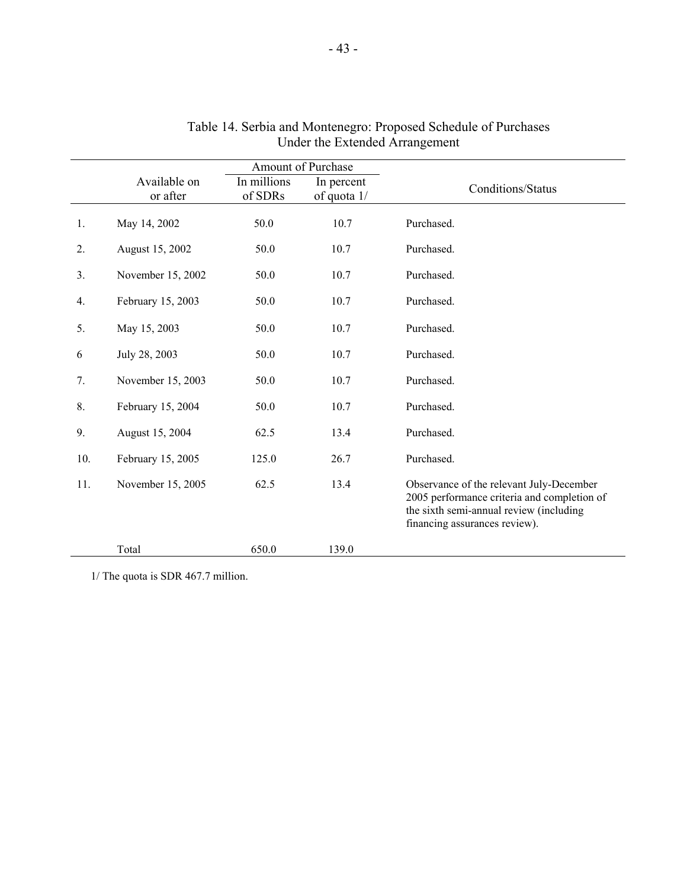|     |                          | Amount of Purchase     |                           |                                                                                                                                                                     |
|-----|--------------------------|------------------------|---------------------------|---------------------------------------------------------------------------------------------------------------------------------------------------------------------|
|     | Available on<br>or after | In millions<br>of SDRs | In percent<br>of quota 1/ | Conditions/Status                                                                                                                                                   |
| 1.  | May 14, 2002             | 50.0                   | 10.7                      | Purchased.                                                                                                                                                          |
| 2.  | August 15, 2002          | 50.0                   | 10.7                      | Purchased.                                                                                                                                                          |
| 3.  | November 15, 2002        | 50.0                   | 10.7                      | Purchased.                                                                                                                                                          |
| 4.  | February 15, 2003        | 50.0                   | 10.7                      | Purchased.                                                                                                                                                          |
| 5.  | May 15, 2003             | 50.0                   | 10.7                      | Purchased.                                                                                                                                                          |
| 6   | July 28, 2003            | 50.0                   | 10.7                      | Purchased.                                                                                                                                                          |
| 7.  | November 15, 2003        | 50.0                   | 10.7                      | Purchased.                                                                                                                                                          |
| 8.  | February 15, 2004        | 50.0                   | 10.7                      | Purchased.                                                                                                                                                          |
| 9.  | August 15, 2004          | 62.5                   | 13.4                      | Purchased.                                                                                                                                                          |
| 10. | February 15, 2005        | 125.0                  | 26.7                      | Purchased.                                                                                                                                                          |
| 11. | November 15, 2005        | 62.5                   | 13.4                      | Observance of the relevant July-December<br>2005 performance criteria and completion of<br>the sixth semi-annual review (including<br>financing assurances review). |
|     | Total                    | 650.0                  | 139.0                     |                                                                                                                                                                     |

#### Table 14. Serbia and Montenegro: Proposed Schedule of Purchases Under the Extended Arrangement

1/ The quota is SDR 467.7 million.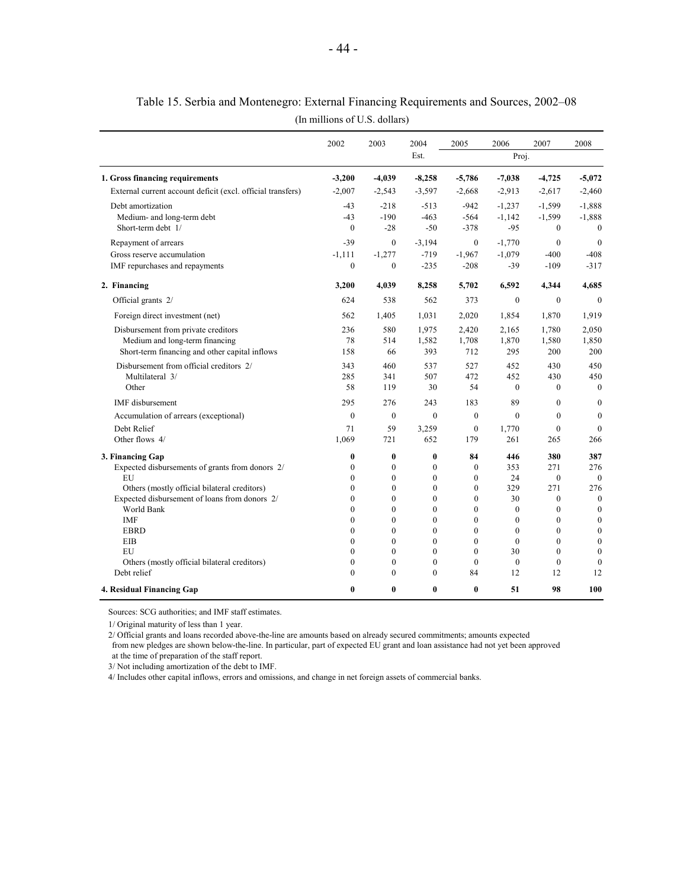|                                                             | 2002             | 2003                 | 2004                 | 2005         | 2006         | 2007         | 2008             |
|-------------------------------------------------------------|------------------|----------------------|----------------------|--------------|--------------|--------------|------------------|
|                                                             |                  |                      | Est.                 |              | Proj.        |              |                  |
| 1. Gross financing requirements                             | $-3,200$         | $-4,039$             | $-8,258$             | $-5,786$     | $-7,038$     | $-4,725$     | $-5,072$         |
| External current account deficit (excl. official transfers) | $-2,007$         | $-2,543$             | $-3,597$             | $-2,668$     | $-2,913$     | $-2,617$     | $-2,460$         |
| Debt amortization                                           | $-43$            | $-218$               | $-513$               | $-942$       | $-1,237$     | $-1,599$     | $-1,888$         |
| Medium- and long-term debt                                  | $-43$            | $-190$               | $-463$               | $-564$       | $-1,142$     | $-1,599$     | $-1,888$         |
| Short-term debt 1/                                          | $\mathbf{0}$     | $-28$                | $-50$                | $-378$       | $-95$        | $\mathbf{0}$ | $\theta$         |
| Repayment of arrears                                        | $-39$            | $\mathbf{0}$         | $-3,194$             | $\mathbf{0}$ | $-1,770$     | $\mathbf{0}$ | $\mathbf{0}$     |
| Gross reserve accumulation                                  | $-1,111$         | $-1,277$             | $-719$               | $-1,967$     | $-1,079$     | $-400$       | $-408$           |
| IMF repurchases and repayments                              | $\mathbf{0}$     | $\theta$             | $-235$               | $-208$       | $-39$        | $-109$       | $-317$           |
| 2. Financing                                                | 3,200            | 4,039                | 8,258                | 5,702        | 6,592        | 4,344        | 4.685            |
| Official grants 2/                                          | 624              | 538                  | 562                  | 373          | $\Omega$     | $\theta$     | $\theta$         |
| Foreign direct investment (net)                             | 562              | 1,405                | 1.031                | 2.020        | 1.854        | 1,870        | 1,919            |
| Disbursement from private creditors                         | 236              | 580                  | 1,975                | 2,420        | 2,165        | 1,780        | 2,050            |
| Medium and long-term financing                              | 78               | 514                  | 1,582                | 1,708        | 1,870        | 1,580        | 1,850            |
| Short-term financing and other capital inflows              | 158              | 66                   | 393                  | 712          | 295          | 200          | 200              |
| Disbursement from official creditors 2/                     | 343              | 460                  | 537                  | 527          | 452          | 430          | 450              |
| Multilateral 3/                                             | 285              | 341                  | 507                  | 472          | 452          | 430          | 450              |
| Other                                                       | 58               | 119                  | 30                   | 54           | $\theta$     | $\Omega$     | $\Omega$         |
| <b>IMF</b> disbursement                                     | 295              | 276                  | 243                  | 183          | 89           | $\theta$     | $\mathbf{0}$     |
| Accumulation of arrears (exceptional)                       | $\boldsymbol{0}$ | $\mathbf{0}$         | $\theta$             | $\mathbf{0}$ | $\theta$     | $\mathbf{0}$ | $\mathbf{0}$     |
| Debt Relief                                                 | 71               | 59                   | 3,259                | $\mathbf{0}$ | 1,770        | $\mathbf{0}$ | $\Omega$         |
| Other flows 4/                                              | 1,069            | 721                  | 652                  | 179          | 261          | 265          | 266              |
| 3. Financing Gap                                            | $\bf{0}$         | $\bf{0}$             | $\bf{0}$             | 84           | 446          | 380          | 387              |
| Expected disbursements of grants from donors 2/             | $\mathbf{0}$     | $\mathbf{0}$         | $\bf{0}$             | $\mathbf{0}$ | 353          | 271          | 276              |
| EU                                                          | $\Omega$         | $\theta$             | $\theta$             | $\theta$     | 24           | $\mathbf{0}$ | $\theta$         |
| Others (mostly official bilateral creditors)                | $\mathbf{0}$     | $\mathbf{0}$         | $\mathbf{0}$         | $\mathbf{0}$ | 329          | 271          | 276              |
| Expected disbursement of loans from donors 2/               | $\mathbf{0}$     | $\theta$             | $\mathbf{0}$         | $\mathbf{0}$ | 30           | $\mathbf{0}$ | $\mathbf{0}$     |
| World Bank                                                  | $\Omega$         | $\theta$             | $\theta$             | $\theta$     | $\theta$     | $\theta$     | $\boldsymbol{0}$ |
| IMF                                                         | $\bf{0}$         | $\mathbf{0}$         | $\theta$             | $\mathbf{0}$ | $\mathbf{0}$ | $\mathbf{0}$ | $\mathbf{0}$     |
| <b>EBRD</b>                                                 | $\theta$         | $\theta$             | $\theta$             | $\theta$     | $\mathbf{0}$ | $\mathbf{0}$ | $\mathbf{0}$     |
| EIB                                                         | $\Omega$         | $\theta$             | $\theta$             | $\theta$     | $\theta$     | $\theta$     | $\mathbf{0}$     |
| EU                                                          | $\bf{0}$         | $\mathbf{0}$         | $\theta$             | $\mathbf{0}$ | 30           | $\mathbf{0}$ | $\theta$         |
| Others (mostly official bilateral creditors)                | $\theta$         | $\theta$<br>$\Omega$ | $\theta$<br>$\theta$ | $\theta$     | $\theta$     | $\theta$     | $\theta$         |
| Debt relief                                                 | $\Omega$         |                      |                      | 84           | 12           | 12           | 12               |
| 4. Residual Financing Gap                                   | 0                | $\bf{0}$             | $\bf{0}$             | $\bf{0}$     | 51           | 98           | 100              |

Table 15. Serbia and Montenegro: External Financing Requirements and Sources, 2002–08

(In millions of U.S. dollars)

Sources: SCG authorities; and IMF staff estimates.

1/ Original maturity of less than 1 year.

2/ Official grants and loans recorded above-the-line are amounts based on already secured commitments; amounts expected

 from new pledges are shown below-the-line. In particular, part of expected EU grant and loan assistance had not yet been approved at the time of preparation of the staff report.

3/ Not including amortization of the debt to IMF.

4/ Includes other capital inflows, errors and omissions, and change in net foreign assets of commercial banks.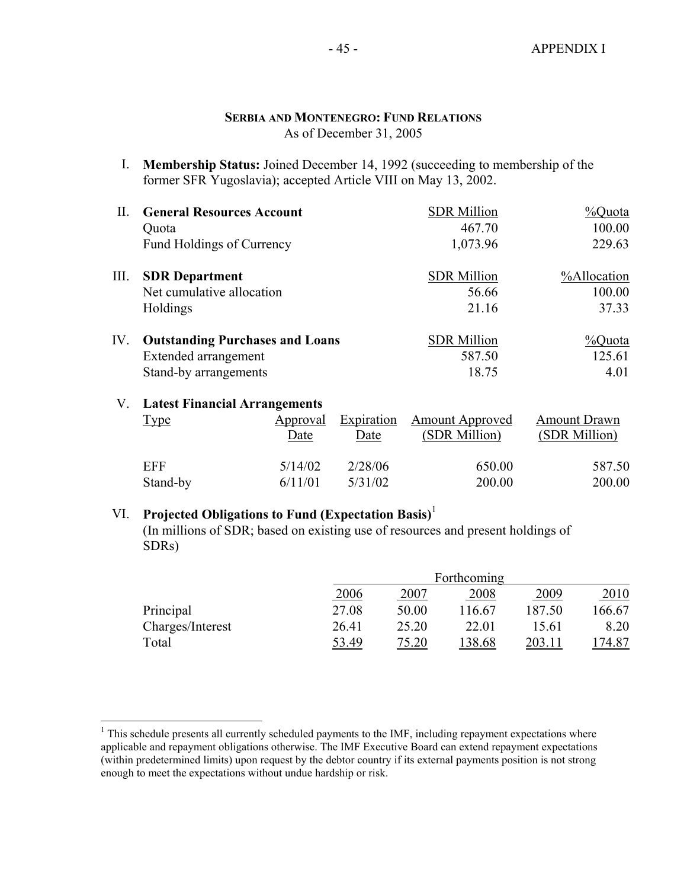#### **SERBIA AND MONTENEGRO: FUND RELATIONS** As of December 31, 2005

I. **Membership Status:** Joined December 14, 1992 (succeeding to membership of the former SFR Yugoslavia); accepted Article VIII on May 13, 2002.

| П.   | <b>General Resources Account</b>       | <b>SDR</b> Million | %Quota      |
|------|----------------------------------------|--------------------|-------------|
|      | Quota                                  | 467.70             | 100.00      |
|      | Fund Holdings of Currency              | 1,073.96           | 229.63      |
| III. | <b>SDR</b> Department                  | <b>SDR</b> Million | %Allocation |
|      | Net cumulative allocation              | 56.66              | 100.00      |
|      | Holdings                               | 21.16              | 37.33       |
| IV.  | <b>Outstanding Purchases and Loans</b> | <b>SDR</b> Million | %Quota      |
|      | Extended arrangement                   | 587.50             | 125.61      |
|      | Stand-by arrangements                  | 18.75              | 4.01        |

#### V. **Latest Financial Arrangements**

<u>.</u>

| Type     | Approval | Expiration | <b>Amount Approved</b> | <b>Amount Drawn</b> |
|----------|----------|------------|------------------------|---------------------|
|          | Date     | Date       | (SDR Million)          | (SDR Million)       |
| EFF      | 5/14/02  | 2/28/06    | 650.00                 | 587.50              |
| Stand-by | 6/11/01  | 5/31/02    | 200.00                 | 200.00              |

# VI. **Projected Obligations to Fund (Expectation Basis)**<sup>1</sup>

 (In millions of SDR; based on existing use of resources and present holdings of SDRs)

|                  | Forthcoming |       |        |        |        |  |
|------------------|-------------|-------|--------|--------|--------|--|
|                  | 2006        | 2007  | 2008   | 2009   | 2010   |  |
| Principal        | 27.08       | 50.00 | 116.67 | 187.50 | 166.67 |  |
| Charges/Interest | 26.41       | 25.20 | 22.01  | 15.61  | 8.20   |  |
| Total            | 53.49       | 75.20 | 38.68  | 203.11 | 74.87  |  |

 $<sup>1</sup>$  This schedule presents all currently scheduled payments to the IMF, including repayment expectations where</sup> applicable and repayment obligations otherwise. The IMF Executive Board can extend repayment expectations (within predetermined limits) upon request by the debtor country if its external payments position is not strong enough to meet the expectations without undue hardship or risk.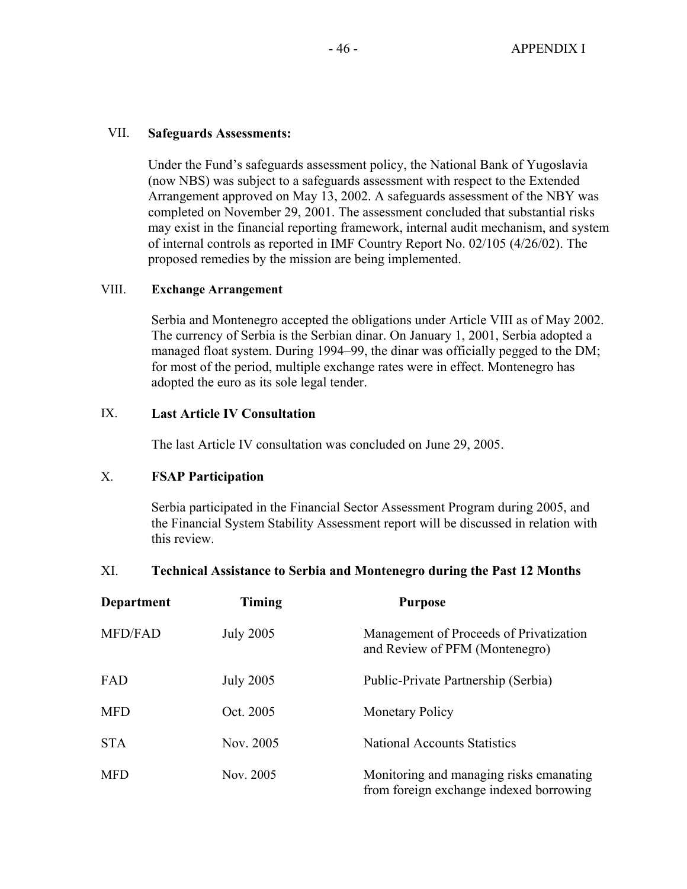#### VII. **Safeguards Assessments:**

Under the Fund's safeguards assessment policy, the National Bank of Yugoslavia (now NBS) was subject to a safeguards assessment with respect to the Extended Arrangement approved on May 13, 2002. A safeguards assessment of the NBY was completed on November 29, 2001. The assessment concluded that substantial risks may exist in the financial reporting framework, internal audit mechanism, and system of internal controls as reported in IMF Country Report No. 02/105 (4/26/02). The proposed remedies by the mission are being implemented.

#### VIII. **Exchange Arrangement**

 Serbia and Montenegro accepted the obligations under Article VIII as of May 2002. The currency of Serbia is the Serbian dinar. On January 1, 2001, Serbia adopted a managed float system. During 1994–99, the dinar was officially pegged to the DM; for most of the period, multiple exchange rates were in effect. Montenegro has adopted the euro as its sole legal tender.

#### IX. **Last Article IV Consultation**

The last Article IV consultation was concluded on June 29, 2005.

## X. **FSAP Participation**

 Serbia participated in the Financial Sector Assessment Program during 2005, and the Financial System Stability Assessment report will be discussed in relation with this review.

## XI. **Technical Assistance to Serbia and Montenegro during the Past 12 Months**

| Department     | <b>Timing</b>    | <b>Purpose</b>                                                                     |
|----------------|------------------|------------------------------------------------------------------------------------|
| <b>MFD/FAD</b> | <b>July 2005</b> | Management of Proceeds of Privatization<br>and Review of PFM (Montenegro)          |
| FAD            | <b>July 2005</b> | Public-Private Partnership (Serbia)                                                |
| <b>MFD</b>     | Oct. 2005        | <b>Monetary Policy</b>                                                             |
| <b>STA</b>     | Nov. 2005        | <b>National Accounts Statistics</b>                                                |
| <b>MFD</b>     | Nov. 2005        | Monitoring and managing risks emanating<br>from foreign exchange indexed borrowing |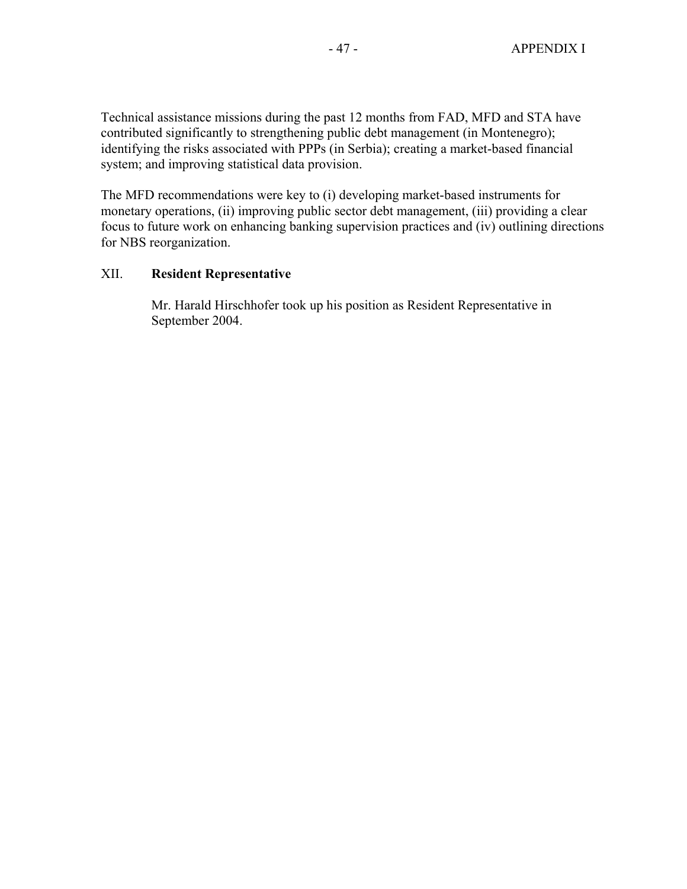Technical assistance missions during the past 12 months from FAD, MFD and STA have contributed significantly to strengthening public debt management (in Montenegro); identifying the risks associated with PPPs (in Serbia); creating a market-based financial system; and improving statistical data provision.

The MFD recommendations were key to (i) developing market-based instruments for monetary operations, (ii) improving public sector debt management, (iii) providing a clear focus to future work on enhancing banking supervision practices and (iv) outlining directions for NBS reorganization.

#### XII. **Resident Representative**

 Mr. Harald Hirschhofer took up his position as Resident Representative in September 2004.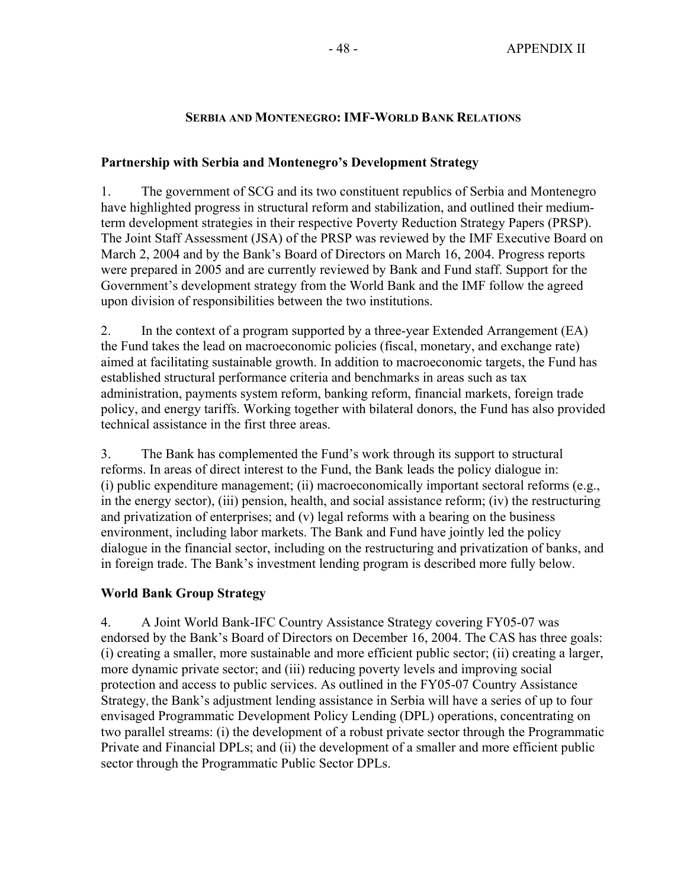#### **SERBIA AND MONTENEGRO: IMF-WORLD BANK RELATIONS**

#### **Partnership with Serbia and Montenegro's Development Strategy**

1. The government of SCG and its two constituent republics of Serbia and Montenegro have highlighted progress in structural reform and stabilization, and outlined their mediumterm development strategies in their respective Poverty Reduction Strategy Papers (PRSP). The Joint Staff Assessment (JSA) of the PRSP was reviewed by the IMF Executive Board on March 2, 2004 and by the Bank's Board of Directors on March 16, 2004. Progress reports were prepared in 2005 and are currently reviewed by Bank and Fund staff. Support for the Government's development strategy from the World Bank and the IMF follow the agreed upon division of responsibilities between the two institutions.

2. In the context of a program supported by a three-year Extended Arrangement (EA) the Fund takes the lead on macroeconomic policies (fiscal, monetary, and exchange rate) aimed at facilitating sustainable growth. In addition to macroeconomic targets, the Fund has established structural performance criteria and benchmarks in areas such as tax administration, payments system reform, banking reform, financial markets, foreign trade policy, and energy tariffs. Working together with bilateral donors, the Fund has also provided technical assistance in the first three areas.

3. The Bank has complemented the Fund's work through its support to structural reforms. In areas of direct interest to the Fund, the Bank leads the policy dialogue in: (i) public expenditure management; (ii) macroeconomically important sectoral reforms (e.g., in the energy sector), (iii) pension, health, and social assistance reform; (iv) the restructuring and privatization of enterprises; and (v) legal reforms with a bearing on the business environment, including labor markets. The Bank and Fund have jointly led the policy dialogue in the financial sector, including on the restructuring and privatization of banks, and in foreign trade. The Bank's investment lending program is described more fully below.

## **World Bank Group Strategy**

4. A Joint World Bank-IFC Country Assistance Strategy covering FY05-07 was endorsed by the Bank's Board of Directors on December 16, 2004. The CAS has three goals: (i) creating a smaller, more sustainable and more efficient public sector; (ii) creating a larger, more dynamic private sector; and (iii) reducing poverty levels and improving social protection and access to public services. As outlined in the FY05-07 Country Assistance Strategy, the Bank's adjustment lending assistance in Serbia will have a series of up to four envisaged Programmatic Development Policy Lending (DPL) operations, concentrating on two parallel streams: (i) the development of a robust private sector through the Programmatic Private and Financial DPLs; and (ii) the development of a smaller and more efficient public sector through the Programmatic Public Sector DPLs.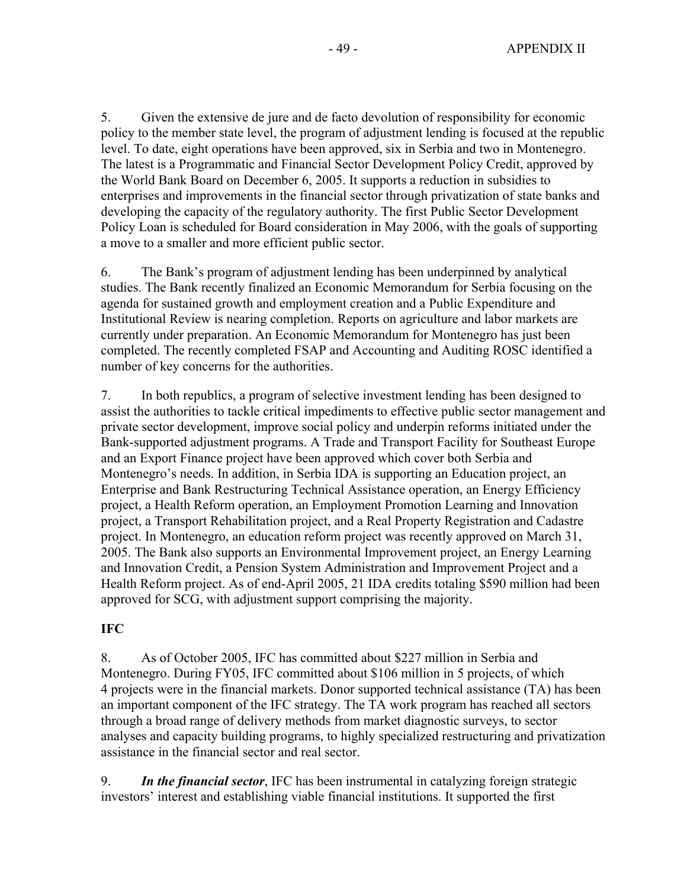5. Given the extensive de jure and de facto devolution of responsibility for economic policy to the member state level, the program of adjustment lending is focused at the republic level. To date, eight operations have been approved, six in Serbia and two in Montenegro. The latest is a Programmatic and Financial Sector Development Policy Credit, approved by the World Bank Board on December 6, 2005. It supports a reduction in subsidies to enterprises and improvements in the financial sector through privatization of state banks and developing the capacity of the regulatory authority. The first Public Sector Development Policy Loan is scheduled for Board consideration in May 2006, with the goals of supporting a move to a smaller and more efficient public sector.

6. The Bank's program of adjustment lending has been underpinned by analytical studies. The Bank recently finalized an Economic Memorandum for Serbia focusing on the agenda for sustained growth and employment creation and a Public Expenditure and Institutional Review is nearing completion. Reports on agriculture and labor markets are currently under preparation. An Economic Memorandum for Montenegro has just been completed. The recently completed FSAP and Accounting and Auditing ROSC identified a number of key concerns for the authorities.

7. In both republics, a program of selective investment lending has been designed to assist the authorities to tackle critical impediments to effective public sector management and private sector development, improve social policy and underpin reforms initiated under the Bank-supported adjustment programs. A Trade and Transport Facility for Southeast Europe and an Export Finance project have been approved which cover both Serbia and Montenegro's needs. In addition, in Serbia IDA is supporting an Education project, an Enterprise and Bank Restructuring Technical Assistance operation, an Energy Efficiency project, a Health Reform operation, an Employment Promotion Learning and Innovation project, a Transport Rehabilitation project, and a Real Property Registration and Cadastre project. In Montenegro, an education reform project was recently approved on March 31, 2005. The Bank also supports an Environmental Improvement project, an Energy Learning and Innovation Credit, a Pension System Administration and Improvement Project and a Health Reform project. As of end-April 2005, 21 IDA credits totaling \$590 million had been approved for SCG, with adjustment support comprising the majority.

## **IFC**

8. As of October 2005, IFC has committed about \$227 million in Serbia and Montenegro. During FY05, IFC committed about \$106 million in 5 projects, of which 4 projects were in the financial markets. Donor supported technical assistance (TA) has been an important component of the IFC strategy. The TA work program has reached all sectors through a broad range of delivery methods from market diagnostic surveys, to sector analyses and capacity building programs, to highly specialized restructuring and privatization assistance in the financial sector and real sector.

9. *In the financial sector*, IFC has been instrumental in catalyzing foreign strategic investors' interest and establishing viable financial institutions. It supported the first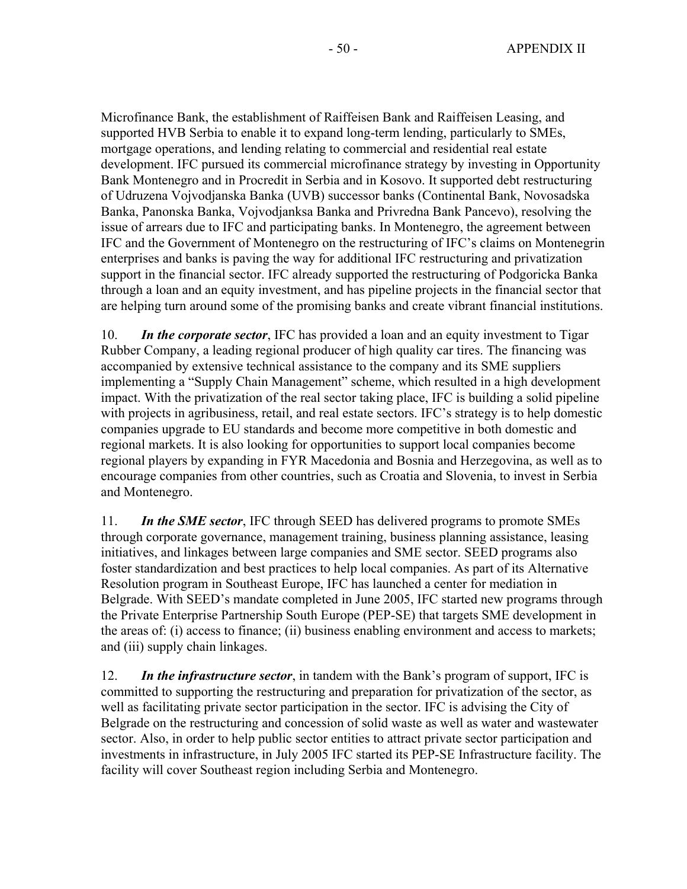Microfinance Bank, the establishment of Raiffeisen Bank and Raiffeisen Leasing, and supported HVB Serbia to enable it to expand long-term lending, particularly to SMEs, mortgage operations, and lending relating to commercial and residential real estate development. IFC pursued its commercial microfinance strategy by investing in Opportunity Bank Montenegro and in Procredit in Serbia and in Kosovo. It supported debt restructuring of Udruzena Vojvodjanska Banka (UVB) successor banks (Continental Bank, Novosadska Banka, Panonska Banka, Vojvodjanksa Banka and Privredna Bank Pancevo), resolving the issue of arrears due to IFC and participating banks. In Montenegro, the agreement between IFC and the Government of Montenegro on the restructuring of IFC's claims on Montenegrin enterprises and banks is paving the way for additional IFC restructuring and privatization support in the financial sector. IFC already supported the restructuring of Podgoricka Banka through a loan and an equity investment, and has pipeline projects in the financial sector that are helping turn around some of the promising banks and create vibrant financial institutions.

10. *In the corporate sector*, IFC has provided a loan and an equity investment to Tigar Rubber Company, a leading regional producer of high quality car tires. The financing was accompanied by extensive technical assistance to the company and its SME suppliers implementing a "Supply Chain Management" scheme, which resulted in a high development impact. With the privatization of the real sector taking place, IFC is building a solid pipeline with projects in agribusiness, retail, and real estate sectors. IFC's strategy is to help domestic companies upgrade to EU standards and become more competitive in both domestic and regional markets. It is also looking for opportunities to support local companies become regional players by expanding in FYR Macedonia and Bosnia and Herzegovina, as well as to encourage companies from other countries, such as Croatia and Slovenia, to invest in Serbia and Montenegro.

11. *In the SME sector*, IFC through SEED has delivered programs to promote SMEs through corporate governance, management training, business planning assistance, leasing initiatives, and linkages between large companies and SME sector. SEED programs also foster standardization and best practices to help local companies. As part of its Alternative Resolution program in Southeast Europe, IFC has launched a center for mediation in Belgrade. With SEED's mandate completed in June 2005, IFC started new programs through the Private Enterprise Partnership South Europe (PEP-SE) that targets SME development in the areas of: (i) access to finance; (ii) business enabling environment and access to markets; and (iii) supply chain linkages.

12. *In the infrastructure sector*, in tandem with the Bank's program of support, IFC is committed to supporting the restructuring and preparation for privatization of the sector, as well as facilitating private sector participation in the sector. IFC is advising the City of Belgrade on the restructuring and concession of solid waste as well as water and wastewater sector. Also, in order to help public sector entities to attract private sector participation and investments in infrastructure, in July 2005 IFC started its PEP-SE Infrastructure facility. The facility will cover Southeast region including Serbia and Montenegro.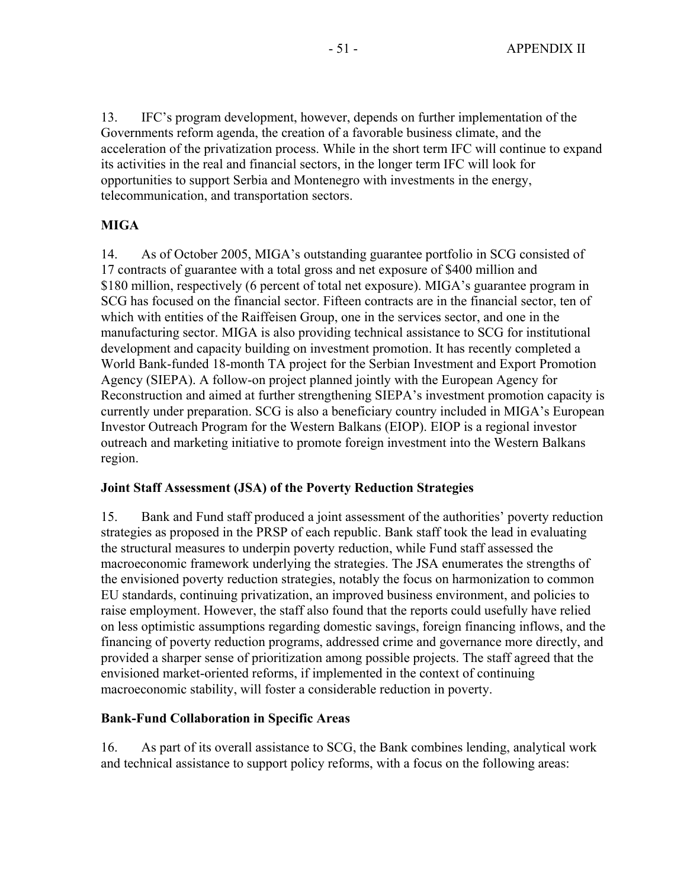13. IFC's program development, however, depends on further implementation of the Governments reform agenda, the creation of a favorable business climate, and the acceleration of the privatization process. While in the short term IFC will continue to expand its activities in the real and financial sectors, in the longer term IFC will look for opportunities to support Serbia and Montenegro with investments in the energy, telecommunication, and transportation sectors.

# **MIGA**

14. As of October 2005, MIGA's outstanding guarantee portfolio in SCG consisted of 17 contracts of guarantee with a total gross and net exposure of \$400 million and \$180 million, respectively (6 percent of total net exposure). MIGA's guarantee program in SCG has focused on the financial sector. Fifteen contracts are in the financial sector, ten of which with entities of the Raiffeisen Group, one in the services sector, and one in the manufacturing sector. MIGA is also providing technical assistance to SCG for institutional development and capacity building on investment promotion. It has recently completed a World Bank-funded 18-month TA project for the Serbian Investment and Export Promotion Agency (SIEPA). A follow-on project planned jointly with the European Agency for Reconstruction and aimed at further strengthening SIEPA's investment promotion capacity is currently under preparation. SCG is also a beneficiary country included in MIGA's European Investor Outreach Program for the Western Balkans (EIOP). EIOP is a regional investor outreach and marketing initiative to promote foreign investment into the Western Balkans region.

## **Joint Staff Assessment (JSA) of the Poverty Reduction Strategies**

15. Bank and Fund staff produced a joint assessment of the authorities' poverty reduction strategies as proposed in the PRSP of each republic. Bank staff took the lead in evaluating the structural measures to underpin poverty reduction, while Fund staff assessed the macroeconomic framework underlying the strategies. The JSA enumerates the strengths of the envisioned poverty reduction strategies, notably the focus on harmonization to common EU standards, continuing privatization, an improved business environment, and policies to raise employment. However, the staff also found that the reports could usefully have relied on less optimistic assumptions regarding domestic savings, foreign financing inflows, and the financing of poverty reduction programs, addressed crime and governance more directly, and provided a sharper sense of prioritization among possible projects. The staff agreed that the envisioned market-oriented reforms, if implemented in the context of continuing macroeconomic stability, will foster a considerable reduction in poverty.

## **Bank-Fund Collaboration in Specific Areas**

16. As part of its overall assistance to SCG, the Bank combines lending, analytical work and technical assistance to support policy reforms, with a focus on the following areas: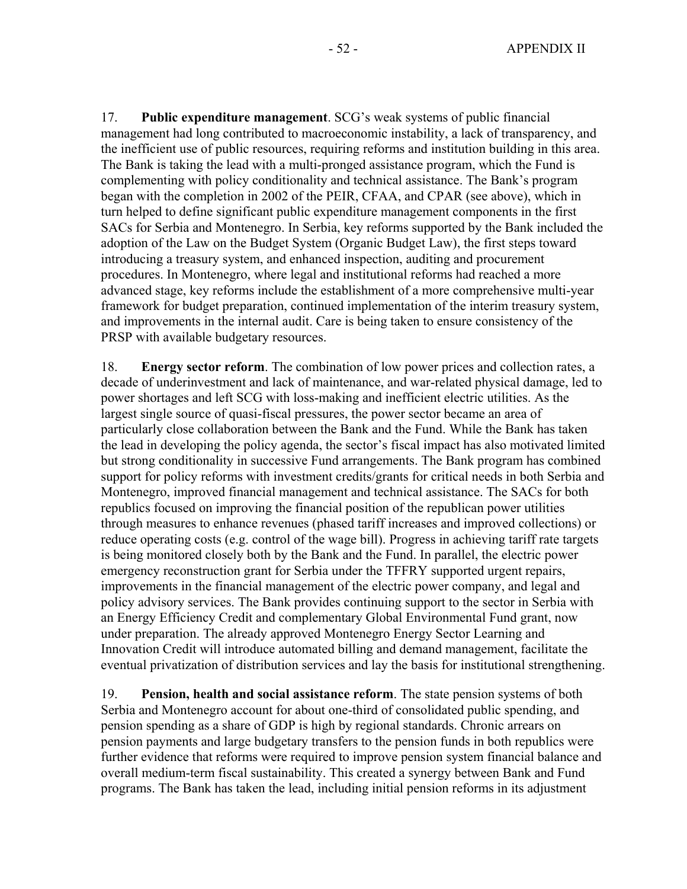17. **Public expenditure management**. SCG's weak systems of public financial management had long contributed to macroeconomic instability, a lack of transparency, and the inefficient use of public resources, requiring reforms and institution building in this area. The Bank is taking the lead with a multi-pronged assistance program, which the Fund is complementing with policy conditionality and technical assistance. The Bank's program began with the completion in 2002 of the PEIR, CFAA, and CPAR (see above), which in turn helped to define significant public expenditure management components in the first SACs for Serbia and Montenegro. In Serbia, key reforms supported by the Bank included the adoption of the Law on the Budget System (Organic Budget Law), the first steps toward introducing a treasury system, and enhanced inspection, auditing and procurement procedures. In Montenegro, where legal and institutional reforms had reached a more advanced stage, key reforms include the establishment of a more comprehensive multi-year framework for budget preparation, continued implementation of the interim treasury system, and improvements in the internal audit. Care is being taken to ensure consistency of the PRSP with available budgetary resources.

18. **Energy sector reform**. The combination of low power prices and collection rates, a decade of underinvestment and lack of maintenance, and war-related physical damage, led to power shortages and left SCG with loss-making and inefficient electric utilities. As the largest single source of quasi-fiscal pressures, the power sector became an area of particularly close collaboration between the Bank and the Fund. While the Bank has taken the lead in developing the policy agenda, the sector's fiscal impact has also motivated limited but strong conditionality in successive Fund arrangements. The Bank program has combined support for policy reforms with investment credits/grants for critical needs in both Serbia and Montenegro, improved financial management and technical assistance. The SACs for both republics focused on improving the financial position of the republican power utilities through measures to enhance revenues (phased tariff increases and improved collections) or reduce operating costs (e.g. control of the wage bill). Progress in achieving tariff rate targets is being monitored closely both by the Bank and the Fund. In parallel, the electric power emergency reconstruction grant for Serbia under the TFFRY supported urgent repairs, improvements in the financial management of the electric power company, and legal and policy advisory services. The Bank provides continuing support to the sector in Serbia with an Energy Efficiency Credit and complementary Global Environmental Fund grant, now under preparation. The already approved Montenegro Energy Sector Learning and Innovation Credit will introduce automated billing and demand management, facilitate the eventual privatization of distribution services and lay the basis for institutional strengthening.

19. **Pension, health and social assistance reform**. The state pension systems of both Serbia and Montenegro account for about one-third of consolidated public spending, and pension spending as a share of GDP is high by regional standards. Chronic arrears on pension payments and large budgetary transfers to the pension funds in both republics were further evidence that reforms were required to improve pension system financial balance and overall medium-term fiscal sustainability. This created a synergy between Bank and Fund programs. The Bank has taken the lead, including initial pension reforms in its adjustment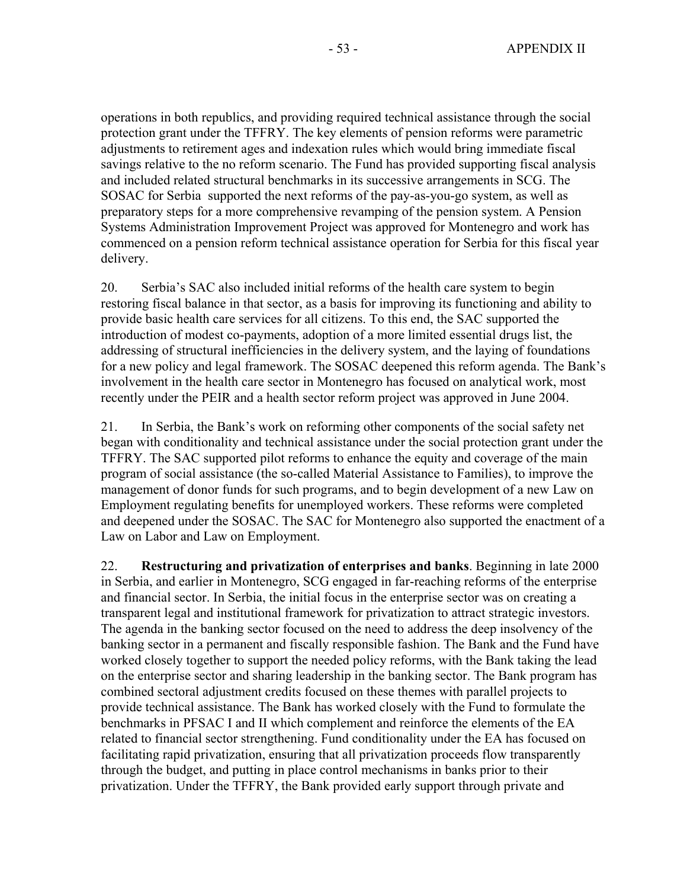operations in both republics, and providing required technical assistance through the social protection grant under the TFFRY. The key elements of pension reforms were parametric adjustments to retirement ages and indexation rules which would bring immediate fiscal savings relative to the no reform scenario. The Fund has provided supporting fiscal analysis and included related structural benchmarks in its successive arrangements in SCG. The SOSAC for Serbia supported the next reforms of the pay-as-you-go system, as well as preparatory steps for a more comprehensive revamping of the pension system. A Pension Systems Administration Improvement Project was approved for Montenegro and work has commenced on a pension reform technical assistance operation for Serbia for this fiscal year delivery.

20. Serbia's SAC also included initial reforms of the health care system to begin restoring fiscal balance in that sector, as a basis for improving its functioning and ability to provide basic health care services for all citizens. To this end, the SAC supported the introduction of modest co-payments, adoption of a more limited essential drugs list, the addressing of structural inefficiencies in the delivery system, and the laying of foundations for a new policy and legal framework. The SOSAC deepened this reform agenda. The Bank's involvement in the health care sector in Montenegro has focused on analytical work, most recently under the PEIR and a health sector reform project was approved in June 2004.

21. In Serbia, the Bank's work on reforming other components of the social safety net began with conditionality and technical assistance under the social protection grant under the TFFRY. The SAC supported pilot reforms to enhance the equity and coverage of the main program of social assistance (the so-called Material Assistance to Families), to improve the management of donor funds for such programs, and to begin development of a new Law on Employment regulating benefits for unemployed workers. These reforms were completed and deepened under the SOSAC. The SAC for Montenegro also supported the enactment of a Law on Labor and Law on Employment.

22. **Restructuring and privatization of enterprises and banks**. Beginning in late 2000 in Serbia, and earlier in Montenegro, SCG engaged in far-reaching reforms of the enterprise and financial sector. In Serbia, the initial focus in the enterprise sector was on creating a transparent legal and institutional framework for privatization to attract strategic investors. The agenda in the banking sector focused on the need to address the deep insolvency of the banking sector in a permanent and fiscally responsible fashion. The Bank and the Fund have worked closely together to support the needed policy reforms, with the Bank taking the lead on the enterprise sector and sharing leadership in the banking sector. The Bank program has combined sectoral adjustment credits focused on these themes with parallel projects to provide technical assistance. The Bank has worked closely with the Fund to formulate the benchmarks in PFSAC I and II which complement and reinforce the elements of the EA related to financial sector strengthening. Fund conditionality under the EA has focused on facilitating rapid privatization, ensuring that all privatization proceeds flow transparently through the budget, and putting in place control mechanisms in banks prior to their privatization. Under the TFFRY, the Bank provided early support through private and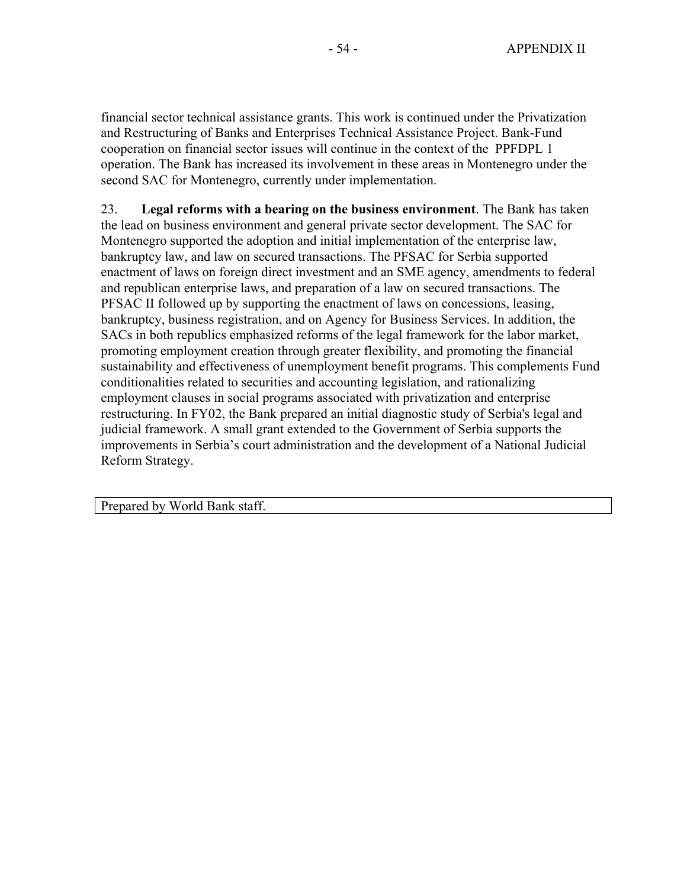financial sector technical assistance grants. This work is continued under the Privatization and Restructuring of Banks and Enterprises Technical Assistance Project. Bank-Fund cooperation on financial sector issues will continue in the context of the PPFDPL 1 operation. The Bank has increased its involvement in these areas in Montenegro under the second SAC for Montenegro, currently under implementation.

23. **Legal reforms with a bearing on the business environment**. The Bank has taken the lead on business environment and general private sector development. The SAC for Montenegro supported the adoption and initial implementation of the enterprise law, bankruptcy law, and law on secured transactions. The PFSAC for Serbia supported enactment of laws on foreign direct investment and an SME agency, amendments to federal and republican enterprise laws, and preparation of a law on secured transactions. The PFSAC II followed up by supporting the enactment of laws on concessions, leasing, bankruptcy, business registration, and on Agency for Business Services. In addition, the SACs in both republics emphasized reforms of the legal framework for the labor market, promoting employment creation through greater flexibility, and promoting the financial sustainability and effectiveness of unemployment benefit programs. This complements Fund conditionalities related to securities and accounting legislation, and rationalizing employment clauses in social programs associated with privatization and enterprise restructuring. In FY02, the Bank prepared an initial diagnostic study of Serbia's legal and judicial framework. A small grant extended to the Government of Serbia supports the improvements in Serbia's court administration and the development of a National Judicial Reform Strategy.

Prepared by World Bank staff.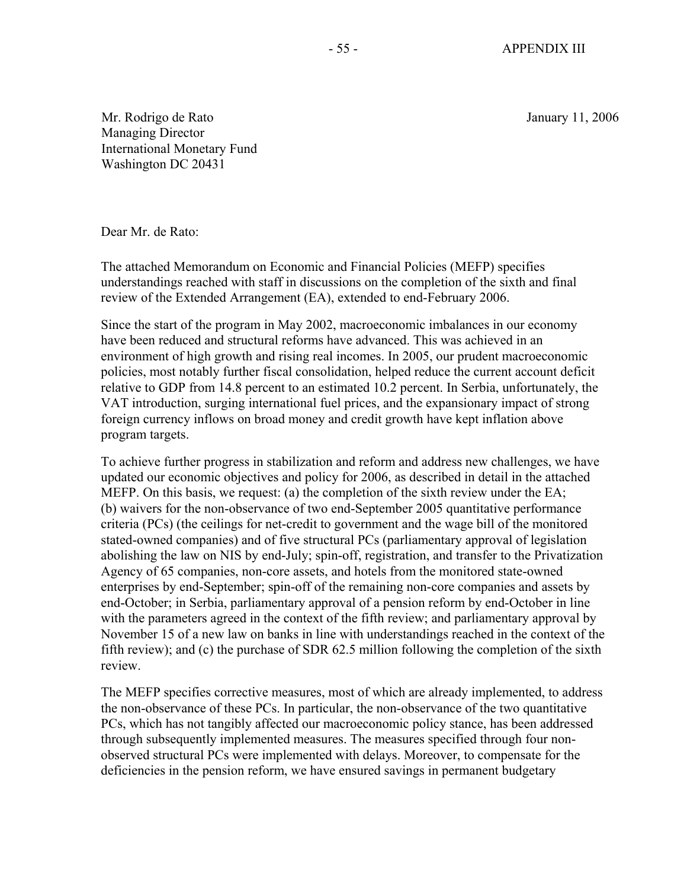Mr. Rodrigo de Rato January 11, 2006 Managing Director International Monetary Fund Washington DC 20431

Dear Mr. de Rato:

The attached Memorandum on Economic and Financial Policies (MEFP) specifies understandings reached with staff in discussions on the completion of the sixth and final review of the Extended Arrangement (EA), extended to end-February 2006.

Since the start of the program in May 2002, macroeconomic imbalances in our economy have been reduced and structural reforms have advanced. This was achieved in an environment of high growth and rising real incomes. In 2005, our prudent macroeconomic policies, most notably further fiscal consolidation, helped reduce the current account deficit relative to GDP from 14.8 percent to an estimated 10.2 percent. In Serbia, unfortunately, the VAT introduction, surging international fuel prices, and the expansionary impact of strong foreign currency inflows on broad money and credit growth have kept inflation above program targets.

To achieve further progress in stabilization and reform and address new challenges, we have updated our economic objectives and policy for 2006, as described in detail in the attached MEFP. On this basis, we request: (a) the completion of the sixth review under the EA; (b) waivers for the non-observance of two end-September 2005 quantitative performance criteria (PCs) (the ceilings for net-credit to government and the wage bill of the monitored stated-owned companies) and of five structural PCs (parliamentary approval of legislation abolishing the law on NIS by end-July; spin-off, registration, and transfer to the Privatization Agency of 65 companies, non-core assets, and hotels from the monitored state-owned enterprises by end-September; spin-off of the remaining non-core companies and assets by end-October; in Serbia, parliamentary approval of a pension reform by end-October in line with the parameters agreed in the context of the fifth review; and parliamentary approval by November 15 of a new law on banks in line with understandings reached in the context of the fifth review); and (c) the purchase of SDR 62.5 million following the completion of the sixth review.

The MEFP specifies corrective measures, most of which are already implemented, to address the non-observance of these PCs. In particular, the non-observance of the two quantitative PCs, which has not tangibly affected our macroeconomic policy stance, has been addressed through subsequently implemented measures. The measures specified through four nonobserved structural PCs were implemented with delays. Moreover, to compensate for the deficiencies in the pension reform, we have ensured savings in permanent budgetary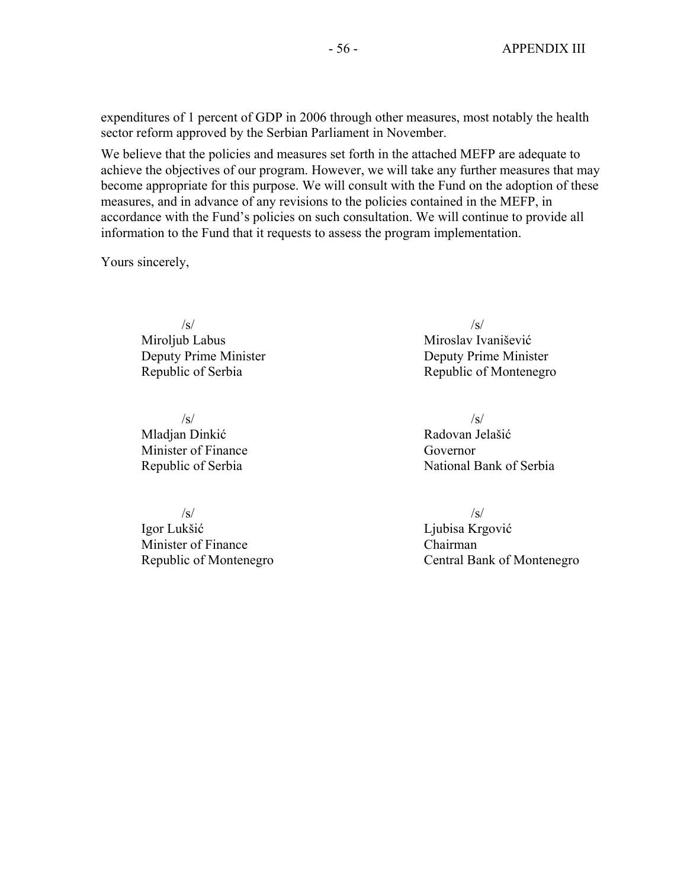expenditures of 1 percent of GDP in 2006 through other measures, most notably the health sector reform approved by the Serbian Parliament in November.

We believe that the policies and measures set forth in the attached MEFP are adequate to achieve the objectives of our program. However, we will take any further measures that may become appropriate for this purpose. We will consult with the Fund on the adoption of these measures, and in advance of any revisions to the policies contained in the MEFP, in accordance with the Fund's policies on such consultation. We will continue to provide all information to the Fund that it requests to assess the program implementation.

Yours sincerely,

Miroljub Labus Miroslav Ivanišević

 $\sqrt{s}/\sqrt{s}$ Mladian Dinkić **Radovan Jelašić** Radovan Jelašić Minister of Finance Governor

 $\sqrt{s}$ / $\sqrt{s}$ / $\sqrt{s}$ / $\sqrt{s}$ / $\sqrt{s}$ / $\sqrt{s}$ / $\sqrt{s}$ / $\sqrt{s}$ / $\sqrt{s}$ / $\sqrt{s}$ / $\sqrt{s}$ / $\sqrt{s}$ / $\sqrt{s}$ / $\sqrt{s}$ / $\sqrt{s}$ / $\sqrt{s}$ / $\sqrt{s}$ / $\sqrt{s}$ / $\sqrt{s}$ / $\sqrt{s}$ / $\sqrt{s}$ / $\sqrt{s}$ / $\sqrt{s}$ / $\sqrt{s}$ / $\sqrt{s}$ / $\sqrt{s}$ / $\sqrt{s}$ / $\sqrt{s}$ / $\sqrt{s}$ / $\sqrt{s}$ / $\sqrt{s}$ / $\sqrt{s$ Igor Lukšić Liubisa Krgović Minister of Finance Chairman

/s/ /s/ Deputy Prime Minister Deputy Prime Minister Republic of Serbia Republic of Montenegro

Republic of Serbia National Bank of Serbia

Republic of Montenegro **Central Bank of Montenegro**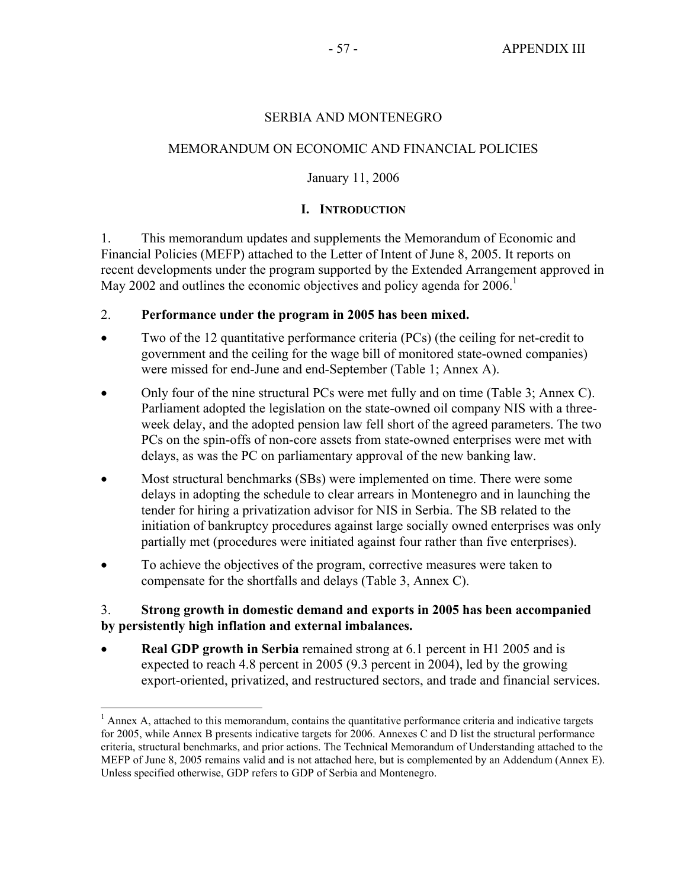#### SERBIA AND MONTENEGRO

## MEMORANDUM ON ECONOMIC AND FINANCIAL POLICIES

#### January 11, 2006

#### **I. INTRODUCTION**

1. This memorandum updates and supplements the Memorandum of Economic and Financial Policies (MEFP) attached to the Letter of Intent of June 8, 2005. It reports on recent developments under the program supported by the Extended Arrangement approved in May 2002 and outlines the economic objectives and policy agenda for  $2006<sup>1</sup>$ 

#### 2. **Performance under the program in 2005 has been mixed.**

- Two of the 12 quantitative performance criteria (PCs) (the ceiling for net-credit to government and the ceiling for the wage bill of monitored state-owned companies) were missed for end-June and end-September (Table 1; Annex A).
- Only four of the nine structural PCs were met fully and on time (Table 3; Annex C). Parliament adopted the legislation on the state-owned oil company NIS with a threeweek delay, and the adopted pension law fell short of the agreed parameters. The two PCs on the spin-offs of non-core assets from state-owned enterprises were met with delays, as was the PC on parliamentary approval of the new banking law.
- Most structural benchmarks (SBs) were implemented on time. There were some delays in adopting the schedule to clear arrears in Montenegro and in launching the tender for hiring a privatization advisor for NIS in Serbia. The SB related to the initiation of bankruptcy procedures against large socially owned enterprises was only partially met (procedures were initiated against four rather than five enterprises).
- To achieve the objectives of the program, corrective measures were taken to compensate for the shortfalls and delays (Table 3, Annex C).

1

## 3. **Strong growth in domestic demand and exports in 2005 has been accompanied by persistently high inflation and external imbalances.**

• **Real GDP growth in Serbia** remained strong at 6.1 percent in H1 2005 and is expected to reach 4.8 percent in 2005 (9.3 percent in 2004), led by the growing export-oriented, privatized, and restructured sectors, and trade and financial services.

<sup>&</sup>lt;sup>1</sup> Annex A, attached to this memorandum, contains the quantitative performance criteria and indicative targets for 2005, while Annex B presents indicative targets for 2006. Annexes C and D list the structural performance criteria, structural benchmarks, and prior actions. The Technical Memorandum of Understanding attached to the MEFP of June 8, 2005 remains valid and is not attached here, but is complemented by an Addendum (Annex E). Unless specified otherwise, GDP refers to GDP of Serbia and Montenegro.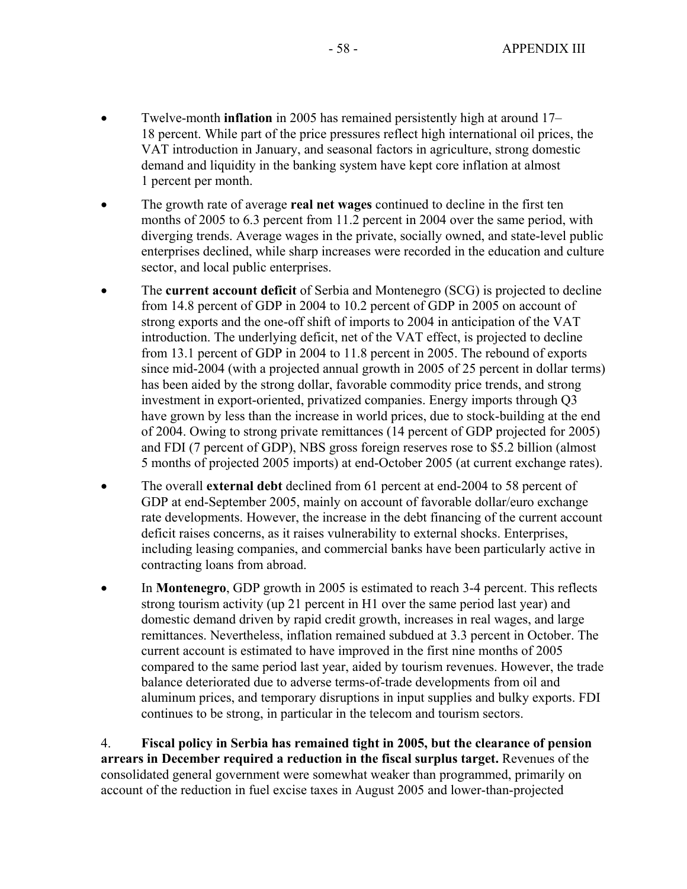- Twelve-month **inflation** in 2005 has remained persistently high at around 17– 18 percent. While part of the price pressures reflect high international oil prices, the VAT introduction in January, and seasonal factors in agriculture, strong domestic demand and liquidity in the banking system have kept core inflation at almost 1 percent per month.
- The growth rate of average **real net wages** continued to decline in the first ten months of 2005 to 6.3 percent from 11.2 percent in 2004 over the same period, with diverging trends. Average wages in the private, socially owned, and state-level public enterprises declined, while sharp increases were recorded in the education and culture sector, and local public enterprises.
- The **current account deficit** of Serbia and Montenegro (SCG) is projected to decline from 14.8 percent of GDP in 2004 to 10.2 percent of GDP in 2005 on account of strong exports and the one-off shift of imports to 2004 in anticipation of the VAT introduction. The underlying deficit, net of the VAT effect, is projected to decline from 13.1 percent of GDP in 2004 to 11.8 percent in 2005. The rebound of exports since mid-2004 (with a projected annual growth in 2005 of 25 percent in dollar terms) has been aided by the strong dollar, favorable commodity price trends, and strong investment in export-oriented, privatized companies. Energy imports through Q3 have grown by less than the increase in world prices, due to stock-building at the end of 2004. Owing to strong private remittances (14 percent of GDP projected for 2005) and FDI (7 percent of GDP), NBS gross foreign reserves rose to \$5.2 billion (almost 5 months of projected 2005 imports) at end-October 2005 (at current exchange rates).
- The overall **external debt** declined from 61 percent at end-2004 to 58 percent of GDP at end-September 2005, mainly on account of favorable dollar/euro exchange rate developments. However, the increase in the debt financing of the current account deficit raises concerns, as it raises vulnerability to external shocks. Enterprises, including leasing companies, and commercial banks have been particularly active in contracting loans from abroad.
- In **Montenegro**, GDP growth in 2005 is estimated to reach 3-4 percent. This reflects strong tourism activity (up 21 percent in H1 over the same period last year) and domestic demand driven by rapid credit growth, increases in real wages, and large remittances. Nevertheless, inflation remained subdued at 3.3 percent in October. The current account is estimated to have improved in the first nine months of 2005 compared to the same period last year, aided by tourism revenues. However, the trade balance deteriorated due to adverse terms-of-trade developments from oil and aluminum prices, and temporary disruptions in input supplies and bulky exports. FDI continues to be strong, in particular in the telecom and tourism sectors.

4. **Fiscal policy in Serbia has remained tight in 2005, but the clearance of pension arrears in December required a reduction in the fiscal surplus target.** Revenues of the consolidated general government were somewhat weaker than programmed, primarily on account of the reduction in fuel excise taxes in August 2005 and lower-than-projected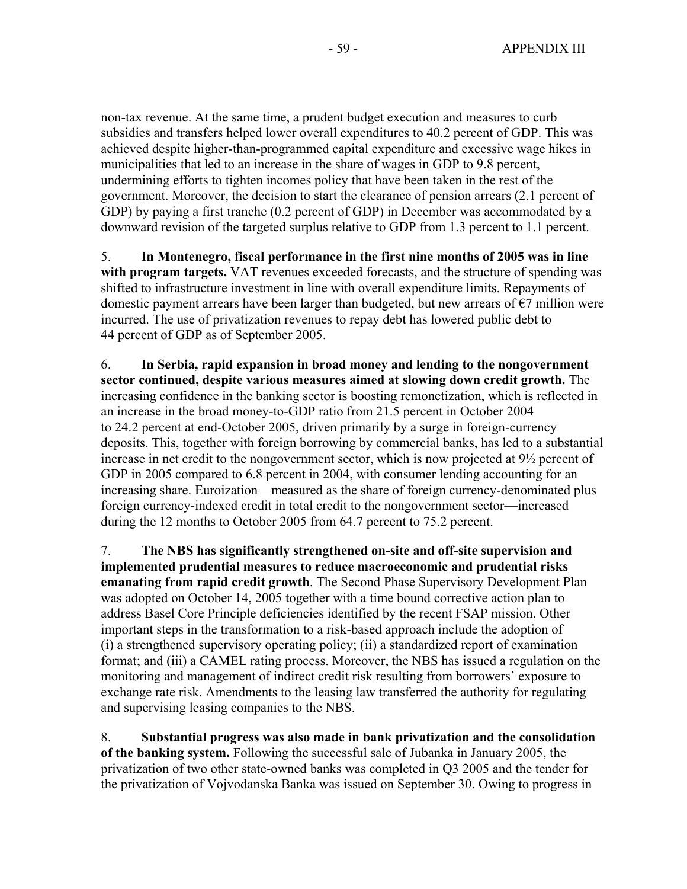non-tax revenue. At the same time, a prudent budget execution and measures to curb subsidies and transfers helped lower overall expenditures to 40.2 percent of GDP. This was achieved despite higher-than-programmed capital expenditure and excessive wage hikes in municipalities that led to an increase in the share of wages in GDP to 9.8 percent, undermining efforts to tighten incomes policy that have been taken in the rest of the government. Moreover, the decision to start the clearance of pension arrears (2.1 percent of GDP) by paying a first tranche (0.2 percent of GDP) in December was accommodated by a downward revision of the targeted surplus relative to GDP from 1.3 percent to 1.1 percent.

5. **In Montenegro, fiscal performance in the first nine months of 2005 was in line with program targets.** VAT revenues exceeded forecasts, and the structure of spending was shifted to infrastructure investment in line with overall expenditure limits. Repayments of domestic payment arrears have been larger than budgeted, but new arrears of  $\epsilon$ 7 million were incurred. The use of privatization revenues to repay debt has lowered public debt to 44 percent of GDP as of September 2005.

6. **In Serbia, rapid expansion in broad money and lending to the nongovernment sector continued, despite various measures aimed at slowing down credit growth.** The increasing confidence in the banking sector is boosting remonetization, which is reflected in an increase in the broad money-to-GDP ratio from 21.5 percent in October 2004 to 24.2 percent at end-October 2005, driven primarily by a surge in foreign-currency deposits. This, together with foreign borrowing by commercial banks, has led to a substantial increase in net credit to the nongovernment sector, which is now projected at 9½ percent of GDP in 2005 compared to 6.8 percent in 2004, with consumer lending accounting for an increasing share. Euroization—measured as the share of foreign currency-denominated plus foreign currency-indexed credit in total credit to the nongovernment sector—increased during the 12 months to October 2005 from 64.7 percent to 75.2 percent.

7. **The NBS has significantly strengthened on-site and off-site supervision and implemented prudential measures to reduce macroeconomic and prudential risks emanating from rapid credit growth**. The Second Phase Supervisory Development Plan was adopted on October 14, 2005 together with a time bound corrective action plan to address Basel Core Principle deficiencies identified by the recent FSAP mission. Other important steps in the transformation to a risk-based approach include the adoption of (i) a strengthened supervisory operating policy; (ii) a standardized report of examination format; and (iii) a CAMEL rating process. Moreover, the NBS has issued a regulation on the monitoring and management of indirect credit risk resulting from borrowers' exposure to exchange rate risk. Amendments to the leasing law transferred the authority for regulating and supervising leasing companies to the NBS.

8. **Substantial progress was also made in bank privatization and the consolidation of the banking system.** Following the successful sale of Jubanka in January 2005, the privatization of two other state-owned banks was completed in Q3 2005 and the tender for the privatization of Vojvodanska Banka was issued on September 30. Owing to progress in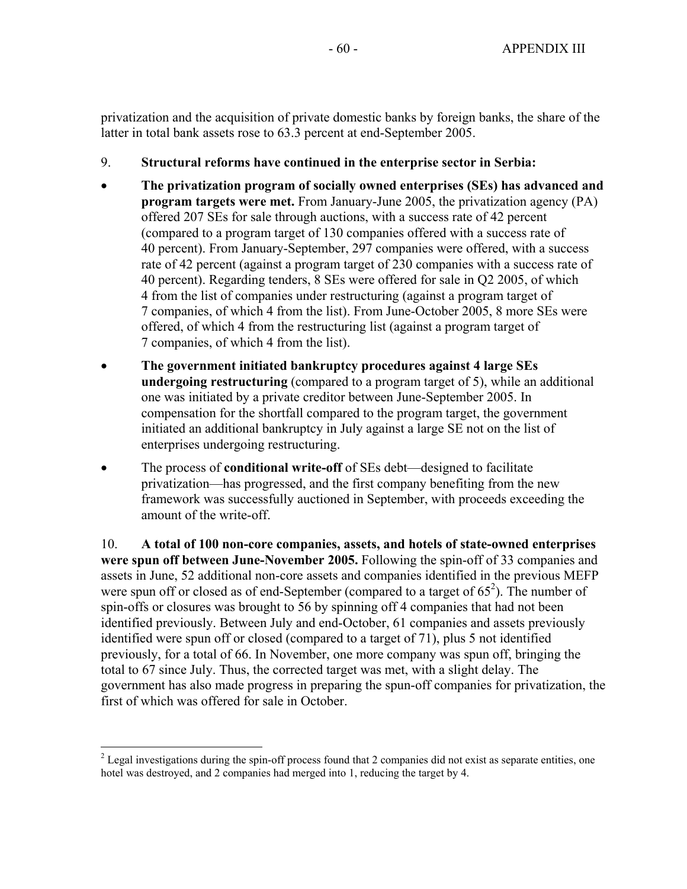privatization and the acquisition of private domestic banks by foreign banks, the share of the latter in total bank assets rose to 63.3 percent at end-September 2005.

- 9. **Structural reforms have continued in the enterprise sector in Serbia:**
- **The privatization program of socially owned enterprises (SEs) has advanced and program targets were met.** From January-June 2005, the privatization agency (PA) offered 207 SEs for sale through auctions, with a success rate of 42 percent (compared to a program target of 130 companies offered with a success rate of 40 percent). From January-September, 297 companies were offered, with a success rate of 42 percent (against a program target of 230 companies with a success rate of 40 percent). Regarding tenders, 8 SEs were offered for sale in Q2 2005, of which 4 from the list of companies under restructuring (against a program target of 7 companies, of which 4 from the list). From June-October 2005, 8 more SEs were offered, of which 4 from the restructuring list (against a program target of 7 companies, of which 4 from the list).
- **The government initiated bankruptcy procedures against 4 large SEs undergoing restructuring** (compared to a program target of 5), while an additional one was initiated by a private creditor between June-September 2005. In compensation for the shortfall compared to the program target, the government initiated an additional bankruptcy in July against a large SE not on the list of enterprises undergoing restructuring.
- The process of **conditional write-off** of SEs debt—designed to facilitate privatization—has progressed, and the first company benefiting from the new framework was successfully auctioned in September, with proceeds exceeding the amount of the write-off.

10. **A total of 100 non-core companies, assets, and hotels of state-owned enterprises were spun off between June-November 2005.** Following the spin-off of 33 companies and assets in June, 52 additional non-core assets and companies identified in the previous MEFP were spun off or closed as of end-September (compared to a target of  $65^2$ ). The number of spin-offs or closures was brought to 56 by spinning off 4 companies that had not been identified previously. Between July and end-October, 61 companies and assets previously identified were spun off or closed (compared to a target of 71), plus 5 not identified previously, for a total of 66. In November, one more company was spun off, bringing the total to 67 since July. Thus, the corrected target was met, with a slight delay. The government has also made progress in preparing the spun-off companies for privatization, the first of which was offered for sale in October.

 $\overline{a}$ 

 $2^{2}$  Legal investigations during the spin-off process found that 2 companies did not exist as separate entities, one hotel was destroyed, and 2 companies had merged into 1, reducing the target by 4.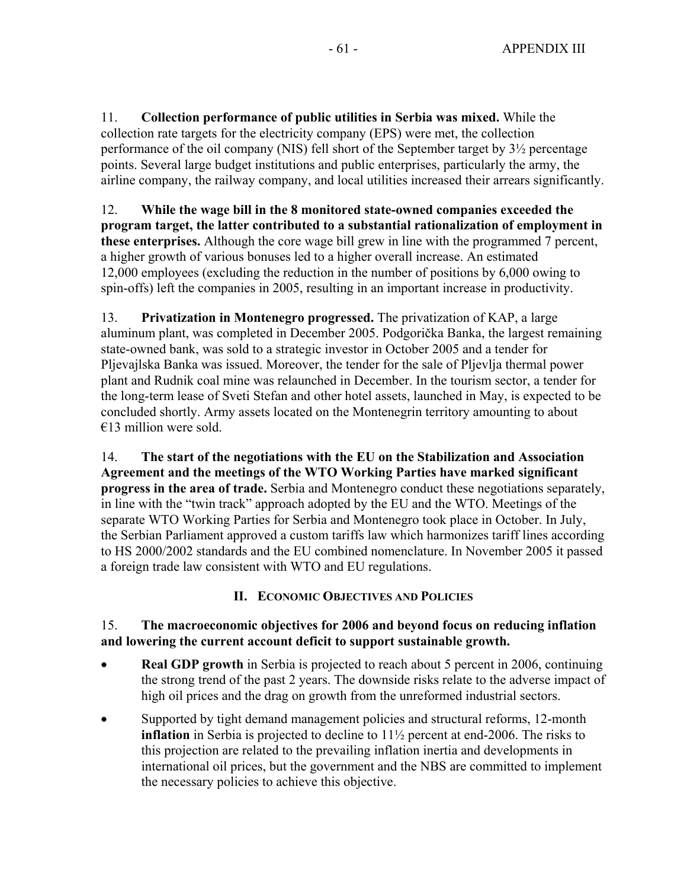11. **Collection performance of public utilities in Serbia was mixed.** While the collection rate targets for the electricity company (EPS) were met, the collection performance of the oil company (NIS) fell short of the September target by 3½ percentage points. Several large budget institutions and public enterprises, particularly the army, the airline company, the railway company, and local utilities increased their arrears significantly.

12. **While the wage bill in the 8 monitored state-owned companies exceeded the program target, the latter contributed to a substantial rationalization of employment in these enterprises.** Although the core wage bill grew in line with the programmed 7 percent, a higher growth of various bonuses led to a higher overall increase. An estimated 12,000 employees (excluding the reduction in the number of positions by 6,000 owing to spin-offs) left the companies in 2005, resulting in an important increase in productivity.

13. **Privatization in Montenegro progressed.** The privatization of KAP, a large aluminum plant, was completed in December 2005. Podgorička Banka, the largest remaining state-owned bank, was sold to a strategic investor in October 2005 and a tender for Pljevajlska Banka was issued. Moreover, the tender for the sale of Pljevlja thermal power plant and Rudnik coal mine was relaunched in December. In the tourism sector, a tender for the long-term lease of Sveti Stefan and other hotel assets, launched in May, is expected to be concluded shortly. Army assets located on the Montenegrin territory amounting to about  $€13$  million were sold.

14. **The start of the negotiations with the EU on the Stabilization and Association Agreement and the meetings of the WTO Working Parties have marked significant progress in the area of trade.** Serbia and Montenegro conduct these negotiations separately, in line with the "twin track" approach adopted by the EU and the WTO. Meetings of the separate WTO Working Parties for Serbia and Montenegro took place in October. In July, the Serbian Parliament approved a custom tariffs law which harmonizes tariff lines according to HS 2000/2002 standards and the EU combined nomenclature. In November 2005 it passed a foreign trade law consistent with WTO and EU regulations.

# **II. ECONOMIC OBJECTIVES AND POLICIES**

# 15. **The macroeconomic objectives for 2006 and beyond focus on reducing inflation and lowering the current account deficit to support sustainable growth.**

- **Real GDP growth** in Serbia is projected to reach about 5 percent in 2006, continuing the strong trend of the past 2 years. The downside risks relate to the adverse impact of high oil prices and the drag on growth from the unreformed industrial sectors.
- Supported by tight demand management policies and structural reforms, 12-month **inflation** in Serbia is projected to decline to 11½ percent at end-2006. The risks to this projection are related to the prevailing inflation inertia and developments in international oil prices, but the government and the NBS are committed to implement the necessary policies to achieve this objective.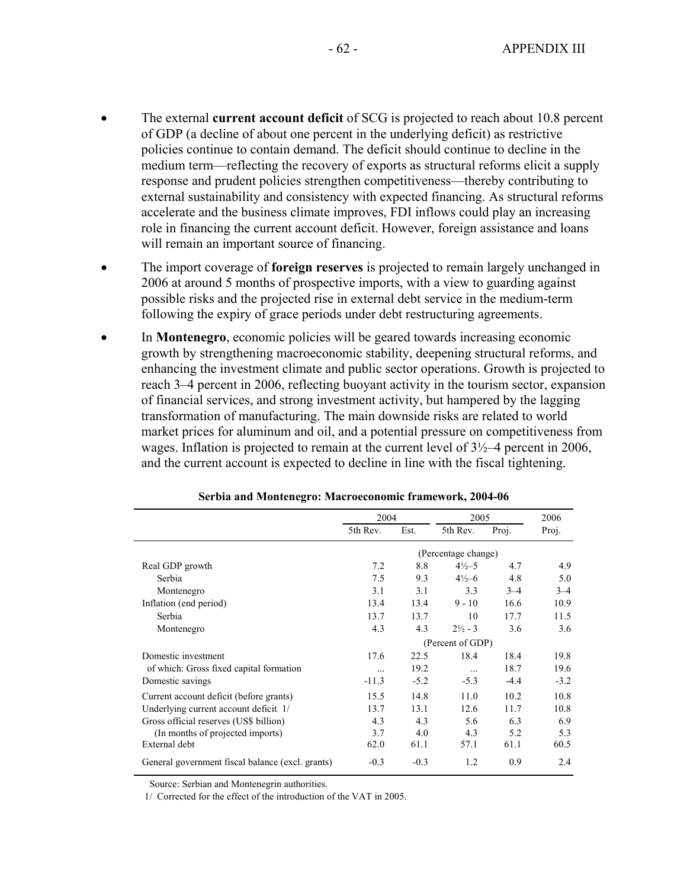- The external **current account deficit** of SCG is projected to reach about 10.8 percent of GDP (a decline of about one percent in the underlying deficit) as restrictive policies continue to contain demand. The deficit should continue to decline in the medium term—reflecting the recovery of exports as structural reforms elicit a supply response and prudent policies strengthen competitiveness—thereby contributing to external sustainability and consistency with expected financing. As structural reforms accelerate and the business climate improves, FDI inflows could play an increasing role in financing the current account deficit. However, foreign assistance and loans will remain an important source of financing.
- The import coverage of **foreign reserves** is projected to remain largely unchanged in 2006 at around 5 months of prospective imports, with a view to guarding against possible risks and the projected rise in external debt service in the medium-term following the expiry of grace periods under debt restructuring agreements.
- In **Montenegro**, economic policies will be geared towards increasing economic growth by strengthening macroeconomic stability, deepening structural reforms, and enhancing the investment climate and public sector operations. Growth is projected to reach 3–4 percent in 2006, reflecting buoyant activity in the tourism sector, expansion of financial services, and strong investment activity, but hampered by the lagging transformation of manufacturing. The main downside risks are related to world market prices for aluminum and oil, and a potential pressure on competitiveness from wages. Inflation is projected to remain at the current level of  $3\frac{1}{2}$ –4 percent in 2006, and the current account is expected to decline in line with the fiscal tightening.

|                                                  | 2004                |        | 2005               |         | 2006    |
|--------------------------------------------------|---------------------|--------|--------------------|---------|---------|
|                                                  | 5th Rev.            | Est.   | 5th Rev.           | Proj.   | Proj.   |
|                                                  | (Percentage change) |        |                    |         |         |
| Real GDP growth                                  | 7.2                 | 8.8    | $4\frac{1}{2}$ -5  | 4.7     | 4.9     |
| Serbia                                           | 7.5                 | 9.3    | $4\frac{1}{2} - 6$ | 4.8     | 5.0     |
| Montenegro                                       | 3.1                 | 3.1    | 3.3                | $3 - 4$ | $3 - 4$ |
| Inflation (end period)                           | 13.4                | 13.4   | $9 - 10$           | 16.6    | 10.9    |
| Serbia                                           | 13.7                | 13.7   | 10                 | 17.7    | 11.5    |
| Montenegro                                       | 4.3                 | 4.3    | $2\frac{1}{2}$ - 3 | 3.6     | 3.6     |
|                                                  | (Percent of GDP)    |        |                    |         |         |
| Domestic investment                              | 17.6                | 22.5   | 18.4               | 18.4    | 19.8    |
| of which: Gross fixed capital formation          | $\cdots$            | 19.2   | $\cdots$           | 18.7    | 19.6    |
| Domestic savings                                 | $-11.3$             | $-5.2$ | $-5.3$             | $-4.4$  | $-3.2$  |
| Current account deficit (before grants)          | 15.5                | 14.8   | 11.0               | 10.2    | 10.8    |
| Underlying current account deficit 1/            | 13.7                | 13.1   | 12.6               | 11.7    | 10.8    |
| Gross official reserves (US\$ billion)           | 4.3                 | 4.3    | 5.6                | 6.3     | 6.9     |
| (In months of projected imports)                 | 3.7                 | 4.0    | 4.3                | 5.2     | 5.3     |
| External debt                                    | 62.0                | 61.1   | 57.1               | 61.1    | 60.5    |
| General government fiscal balance (excl. grants) | $-0.3$              | $-0.3$ | 1.2                | 0.9     | 2.4     |

**Serbia and Montenegro: Macroeconomic framework, 2004-06**

Source: Serbian and Montenegrin authorities.

1/ Corrected for the effect of the introduction of the VAT in 2005.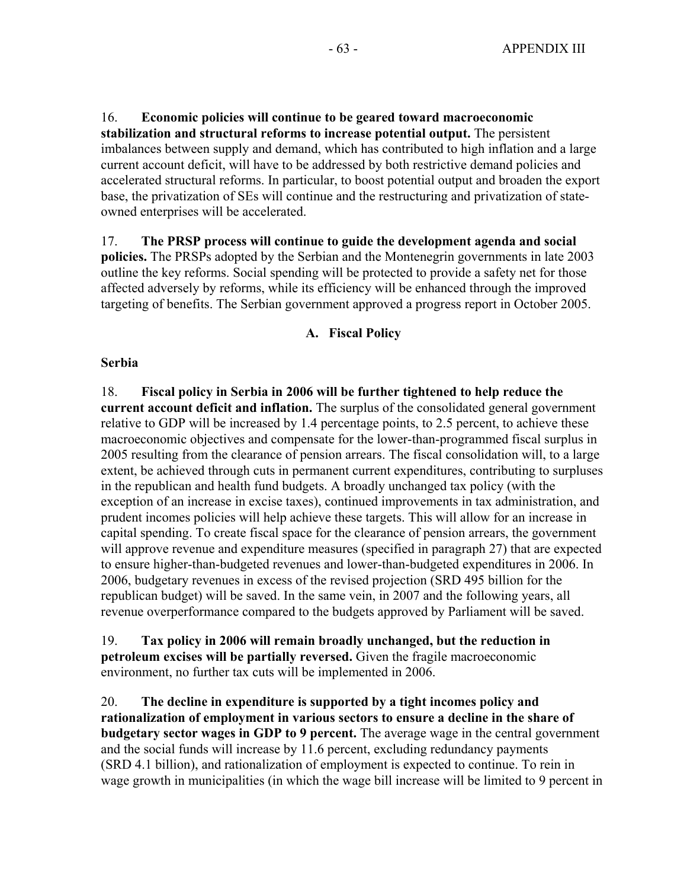16. **Economic policies will continue to be geared toward macroeconomic stabilization and structural reforms to increase potential output.** The persistent imbalances between supply and demand, which has contributed to high inflation and a large current account deficit, will have to be addressed by both restrictive demand policies and accelerated structural reforms. In particular, to boost potential output and broaden the export base, the privatization of SEs will continue and the restructuring and privatization of stateowned enterprises will be accelerated.

17. **The PRSP process will continue to guide the development agenda and social policies.** The PRSPs adopted by the Serbian and the Montenegrin governments in late 2003 outline the key reforms. Social spending will be protected to provide a safety net for those affected adversely by reforms, while its efficiency will be enhanced through the improved targeting of benefits. The Serbian government approved a progress report in October 2005.

#### **A. Fiscal Policy**

#### **Serbia**

18. **Fiscal policy in Serbia in 2006 will be further tightened to help reduce the current account deficit and inflation.** The surplus of the consolidated general government relative to GDP will be increased by 1.4 percentage points, to 2.5 percent, to achieve these macroeconomic objectives and compensate for the lower-than-programmed fiscal surplus in 2005 resulting from the clearance of pension arrears. The fiscal consolidation will, to a large extent, be achieved through cuts in permanent current expenditures, contributing to surpluses in the republican and health fund budgets. A broadly unchanged tax policy (with the exception of an increase in excise taxes), continued improvements in tax administration, and prudent incomes policies will help achieve these targets. This will allow for an increase in capital spending. To create fiscal space for the clearance of pension arrears, the government will approve revenue and expenditure measures (specified in paragraph 27) that are expected to ensure higher-than-budgeted revenues and lower-than-budgeted expenditures in 2006. In 2006, budgetary revenues in excess of the revised projection (SRD 495 billion for the republican budget) will be saved. In the same vein, in 2007 and the following years, all revenue overperformance compared to the budgets approved by Parliament will be saved.

19. **Tax policy in 2006 will remain broadly unchanged, but the reduction in petroleum excises will be partially reversed.** Given the fragile macroeconomic environment, no further tax cuts will be implemented in 2006.

20. **The decline in expenditure is supported by a tight incomes policy and rationalization of employment in various sectors to ensure a decline in the share of budgetary sector wages in GDP to 9 percent.** The average wage in the central government and the social funds will increase by 11.6 percent, excluding redundancy payments (SRD 4.1 billion), and rationalization of employment is expected to continue. To rein in wage growth in municipalities (in which the wage bill increase will be limited to 9 percent in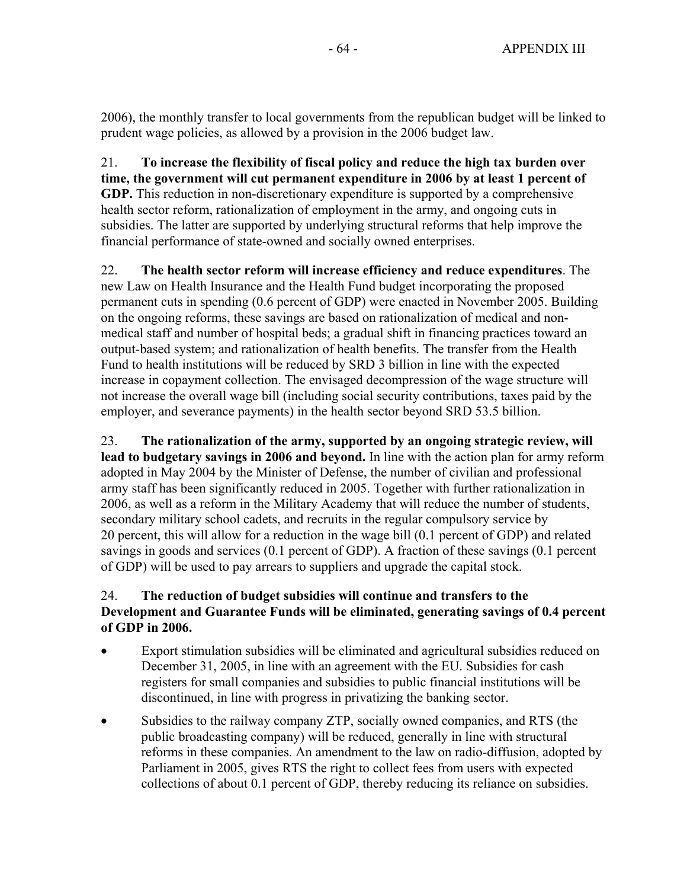2006), the monthly transfer to local governments from the republican budget will be linked to prudent wage policies, as allowed by a provision in the 2006 budget law.

21. **To increase the flexibility of fiscal policy and reduce the high tax burden over time, the government will cut permanent expenditure in 2006 by at least 1 percent of GDP.** This reduction in non-discretionary expenditure is supported by a comprehensive health sector reform, rationalization of employment in the army, and ongoing cuts in subsidies. The latter are supported by underlying structural reforms that help improve the financial performance of state-owned and socially owned enterprises.

22. **The health sector reform will increase efficiency and reduce expenditures**. The new Law on Health Insurance and the Health Fund budget incorporating the proposed permanent cuts in spending (0.6 percent of GDP) were enacted in November 2005. Building on the ongoing reforms, these savings are based on rationalization of medical and nonmedical staff and number of hospital beds; a gradual shift in financing practices toward an output-based system; and rationalization of health benefits. The transfer from the Health Fund to health institutions will be reduced by SRD 3 billion in line with the expected increase in copayment collection. The envisaged decompression of the wage structure will not increase the overall wage bill (including social security contributions, taxes paid by the employer, and severance payments) in the health sector beyond SRD 53.5 billion.

23. **The rationalization of the army, supported by an ongoing strategic review, will lead to budgetary savings in 2006 and beyond.** In line with the action plan for army reform adopted in May 2004 by the Minister of Defense, the number of civilian and professional army staff has been significantly reduced in 2005. Together with further rationalization in 2006, as well as a reform in the Military Academy that will reduce the number of students, secondary military school cadets, and recruits in the regular compulsory service by 20 percent, this will allow for a reduction in the wage bill (0.1 percent of GDP) and related savings in goods and services (0.1 percent of GDP). A fraction of these savings (0.1 percent of GDP) will be used to pay arrears to suppliers and upgrade the capital stock.

# 24. **The reduction of budget subsidies will continue and transfers to the Development and Guarantee Funds will be eliminated, generating savings of 0.4 percent of GDP in 2006.**

- Export stimulation subsidies will be eliminated and agricultural subsidies reduced on December 31, 2005, in line with an agreement with the EU. Subsidies for cash registers for small companies and subsidies to public financial institutions will be discontinued, in line with progress in privatizing the banking sector.
- Subsidies to the railway company ZTP, socially owned companies, and RTS (the public broadcasting company) will be reduced, generally in line with structural reforms in these companies. An amendment to the law on radio-diffusion, adopted by Parliament in 2005, gives RTS the right to collect fees from users with expected collections of about 0.1 percent of GDP, thereby reducing its reliance on subsidies.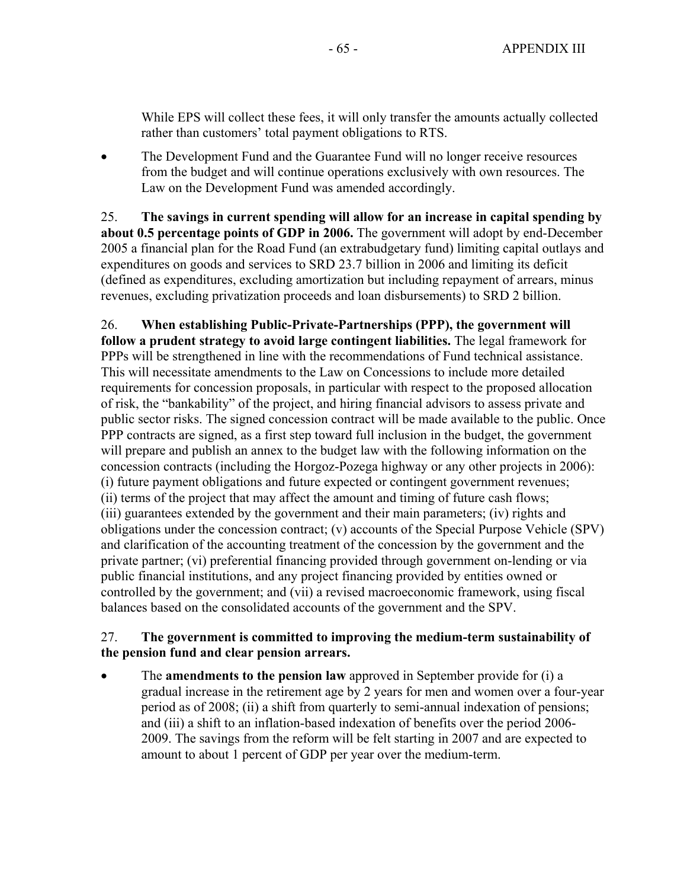While EPS will collect these fees, it will only transfer the amounts actually collected rather than customers' total payment obligations to RTS.

• The Development Fund and the Guarantee Fund will no longer receive resources from the budget and will continue operations exclusively with own resources. The Law on the Development Fund was amended accordingly.

25. **The savings in current spending will allow for an increase in capital spending by about 0.5 percentage points of GDP in 2006.** The government will adopt by end-December 2005 a financial plan for the Road Fund (an extrabudgetary fund) limiting capital outlays and expenditures on goods and services to SRD 23.7 billion in 2006 and limiting its deficit (defined as expenditures, excluding amortization but including repayment of arrears, minus revenues, excluding privatization proceeds and loan disbursements) to SRD 2 billion.

26. **When establishing Public-Private-Partnerships (PPP), the government will follow a prudent strategy to avoid large contingent liabilities.** The legal framework for PPPs will be strengthened in line with the recommendations of Fund technical assistance. This will necessitate amendments to the Law on Concessions to include more detailed requirements for concession proposals, in particular with respect to the proposed allocation of risk, the "bankability" of the project, and hiring financial advisors to assess private and public sector risks. The signed concession contract will be made available to the public. Once PPP contracts are signed, as a first step toward full inclusion in the budget, the government will prepare and publish an annex to the budget law with the following information on the concession contracts (including the Horgoz-Pozega highway or any other projects in 2006): (i) future payment obligations and future expected or contingent government revenues; (ii) terms of the project that may affect the amount and timing of future cash flows; (iii) guarantees extended by the government and their main parameters; (iv) rights and obligations under the concession contract; (v) accounts of the Special Purpose Vehicle (SPV) and clarification of the accounting treatment of the concession by the government and the private partner; (vi) preferential financing provided through government on-lending or via public financial institutions, and any project financing provided by entities owned or controlled by the government; and (vii) a revised macroeconomic framework, using fiscal balances based on the consolidated accounts of the government and the SPV.

## 27. **The government is committed to improving the medium-term sustainability of the pension fund and clear pension arrears.**

• The **amendments to the pension law** approved in September provide for (i) a gradual increase in the retirement age by 2 years for men and women over a four-year period as of 2008; (ii) a shift from quarterly to semi-annual indexation of pensions; and (iii) a shift to an inflation-based indexation of benefits over the period 2006- 2009. The savings from the reform will be felt starting in 2007 and are expected to amount to about 1 percent of GDP per year over the medium-term.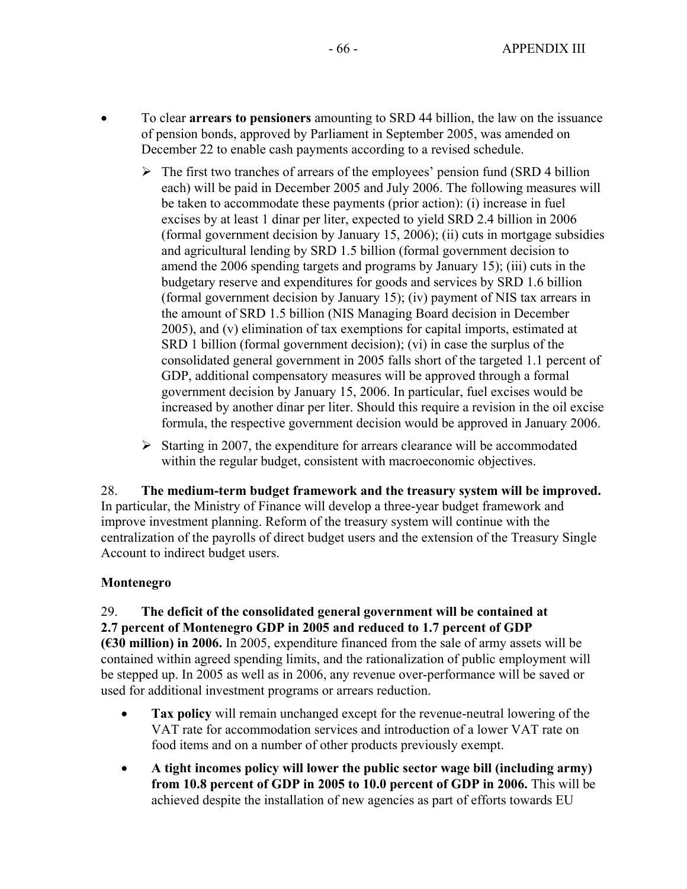- To clear **arrears to pensioners** amounting to SRD 44 billion, the law on the issuance of pension bonds, approved by Parliament in September 2005, was amended on December 22 to enable cash payments according to a revised schedule.
	- $\triangleright$  The first two tranches of arrears of the employees' pension fund (SRD 4 billion each) will be paid in December 2005 and July 2006. The following measures will be taken to accommodate these payments (prior action): (i) increase in fuel excises by at least 1 dinar per liter, expected to yield SRD 2.4 billion in 2006 (formal government decision by January 15, 2006); (ii) cuts in mortgage subsidies and agricultural lending by SRD 1.5 billion (formal government decision to amend the 2006 spending targets and programs by January 15); (iii) cuts in the budgetary reserve and expenditures for goods and services by SRD 1.6 billion (formal government decision by January 15); (iv) payment of NIS tax arrears in the amount of SRD 1.5 billion (NIS Managing Board decision in December 2005), and (v) elimination of tax exemptions for capital imports, estimated at SRD 1 billion (formal government decision); (vi) in case the surplus of the consolidated general government in 2005 falls short of the targeted 1.1 percent of GDP, additional compensatory measures will be approved through a formal government decision by January 15, 2006. In particular, fuel excises would be increased by another dinar per liter. Should this require a revision in the oil excise formula, the respective government decision would be approved in January 2006.
	- $\triangleright$  Starting in 2007, the expenditure for arrears clearance will be accommodated within the regular budget, consistent with macroeconomic objectives.

28. **The medium-term budget framework and the treasury system will be improved.** In particular, the Ministry of Finance will develop a three-year budget framework and improve investment planning. Reform of the treasury system will continue with the centralization of the payrolls of direct budget users and the extension of the Treasury Single Account to indirect budget users.

## **Montenegro**

#### 29. **The deficit of the consolidated general government will be contained at 2.7 percent of Montenegro GDP in 2005 and reduced to 1.7 percent of GDP**

**(€30 million) in 2006.** In 2005, expenditure financed from the sale of army assets will be contained within agreed spending limits, and the rationalization of public employment will be stepped up. In 2005 as well as in 2006, any revenue over-performance will be saved or used for additional investment programs or arrears reduction.

- **Tax policy** will remain unchanged except for the revenue-neutral lowering of the VAT rate for accommodation services and introduction of a lower VAT rate on food items and on a number of other products previously exempt.
- **A tight incomes policy will lower the public sector wage bill (including army) from 10.8 percent of GDP in 2005 to 10.0 percent of GDP in 2006.** This will be achieved despite the installation of new agencies as part of efforts towards EU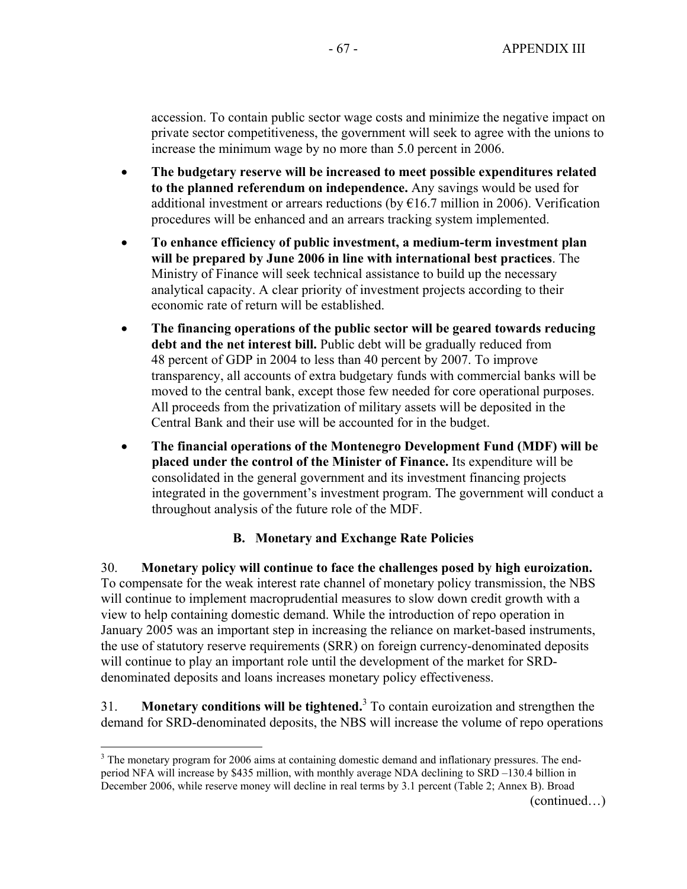accession. To contain public sector wage costs and minimize the negative impact on private sector competitiveness, the government will seek to agree with the unions to increase the minimum wage by no more than 5.0 percent in 2006.

- **The budgetary reserve will be increased to meet possible expenditures related to the planned referendum on independence.** Any savings would be used for additional investment or arrears reductions (by  $E16.7$  million in 2006). Verification procedures will be enhanced and an arrears tracking system implemented.
- **To enhance efficiency of public investment, a medium-term investment plan will be prepared by June 2006 in line with international best practices**. The Ministry of Finance will seek technical assistance to build up the necessary analytical capacity. A clear priority of investment projects according to their economic rate of return will be established.
- **The financing operations of the public sector will be geared towards reducing debt and the net interest bill.** Public debt will be gradually reduced from 48 percent of GDP in 2004 to less than 40 percent by 2007. To improve transparency, all accounts of extra budgetary funds with commercial banks will be moved to the central bank, except those few needed for core operational purposes. All proceeds from the privatization of military assets will be deposited in the Central Bank and their use will be accounted for in the budget.
- **The financial operations of the Montenegro Development Fund (MDF) will be placed under the control of the Minister of Finance.** Its expenditure will be consolidated in the general government and its investment financing projects integrated in the government's investment program. The government will conduct a throughout analysis of the future role of the MDF.

# **B. Monetary and Exchange Rate Policies**

30. **Monetary policy will continue to face the challenges posed by high euroization.** To compensate for the weak interest rate channel of monetary policy transmission, the NBS will continue to implement macroprudential measures to slow down credit growth with a view to help containing domestic demand. While the introduction of repo operation in January 2005 was an important step in increasing the reliance on market-based instruments, the use of statutory reserve requirements (SRR) on foreign currency-denominated deposits will continue to play an important role until the development of the market for SRDdenominated deposits and loans increases monetary policy effectiveness.

31. **Monetary conditions will be tightened.**<sup>3</sup> To contain euroization and strengthen the demand for SRD-denominated deposits, the NBS will increase the volume of repo operations

(continued…)

 $\overline{a}$  $3$  The monetary program for 2006 aims at containing domestic demand and inflationary pressures. The endperiod NFA will increase by \$435 million, with monthly average NDA declining to SRD –130.4 billion in December 2006, while reserve money will decline in real terms by 3.1 percent (Table 2; Annex B). Broad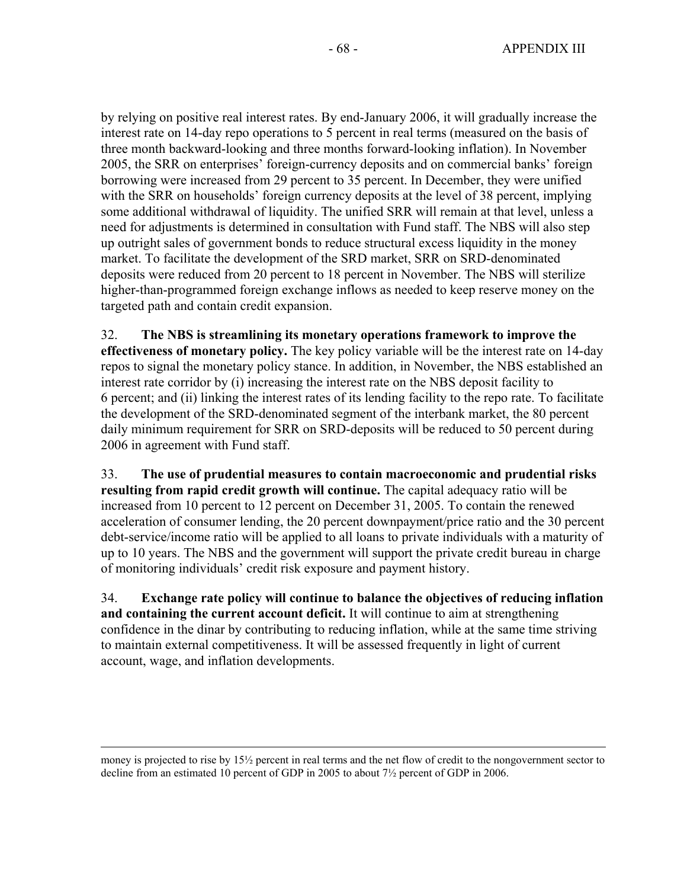by relying on positive real interest rates. By end-January 2006, it will gradually increase the interest rate on 14-day repo operations to 5 percent in real terms (measured on the basis of three month backward-looking and three months forward-looking inflation). In November 2005, the SRR on enterprises' foreign-currency deposits and on commercial banks' foreign borrowing were increased from 29 percent to 35 percent. In December, they were unified with the SRR on households' foreign currency deposits at the level of 38 percent, implying some additional withdrawal of liquidity. The unified SRR will remain at that level, unless a need for adjustments is determined in consultation with Fund staff. The NBS will also step up outright sales of government bonds to reduce structural excess liquidity in the money market. To facilitate the development of the SRD market, SRR on SRD-denominated deposits were reduced from 20 percent to 18 percent in November. The NBS will sterilize higher-than-programmed foreign exchange inflows as needed to keep reserve money on the targeted path and contain credit expansion.

32. **The NBS is streamlining its monetary operations framework to improve the effectiveness of monetary policy.** The key policy variable will be the interest rate on 14-day repos to signal the monetary policy stance. In addition, in November, the NBS established an interest rate corridor by (i) increasing the interest rate on the NBS deposit facility to 6 percent; and (ii) linking the interest rates of its lending facility to the repo rate. To facilitate the development of the SRD-denominated segment of the interbank market, the 80 percent daily minimum requirement for SRR on SRD-deposits will be reduced to 50 percent during 2006 in agreement with Fund staff.

33. **The use of prudential measures to contain macroeconomic and prudential risks resulting from rapid credit growth will continue.** The capital adequacy ratio will be increased from 10 percent to 12 percent on December 31, 2005. To contain the renewed acceleration of consumer lending, the 20 percent downpayment/price ratio and the 30 percent debt-service/income ratio will be applied to all loans to private individuals with a maturity of up to 10 years. The NBS and the government will support the private credit bureau in charge of monitoring individuals' credit risk exposure and payment history.

34. **Exchange rate policy will continue to balance the objectives of reducing inflation and containing the current account deficit.** It will continue to aim at strengthening confidence in the dinar by contributing to reducing inflation, while at the same time striving to maintain external competitiveness. It will be assessed frequently in light of current account, wage, and inflation developments.

 $\overline{a}$ 

money is projected to rise by 15½ percent in real terms and the net flow of credit to the nongovernment sector to decline from an estimated 10 percent of GDP in 2005 to about 7½ percent of GDP in 2006.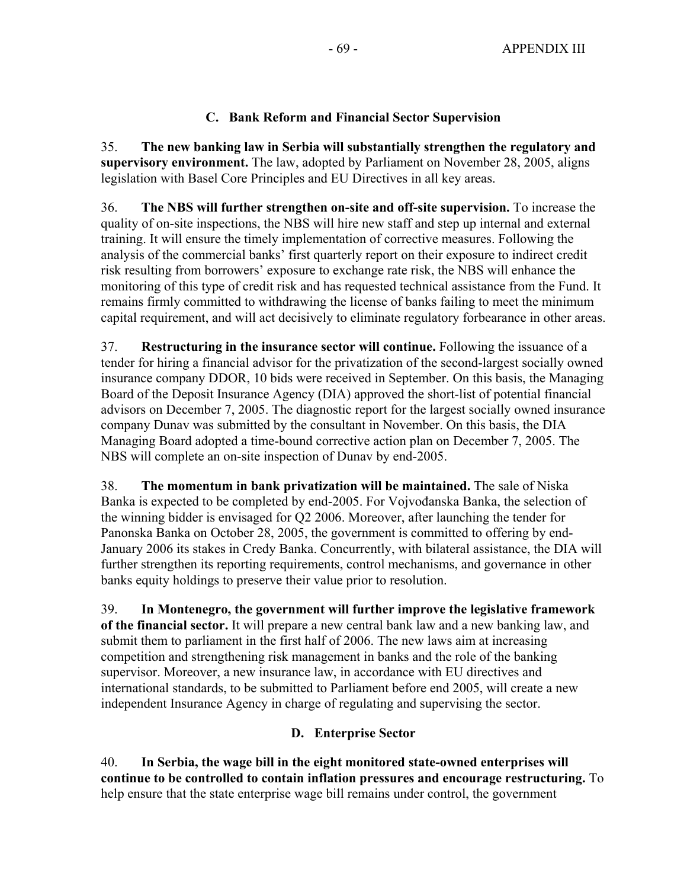# **C. Bank Reform and Financial Sector Supervision**

35. **The new banking law in Serbia will substantially strengthen the regulatory and supervisory environment.** The law, adopted by Parliament on November 28, 2005, aligns legislation with Basel Core Principles and EU Directives in all key areas.

36. **The NBS will further strengthen on-site and off-site supervision.** To increase the quality of on-site inspections, the NBS will hire new staff and step up internal and external training. It will ensure the timely implementation of corrective measures. Following the analysis of the commercial banks' first quarterly report on their exposure to indirect credit risk resulting from borrowers' exposure to exchange rate risk, the NBS will enhance the monitoring of this type of credit risk and has requested technical assistance from the Fund. It remains firmly committed to withdrawing the license of banks failing to meet the minimum capital requirement, and will act decisively to eliminate regulatory forbearance in other areas.

37. **Restructuring in the insurance sector will continue.** Following the issuance of a tender for hiring a financial advisor for the privatization of the second-largest socially owned insurance company DDOR, 10 bids were received in September. On this basis, the Managing Board of the Deposit Insurance Agency (DIA) approved the short-list of potential financial advisors on December 7, 2005. The diagnostic report for the largest socially owned insurance company Dunav was submitted by the consultant in November. On this basis, the DIA Managing Board adopted a time-bound corrective action plan on December 7, 2005. The NBS will complete an on-site inspection of Dunav by end-2005.

38. **The momentum in bank privatization will be maintained.** The sale of Niska Banka is expected to be completed by end-2005. For Vojvođanska Banka, the selection of the winning bidder is envisaged for Q2 2006. Moreover, after launching the tender for Panonska Banka on October 28, 2005, the government is committed to offering by end-January 2006 its stakes in Credy Banka. Concurrently, with bilateral assistance, the DIA will further strengthen its reporting requirements, control mechanisms, and governance in other banks equity holdings to preserve their value prior to resolution.

39. **In Montenegro, the government will further improve the legislative framework of the financial sector.** It will prepare a new central bank law and a new banking law, and submit them to parliament in the first half of 2006. The new laws aim at increasing competition and strengthening risk management in banks and the role of the banking supervisor. Moreover, a new insurance law, in accordance with EU directives and international standards, to be submitted to Parliament before end 2005, will create a new independent Insurance Agency in charge of regulating and supervising the sector.

# **D. Enterprise Sector**

40. **In Serbia, the wage bill in the eight monitored state-owned enterprises will continue to be controlled to contain inflation pressures and encourage restructuring.** To help ensure that the state enterprise wage bill remains under control, the government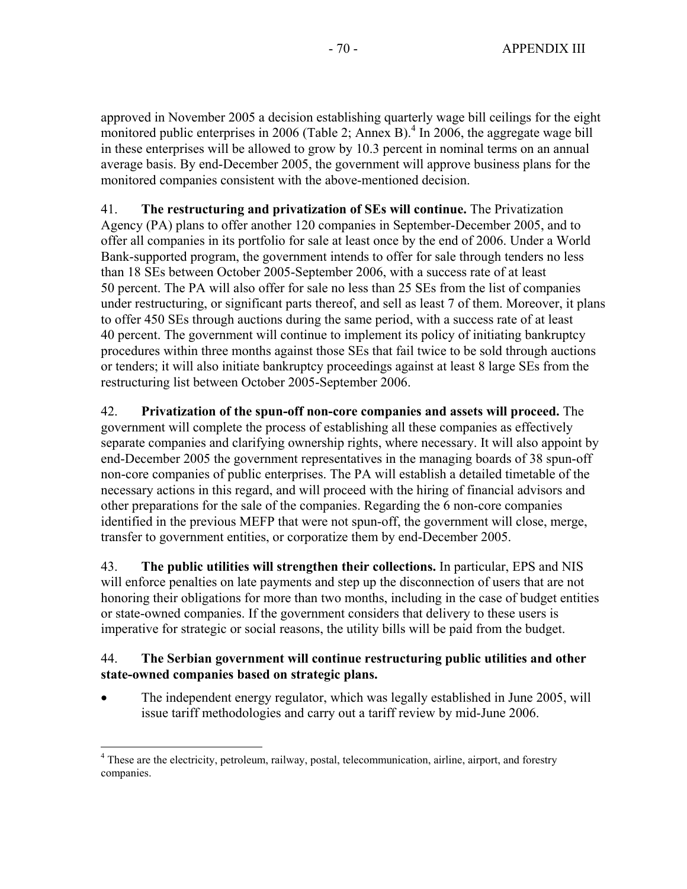approved in November 2005 a decision establishing quarterly wage bill ceilings for the eight monitored public enterprises in 2006 (Table 2; Annex B).<sup>4</sup> In 2006, the aggregate wage bill in these enterprises will be allowed to grow by 10.3 percent in nominal terms on an annual average basis. By end-December 2005, the government will approve business plans for the monitored companies consistent with the above-mentioned decision.

41. **The restructuring and privatization of SEs will continue.** The Privatization Agency (PA) plans to offer another 120 companies in September-December 2005, and to offer all companies in its portfolio for sale at least once by the end of 2006. Under a World Bank-supported program, the government intends to offer for sale through tenders no less than 18 SEs between October 2005-September 2006, with a success rate of at least 50 percent. The PA will also offer for sale no less than 25 SEs from the list of companies under restructuring, or significant parts thereof, and sell as least 7 of them. Moreover, it plans to offer 450 SEs through auctions during the same period, with a success rate of at least 40 percent. The government will continue to implement its policy of initiating bankruptcy procedures within three months against those SEs that fail twice to be sold through auctions or tenders; it will also initiate bankruptcy proceedings against at least 8 large SEs from the restructuring list between October 2005-September 2006.

42. **Privatization of the spun-off non-core companies and assets will proceed.** The government will complete the process of establishing all these companies as effectively separate companies and clarifying ownership rights, where necessary. It will also appoint by end-December 2005 the government representatives in the managing boards of 38 spun-off non-core companies of public enterprises. The PA will establish a detailed timetable of the necessary actions in this regard, and will proceed with the hiring of financial advisors and other preparations for the sale of the companies. Regarding the 6 non-core companies identified in the previous MEFP that were not spun-off, the government will close, merge, transfer to government entities, or corporatize them by end-December 2005.

43. **The public utilities will strengthen their collections.** In particular, EPS and NIS will enforce penalties on late payments and step up the disconnection of users that are not honoring their obligations for more than two months, including in the case of budget entities or state-owned companies. If the government considers that delivery to these users is imperative for strategic or social reasons, the utility bills will be paid from the budget.

## 44. **The Serbian government will continue restructuring public utilities and other state-owned companies based on strategic plans.**

• The independent energy regulator, which was legally established in June 2005, will issue tariff methodologies and carry out a tariff review by mid-June 2006.

 $\overline{a}$ 

<sup>&</sup>lt;sup>4</sup> These are the electricity, petroleum, railway, postal, telecommunication, airline, airport, and forestry companies.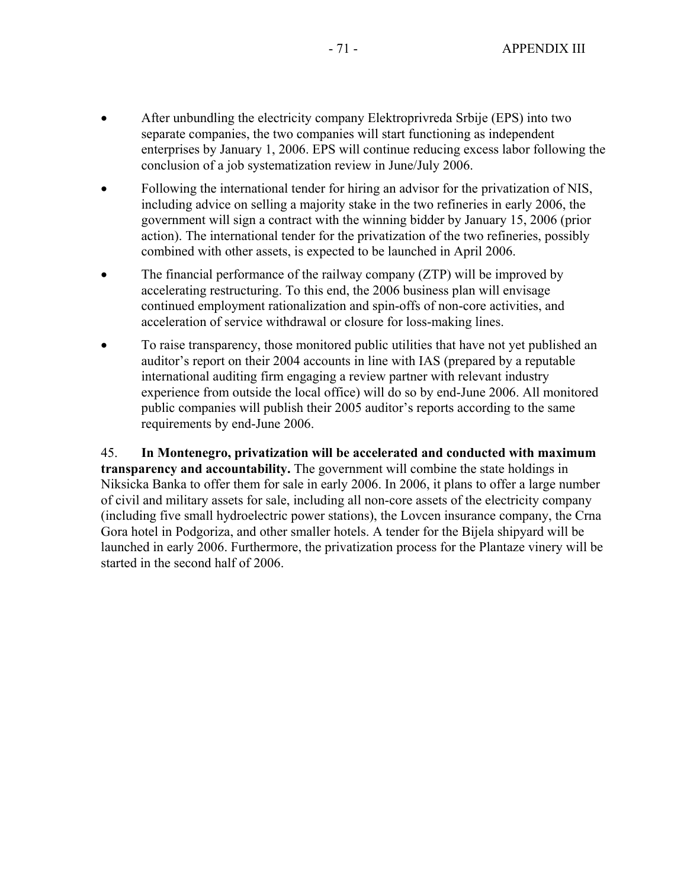- After unbundling the electricity company Elektroprivreda Srbije (EPS) into two separate companies, the two companies will start functioning as independent enterprises by January 1, 2006. EPS will continue reducing excess labor following the conclusion of a job systematization review in June/July 2006.
- Following the international tender for hiring an advisor for the privatization of NIS, including advice on selling a majority stake in the two refineries in early 2006, the government will sign a contract with the winning bidder by January 15, 2006 (prior action). The international tender for the privatization of the two refineries, possibly combined with other assets, is expected to be launched in April 2006.
- The financial performance of the railway company (ZTP) will be improved by accelerating restructuring. To this end, the 2006 business plan will envisage continued employment rationalization and spin-offs of non-core activities, and acceleration of service withdrawal or closure for loss-making lines.
- To raise transparency, those monitored public utilities that have not yet published an auditor's report on their 2004 accounts in line with IAS (prepared by a reputable international auditing firm engaging a review partner with relevant industry experience from outside the local office) will do so by end-June 2006. All monitored public companies will publish their 2005 auditor's reports according to the same requirements by end-June 2006.

45. **In Montenegro, privatization will be accelerated and conducted with maximum transparency and accountability.** The government will combine the state holdings in Niksicka Banka to offer them for sale in early 2006. In 2006, it plans to offer a large number of civil and military assets for sale, including all non-core assets of the electricity company (including five small hydroelectric power stations), the Lovcen insurance company, the Crna Gora hotel in Podgoriza, and other smaller hotels. A tender for the Bijela shipyard will be launched in early 2006. Furthermore, the privatization process for the Plantaze vinery will be started in the second half of 2006.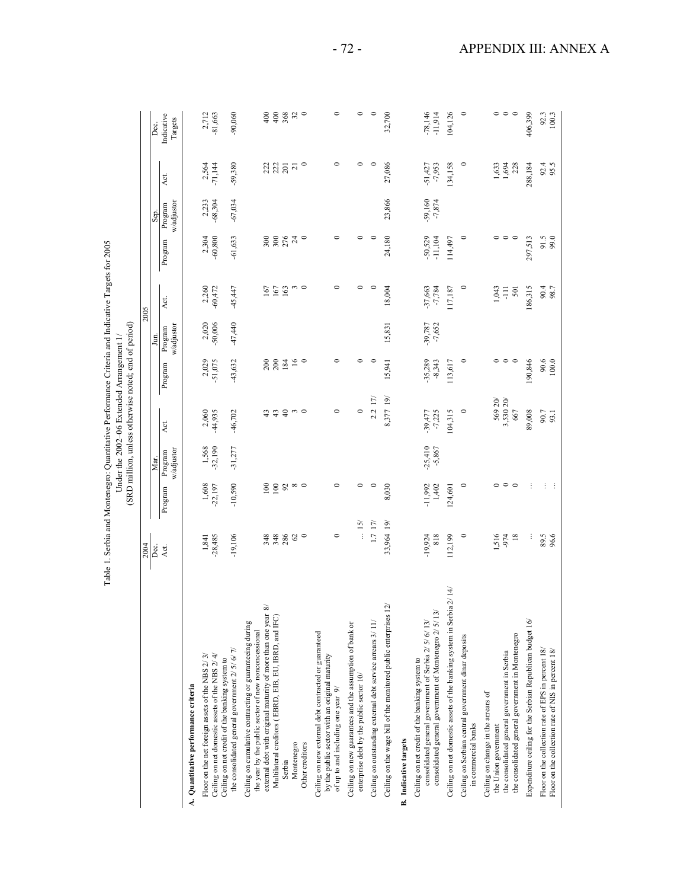| $\sim 2005$<br>י בטש<br>.<br>المعالمة<br>$\cdots$ interior or $\cdots$ | $\frac{1}{2}$<br>$4$ erthe 2002–06 Evtende<br>Ī |
|------------------------------------------------------------------------|-------------------------------------------------|
| $\frac{1}{1}$<br>$T_A$ lal $\sim 1$                                    |                                                 |
|                                                                        |                                                 |

|                                                                                                                                                                                                                                                      | Table 1. Serbia and Montenegro: Quantitative Performance Criteria and Indicative Targets for 2005 |                    |                               | (SRD million, unless otherwise noted; end of period)<br>Under the 2002-06 Extended Arrangement 1/ |                       |                                  |                       |                        |                               |                       |                               |
|------------------------------------------------------------------------------------------------------------------------------------------------------------------------------------------------------------------------------------------------------|---------------------------------------------------------------------------------------------------|--------------------|-------------------------------|---------------------------------------------------------------------------------------------------|-----------------------|----------------------------------|-----------------------|------------------------|-------------------------------|-----------------------|-------------------------------|
|                                                                                                                                                                                                                                                      |                                                                                                   |                    |                               |                                                                                                   |                       |                                  | 2005                  |                        |                               |                       |                               |
|                                                                                                                                                                                                                                                      | $\frac{2004}{\text{Dec}}$<br>Act.                                                                 | Program            | w/adjustor<br>Program<br>Mar. | Act.                                                                                              | Program               | w/adjustor<br>Program<br>∫<br>Lu | Act.                  | Program                | w/adjustor<br>Program<br>Sep. | Act.                  | Indicative<br>Targets<br>Dec. |
| A. Quantitative performance criteria                                                                                                                                                                                                                 |                                                                                                   |                    |                               |                                                                                                   |                       |                                  |                       |                        |                               |                       |                               |
| Floor on the net foreign assets of the NBS 2/3/<br>Ceiling on net domestic assets of the NBS 2/4/                                                                                                                                                    | $-28,485$<br>1,841                                                                                | 1,608<br>-22,197   | 1,568<br>-32,190              | 2,060<br>44,935                                                                                   | 2,029<br>$-51,075$    | 2,020<br>$-50,006$               | $2,260$<br>$-60,472$  | 2,304<br>$-60,800$     | 2,233<br>-68,304              | 2,564<br>$-71,144$    | 2,712<br>$-81,663$            |
| the consolidated general government 2/ 5/ 6/ 7/<br>Ceiling on net credit of the banking system to                                                                                                                                                    | $-19,106$                                                                                         | $-10,590$          | $-31,277$                     | $-46,702$                                                                                         | $-43,632$             | $-47,440$                        | $-45,447$             | $-61,633$              | $-67,034$                     | $-59,380$             | $-90,060$                     |
| external debt with original maturity of more than one year 8/<br>Multilateral creditors (EBRD, EIB, EU, IBRD, and IFC)<br>Ceiling on cumulative contracting or guaranteeing during<br>the year by the public sector of new nonconcessional<br>Serbia | 34880                                                                                             | 100<br>100<br>92   |                               | 43<br>$\overline{4}$<br>$43$                                                                      | $200$<br>$203$        |                                  | 163<br>167<br>167     | 28873                  |                               | អ្នក ដូ               | $400$<br>$rac{6}{4}$          |
| Montenegro<br>Other creditors                                                                                                                                                                                                                        |                                                                                                   | $\infty$           |                               | $\sim$                                                                                            | 16<br>$\circ$         |                                  | $\sim$ $\sim$         |                        |                               | $\circ$               | $368$<br>$32$                 |
| Ceiling on new external debt contracted or guaranteed<br>by the public sector with an original maturity<br>of up to and including one year 9/                                                                                                        | $\circ$                                                                                           | $\circ$            |                               | $\circ$                                                                                           | $\circ$               |                                  | $\circ$               | $\circ$                |                               | $\circ$               | $\circ$                       |
| Ceiling on new guarantees and the assumption of bank or<br>enterprise debt by the public sector 10/                                                                                                                                                  | $\ldots$ 15/                                                                                      | $\circ$            |                               | $\circ$                                                                                           | $\circ$               |                                  | 0                     | $\circ$                |                               |                       | $\circ$                       |
| Ceiling on outstanding external debt service arrears 3/11/                                                                                                                                                                                           | 1.7 17                                                                                            | $\circ$            |                               | $2.2 17$ /                                                                                        | $\circ$               |                                  | $\circ$               | $\circ$                |                               | $\circ$               | $\circ$                       |
| Ceiling on the wage bill of the monitored public enterprises 12/                                                                                                                                                                                     | 33,964 19/                                                                                        | 8,030              |                               | 8,377 19/                                                                                         | 15,941                | 15,831                           | 18,004                | 24,180                 | 23,866                        | 27,086                | 32,700                        |
| <b>B.</b> Indicative targets                                                                                                                                                                                                                         |                                                                                                   |                    |                               |                                                                                                   |                       |                                  |                       |                        |                               |                       |                               |
| consolidated general government of Montenegro 2/ 5/13/<br>consolidated general government of Serbia 2/5/6/13/<br>Ceiling on net credit of the banking system to                                                                                      | 818<br>$-19,924$                                                                                  | 1,402<br>$-11,992$ | $-25,410$<br>$-5,867$         | $-39,477$<br>$-7,225$                                                                             | $-35,289$<br>$-8,343$ | $-39,787$<br>$-7,652$            | $-37,663$<br>$-7,784$ | $-50,529$<br>$-11,104$ | $-59,160$<br>$-7,874$         | $-51,427$<br>$-7,953$ | $-78,146$<br>-11,914          |
| $\overline{4}$<br>Ceiling on net domestic assets of the banking system in Serbia 2/                                                                                                                                                                  | 112,199                                                                                           | 124,601            |                               | 104,315                                                                                           | 113,617               |                                  | 117,187               | 114,497                |                               | 134,158               | 104,126                       |
| Ceiling on Serbian central government dinar deposits<br>in commercial banks                                                                                                                                                                          | $\circ$                                                                                           | $\circ$            |                               | $\circ$                                                                                           | $\circ$               |                                  | $\circ$               | $\circ$                |                               | $\circ$               | $\circ$                       |
| the consolidated general government in Montenegro<br>the consolidated general government in Serbia<br>Ceiling on change in the arrears of<br>the Union government                                                                                    | $18\,$<br>1,516<br>-974                                                                           | 。。。                |                               | 569 20/<br>3,530 20/<br>667                                                                       | 。。。                   |                                  | 1,043<br>501<br>Ę     | $\circ \circ \circ$    |                               | 1,633<br>1,694<br>228 | $\circ$ $\circ$<br>$\circ$    |
| Expenditure ceiling for the Serbian Republican budget 16/                                                                                                                                                                                            | ÷                                                                                                 |                    |                               | 89,008                                                                                            | 190,846               |                                  | 186,315               | 297,513                |                               | 288,184               | 406,399                       |
| Floor on the collection rate of EPS in percent 18/<br>Floor on the collection rate of NIS in percent 18/                                                                                                                                             | 89.5<br>96.6                                                                                      | $\cdot$ :<br>÷     |                               | 90.7                                                                                              | 90.6<br>$100.0$       |                                  | 90.4<br>98.7          | 91.5<br>99.0           |                               | 92.4<br>95.5          | $92.3$<br>100.3               |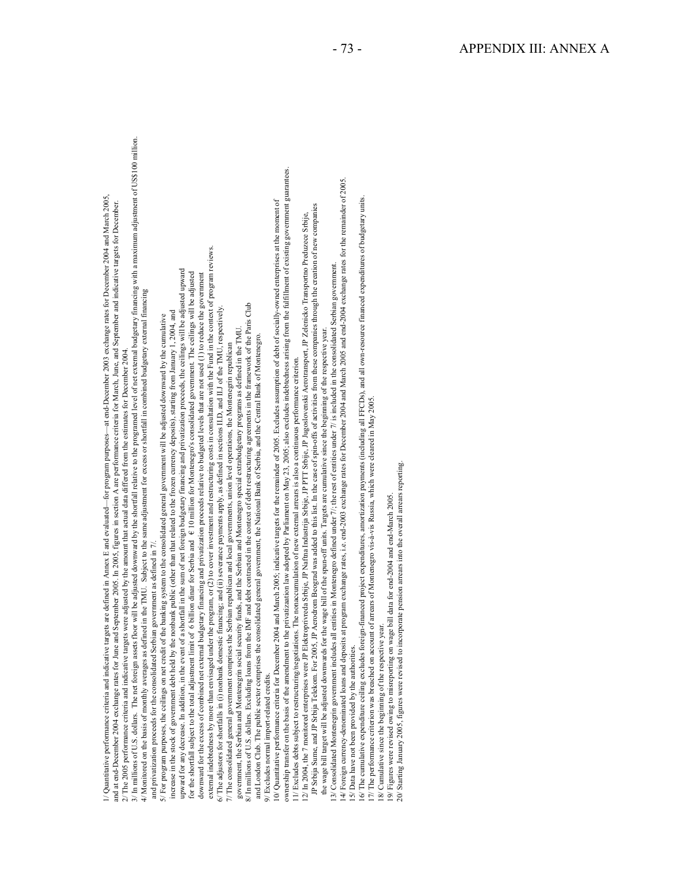i Quention procedure and the state of the state of the state of the state of the state of the state of the state of the state of the state of the state of the state of the state of the state of the state of the state of th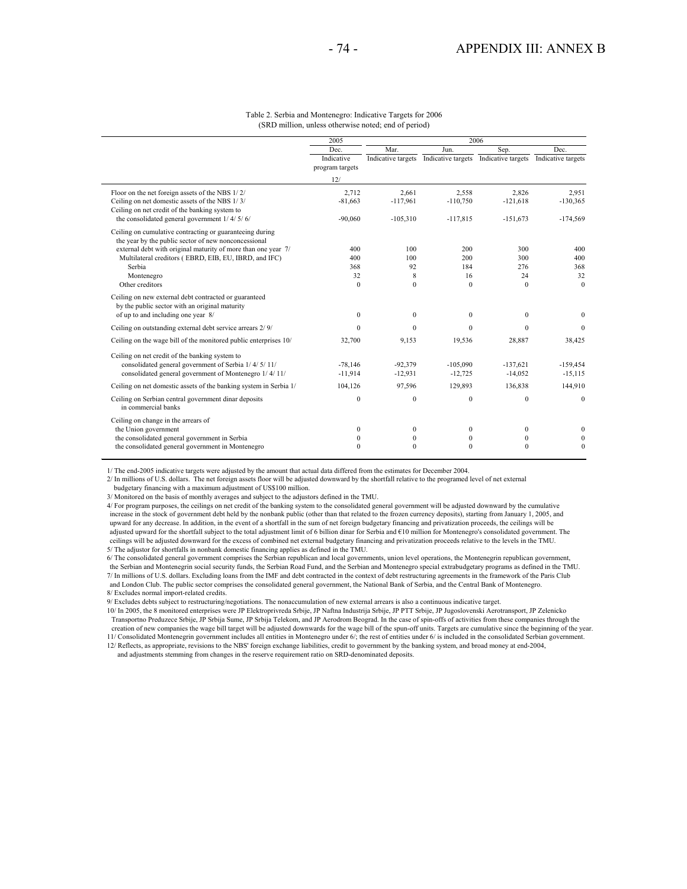|                                                                                                                  | 2005            |                    |                                       | 2006         |                    |
|------------------------------------------------------------------------------------------------------------------|-----------------|--------------------|---------------------------------------|--------------|--------------------|
|                                                                                                                  | <b>Dec</b>      | Mar                | Jun                                   | Sep.         | <b>Dec</b>         |
|                                                                                                                  | Indicative      | Indicative targets | Indicative targets Indicative targets |              | Indicative targets |
|                                                                                                                  | program targets |                    |                                       |              |                    |
|                                                                                                                  | 12/             |                    |                                       |              |                    |
| Floor on the net foreign assets of the NBS 1/2/                                                                  | 2.712           | 2.661              | 2,558                                 | 2.826        | 2.951              |
| Ceiling on net domestic assets of the NBS 1/3/<br>Ceiling on net credit of the banking system to                 | $-81,663$       | $-117,961$         | $-110,750$                            | $-121,618$   | $-130,365$         |
| the consolidated general government $1/4/5/6/$                                                                   | $-90,060$       | $-105,310$         | $-117,815$                            | $-151,673$   | $-174,569$         |
| Ceiling on cumulative contracting or guaranteeing during<br>the year by the public sector of new nonconcessional |                 |                    |                                       |              |                    |
| external debt with original maturity of more than one year 7/                                                    | 400             | 100                | 200                                   | 300          | 400                |
| Multilateral creditors (EBRD, EIB, EU, IBRD, and IFC)                                                            | 400             | 100                | 200                                   | 300          | 400                |
| Serbia                                                                                                           | 368             | 92                 | 184                                   | 276          | 368                |
| Montenegro                                                                                                       | 32              | 8                  | 16                                    | 24           | 32                 |
| Other creditors                                                                                                  | $\Omega$        | $\Omega$           | $\mathbf{0}$                          | $\mathbf{0}$ | $\theta$           |
| Ceiling on new external debt contracted or guaranteed<br>by the public sector with an original maturity          |                 |                    |                                       |              |                    |
| of up to and including one year 8/                                                                               | $\mathbf{0}$    | $\overline{0}$     | $\mathbf{0}$                          | $\mathbf{0}$ | $\mathbf{0}$       |
| Ceiling on outstanding external debt service arrears 2/9/                                                        | $\Omega$        | $\Omega$           | $\mathbf{0}$                          | $\Omega$     | $\Omega$           |
| Ceiling on the wage bill of the monitored public enterprises 10/                                                 | 32,700          | 9,153              | 19,536                                | 28,887       | 38,425             |
| Ceiling on net credit of the banking system to                                                                   |                 |                    |                                       |              |                    |
| consolidated general government of Serbia 1/4/5/11/                                                              | $-78.146$       | $-92.379$          | $-105.090$                            | $-137,621$   | $-159,454$         |
| consolidated general government of Montenegro 1/4/11/                                                            | $-11,914$       | $-12,931$          | $-12,725$                             | $-14,052$    | $-15,115$          |
| Ceiling on net domestic assets of the banking system in Serbia 1/                                                | 104.126         | 97,596             | 129,893                               | 136.838      | 144,910            |
| Ceiling on Serbian central government dinar deposits<br>in commercial banks                                      | $\mathbf{0}$    | $\mathbf{0}$       | $\mathbf{0}$                          | $\mathbf{0}$ | $\mathbf{0}$       |
| Ceiling on change in the arrears of                                                                              |                 |                    |                                       |              |                    |
| the Union government                                                                                             | $\mathbf{0}$    | $\mathbf{0}$       | $\mathbf{0}$                          | $\mathbf{0}$ | $\mathbf{0}$       |
| the consolidated general government in Serbia                                                                    | $\bf{0}$        | $\mathbf{0}$       | $\mathbf{0}$                          | $\mathbf{0}$ | $\mathbf{0}$       |
| the consolidated general government in Montenegro                                                                | $\theta$        | $\Omega$           | $\theta$                              | $\theta$     | $\mathbf{0}$       |
|                                                                                                                  |                 |                    |                                       |              |                    |

#### Table 2. Serbia and Montenegro: Indicative Targets for 2006 (SRD million, unless otherwise noted; end of period)

1/ The end-2005 indicative targets were adjusted by the amount that actual data differed from the estimates for December 2004.

2/ In millions of U.S. dollars. The net foreign assets floor will be adjusted downward by the shortfall relative to the programed level of net external

budgetary financing with a maximum adjustment of US\$100 million.

3/ Monitored on the basis of monthly averages and subject to the adjustors defined in the TMU.

4/ For program purposes, the ceilings on net credit of the banking system to the consolidated general government will be adjusted downward by the cumulative increase in the stock of government debt held by the nonbank public (other than that related to the frozen currency deposits), starting from January 1, 2005, and upward for any decrease. In addition, in the event of a shortfall in the sum of net foreign budgetary financing and privatization proceeds, the ceilings will be adjusted upward for the shortfall subject to the total adjustment limit of 6 billion dinar for Serbia and €10 million for Montenegro's consolidated government. The ceilings will be adjusted downward for the excess of combined net external budgetary financing and privatization proceeds relative to the levels in the TMU. 5/ The adjustor for shortfalls in nonbank domestic financing applies as defined in the TMU.

6/ The consolidated general government comprises the Serbian republican and local governments, union level operations, the Montenegrin republican government, the Serbian and Montenegrin social security funds, the Serbian R 7/ In millions of U.S. dollars. Excluding loans from the IMF and debt contracted in the context of debt restructuring agreements in the framework of the Paris Club and London Club. The public sector comprises the consolidated general government, the National Bank of Serbia, and the Central Bank of Montenegro. 8/ Excludes normal import-related credits.

9/ Excludes debts subject to restructuring/negotiations. The nonaccumulation of new external arrears is also a continuous indicative target.

10/ In 2005, the 8 monitored enterprises were JP Elektroprivreda Srbije, JP Naftna Industrija Srbije, JP PTT Srbije, JP Jugoslovenski Aerotransport, JP Zelenicko Transportno Preduzece Srbije, JP Srbija Sume, JP Srbija Telekom, and JP Aerodrom Beograd. In the case of spin-offs of activities from these companies through the creation of new companies the wage bill target will be adjusted downwards for the wage bill of the spun-off units. Targets are cumulative since the beginning of the year.

11/ Consolidated Montenegrin government includes all entities in Montenegro under 6/; the rest of entities under 6/ is included in the consolidated Serbian government.

12/ Reflects, as appropriate, revisions to the NBS' foreign exchange liabilities, credit to government by the banking system, and broad money at end-2004,

and adjustments stemming from changes in the reserve requirement ratio on SRD-denominated deposits.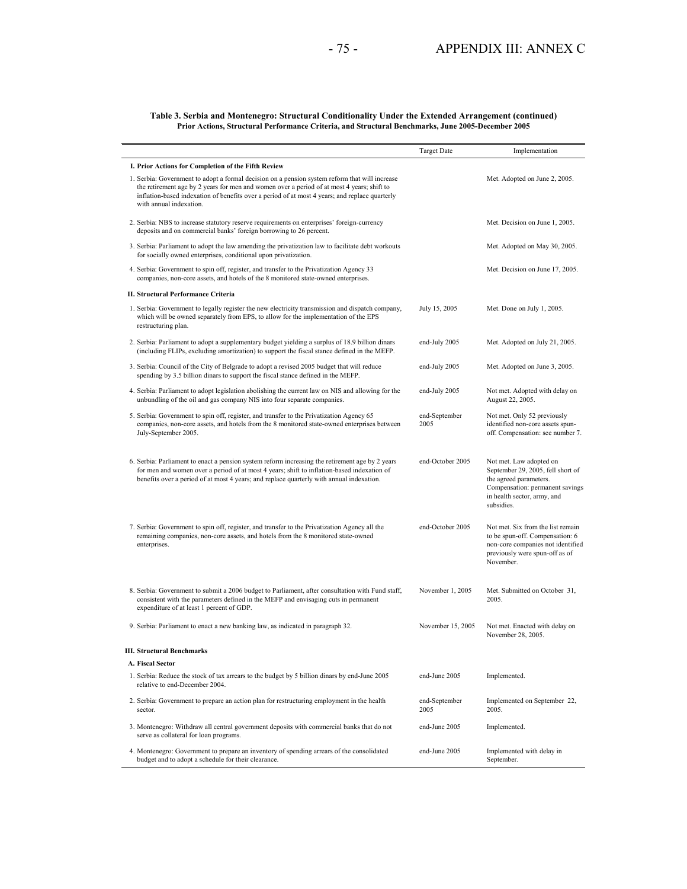#### **Table 3. Serbia and Montenegro: Structural Conditionality Under the Extended Arrangement (continued) Prior Actions, Structural Performance Criteria, and Structural Benchmarks, June 2005-December 2005**

|                                                                                                                                                                                                                                                                                                                          | <b>Target Date</b>    | Implementation                                                                                                                                                         |
|--------------------------------------------------------------------------------------------------------------------------------------------------------------------------------------------------------------------------------------------------------------------------------------------------------------------------|-----------------------|------------------------------------------------------------------------------------------------------------------------------------------------------------------------|
| I. Prior Actions for Completion of the Fifth Review                                                                                                                                                                                                                                                                      |                       |                                                                                                                                                                        |
| 1. Serbia: Government to adopt a formal decision on a pension system reform that will increase<br>the retirement age by 2 years for men and women over a period of at most 4 years; shift to<br>inflation-based indexation of benefits over a period of at most 4 years; and replace quarterly<br>with annual indexation |                       | Met. Adopted on June 2, 2005.                                                                                                                                          |
| 2. Serbia: NBS to increase statutory reserve requirements on enterprises' foreign-currency<br>deposits and on commercial banks' foreign borrowing to 26 percent.                                                                                                                                                         |                       | Met. Decision on June 1, 2005.                                                                                                                                         |
| 3. Serbia: Parliament to adopt the law amending the privatization law to facilitate debt workouts<br>for socially owned enterprises, conditional upon privatization.                                                                                                                                                     |                       | Met. Adopted on May 30, 2005.                                                                                                                                          |
| 4. Serbia: Government to spin off, register, and transfer to the Privatization Agency 33<br>companies, non-core assets, and hotels of the 8 monitored state-owned enterprises.                                                                                                                                           |                       | Met. Decision on June 17, 2005.                                                                                                                                        |
| II. Structural Performance Criteria                                                                                                                                                                                                                                                                                      |                       |                                                                                                                                                                        |
| 1. Serbia: Government to legally register the new electricity transmission and dispatch company,<br>which will be owned separately from EPS, to allow for the implementation of the EPS<br>restructuring plan.                                                                                                           | July 15, 2005         | Met. Done on July 1, 2005.                                                                                                                                             |
| 2. Serbia: Parliament to adopt a supplementary budget yielding a surplus of 18.9 billion dinars<br>(including FLIPs, excluding amortization) to support the fiscal stance defined in the MEFP.                                                                                                                           | end-July 2005         | Met. Adopted on July 21, 2005.                                                                                                                                         |
| 3. Serbia: Council of the City of Belgrade to adopt a revised 2005 budget that will reduce<br>spending by 3.5 billion dinars to support the fiscal stance defined in the MEFP.                                                                                                                                           | end-July 2005         | Met. Adopted on June 3, 2005.                                                                                                                                          |
| 4. Serbia: Parliament to adopt legislation abolishing the current law on NIS and allowing for the<br>unbundling of the oil and gas company NIS into four separate companies.                                                                                                                                             | end-July 2005         | Not met. Adopted with delay on<br>August 22, 2005.                                                                                                                     |
| 5. Serbia: Government to spin off, register, and transfer to the Privatization Agency 65<br>companies, non-core assets, and hotels from the 8 monitored state-owned enterprises between<br>July-September 2005.                                                                                                          | end-September<br>2005 | Not met. Only 52 previously<br>identified non-core assets spun-<br>off. Compensation: see number 7.                                                                    |
| 6. Serbia: Parliament to enact a pension system reform increasing the retirement age by 2 years<br>for men and women over a period of at most 4 years; shift to inflation-based indexation of<br>benefits over a period of at most 4 years; and replace quarterly with annual indexation.                                | end-October 2005      | Not met. Law adopted on<br>September 29, 2005, fell short of<br>the agreed parameters.<br>Compensation: permanent savings<br>in health sector, army, and<br>subsidies. |
| 7. Serbia: Government to spin off, register, and transfer to the Privatization Agency all the<br>remaining companies, non-core assets, and hotels from the 8 monitored state-owned<br>enterprises.                                                                                                                       | end-October 2005      | Not met. Six from the list remain<br>to be spun-off. Compensation: 6<br>non-core companies not identified<br>previously were spun-off as of<br>November.               |
| 8. Serbia: Government to submit a 2006 budget to Parliament, after consultation with Fund staff,<br>consistent with the parameters defined in the MEFP and envisaging cuts in permanent<br>expenditure of at least 1 percent of GDP.                                                                                     | November 1, 2005      | Met. Submitted on October 31,<br>2005.                                                                                                                                 |
| 9. Serbia: Parliament to enact a new banking law, as indicated in paragraph 32.                                                                                                                                                                                                                                          | November 15, 2005     | Not met. Enacted with delay on<br>November 28, 2005.                                                                                                                   |
| <b>III. Structural Benchmarks</b>                                                                                                                                                                                                                                                                                        |                       |                                                                                                                                                                        |
| A. Fiscal Sector                                                                                                                                                                                                                                                                                                         |                       |                                                                                                                                                                        |
| 1. Serbia: Reduce the stock of tax arrears to the budget by 5 billion dinars by end-June 2005<br>relative to end-December 2004.                                                                                                                                                                                          | end-June 2005         | Implemented.                                                                                                                                                           |
| 2. Serbia: Government to prepare an action plan for restructuring employment in the health<br>sector.                                                                                                                                                                                                                    | end-September<br>2005 | Implemented on September 22,<br>2005.                                                                                                                                  |
| 3. Montenegro: Withdraw all central government deposits with commercial banks that do not<br>serve as collateral for loan programs.                                                                                                                                                                                      | end-June 2005         | Implemented.                                                                                                                                                           |
| 4. Montenegro: Government to prepare an inventory of spending arrears of the consolidated<br>budget and to adopt a schedule for their clearance.                                                                                                                                                                         | end-June 2005         | Implemented with delay in<br>September.                                                                                                                                |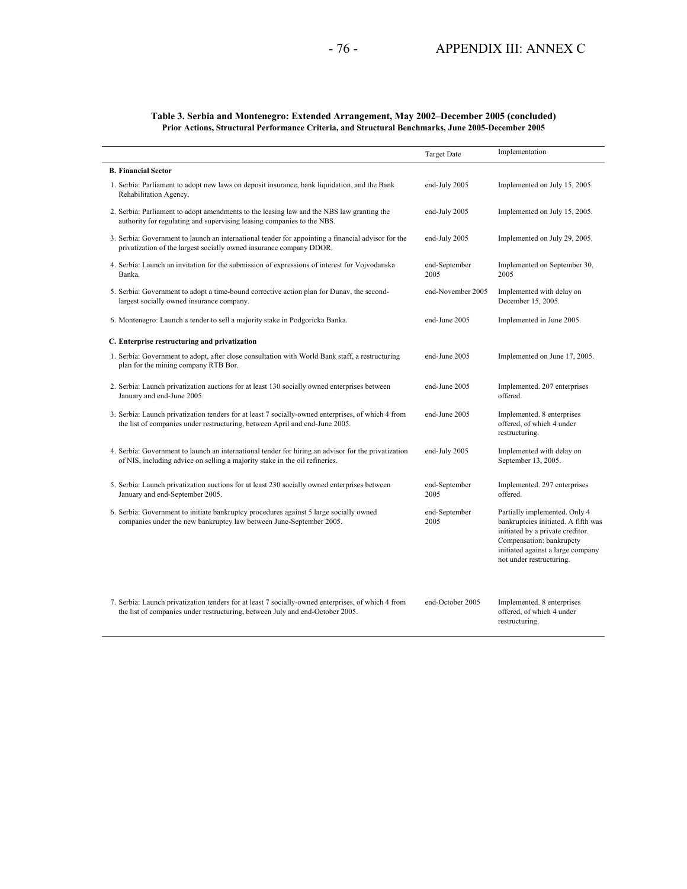#### **Table 3. Serbia and Montenegro: Extended Arrangement, May 2002–December 2005 (concluded) Prior Actions, Structural Performance Criteria, and Structural Benchmarks, June 2005-December 2005**

|                                                                                                                                                                                     | <b>Target Date</b>    | Implementation                                                                                                                                                                                        |
|-------------------------------------------------------------------------------------------------------------------------------------------------------------------------------------|-----------------------|-------------------------------------------------------------------------------------------------------------------------------------------------------------------------------------------------------|
| <b>B. Financial Sector</b>                                                                                                                                                          |                       |                                                                                                                                                                                                       |
| 1. Serbia: Parliament to adopt new laws on deposit insurance, bank liquidation, and the Bank<br>Rehabilitation Agency.                                                              | end-July 2005         | Implemented on July 15, 2005.                                                                                                                                                                         |
| 2. Serbia: Parliament to adopt amendments to the leasing law and the NBS law granting the<br>authority for regulating and supervising leasing companies to the NBS.                 | end-July 2005         | Implemented on July 15, 2005.                                                                                                                                                                         |
| 3. Serbia: Government to launch an international tender for appointing a financial advisor for the<br>privatization of the largest socially owned insurance company DDOR.           | end-July 2005         | Implemented on July 29, 2005.                                                                                                                                                                         |
| 4. Serbia: Launch an invitation for the submission of expressions of interest for Vojvodanska<br>Banka.                                                                             | end-September<br>2005 | Implemented on September 30,<br>2005                                                                                                                                                                  |
| 5. Serbia: Government to adopt a time-bound corrective action plan for Dunav, the second-<br>largest socially owned insurance company.                                              | end-November 2005     | Implemented with delay on<br>December 15, 2005.                                                                                                                                                       |
| 6. Montenegro: Launch a tender to sell a majority stake in Podgoricka Banka.                                                                                                        | end-June 2005         | Implemented in June 2005.                                                                                                                                                                             |
| C. Enterprise restructuring and privatization                                                                                                                                       |                       |                                                                                                                                                                                                       |
| 1. Serbia: Government to adopt, after close consultation with World Bank staff, a restructuring<br>plan for the mining company RTB Bor.                                             | end-June 2005         | Implemented on June 17, 2005.                                                                                                                                                                         |
| 2. Serbia: Launch privatization auctions for at least 130 socially owned enterprises between<br>January and end-June 2005.                                                          | end-June 2005         | Implemented. 207 enterprises<br>offered.                                                                                                                                                              |
| 3. Serbia: Launch privatization tenders for at least 7 socially-owned enterprises, of which 4 from<br>the list of companies under restructuring, between April and end-June 2005.   | end-June 2005         | Implemented. 8 enterprises<br>offered, of which 4 under<br>restructuring.                                                                                                                             |
| 4. Serbia: Government to launch an international tender for hiring an advisor for the privatization<br>of NIS, including advice on selling a majority stake in the oil refineries.  | end-July 2005         | Implemented with delay on<br>September 13, 2005.                                                                                                                                                      |
| 5. Serbia: Launch privatization auctions for at least 230 socially owned enterprises between<br>January and end-September 2005.                                                     | end-September<br>2005 | Implemented. 297 enterprises<br>offered.                                                                                                                                                              |
| 6. Serbia: Government to initiate bankruptcy procedures against 5 large socially owned<br>companies under the new bankruptcy law between June-September 2005.                       | end-September<br>2005 | Partially implemented. Only 4<br>bankruptcies initiated. A fifth was<br>initiated by a private creditor.<br>Compensation: bankrupcty<br>initiated against a large company<br>not under restructuring. |
| 7. Serbia: Launch privatization tenders for at least 7 socially-owned enterprises, of which 4 from<br>the list of companies under restructuring, between July and end-October 2005. | end-October 2005      | Implemented. 8 enterprises<br>offered, of which 4 under<br>restructuring.                                                                                                                             |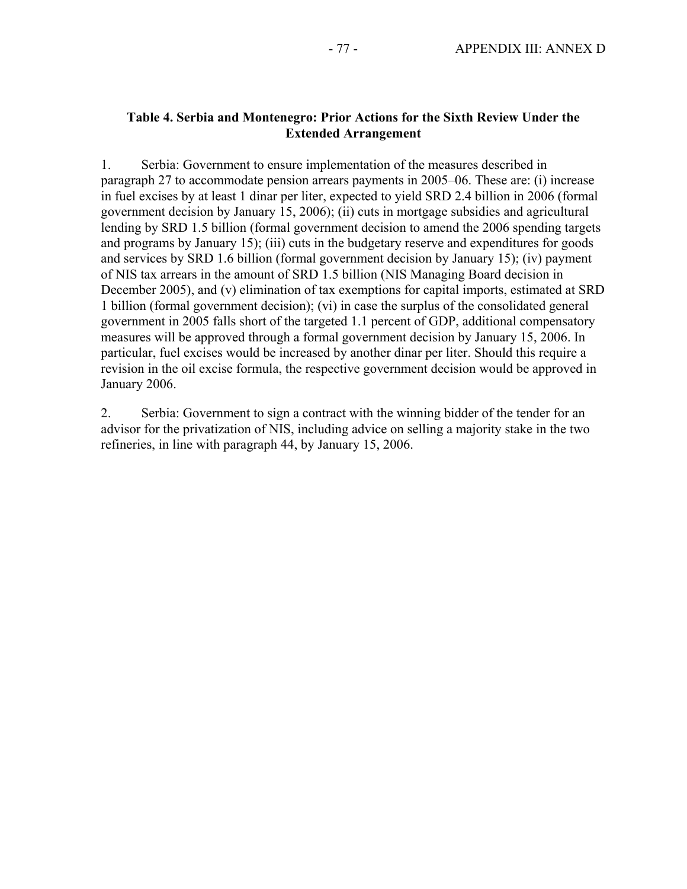### **Table 4. Serbia and Montenegro: Prior Actions for the Sixth Review Under the Extended Arrangement**

1. Serbia: Government to ensure implementation of the measures described in paragraph 27 to accommodate pension arrears payments in 2005–06. These are: (i) increase in fuel excises by at least 1 dinar per liter, expected to yield SRD 2.4 billion in 2006 (formal government decision by January 15, 2006); (ii) cuts in mortgage subsidies and agricultural lending by SRD 1.5 billion (formal government decision to amend the 2006 spending targets and programs by January 15); (iii) cuts in the budgetary reserve and expenditures for goods and services by SRD 1.6 billion (formal government decision by January 15); (iv) payment of NIS tax arrears in the amount of SRD 1.5 billion (NIS Managing Board decision in December 2005), and (v) elimination of tax exemptions for capital imports, estimated at SRD 1 billion (formal government decision); (vi) in case the surplus of the consolidated general government in 2005 falls short of the targeted 1.1 percent of GDP, additional compensatory measures will be approved through a formal government decision by January 15, 2006. In particular, fuel excises would be increased by another dinar per liter. Should this require a revision in the oil excise formula, the respective government decision would be approved in January 2006.

2. Serbia: Government to sign a contract with the winning bidder of the tender for an advisor for the privatization of NIS, including advice on selling a majority stake in the two refineries, in line with paragraph 44, by January 15, 2006.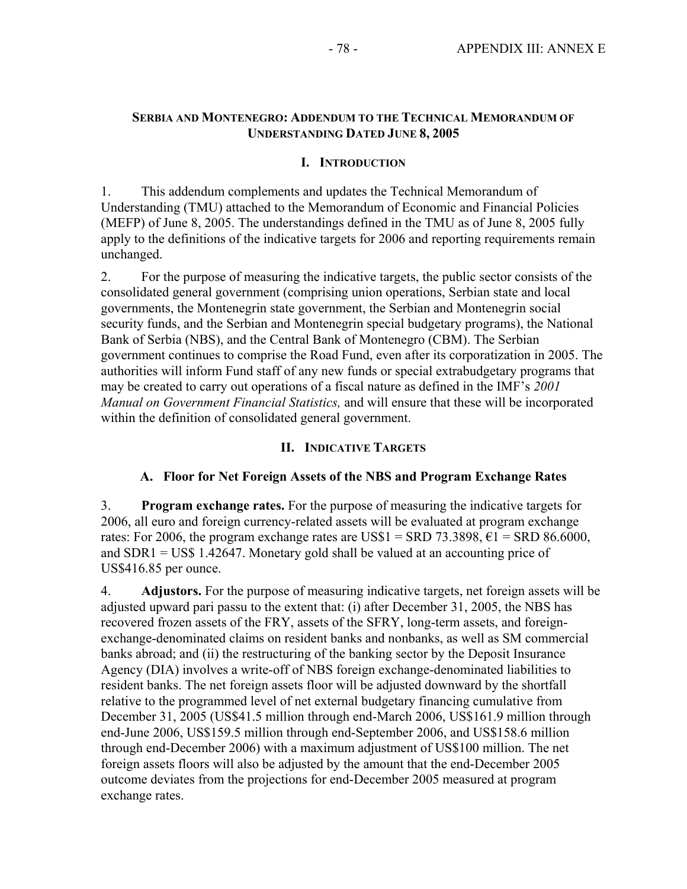## **SERBIA AND MONTENEGRO: ADDENDUM TO THE TECHNICAL MEMORANDUM OF UNDERSTANDING DATED JUNE 8, 2005**

# **I. INTRODUCTION**

1. This addendum complements and updates the Technical Memorandum of Understanding (TMU) attached to the Memorandum of Economic and Financial Policies (MEFP) of June 8, 2005. The understandings defined in the TMU as of June 8, 2005 fully apply to the definitions of the indicative targets for 2006 and reporting requirements remain unchanged.

2. For the purpose of measuring the indicative targets, the public sector consists of the consolidated general government (comprising union operations, Serbian state and local governments, the Montenegrin state government, the Serbian and Montenegrin social security funds, and the Serbian and Montenegrin special budgetary programs), the National Bank of Serbia (NBS), and the Central Bank of Montenegro (CBM). The Serbian government continues to comprise the Road Fund, even after its corporatization in 2005. The authorities will inform Fund staff of any new funds or special extrabudgetary programs that may be created to carry out operations of a fiscal nature as defined in the IMF's *2001 Manual on Government Financial Statistics,* and will ensure that these will be incorporated within the definition of consolidated general government.

### **II. INDICATIVE TARGETS**

### **A. Floor for Net Foreign Assets of the NBS and Program Exchange Rates**

3. **Program exchange rates.** For the purpose of measuring the indicative targets for 2006, all euro and foreign currency-related assets will be evaluated at program exchange rates: For 2006, the program exchange rates are US\$1 = SRD 73.3898,  $\epsilon$ 1 = SRD 86.6000, and SDR1 = US\$ 1.42647. Monetary gold shall be valued at an accounting price of US\$416.85 per ounce.

4. **Adjustors.** For the purpose of measuring indicative targets, net foreign assets will be adjusted upward pari passu to the extent that: (i) after December 31, 2005, the NBS has recovered frozen assets of the FRY, assets of the SFRY, long-term assets, and foreignexchange-denominated claims on resident banks and nonbanks, as well as SM commercial banks abroad; and (ii) the restructuring of the banking sector by the Deposit Insurance Agency (DIA) involves a write-off of NBS foreign exchange-denominated liabilities to resident banks. The net foreign assets floor will be adjusted downward by the shortfall relative to the programmed level of net external budgetary financing cumulative from December 31, 2005 (US\$41.5 million through end-March 2006, US\$161.9 million through end-June 2006, US\$159.5 million through end-September 2006, and US\$158.6 million through end-December 2006) with a maximum adjustment of US\$100 million. The net foreign assets floors will also be adjusted by the amount that the end-December 2005 outcome deviates from the projections for end-December 2005 measured at program exchange rates.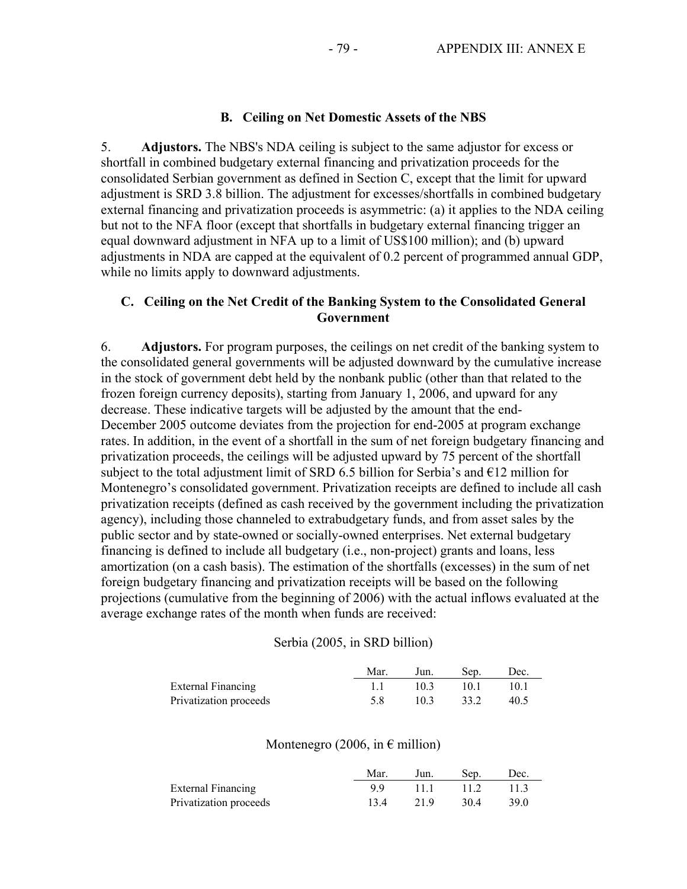### **B. Ceiling on Net Domestic Assets of the NBS**

5. **Adjustors.** The NBS's NDA ceiling is subject to the same adjustor for excess or shortfall in combined budgetary external financing and privatization proceeds for the consolidated Serbian government as defined in Section C, except that the limit for upward adjustment is SRD 3.8 billion. The adjustment for excesses/shortfalls in combined budgetary external financing and privatization proceeds is asymmetric: (a) it applies to the NDA ceiling but not to the NFA floor (except that shortfalls in budgetary external financing trigger an equal downward adjustment in NFA up to a limit of US\$100 million); and (b) upward adjustments in NDA are capped at the equivalent of 0.2 percent of programmed annual GDP, while no limits apply to downward adjustments.

### **C. Ceiling on the Net Credit of the Banking System to the Consolidated General Government**

6. **Adjustors.** For program purposes, the ceilings on net credit of the banking system to the consolidated general governments will be adjusted downward by the cumulative increase in the stock of government debt held by the nonbank public (other than that related to the frozen foreign currency deposits), starting from January 1, 2006, and upward for any decrease. These indicative targets will be adjusted by the amount that the end-December 2005 outcome deviates from the projection for end-2005 at program exchange rates. In addition, in the event of a shortfall in the sum of net foreign budgetary financing and privatization proceeds, the ceilings will be adjusted upward by 75 percent of the shortfall subject to the total adjustment limit of SRD 6.5 billion for Serbia's and  $E12$  million for Montenegro's consolidated government. Privatization receipts are defined to include all cash privatization receipts (defined as cash received by the government including the privatization agency), including those channeled to extrabudgetary funds, and from asset sales by the public sector and by state-owned or socially-owned enterprises. Net external budgetary financing is defined to include all budgetary (i.e., non-project) grants and loans, less amortization (on a cash basis). The estimation of the shortfalls (excesses) in the sum of net foreign budgetary financing and privatization receipts will be based on the following projections (cumulative from the beginning of 2006) with the actual inflows evaluated at the average exchange rates of the month when funds are received:

#### Serbia (2005, in SRD billion)

|                           | Mar. | Jun. | Sep. | Dec. |
|---------------------------|------|------|------|------|
| <b>External Financing</b> |      | 103  | 10 L | 10-1 |
| Privatization proceeds    | 5 X  | 103  | 33.2 | 40.5 |

### Montenegro (2006, in  $\epsilon$  million)

|                           | Mar. | Jun. | Sep. | Dec. |
|---------------------------|------|------|------|------|
| <b>External Financing</b> | 99   | 111  | 112  |      |
| Privatization proceeds    | 134  | 219  | 30.4 | 39.0 |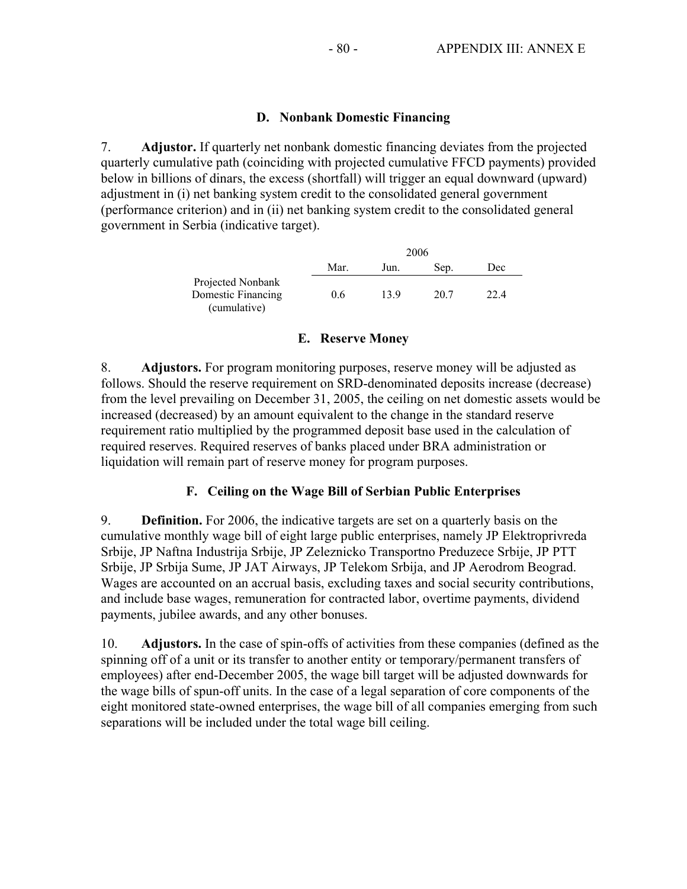### **D. Nonbank Domestic Financing**

7. **Adjustor.** If quarterly net nonbank domestic financing deviates from the projected quarterly cumulative path (coinciding with projected cumulative FFCD payments) provided below in billions of dinars, the excess (shortfall) will trigger an equal downward (upward) adjustment in (i) net banking system credit to the consolidated general government (performance criterion) and in (ii) net banking system credit to the consolidated general government in Serbia (indicative target).

|                                                         |      |      | 2006 |      |
|---------------------------------------------------------|------|------|------|------|
|                                                         | Mar. | Jun. | Sep. | Dec  |
| Projected Nonbank<br>Domestic Financing<br>(cumulative) | 0.6  | 139  | 20.7 | 22.4 |

### **E. Reserve Money**

8. **Adjustors.** For program monitoring purposes, reserve money will be adjusted as follows. Should the reserve requirement on SRD-denominated deposits increase (decrease) from the level prevailing on December 31, 2005, the ceiling on net domestic assets would be increased (decreased) by an amount equivalent to the change in the standard reserve requirement ratio multiplied by the programmed deposit base used in the calculation of required reserves. Required reserves of banks placed under BRA administration or liquidation will remain part of reserve money for program purposes.

### **F. Ceiling on the Wage Bill of Serbian Public Enterprises**

9. **Definition.** For 2006, the indicative targets are set on a quarterly basis on the cumulative monthly wage bill of eight large public enterprises, namely JP Elektroprivreda Srbije, JP Naftna Industrija Srbije, JP Zeleznicko Transportno Preduzece Srbije, JP PTT Srbije, JP Srbija Sume, JP JAT Airways, JP Telekom Srbija, and JP Aerodrom Beograd. Wages are accounted on an accrual basis, excluding taxes and social security contributions, and include base wages, remuneration for contracted labor, overtime payments, dividend payments, jubilee awards, and any other bonuses.

10. **Adjustors.** In the case of spin-offs of activities from these companies (defined as the spinning off of a unit or its transfer to another entity or temporary/permanent transfers of employees) after end-December 2005, the wage bill target will be adjusted downwards for the wage bills of spun-off units. In the case of a legal separation of core components of the eight monitored state-owned enterprises, the wage bill of all companies emerging from such separations will be included under the total wage bill ceiling.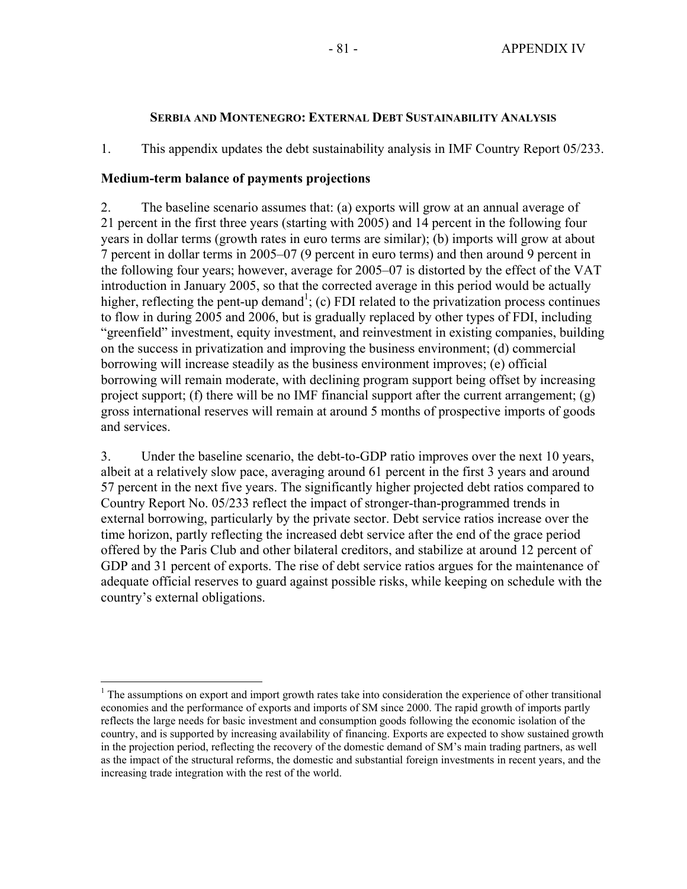### **SERBIA AND MONTENEGRO: EXTERNAL DEBT SUSTAINABILITY ANALYSIS**

1. This appendix updates the debt sustainability analysis in IMF Country Report 05/233.

### **Medium-term balance of payments projections**

 $\overline{a}$ 

2. The baseline scenario assumes that: (a) exports will grow at an annual average of 21 percent in the first three years (starting with 2005) and 14 percent in the following four years in dollar terms (growth rates in euro terms are similar); (b) imports will grow at about 7 percent in dollar terms in 2005–07 (9 percent in euro terms) and then around 9 percent in the following four years; however, average for 2005–07 is distorted by the effect of the VAT introduction in January 2005, so that the corrected average in this period would be actually higher, reflecting the pent-up demand<sup>1</sup>; (c) FDI related to the privatization process continues to flow in during 2005 and 2006, but is gradually replaced by other types of FDI, including "greenfield" investment, equity investment, and reinvestment in existing companies, building on the success in privatization and improving the business environment; (d) commercial borrowing will increase steadily as the business environment improves; (e) official borrowing will remain moderate, with declining program support being offset by increasing project support; (f) there will be no IMF financial support after the current arrangement;  $(g)$ gross international reserves will remain at around 5 months of prospective imports of goods and services.

3. Under the baseline scenario, the debt-to-GDP ratio improves over the next 10 years, albeit at a relatively slow pace, averaging around 61 percent in the first 3 years and around 57 percent in the next five years. The significantly higher projected debt ratios compared to Country Report No. 05/233 reflect the impact of stronger-than-programmed trends in external borrowing, particularly by the private sector. Debt service ratios increase over the time horizon, partly reflecting the increased debt service after the end of the grace period offered by the Paris Club and other bilateral creditors, and stabilize at around 12 percent of GDP and 31 percent of exports. The rise of debt service ratios argues for the maintenance of adequate official reserves to guard against possible risks, while keeping on schedule with the country's external obligations.

<sup>&</sup>lt;sup>1</sup> The assumptions on export and import growth rates take into consideration the experience of other transitional economies and the performance of exports and imports of SM since 2000. The rapid growth of imports partly reflects the large needs for basic investment and consumption goods following the economic isolation of the country, and is supported by increasing availability of financing. Exports are expected to show sustained growth in the projection period, reflecting the recovery of the domestic demand of SM's main trading partners, as well as the impact of the structural reforms, the domestic and substantial foreign investments in recent years, and the increasing trade integration with the rest of the world.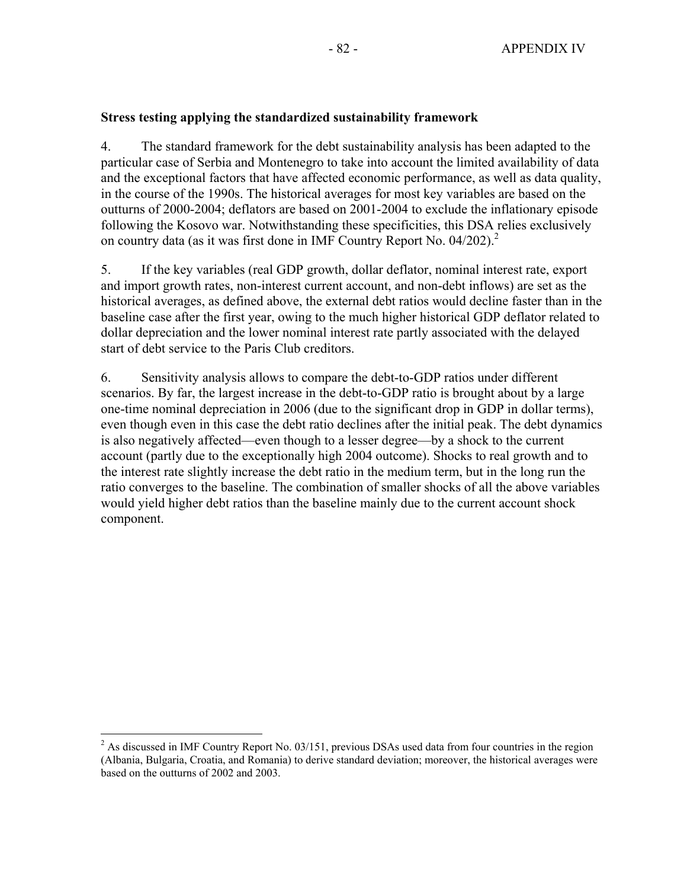### **Stress testing applying the standardized sustainability framework**

4. The standard framework for the debt sustainability analysis has been adapted to the particular case of Serbia and Montenegro to take into account the limited availability of data and the exceptional factors that have affected economic performance, as well as data quality, in the course of the 1990s. The historical averages for most key variables are based on the outturns of 2000-2004; deflators are based on 2001-2004 to exclude the inflationary episode following the Kosovo war. Notwithstanding these specificities, this DSA relies exclusively on country data (as it was first done in IMF Country Report No. 04/202).<sup>2</sup>

5. If the key variables (real GDP growth, dollar deflator, nominal interest rate, export and import growth rates, non-interest current account, and non-debt inflows) are set as the historical averages, as defined above, the external debt ratios would decline faster than in the baseline case after the first year, owing to the much higher historical GDP deflator related to dollar depreciation and the lower nominal interest rate partly associated with the delayed start of debt service to the Paris Club creditors.

6. Sensitivity analysis allows to compare the debt-to-GDP ratios under different scenarios. By far, the largest increase in the debt-to-GDP ratio is brought about by a large one-time nominal depreciation in 2006 (due to the significant drop in GDP in dollar terms), even though even in this case the debt ratio declines after the initial peak. The debt dynamics is also negatively affected—even though to a lesser degree—by a shock to the current account (partly due to the exceptionally high 2004 outcome). Shocks to real growth and to the interest rate slightly increase the debt ratio in the medium term, but in the long run the ratio converges to the baseline. The combination of smaller shocks of all the above variables would yield higher debt ratios than the baseline mainly due to the current account shock component.

 $\overline{a}$  $2$  As discussed in IMF Country Report No. 03/151, previous DSAs used data from four countries in the region (Albania, Bulgaria, Croatia, and Romania) to derive standard deviation; moreover, the historical averages were based on the outturns of 2002 and 2003.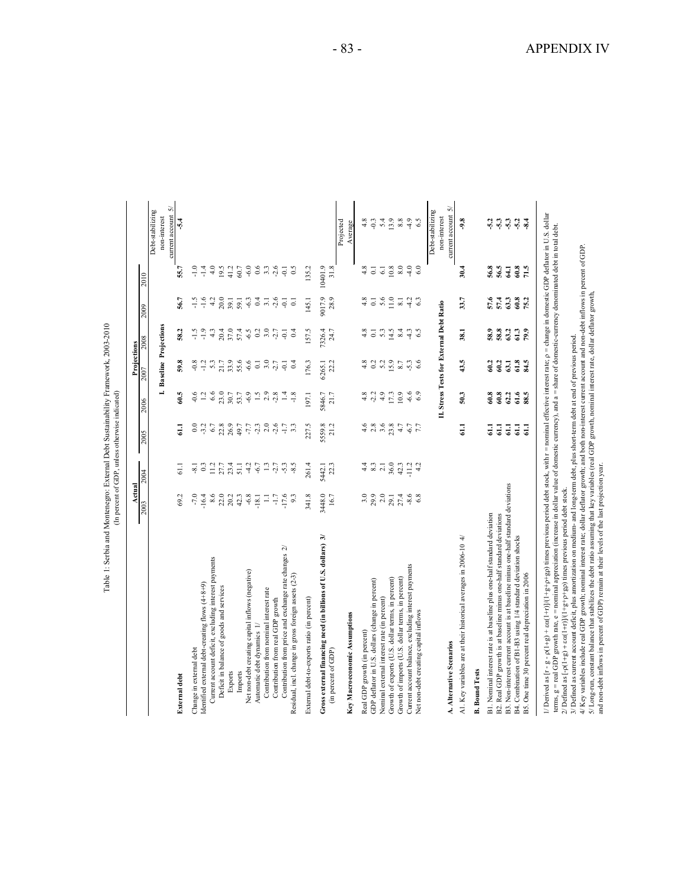| current account 5/<br>Debt-stabilizing<br>// Derived as $[r - g - \rho(1+g) + \omega(1+r)]/(1+g + g + g + g)$ times previous period debt stock, with $r =$ nominal effective interest rate; $\rho =$ change in domestic GDP deflator in U.S. dollar<br>non-interest<br>non-interest<br>5.4<br>13.9<br>$-5.4$<br>$-0.3$<br>$8.8\,$<br>4.9<br>$-9.8$<br>$-5.3$<br>4.8<br>6.5<br>$-5.3$<br>$-8.4$<br>$-5.2$<br>$-5.2$<br>Projected<br>Average<br>terms, g = real GDP growth rate, e = nominal appreciation (increase in dollar value of domestic currency), and a = share of domestic-currency denominated debt in total debt.<br>$\phantom{00}8.0$<br>$-6.0$<br>0.6<br>$-2.6$<br>10401.9<br>10.8<br>$\frac{1}{4}$<br>56.8<br>56.5<br>$60.8$<br>71.5<br>4.0<br>19.5<br>3.3<br>0.5<br>135.2<br>31.8<br>$\overline{0}$<br>6.0<br>$\overline{4.1}$<br>$-1.4$<br>41.2<br>60.7<br>$\overline{\mathsf{Q}}$<br>$\overline{61}$<br>30.4<br>55.7<br>2010<br>9017.9<br>$-1.6$<br>$20.0\,$<br>0.4<br>$3.\overline{1}$<br>$2.6$<br>28.9<br>4.8<br>$5.6$<br>11.0<br>33.7<br>57.6<br>57.4<br>63.3<br>60.8<br>56.7<br>$-1.5$<br>4.2<br>39.1<br>$-6.3$<br>$\overline{\phantom{0}}$<br>$\overline{8.1}$<br>4.2<br>63<br>75.2<br>59.1<br>$\overline{Q}$<br>145.1<br>$\overline{\circ}$<br>II. Stress Tests for External Debt Ratio<br>2009<br>I. Baseline Projections<br>$-1.9$<br>20.4<br>37.0<br>3.0<br>7326.4<br>4.8<br>$\overline{\circ}$<br>$\frac{5.3}{14.5}$<br>8.4<br>58.8<br>63.2<br>58.2<br>$-1.5$<br>4.3<br>57.4<br>$0.2\,$<br>$-2.7$<br>$-0.1$<br>157.5<br>24.7<br>$-4.3$<br>6.5<br>38.1<br>58.9<br>61.3<br>79.9<br>0.4<br>2008<br>43.5<br>59.8<br>$5.3$<br>$21.7$<br>$33.9$<br>55.6<br>4.8<br>0.2<br>5.2<br>15.9<br>6.6<br>60.2<br>63.1<br>61.8<br>84.5<br>$-0.8$<br>$-1.2$<br>$-6.6$<br>3.0<br>22.2<br>$8.7\,$<br>$-5.3$<br>60.2<br>$-2.7$<br>$\overline{\circ}$<br>0.4<br>176.3<br>6265.1<br>$\overline{Q}$<br>2007<br>60.5<br>$23.0$<br>$30.7$<br>$-6.9$<br>2.9<br>$4.8$<br>$-2.2$<br>$\frac{4.9}{17.3}$<br>10.9<br>$-6.6$<br>50.3<br>60.8<br>60.8<br>62.2<br>G1.6<br>88.5<br>$-0.6$<br>6.6<br>$\frac{1}{2}$<br>$-2.8$<br>5846.7<br>6.9<br>1.2<br>53.7<br>1.4<br>$-1.8$<br>21.7<br>197.1<br>2006<br>$4.6$<br>2.8<br>6789777<br>2.0<br>$-2.6$<br>227.5<br>5559.8<br>21.2<br>$3.6$<br>$2.3$ $4.7$<br>$\overline{1.1}$<br>$_{\rm 0.0}$<br>$-3.2$<br>$-1.7$<br>3.3<br>$-6.7$<br>$\overline{5}$<br>$\vec{a}$<br>$\Xi$<br>$\overline{5}$<br>61.1<br>$\overline{a}$<br>2005<br>$-2.7$<br>8.3<br>36.0<br>42.3<br>27.7<br>23.4<br>4.2<br>$-6.7$<br>1.3<br>$-5.3$<br>$-8.5$<br>22.3<br>4.4<br>2.1<br>4.2<br>61.1<br>0.3<br>11.2<br>51.1<br>261.4<br>$-8.1$<br>5442.1<br>2004<br>B3. Non-interest current account is at baseline minus one-half standard deviations<br>2/ Defined as $[-\rho(1+g) + \varepsilon\alpha(1+r)]/(1+g+\rho+g\rho)$ times previous period debt stock.<br>3.0<br>29.9<br>8.6<br>$22.0$<br>$20.2$<br>$-6.8$<br>3448.0<br>$2.0$<br>$2.9.1$<br>$27.4$<br>69.2<br>$-7.0$<br>16.4<br>42.3<br>$-1.7$<br>341.8<br>16.7<br>$-8.6$<br>6.8<br>$-18.1$<br>$\Xi$<br>9.3<br>2003<br>B1. Nominal interest rate is at baseline plus one-half standard deviation<br>B2. Real GDP growth is at baseline minus one-half standard deviations<br>Gross external financing need (in billions of U.S. dollars) 3/<br>A1. Key variables are at their historical averages in 2006-10 $4/$<br>B4. Combination of B1-B3 using 1/4 standard deviation shocks<br>Contribution from price and exchange rate changes 2/<br>Current account deficit, excluding interest payments<br>Current account balance, excluding interest payments<br>Net non-debt creating capital inflows (negative)<br>B5. One time 30 percent real depreciation in 2006<br>Residual, incl. change in gross foreign assets (2-3)<br>Growth of exports (U.S. dollar terms, in percent)<br>Growth of imports (U.S. dollar terms, in percent)<br>GDP deflator in U.S. dollars (change in percent)<br>Identified external debt-creating flows (4+8+9)<br>Deficit in balance of goods and services<br>Contribution from nominal interest rate<br>Nominal external interest rate (in percent)<br>External debt-to-exports ratio (in percent)<br>Contribution from real GDP growth<br>Net non-debt creating capital inflows<br>Key Macroeconomic Assumptions<br>Automatic debt dynamics 1/<br>Real GDP growth (in percent)<br>A. Alternative Scenarios<br>Change in external debt<br>(in percent of GDP)<br><b>B.</b> Bound Tests<br>Exports<br>Imports<br>External debt |                                                                                                                                         | Actual | Projections |                    |
|----------------------------------------------------------------------------------------------------------------------------------------------------------------------------------------------------------------------------------------------------------------------------------------------------------------------------------------------------------------------------------------------------------------------------------------------------------------------------------------------------------------------------------------------------------------------------------------------------------------------------------------------------------------------------------------------------------------------------------------------------------------------------------------------------------------------------------------------------------------------------------------------------------------------------------------------------------------------------------------------------------------------------------------------------------------------------------------------------------------------------------------------------------------------------------------------------------------------------------------------------------------------------------------------------------------------------------------------------------------------------------------------------------------------------------------------------------------------------------------------------------------------------------------------------------------------------------------------------------------------------------------------------------------------------------------------------------------------------------------------------------------------------------------------------------------------------------------------------------------------------------------------------------------------------------------------------------------------------------------------------------------------------------------------------------------------------------------------------------------------------------------------------------------------------------------------------------------------------------------------------------------------------------------------------------------------------------------------------------------------------------------------------------------------------------------------------------------------------------------------------------------------------------------------------------------------------------------------------------------------------------------------------------------------------------------------------------------------------------------------------------------------------------------------------------------------------------------------------------------------------------------------------------------------------------------------------------------------------------------------------------------------------------------------------------------------------------------------------------------------------------------------------------------------------------------------------------------------------------------------------------------------------------------------------------------------------------------------------------------------------------------------------------------------------------------------------------------------------------------------------------------------------------------------------------------------------------------------------------------------------------------------------------------------------------------------------------------------------------------------------------------------------------------------------------------------------------------------------------------------------------------------------------------------------------------------------------------------------------------------------------------------------------------------------------------------------------------------------------------------------------------------------------------------------------------------------------------------------------------------------------------------------------------------------------------------------------------------------------------------------------------------------------------------------------------------------------------------------------------------------------------------|-----------------------------------------------------------------------------------------------------------------------------------------|--------|-------------|--------------------|
|                                                                                                                                                                                                                                                                                                                                                                                                                                                                                                                                                                                                                                                                                                                                                                                                                                                                                                                                                                                                                                                                                                                                                                                                                                                                                                                                                                                                                                                                                                                                                                                                                                                                                                                                                                                                                                                                                                                                                                                                                                                                                                                                                                                                                                                                                                                                                                                                                                                                                                                                                                                                                                                                                                                                                                                                                                                                                                                                                                                                                                                                                                                                                                                                                                                                                                                                                                                                                                                                                                                                                                                                                                                                                                                                                                                                                                                                                                                                                                                                                                                                                                                                                                                                                                                                                                                                                                                                                                                                                                                      |                                                                                                                                         |        |             |                    |
|                                                                                                                                                                                                                                                                                                                                                                                                                                                                                                                                                                                                                                                                                                                                                                                                                                                                                                                                                                                                                                                                                                                                                                                                                                                                                                                                                                                                                                                                                                                                                                                                                                                                                                                                                                                                                                                                                                                                                                                                                                                                                                                                                                                                                                                                                                                                                                                                                                                                                                                                                                                                                                                                                                                                                                                                                                                                                                                                                                                                                                                                                                                                                                                                                                                                                                                                                                                                                                                                                                                                                                                                                                                                                                                                                                                                                                                                                                                                                                                                                                                                                                                                                                                                                                                                                                                                                                                                                                                                                                                      |                                                                                                                                         |        |             |                    |
|                                                                                                                                                                                                                                                                                                                                                                                                                                                                                                                                                                                                                                                                                                                                                                                                                                                                                                                                                                                                                                                                                                                                                                                                                                                                                                                                                                                                                                                                                                                                                                                                                                                                                                                                                                                                                                                                                                                                                                                                                                                                                                                                                                                                                                                                                                                                                                                                                                                                                                                                                                                                                                                                                                                                                                                                                                                                                                                                                                                                                                                                                                                                                                                                                                                                                                                                                                                                                                                                                                                                                                                                                                                                                                                                                                                                                                                                                                                                                                                                                                                                                                                                                                                                                                                                                                                                                                                                                                                                                                                      |                                                                                                                                         |        |             | current account 5/ |
|                                                                                                                                                                                                                                                                                                                                                                                                                                                                                                                                                                                                                                                                                                                                                                                                                                                                                                                                                                                                                                                                                                                                                                                                                                                                                                                                                                                                                                                                                                                                                                                                                                                                                                                                                                                                                                                                                                                                                                                                                                                                                                                                                                                                                                                                                                                                                                                                                                                                                                                                                                                                                                                                                                                                                                                                                                                                                                                                                                                                                                                                                                                                                                                                                                                                                                                                                                                                                                                                                                                                                                                                                                                                                                                                                                                                                                                                                                                                                                                                                                                                                                                                                                                                                                                                                                                                                                                                                                                                                                                      |                                                                                                                                         |        |             |                    |
|                                                                                                                                                                                                                                                                                                                                                                                                                                                                                                                                                                                                                                                                                                                                                                                                                                                                                                                                                                                                                                                                                                                                                                                                                                                                                                                                                                                                                                                                                                                                                                                                                                                                                                                                                                                                                                                                                                                                                                                                                                                                                                                                                                                                                                                                                                                                                                                                                                                                                                                                                                                                                                                                                                                                                                                                                                                                                                                                                                                                                                                                                                                                                                                                                                                                                                                                                                                                                                                                                                                                                                                                                                                                                                                                                                                                                                                                                                                                                                                                                                                                                                                                                                                                                                                                                                                                                                                                                                                                                                                      |                                                                                                                                         |        |             |                    |
|                                                                                                                                                                                                                                                                                                                                                                                                                                                                                                                                                                                                                                                                                                                                                                                                                                                                                                                                                                                                                                                                                                                                                                                                                                                                                                                                                                                                                                                                                                                                                                                                                                                                                                                                                                                                                                                                                                                                                                                                                                                                                                                                                                                                                                                                                                                                                                                                                                                                                                                                                                                                                                                                                                                                                                                                                                                                                                                                                                                                                                                                                                                                                                                                                                                                                                                                                                                                                                                                                                                                                                                                                                                                                                                                                                                                                                                                                                                                                                                                                                                                                                                                                                                                                                                                                                                                                                                                                                                                                                                      |                                                                                                                                         |        |             |                    |
|                                                                                                                                                                                                                                                                                                                                                                                                                                                                                                                                                                                                                                                                                                                                                                                                                                                                                                                                                                                                                                                                                                                                                                                                                                                                                                                                                                                                                                                                                                                                                                                                                                                                                                                                                                                                                                                                                                                                                                                                                                                                                                                                                                                                                                                                                                                                                                                                                                                                                                                                                                                                                                                                                                                                                                                                                                                                                                                                                                                                                                                                                                                                                                                                                                                                                                                                                                                                                                                                                                                                                                                                                                                                                                                                                                                                                                                                                                                                                                                                                                                                                                                                                                                                                                                                                                                                                                                                                                                                                                                      |                                                                                                                                         |        |             |                    |
|                                                                                                                                                                                                                                                                                                                                                                                                                                                                                                                                                                                                                                                                                                                                                                                                                                                                                                                                                                                                                                                                                                                                                                                                                                                                                                                                                                                                                                                                                                                                                                                                                                                                                                                                                                                                                                                                                                                                                                                                                                                                                                                                                                                                                                                                                                                                                                                                                                                                                                                                                                                                                                                                                                                                                                                                                                                                                                                                                                                                                                                                                                                                                                                                                                                                                                                                                                                                                                                                                                                                                                                                                                                                                                                                                                                                                                                                                                                                                                                                                                                                                                                                                                                                                                                                                                                                                                                                                                                                                                                      |                                                                                                                                         |        |             |                    |
|                                                                                                                                                                                                                                                                                                                                                                                                                                                                                                                                                                                                                                                                                                                                                                                                                                                                                                                                                                                                                                                                                                                                                                                                                                                                                                                                                                                                                                                                                                                                                                                                                                                                                                                                                                                                                                                                                                                                                                                                                                                                                                                                                                                                                                                                                                                                                                                                                                                                                                                                                                                                                                                                                                                                                                                                                                                                                                                                                                                                                                                                                                                                                                                                                                                                                                                                                                                                                                                                                                                                                                                                                                                                                                                                                                                                                                                                                                                                                                                                                                                                                                                                                                                                                                                                                                                                                                                                                                                                                                                      |                                                                                                                                         |        |             |                    |
|                                                                                                                                                                                                                                                                                                                                                                                                                                                                                                                                                                                                                                                                                                                                                                                                                                                                                                                                                                                                                                                                                                                                                                                                                                                                                                                                                                                                                                                                                                                                                                                                                                                                                                                                                                                                                                                                                                                                                                                                                                                                                                                                                                                                                                                                                                                                                                                                                                                                                                                                                                                                                                                                                                                                                                                                                                                                                                                                                                                                                                                                                                                                                                                                                                                                                                                                                                                                                                                                                                                                                                                                                                                                                                                                                                                                                                                                                                                                                                                                                                                                                                                                                                                                                                                                                                                                                                                                                                                                                                                      |                                                                                                                                         |        |             |                    |
|                                                                                                                                                                                                                                                                                                                                                                                                                                                                                                                                                                                                                                                                                                                                                                                                                                                                                                                                                                                                                                                                                                                                                                                                                                                                                                                                                                                                                                                                                                                                                                                                                                                                                                                                                                                                                                                                                                                                                                                                                                                                                                                                                                                                                                                                                                                                                                                                                                                                                                                                                                                                                                                                                                                                                                                                                                                                                                                                                                                                                                                                                                                                                                                                                                                                                                                                                                                                                                                                                                                                                                                                                                                                                                                                                                                                                                                                                                                                                                                                                                                                                                                                                                                                                                                                                                                                                                                                                                                                                                                      |                                                                                                                                         |        |             |                    |
|                                                                                                                                                                                                                                                                                                                                                                                                                                                                                                                                                                                                                                                                                                                                                                                                                                                                                                                                                                                                                                                                                                                                                                                                                                                                                                                                                                                                                                                                                                                                                                                                                                                                                                                                                                                                                                                                                                                                                                                                                                                                                                                                                                                                                                                                                                                                                                                                                                                                                                                                                                                                                                                                                                                                                                                                                                                                                                                                                                                                                                                                                                                                                                                                                                                                                                                                                                                                                                                                                                                                                                                                                                                                                                                                                                                                                                                                                                                                                                                                                                                                                                                                                                                                                                                                                                                                                                                                                                                                                                                      |                                                                                                                                         |        |             |                    |
|                                                                                                                                                                                                                                                                                                                                                                                                                                                                                                                                                                                                                                                                                                                                                                                                                                                                                                                                                                                                                                                                                                                                                                                                                                                                                                                                                                                                                                                                                                                                                                                                                                                                                                                                                                                                                                                                                                                                                                                                                                                                                                                                                                                                                                                                                                                                                                                                                                                                                                                                                                                                                                                                                                                                                                                                                                                                                                                                                                                                                                                                                                                                                                                                                                                                                                                                                                                                                                                                                                                                                                                                                                                                                                                                                                                                                                                                                                                                                                                                                                                                                                                                                                                                                                                                                                                                                                                                                                                                                                                      |                                                                                                                                         |        |             |                    |
|                                                                                                                                                                                                                                                                                                                                                                                                                                                                                                                                                                                                                                                                                                                                                                                                                                                                                                                                                                                                                                                                                                                                                                                                                                                                                                                                                                                                                                                                                                                                                                                                                                                                                                                                                                                                                                                                                                                                                                                                                                                                                                                                                                                                                                                                                                                                                                                                                                                                                                                                                                                                                                                                                                                                                                                                                                                                                                                                                                                                                                                                                                                                                                                                                                                                                                                                                                                                                                                                                                                                                                                                                                                                                                                                                                                                                                                                                                                                                                                                                                                                                                                                                                                                                                                                                                                                                                                                                                                                                                                      |                                                                                                                                         |        |             |                    |
|                                                                                                                                                                                                                                                                                                                                                                                                                                                                                                                                                                                                                                                                                                                                                                                                                                                                                                                                                                                                                                                                                                                                                                                                                                                                                                                                                                                                                                                                                                                                                                                                                                                                                                                                                                                                                                                                                                                                                                                                                                                                                                                                                                                                                                                                                                                                                                                                                                                                                                                                                                                                                                                                                                                                                                                                                                                                                                                                                                                                                                                                                                                                                                                                                                                                                                                                                                                                                                                                                                                                                                                                                                                                                                                                                                                                                                                                                                                                                                                                                                                                                                                                                                                                                                                                                                                                                                                                                                                                                                                      |                                                                                                                                         |        |             |                    |
|                                                                                                                                                                                                                                                                                                                                                                                                                                                                                                                                                                                                                                                                                                                                                                                                                                                                                                                                                                                                                                                                                                                                                                                                                                                                                                                                                                                                                                                                                                                                                                                                                                                                                                                                                                                                                                                                                                                                                                                                                                                                                                                                                                                                                                                                                                                                                                                                                                                                                                                                                                                                                                                                                                                                                                                                                                                                                                                                                                                                                                                                                                                                                                                                                                                                                                                                                                                                                                                                                                                                                                                                                                                                                                                                                                                                                                                                                                                                                                                                                                                                                                                                                                                                                                                                                                                                                                                                                                                                                                                      |                                                                                                                                         |        |             |                    |
|                                                                                                                                                                                                                                                                                                                                                                                                                                                                                                                                                                                                                                                                                                                                                                                                                                                                                                                                                                                                                                                                                                                                                                                                                                                                                                                                                                                                                                                                                                                                                                                                                                                                                                                                                                                                                                                                                                                                                                                                                                                                                                                                                                                                                                                                                                                                                                                                                                                                                                                                                                                                                                                                                                                                                                                                                                                                                                                                                                                                                                                                                                                                                                                                                                                                                                                                                                                                                                                                                                                                                                                                                                                                                                                                                                                                                                                                                                                                                                                                                                                                                                                                                                                                                                                                                                                                                                                                                                                                                                                      |                                                                                                                                         |        |             |                    |
|                                                                                                                                                                                                                                                                                                                                                                                                                                                                                                                                                                                                                                                                                                                                                                                                                                                                                                                                                                                                                                                                                                                                                                                                                                                                                                                                                                                                                                                                                                                                                                                                                                                                                                                                                                                                                                                                                                                                                                                                                                                                                                                                                                                                                                                                                                                                                                                                                                                                                                                                                                                                                                                                                                                                                                                                                                                                                                                                                                                                                                                                                                                                                                                                                                                                                                                                                                                                                                                                                                                                                                                                                                                                                                                                                                                                                                                                                                                                                                                                                                                                                                                                                                                                                                                                                                                                                                                                                                                                                                                      |                                                                                                                                         |        |             |                    |
|                                                                                                                                                                                                                                                                                                                                                                                                                                                                                                                                                                                                                                                                                                                                                                                                                                                                                                                                                                                                                                                                                                                                                                                                                                                                                                                                                                                                                                                                                                                                                                                                                                                                                                                                                                                                                                                                                                                                                                                                                                                                                                                                                                                                                                                                                                                                                                                                                                                                                                                                                                                                                                                                                                                                                                                                                                                                                                                                                                                                                                                                                                                                                                                                                                                                                                                                                                                                                                                                                                                                                                                                                                                                                                                                                                                                                                                                                                                                                                                                                                                                                                                                                                                                                                                                                                                                                                                                                                                                                                                      |                                                                                                                                         |        |             |                    |
|                                                                                                                                                                                                                                                                                                                                                                                                                                                                                                                                                                                                                                                                                                                                                                                                                                                                                                                                                                                                                                                                                                                                                                                                                                                                                                                                                                                                                                                                                                                                                                                                                                                                                                                                                                                                                                                                                                                                                                                                                                                                                                                                                                                                                                                                                                                                                                                                                                                                                                                                                                                                                                                                                                                                                                                                                                                                                                                                                                                                                                                                                                                                                                                                                                                                                                                                                                                                                                                                                                                                                                                                                                                                                                                                                                                                                                                                                                                                                                                                                                                                                                                                                                                                                                                                                                                                                                                                                                                                                                                      |                                                                                                                                         |        |             |                    |
|                                                                                                                                                                                                                                                                                                                                                                                                                                                                                                                                                                                                                                                                                                                                                                                                                                                                                                                                                                                                                                                                                                                                                                                                                                                                                                                                                                                                                                                                                                                                                                                                                                                                                                                                                                                                                                                                                                                                                                                                                                                                                                                                                                                                                                                                                                                                                                                                                                                                                                                                                                                                                                                                                                                                                                                                                                                                                                                                                                                                                                                                                                                                                                                                                                                                                                                                                                                                                                                                                                                                                                                                                                                                                                                                                                                                                                                                                                                                                                                                                                                                                                                                                                                                                                                                                                                                                                                                                                                                                                                      |                                                                                                                                         |        |             |                    |
|                                                                                                                                                                                                                                                                                                                                                                                                                                                                                                                                                                                                                                                                                                                                                                                                                                                                                                                                                                                                                                                                                                                                                                                                                                                                                                                                                                                                                                                                                                                                                                                                                                                                                                                                                                                                                                                                                                                                                                                                                                                                                                                                                                                                                                                                                                                                                                                                                                                                                                                                                                                                                                                                                                                                                                                                                                                                                                                                                                                                                                                                                                                                                                                                                                                                                                                                                                                                                                                                                                                                                                                                                                                                                                                                                                                                                                                                                                                                                                                                                                                                                                                                                                                                                                                                                                                                                                                                                                                                                                                      |                                                                                                                                         |        |             |                    |
|                                                                                                                                                                                                                                                                                                                                                                                                                                                                                                                                                                                                                                                                                                                                                                                                                                                                                                                                                                                                                                                                                                                                                                                                                                                                                                                                                                                                                                                                                                                                                                                                                                                                                                                                                                                                                                                                                                                                                                                                                                                                                                                                                                                                                                                                                                                                                                                                                                                                                                                                                                                                                                                                                                                                                                                                                                                                                                                                                                                                                                                                                                                                                                                                                                                                                                                                                                                                                                                                                                                                                                                                                                                                                                                                                                                                                                                                                                                                                                                                                                                                                                                                                                                                                                                                                                                                                                                                                                                                                                                      |                                                                                                                                         |        |             |                    |
|                                                                                                                                                                                                                                                                                                                                                                                                                                                                                                                                                                                                                                                                                                                                                                                                                                                                                                                                                                                                                                                                                                                                                                                                                                                                                                                                                                                                                                                                                                                                                                                                                                                                                                                                                                                                                                                                                                                                                                                                                                                                                                                                                                                                                                                                                                                                                                                                                                                                                                                                                                                                                                                                                                                                                                                                                                                                                                                                                                                                                                                                                                                                                                                                                                                                                                                                                                                                                                                                                                                                                                                                                                                                                                                                                                                                                                                                                                                                                                                                                                                                                                                                                                                                                                                                                                                                                                                                                                                                                                                      |                                                                                                                                         |        |             |                    |
|                                                                                                                                                                                                                                                                                                                                                                                                                                                                                                                                                                                                                                                                                                                                                                                                                                                                                                                                                                                                                                                                                                                                                                                                                                                                                                                                                                                                                                                                                                                                                                                                                                                                                                                                                                                                                                                                                                                                                                                                                                                                                                                                                                                                                                                                                                                                                                                                                                                                                                                                                                                                                                                                                                                                                                                                                                                                                                                                                                                                                                                                                                                                                                                                                                                                                                                                                                                                                                                                                                                                                                                                                                                                                                                                                                                                                                                                                                                                                                                                                                                                                                                                                                                                                                                                                                                                                                                                                                                                                                                      |                                                                                                                                         |        |             |                    |
|                                                                                                                                                                                                                                                                                                                                                                                                                                                                                                                                                                                                                                                                                                                                                                                                                                                                                                                                                                                                                                                                                                                                                                                                                                                                                                                                                                                                                                                                                                                                                                                                                                                                                                                                                                                                                                                                                                                                                                                                                                                                                                                                                                                                                                                                                                                                                                                                                                                                                                                                                                                                                                                                                                                                                                                                                                                                                                                                                                                                                                                                                                                                                                                                                                                                                                                                                                                                                                                                                                                                                                                                                                                                                                                                                                                                                                                                                                                                                                                                                                                                                                                                                                                                                                                                                                                                                                                                                                                                                                                      |                                                                                                                                         |        |             |                    |
|                                                                                                                                                                                                                                                                                                                                                                                                                                                                                                                                                                                                                                                                                                                                                                                                                                                                                                                                                                                                                                                                                                                                                                                                                                                                                                                                                                                                                                                                                                                                                                                                                                                                                                                                                                                                                                                                                                                                                                                                                                                                                                                                                                                                                                                                                                                                                                                                                                                                                                                                                                                                                                                                                                                                                                                                                                                                                                                                                                                                                                                                                                                                                                                                                                                                                                                                                                                                                                                                                                                                                                                                                                                                                                                                                                                                                                                                                                                                                                                                                                                                                                                                                                                                                                                                                                                                                                                                                                                                                                                      |                                                                                                                                         |        |             |                    |
|                                                                                                                                                                                                                                                                                                                                                                                                                                                                                                                                                                                                                                                                                                                                                                                                                                                                                                                                                                                                                                                                                                                                                                                                                                                                                                                                                                                                                                                                                                                                                                                                                                                                                                                                                                                                                                                                                                                                                                                                                                                                                                                                                                                                                                                                                                                                                                                                                                                                                                                                                                                                                                                                                                                                                                                                                                                                                                                                                                                                                                                                                                                                                                                                                                                                                                                                                                                                                                                                                                                                                                                                                                                                                                                                                                                                                                                                                                                                                                                                                                                                                                                                                                                                                                                                                                                                                                                                                                                                                                                      |                                                                                                                                         |        |             | Debt-stabilizing   |
|                                                                                                                                                                                                                                                                                                                                                                                                                                                                                                                                                                                                                                                                                                                                                                                                                                                                                                                                                                                                                                                                                                                                                                                                                                                                                                                                                                                                                                                                                                                                                                                                                                                                                                                                                                                                                                                                                                                                                                                                                                                                                                                                                                                                                                                                                                                                                                                                                                                                                                                                                                                                                                                                                                                                                                                                                                                                                                                                                                                                                                                                                                                                                                                                                                                                                                                                                                                                                                                                                                                                                                                                                                                                                                                                                                                                                                                                                                                                                                                                                                                                                                                                                                                                                                                                                                                                                                                                                                                                                                                      |                                                                                                                                         |        |             |                    |
|                                                                                                                                                                                                                                                                                                                                                                                                                                                                                                                                                                                                                                                                                                                                                                                                                                                                                                                                                                                                                                                                                                                                                                                                                                                                                                                                                                                                                                                                                                                                                                                                                                                                                                                                                                                                                                                                                                                                                                                                                                                                                                                                                                                                                                                                                                                                                                                                                                                                                                                                                                                                                                                                                                                                                                                                                                                                                                                                                                                                                                                                                                                                                                                                                                                                                                                                                                                                                                                                                                                                                                                                                                                                                                                                                                                                                                                                                                                                                                                                                                                                                                                                                                                                                                                                                                                                                                                                                                                                                                                      |                                                                                                                                         |        |             |                    |
|                                                                                                                                                                                                                                                                                                                                                                                                                                                                                                                                                                                                                                                                                                                                                                                                                                                                                                                                                                                                                                                                                                                                                                                                                                                                                                                                                                                                                                                                                                                                                                                                                                                                                                                                                                                                                                                                                                                                                                                                                                                                                                                                                                                                                                                                                                                                                                                                                                                                                                                                                                                                                                                                                                                                                                                                                                                                                                                                                                                                                                                                                                                                                                                                                                                                                                                                                                                                                                                                                                                                                                                                                                                                                                                                                                                                                                                                                                                                                                                                                                                                                                                                                                                                                                                                                                                                                                                                                                                                                                                      |                                                                                                                                         |        |             |                    |
|                                                                                                                                                                                                                                                                                                                                                                                                                                                                                                                                                                                                                                                                                                                                                                                                                                                                                                                                                                                                                                                                                                                                                                                                                                                                                                                                                                                                                                                                                                                                                                                                                                                                                                                                                                                                                                                                                                                                                                                                                                                                                                                                                                                                                                                                                                                                                                                                                                                                                                                                                                                                                                                                                                                                                                                                                                                                                                                                                                                                                                                                                                                                                                                                                                                                                                                                                                                                                                                                                                                                                                                                                                                                                                                                                                                                                                                                                                                                                                                                                                                                                                                                                                                                                                                                                                                                                                                                                                                                                                                      |                                                                                                                                         |        |             |                    |
|                                                                                                                                                                                                                                                                                                                                                                                                                                                                                                                                                                                                                                                                                                                                                                                                                                                                                                                                                                                                                                                                                                                                                                                                                                                                                                                                                                                                                                                                                                                                                                                                                                                                                                                                                                                                                                                                                                                                                                                                                                                                                                                                                                                                                                                                                                                                                                                                                                                                                                                                                                                                                                                                                                                                                                                                                                                                                                                                                                                                                                                                                                                                                                                                                                                                                                                                                                                                                                                                                                                                                                                                                                                                                                                                                                                                                                                                                                                                                                                                                                                                                                                                                                                                                                                                                                                                                                                                                                                                                                                      |                                                                                                                                         |        |             |                    |
|                                                                                                                                                                                                                                                                                                                                                                                                                                                                                                                                                                                                                                                                                                                                                                                                                                                                                                                                                                                                                                                                                                                                                                                                                                                                                                                                                                                                                                                                                                                                                                                                                                                                                                                                                                                                                                                                                                                                                                                                                                                                                                                                                                                                                                                                                                                                                                                                                                                                                                                                                                                                                                                                                                                                                                                                                                                                                                                                                                                                                                                                                                                                                                                                                                                                                                                                                                                                                                                                                                                                                                                                                                                                                                                                                                                                                                                                                                                                                                                                                                                                                                                                                                                                                                                                                                                                                                                                                                                                                                                      |                                                                                                                                         |        |             |                    |
|                                                                                                                                                                                                                                                                                                                                                                                                                                                                                                                                                                                                                                                                                                                                                                                                                                                                                                                                                                                                                                                                                                                                                                                                                                                                                                                                                                                                                                                                                                                                                                                                                                                                                                                                                                                                                                                                                                                                                                                                                                                                                                                                                                                                                                                                                                                                                                                                                                                                                                                                                                                                                                                                                                                                                                                                                                                                                                                                                                                                                                                                                                                                                                                                                                                                                                                                                                                                                                                                                                                                                                                                                                                                                                                                                                                                                                                                                                                                                                                                                                                                                                                                                                                                                                                                                                                                                                                                                                                                                                                      |                                                                                                                                         |        |             |                    |
|                                                                                                                                                                                                                                                                                                                                                                                                                                                                                                                                                                                                                                                                                                                                                                                                                                                                                                                                                                                                                                                                                                                                                                                                                                                                                                                                                                                                                                                                                                                                                                                                                                                                                                                                                                                                                                                                                                                                                                                                                                                                                                                                                                                                                                                                                                                                                                                                                                                                                                                                                                                                                                                                                                                                                                                                                                                                                                                                                                                                                                                                                                                                                                                                                                                                                                                                                                                                                                                                                                                                                                                                                                                                                                                                                                                                                                                                                                                                                                                                                                                                                                                                                                                                                                                                                                                                                                                                                                                                                                                      |                                                                                                                                         |        |             |                    |
|                                                                                                                                                                                                                                                                                                                                                                                                                                                                                                                                                                                                                                                                                                                                                                                                                                                                                                                                                                                                                                                                                                                                                                                                                                                                                                                                                                                                                                                                                                                                                                                                                                                                                                                                                                                                                                                                                                                                                                                                                                                                                                                                                                                                                                                                                                                                                                                                                                                                                                                                                                                                                                                                                                                                                                                                                                                                                                                                                                                                                                                                                                                                                                                                                                                                                                                                                                                                                                                                                                                                                                                                                                                                                                                                                                                                                                                                                                                                                                                                                                                                                                                                                                                                                                                                                                                                                                                                                                                                                                                      |                                                                                                                                         |        |             |                    |
| 4/ Key variables include real GDP growth; nominal interest rate; dollar deflator growth; and both non-interest current account and non-debt inflows in percent of GDP                                                                                                                                                                                                                                                                                                                                                                                                                                                                                                                                                                                                                                                                                                                                                                                                                                                                                                                                                                                                                                                                                                                                                                                                                                                                                                                                                                                                                                                                                                                                                                                                                                                                                                                                                                                                                                                                                                                                                                                                                                                                                                                                                                                                                                                                                                                                                                                                                                                                                                                                                                                                                                                                                                                                                                                                                                                                                                                                                                                                                                                                                                                                                                                                                                                                                                                                                                                                                                                                                                                                                                                                                                                                                                                                                                                                                                                                                                                                                                                                                                                                                                                                                                                                                                                                                                                                                | 3/ Defined as current account deficit, plus amortization on medium- and long-term debt, plus short-term debt at end of previous period. |        |             |                    |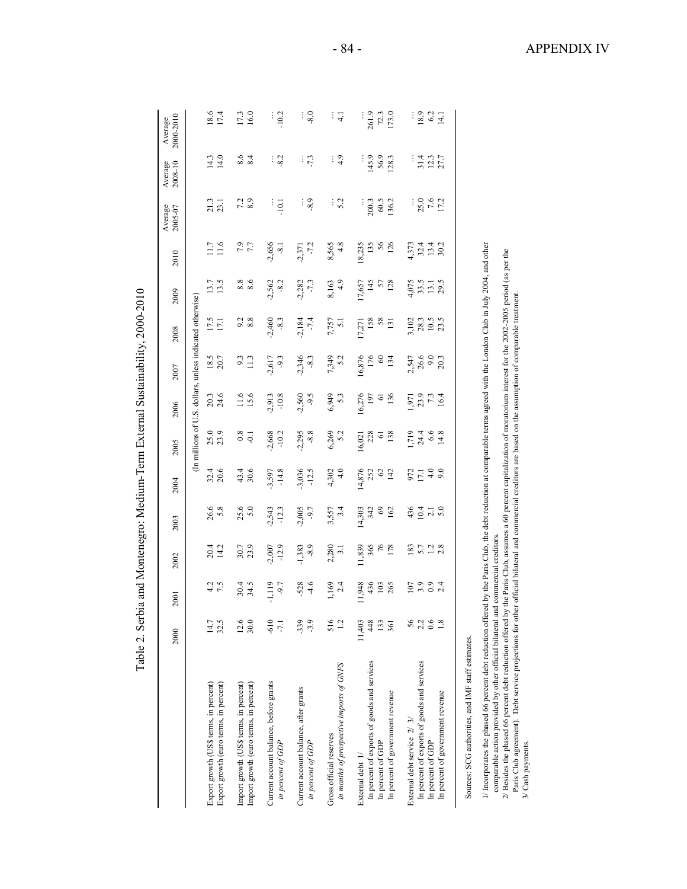| l<br>$\tilde{I}$               |   |
|--------------------------------|---|
| noon.                          |   |
| $\frac{1}{2}$<br>Ì             |   |
| i<br>$\ddot{\phantom{a}}$<br>ŗ |   |
| L D T L<br>I                   |   |
| ------                         |   |
| $10.10 + 0.10 - 0.10$          | J |
| i<br>;<br>;                    |   |
| $-2 - 2$                       |   |
| l<br>$\frac{1}{2}$<br>ا جا مات |   |

|                                                                                                                                                                                                                                                                                                                                                                                                                                                                                                                                                                                                                                                                   | Table 2. Serbia            |                             |                                  | and Montenegro: Medium-Term External Sustainability, 2000-2010 |                                       |                                        |                                                           |                                 |                                      |                                 |                                 |                        |                          |                                 |
|-------------------------------------------------------------------------------------------------------------------------------------------------------------------------------------------------------------------------------------------------------------------------------------------------------------------------------------------------------------------------------------------------------------------------------------------------------------------------------------------------------------------------------------------------------------------------------------------------------------------------------------------------------------------|----------------------------|-----------------------------|----------------------------------|----------------------------------------------------------------|---------------------------------------|----------------------------------------|-----------------------------------------------------------|---------------------------------|--------------------------------------|---------------------------------|---------------------------------|------------------------|--------------------------|---------------------------------|
|                                                                                                                                                                                                                                                                                                                                                                                                                                                                                                                                                                                                                                                                   | 2000                       | 2001                        | 2002                             | 2003                                                           | 2004                                  | 2005                                   | 2006                                                      | 2007                            | 2008                                 | 2009                            | 2010                            | Average<br>2005-07     | 2008-10<br>Average       | 2000-2010<br>Average            |
|                                                                                                                                                                                                                                                                                                                                                                                                                                                                                                                                                                                                                                                                   |                            |                             |                                  |                                                                |                                       |                                        | (In millions of U.S. dollars, unless indicated otherwise) |                                 |                                      |                                 |                                 |                        |                          |                                 |
| Export growth (US\$ terms, in percent)<br>Export growth (euro terms, in percent)                                                                                                                                                                                                                                                                                                                                                                                                                                                                                                                                                                                  | 32.5<br>14.7               | $4.2$<br>7.5                | $20.4$<br>14.2                   | 26.6<br>5.8                                                    | $32.4$<br>$20.6$                      | 25.0<br>23.9                           | 20.3<br>24.6                                              | 18.5<br>20.7                    | 17.5<br>17.1                         | 13.5<br>13.7                    | 11.6<br>11.7                    | 21.3<br>23.1           | 14.0<br>14.3             | 18.6<br>17.4                    |
| Import growth (US\$ terms, in percent)<br>Import growth (euro terms, in percent)                                                                                                                                                                                                                                                                                                                                                                                                                                                                                                                                                                                  | 12.6<br>30.0               | $30.4$<br>$34.5$            | 30.7<br>23.9                     | 25.6<br>5.0                                                    | 43.4<br>30.6                          | $\frac{8}{9}$                          | 11.6                                                      | $9.3$<br>11.3                   | $9.\overline{8}$<br>8.8              | 8.8<br>8.6                      | 7.7                             | $7.\overline{3}$       | 8.6<br>8.4               | 17.3<br>16.0                    |
| Current account balance, before grants<br>in percent of GDP                                                                                                                                                                                                                                                                                                                                                                                                                                                                                                                                                                                                       | $-610$<br>$-7.1$           | $-1.119$<br>$-9.7$          | $-12.9$<br>$-2,007$              | $-2,543$<br>$-12.3$                                            | $-14.8$<br>$-3,597$                   | $-2,668$<br>$-10.2$                    | $-10.8$<br>$-2,913$                                       | $-2,617$<br>$-9.3$              | $-2,460$<br>$-8.3$                   | $-2,562$<br>$-8.2$              | $-2,656$<br>$-8.1$              | $-10.1$                | $-8.2$                   | $-10.2$                         |
| Current account balance, after grants<br>in percent of GDP                                                                                                                                                                                                                                                                                                                                                                                                                                                                                                                                                                                                        | $-339$<br>$-3.9$           | $-4.6$<br>$-528$            | $-8.9$<br>$-1,383$               | $-2,005$<br>$-9.7$                                             | $-3,036$<br>$-12.5$                   | $-8.8$<br>$-2,295$                     | $-9.5$<br>$-2,560$                                        | $-2,346$<br>$-8.3$              | $-7.4$<br>$-2,184$                   | $-2,282$<br>$-7.3$              | $-7.2$<br>$-2,371$              | $-8.9$                 | $-7.3$                   | $-8.0$                          |
| in months of prospective imports of GNFS<br>Gross official reserves                                                                                                                                                                                                                                                                                                                                                                                                                                                                                                                                                                                               | 516<br>1.2                 | 1,169<br>2.4                | 2,280<br>3.1                     | 3,557<br>3.4                                                   | 4.0<br>4,302                          | 6,269<br>5.2                           | 5.3<br>6,949                                              | 7,349<br>5.2                    | 7,757<br>5.1                         | 4.9<br>8,163                    | 4.8<br>8,565                    | $\frac{1}{5}$          | $\frac{1}{4}$            | ं द                             |
| In percent of exports of goods and services<br>In percent of government revenue<br>In percent of GDP<br>External debt 1/                                                                                                                                                                                                                                                                                                                                                                                                                                                                                                                                          | 48<br>11,403<br>133<br>361 | 11,948<br>436<br>265<br>103 | 11,839<br>$365$<br>$76$<br>$178$ | 14,303<br>342<br>$\circledcirc$<br>162                         | 14,876<br>252<br>$\mathcal{C}$<br>142 | 228<br>138<br>16,021<br>$\overline{6}$ | 16,276<br>136<br>197<br>$\overline{6}$                    | 16,876<br>176<br>$\circ$<br>134 | IS8<br>58<br>131<br>17,271           | 57<br>128<br>17,657<br>145      | 18,235<br>$56$<br>126<br>135    | 200.3<br>60.5<br>136.2 | 145.9<br>56.9<br>128.3   | 261.9<br>173.0<br>72.3          |
| In percent of exports of goods and services<br>In percent of government revenue<br>External debt service $2/3/$<br>In percent of GDP                                                                                                                                                                                                                                                                                                                                                                                                                                                                                                                              | 56<br>2.2<br>0.6<br>1.8    | 3.9<br>107<br>2.4           | $\frac{1}{2}$ .8<br>183<br>5.7   | $436$<br>$13$<br>$-13$<br>$-5$<br>$-5$                         | $972$<br>$17.1$<br>$4.0$<br>9.0       | $1,719$<br>$24.4$<br>$6.6$<br>14.8     | $\frac{1,971}{23.9}$<br>73.9<br>16.4                      | 2,547<br>26.6<br>9.0<br>20.3    | $\frac{28.3}{10.5}$<br>3,102<br>23.5 | 4,075<br>33.5<br>$13.1$<br>29.5 | $32.4$<br>13.4<br>30.2<br>4,373 | 25.0<br>$7.6$<br>17.2  | 31.4<br>$12.3$<br>$27.7$ | 18.9<br>6.2<br>$\frac{14.1}{2}$ |
| I/ Incorporates the phased 66 percent debt reduction offered by the Paris Club, the debt reduction at comparable terms agreed with the London Club in July 2004, and other<br>$2l$ Besides the phased 66 percent debt reduction offered by the Paris Club, assumes a 60 percent capitalization of moratorium interest for the 2002-2005 period (as per the<br>Paris Club agreement). Debt service projections for other official bilateral and commercial creditors are based on the assumption of comparable treatment.<br>comparable action provided by other official bilateral and<br>Sources: SCG authorities, and IMF staff estimates.<br>3/ Cash payments. |                            |                             | commercial creditors.            |                                                                |                                       |                                        |                                                           |                                 |                                      |                                 |                                 |                        |                          |                                 |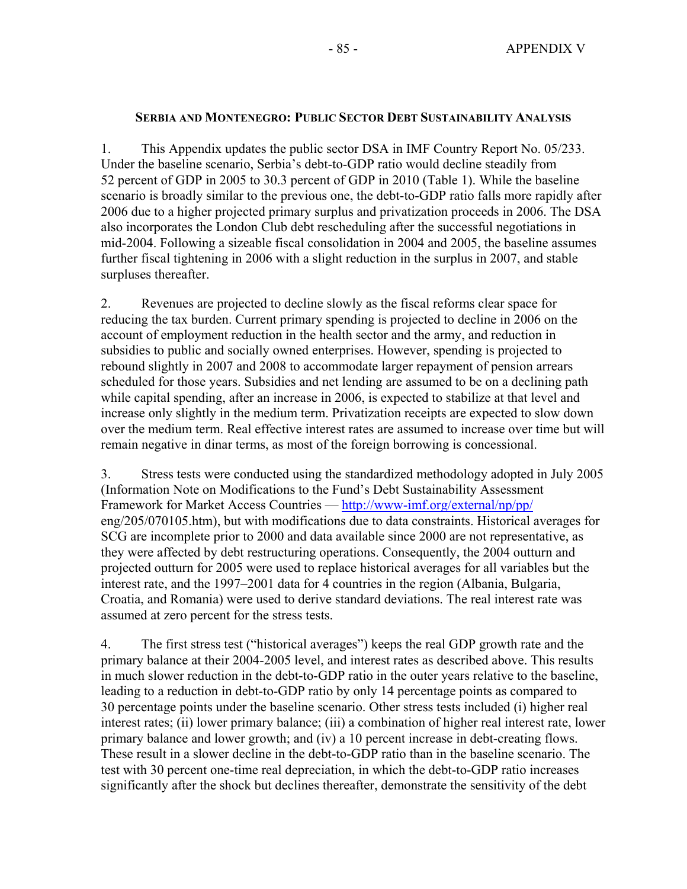### **SERBIA AND MONTENEGRO: PUBLIC SECTOR DEBT SUSTAINABILITY ANALYSIS**

1. This Appendix updates the public sector DSA in IMF Country Report No. 05/233. Under the baseline scenario, Serbia's debt-to-GDP ratio would decline steadily from 52 percent of GDP in 2005 to 30.3 percent of GDP in 2010 (Table 1). While the baseline scenario is broadly similar to the previous one, the debt-to-GDP ratio falls more rapidly after 2006 due to a higher projected primary surplus and privatization proceeds in 2006. The DSA also incorporates the London Club debt rescheduling after the successful negotiations in mid-2004. Following a sizeable fiscal consolidation in 2004 and 2005, the baseline assumes further fiscal tightening in 2006 with a slight reduction in the surplus in 2007, and stable surpluses thereafter.

2. Revenues are projected to decline slowly as the fiscal reforms clear space for reducing the tax burden. Current primary spending is projected to decline in 2006 on the account of employment reduction in the health sector and the army, and reduction in subsidies to public and socially owned enterprises. However, spending is projected to rebound slightly in 2007 and 2008 to accommodate larger repayment of pension arrears scheduled for those years. Subsidies and net lending are assumed to be on a declining path while capital spending, after an increase in 2006, is expected to stabilize at that level and increase only slightly in the medium term. Privatization receipts are expected to slow down over the medium term. Real effective interest rates are assumed to increase over time but will remain negative in dinar terms, as most of the foreign borrowing is concessional.

3. Stress tests were conducted using the standardized methodology adopted in July 2005 (Information Note on Modifications to the Fund's Debt Sustainability Assessment Framework for Market Access Countries — http://www-imf.org/external/np/pp/ eng/205/070105.htm), but with modifications due to data constraints. Historical averages for SCG are incomplete prior to 2000 and data available since 2000 are not representative, as they were affected by debt restructuring operations. Consequently, the 2004 outturn and projected outturn for 2005 were used to replace historical averages for all variables but the interest rate, and the 1997–2001 data for 4 countries in the region (Albania, Bulgaria, Croatia, and Romania) were used to derive standard deviations. The real interest rate was assumed at zero percent for the stress tests.

4. The first stress test ("historical averages") keeps the real GDP growth rate and the primary balance at their 2004-2005 level, and interest rates as described above. This results in much slower reduction in the debt-to-GDP ratio in the outer years relative to the baseline, leading to a reduction in debt-to-GDP ratio by only 14 percentage points as compared to 30 percentage points under the baseline scenario. Other stress tests included (i) higher real interest rates; (ii) lower primary balance; (iii) a combination of higher real interest rate, lower primary balance and lower growth; and (iv) a 10 percent increase in debt-creating flows. These result in a slower decline in the debt-to-GDP ratio than in the baseline scenario. The test with 30 percent one-time real depreciation, in which the debt-to-GDP ratio increases significantly after the shock but declines thereafter, demonstrate the sensitivity of the debt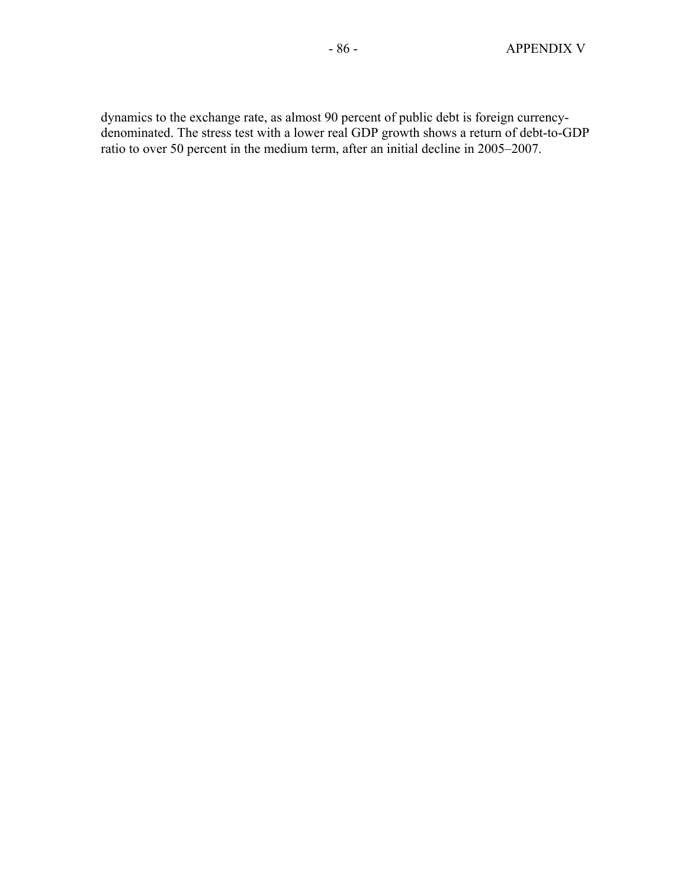dynamics to the exchange rate, as almost 90 percent of public debt is foreign currencydenominated. The stress test with a lower real GDP growth shows a return of debt-to-GDP ratio to over 50 percent in the medium term, after an initial decline in 2005–2007.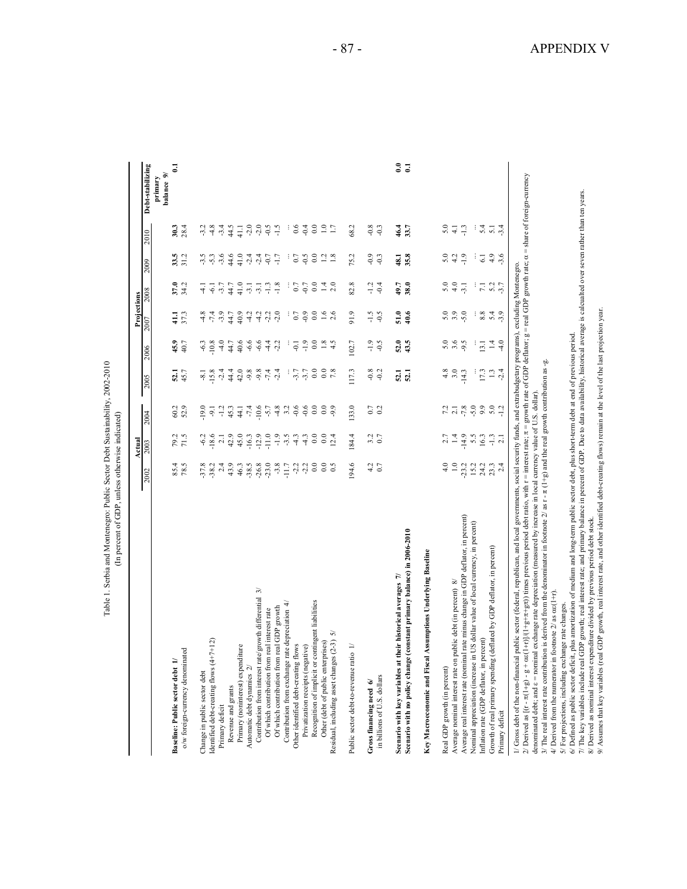|                                                                                                                                                                                                                                                                                                                                                                                                                      |                    | Actua              |                    |                            |                          | Projections            |                          |                      |                    |                       |
|----------------------------------------------------------------------------------------------------------------------------------------------------------------------------------------------------------------------------------------------------------------------------------------------------------------------------------------------------------------------------------------------------------------------|--------------------|--------------------|--------------------|----------------------------|--------------------------|------------------------|--------------------------|----------------------|--------------------|-----------------------|
|                                                                                                                                                                                                                                                                                                                                                                                                                      | 2002               | 2003               | 2004               | 2005                       | 2006                     | 2007                   | 2008                     | 2009                 | 2010               | Debt-stabilizing      |
|                                                                                                                                                                                                                                                                                                                                                                                                                      |                    |                    |                    |                            |                          |                        |                          |                      |                    | balance 9/<br>primary |
| $\equiv$<br><b>Baseline: Public sector debt</b>                                                                                                                                                                                                                                                                                                                                                                      |                    |                    |                    |                            | 45.9                     | 41.1                   | 37.0                     |                      | 30.3               |                       |
| o/w foreign-currency denominated                                                                                                                                                                                                                                                                                                                                                                                     | 85.4<br>78.5       | 79.3               | 60.2<br>52.9       | 52.1<br>45.7               | 40.7                     | 37.3                   | 34.2                     | $33.5$<br>$31.2$     | 28.4               |                       |
| Change in public sector debt                                                                                                                                                                                                                                                                                                                                                                                         |                    |                    |                    |                            |                          |                        |                          |                      | $-3.2$             |                       |
| Identified debt-creating flows (4+7+12)                                                                                                                                                                                                                                                                                                                                                                              | $-37.8$<br>$-38.2$ | $-6.2$<br>$-18.6$  | $-19.0$            |                            | $-6.3$                   | $4.8$<br>7.4           | $-4.1$                   | $-3.5$               | $\frac{8}{18}$     |                       |
| Primary deficit                                                                                                                                                                                                                                                                                                                                                                                                      | 2.4                | $\overline{2}$ .   | $-1.2$             | $-8.1$<br>$-1.8$<br>$-1.4$ | $-4.0$                   | $-3.9$                 | $-3.7$                   | $-3.6$               | $-3.4$             |                       |
| Revenue and grants                                                                                                                                                                                                                                                                                                                                                                                                   | 43.9               | 42.9               | 45.3               | 44.4                       | 44.7                     | 44.7                   | 44.7                     | 44.6<br>41.0         | 44.5               |                       |
| Primary (noninterest) expenditure                                                                                                                                                                                                                                                                                                                                                                                    | 46.3               | 45.0               | 44.1               | 42.0                       | 40.6                     | 40.9                   | 41.0                     |                      | 41.1               |                       |
| Automatic debt dynamics 2/                                                                                                                                                                                                                                                                                                                                                                                           | $-38.5$            | $-16.3$            | $-7.4$             | $-9.8$                     | $-6.6$                   | 4.2                    | $-3.1$                   | $-2.4$               | $-2.0$             |                       |
| 79<br>Contribution from interest rate/growth differential                                                                                                                                                                                                                                                                                                                                                            | $-26.8$            | $-12.9$            | $-10.6$            | $-9.8$                     | $-6.6$                   | $-4.2$                 | $-3.1$                   | $-2.4$               | $-2.0$             |                       |
| Of which contribution from real interest rate                                                                                                                                                                                                                                                                                                                                                                        | $-23.0$            | $-11.0$            | $-5.7$             | $\tau$ .                   | $-4.4$                   | $-2.2$                 | $-1.3$                   | $-0.7$               | $-1.5$             |                       |
| Of which contribution from real GDP growth                                                                                                                                                                                                                                                                                                                                                                           |                    | $-1.9$             | $-4.8$             | $-2.4$                     | $-2.2$                   |                        | $-1.8$                   | $-1.7$               |                    |                       |
| Contribution from exchange rate depreciation 4/                                                                                                                                                                                                                                                                                                                                                                      | $-11.7$            | $-3.5$             | 3.2                |                            |                          |                        |                          |                      | ÷                  |                       |
| Other identified debt-creating flows                                                                                                                                                                                                                                                                                                                                                                                 | $-2.2$             | $-4.3$             | $-0.6$             | $-3.7$<br>$-3.7$           | $-0.1$                   | 0.7                    | 0.7<br>$-0.7$            | $0.7\,$              | 0.6                |                       |
| Recognition of implicit or contingent liabilities<br>Privatization receipts (negative)                                                                                                                                                                                                                                                                                                                               | $-2.2$<br>$_{0.0}$ | $-4.3$<br>$_{0.0}$ | $-0.6$<br>$_{0.0}$ | $_{0.0}$                   | $-1.9$<br>$_{\rm 0.0}$   | $-0.9$<br>$\rm ^{0.0}$ | $\overline{0.0}$         | $-0.5$<br>$_{0.0}$   | $-0.4$<br>$_{0.0}$ |                       |
| Other (debt of public enterprises)                                                                                                                                                                                                                                                                                                                                                                                   | $_{\rm 0.0}$       | $_{\rm 0.0}$       | $_{\rm 0.0}$       | $\rm ^{0.0}$               | $1.8\,$                  | $1.6\,$                |                          | $\overline{5}$       | $\frac{0}{1}$      |                       |
| 5<br>Residual, including asset changes (2-3)                                                                                                                                                                                                                                                                                                                                                                         | $\frac{5}{2}$      | 12.4               | $-9.9$             |                            | 4.5                      | 2.6                    |                          | $\frac{8}{1}$        | 1.7                |                       |
|                                                                                                                                                                                                                                                                                                                                                                                                                      |                    |                    |                    |                            |                          |                        |                          |                      |                    |                       |
| Public sector debt-to-revenue ratio 1/                                                                                                                                                                                                                                                                                                                                                                               | 194.6              | 184.4              | 133.0              | 117.3                      | 102.7                    | 91.9                   | 82.8                     | 75.2                 | 68.2               |                       |
| Gross financing need 6/                                                                                                                                                                                                                                                                                                                                                                                              | 4.2                | 3.2                | $C_{0}$            | $-0.8$                     | $-1.9$                   | $-1.5$                 | $-1.2$                   | $-0.9$               | $-0.8$             |                       |
| in billions of U.S. dollars                                                                                                                                                                                                                                                                                                                                                                                          | 0.7                | 0.7                | 0.2                | $-0.2$                     | $-0.5$                   | $-0.5$                 | $-0.4$                   | $-0.3$               | $-0.3$             |                       |
| Scenario with key variables at their historical averages 7/                                                                                                                                                                                                                                                                                                                                                          |                    |                    |                    |                            | 52.0                     | 51.0                   | 49.7                     | 48.1                 | 46.4               | $\ddot{\phantom{0}}$  |
| Scenario with no policy change (constant primary balance) in 2006-2010                                                                                                                                                                                                                                                                                                                                               |                    |                    |                    | 52.1                       | 43.5                     | 40.6                   | 38.0                     | 35.8                 | 33.7               | $\overline{a}$        |
| Key Macroeconomic and Fiscal Assumptions Underlying Baseline                                                                                                                                                                                                                                                                                                                                                         |                    |                    |                    |                            |                          |                        |                          |                      |                    |                       |
| Real GDP growth (in percent)                                                                                                                                                                                                                                                                                                                                                                                         | 4.0                | 2.7                |                    | 4.8                        | 5.0                      | 5.0                    | 5.0                      |                      |                    |                       |
| Average nominal interest rate on public debt (in percent) 8/                                                                                                                                                                                                                                                                                                                                                         | $1.0\,$            | $1.4$<br>$-14.9$   |                    | 3.0                        | 3.6                      | 3.9                    | 4.0                      | $5.0$<br>4.2<br>-1.9 | $5.4 \div 1.3$     |                       |
| Average real interest rate (nominal rate minus change in GDP deflator, in percent)                                                                                                                                                                                                                                                                                                                                   | $-23.2$            |                    | $7, 8$<br>$-7, 8$  | $-14.3$                    |                          |                        | $-3.1$                   |                      |                    |                       |
| Nominal appreciation (increase in US dollar value of local currency, in percent)                                                                                                                                                                                                                                                                                                                                     | 15.2               | 5.5                |                    |                            |                          |                        |                          | ÷                    | ÷,                 |                       |
| percent)<br>Inflation rate (GDP deflator, in                                                                                                                                                                                                                                                                                                                                                                         | 24.2<br>23.3       | 16.3               | 9.9                | 17.3                       | 13.1                     | 8.8                    |                          | $\overline{61}$      | 5.4                |                       |
| ag (deflated by GDP deflator, in percent)<br>Growth of real primary spendin<br>Primary deficit                                                                                                                                                                                                                                                                                                                       | 2.4                | $-1.3$<br>2.1      | $5.0\,$<br>$-1.2$  | $-2.4$<br>$1.3\,$          | $\overline{1}$<br>$-4.0$ | 5.4<br>$-3.9$          | $7.1$<br>$5.2$<br>$-3.7$ | 4.9<br>$-3.6$        | $5.\overline{1}$   |                       |
| $\alpha \varepsilon (1+r)/(1+g+r)$ times previous period debt ratio, with r = interest rate; $\pi =$ growth rate of GDP deflator; g = real GDP growth rate; $\alpha =$ share of foreign-currency<br>// Gross debt of the non-financial public sector (federal, republican, and local governments, social security funds, and extrabudgetary programs), excluding Montenegro.<br>2/ Derived as $[(r - \pi(1+g) - g +$ |                    |                    |                    |                            |                          |                        |                          |                      |                    |                       |
| denominated debt; and $\varepsilon$ = nominal exchange rate depreciation (measured by increase in local currency value of U.S. dollar)                                                                                                                                                                                                                                                                               |                    |                    |                    |                            |                          |                        |                          |                      |                    |                       |
| 3/ The real interest rate contribution is derived from the denominator in footnote 2/ as $r - \pi (1 + g)$ and the real growth contribution as -g.<br>in footnote $2/$ as $\alpha \varepsilon (1+r)$<br>4/ Derived from the numerator                                                                                                                                                                                |                    |                    |                    |                            |                          |                        |                          |                      |                    |                       |
| 5/ For projections, including exchange rate changes.                                                                                                                                                                                                                                                                                                                                                                 |                    |                    |                    |                            |                          |                        |                          |                      |                    |                       |
| 6/ Defined as public sector deficit, plus amortization of medium and long-term public sector debt, plus short-term debt at end of previous period.                                                                                                                                                                                                                                                                   |                    |                    |                    |                            |                          |                        |                          |                      |                    |                       |
| 7/ The key variables include real GDP growth; real interest rate; and primary balance in percent of GDP. Due to data availability, historical average is calcualted over seven rather than ten years.<br>8/ Derived as nominal interest expenditure divided by previous period debt stock                                                                                                                            |                    |                    |                    |                            |                          |                        |                          |                      |                    |                       |
| 9/ Assumes that key variables (real GDP growth, real interest rate, and other identified debt-creating flows) remain at the level of the last projection year.                                                                                                                                                                                                                                                       |                    |                    |                    |                            |                          |                        |                          |                      |                    |                       |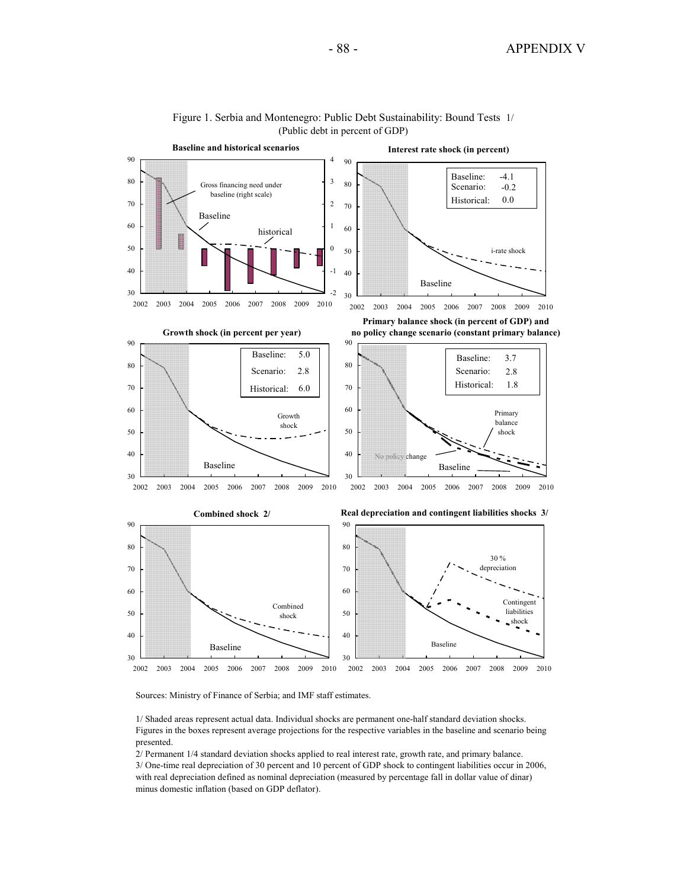

#### Figure 1. Serbia and Montenegro: Public Debt Sustainability: Bound Tests 1/ (Public debt in percent of GDP)

Sources: Ministry of Finance of Serbia; and IMF staff estimates.

1/ Shaded areas represent actual data. Individual shocks are permanent one-half standard deviation shocks. Figures in the boxes represent average projections for the respective variables in the baseline and scenario being presented.

2/ Permanent 1/4 standard deviation shocks applied to real interest rate, growth rate, and primary balance. 3/ One-time real depreciation of 30 percent and 10 percent of GDP shock to contingent liabilities occur in 2006, with real depreciation defined as nominal depreciation (measured by percentage fall in dollar value of dinar) minus domestic inflation (based on GDP deflator).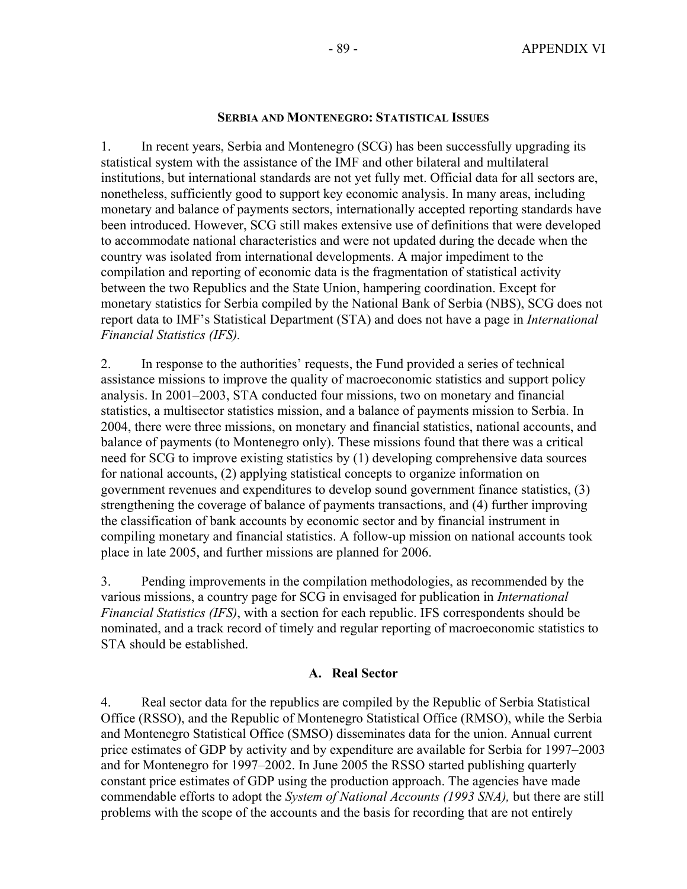### **SERBIA AND MONTENEGRO: STATISTICAL ISSUES**

1. In recent years, Serbia and Montenegro (SCG) has been successfully upgrading its statistical system with the assistance of the IMF and other bilateral and multilateral institutions, but international standards are not yet fully met. Official data for all sectors are, nonetheless, sufficiently good to support key economic analysis. In many areas, including monetary and balance of payments sectors, internationally accepted reporting standards have been introduced. However, SCG still makes extensive use of definitions that were developed to accommodate national characteristics and were not updated during the decade when the country was isolated from international developments. A major impediment to the compilation and reporting of economic data is the fragmentation of statistical activity between the two Republics and the State Union, hampering coordination. Except for monetary statistics for Serbia compiled by the National Bank of Serbia (NBS), SCG does not report data to IMF's Statistical Department (STA) and does not have a page in *International Financial Statistics (IFS).*

2. In response to the authorities' requests, the Fund provided a series of technical assistance missions to improve the quality of macroeconomic statistics and support policy analysis. In 2001–2003, STA conducted four missions, two on monetary and financial statistics, a multisector statistics mission, and a balance of payments mission to Serbia. In 2004, there were three missions, on monetary and financial statistics, national accounts, and balance of payments (to Montenegro only). These missions found that there was a critical need for SCG to improve existing statistics by (1) developing comprehensive data sources for national accounts, (2) applying statistical concepts to organize information on government revenues and expenditures to develop sound government finance statistics, (3) strengthening the coverage of balance of payments transactions, and (4) further improving the classification of bank accounts by economic sector and by financial instrument in compiling monetary and financial statistics. A follow-up mission on national accounts took place in late 2005, and further missions are planned for 2006.

3. Pending improvements in the compilation methodologies, as recommended by the various missions, a country page for SCG in envisaged for publication in *International Financial Statistics (IFS)*, with a section for each republic. IFS correspondents should be nominated, and a track record of timely and regular reporting of macroeconomic statistics to STA should be established.

### **A. Real Sector**

4. Real sector data for the republics are compiled by the Republic of Serbia Statistical Office (RSSO), and the Republic of Montenegro Statistical Office (RMSO), while the Serbia and Montenegro Statistical Office (SMSO) disseminates data for the union. Annual current price estimates of GDP by activity and by expenditure are available for Serbia for 1997–2003 and for Montenegro for 1997–2002. In June 2005 the RSSO started publishing quarterly constant price estimates of GDP using the production approach. The agencies have made commendable efforts to adopt the *System of National Accounts (1993 SNA),* but there are still problems with the scope of the accounts and the basis for recording that are not entirely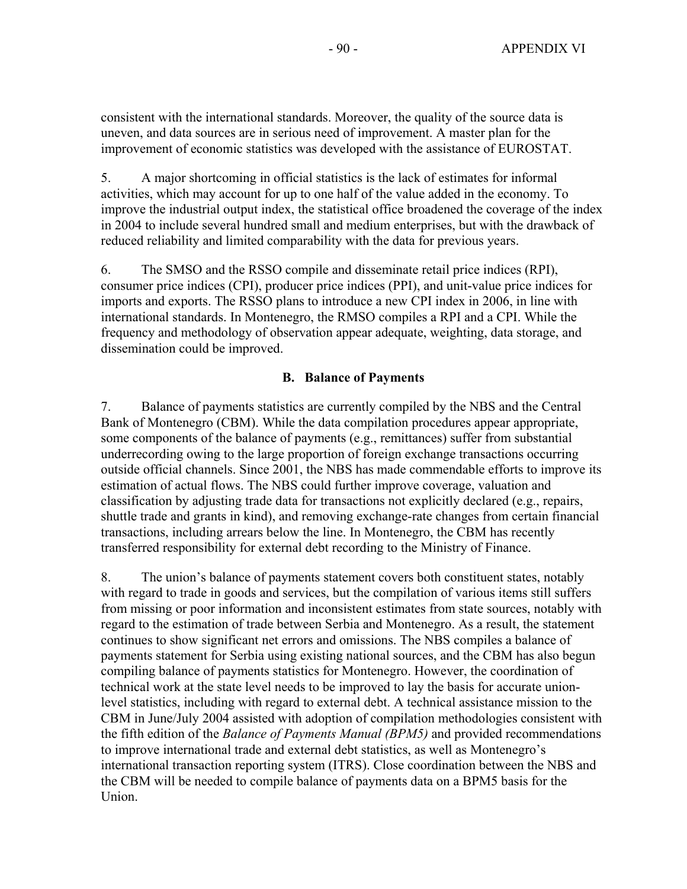consistent with the international standards. Moreover, the quality of the source data is uneven, and data sources are in serious need of improvement. A master plan for the improvement of economic statistics was developed with the assistance of EUROSTAT.

5. A major shortcoming in official statistics is the lack of estimates for informal activities, which may account for up to one half of the value added in the economy. To improve the industrial output index, the statistical office broadened the coverage of the index in 2004 to include several hundred small and medium enterprises, but with the drawback of reduced reliability and limited comparability with the data for previous years.

6. The SMSO and the RSSO compile and disseminate retail price indices (RPI), consumer price indices (CPI), producer price indices (PPI), and unit-value price indices for imports and exports. The RSSO plans to introduce a new CPI index in 2006, in line with international standards. In Montenegro, the RMSO compiles a RPI and a CPI. While the frequency and methodology of observation appear adequate, weighting, data storage, and dissemination could be improved.

### **B. Balance of Payments**

7. Balance of payments statistics are currently compiled by the NBS and the Central Bank of Montenegro (CBM). While the data compilation procedures appear appropriate, some components of the balance of payments (e.g., remittances) suffer from substantial underrecording owing to the large proportion of foreign exchange transactions occurring outside official channels. Since 2001, the NBS has made commendable efforts to improve its estimation of actual flows. The NBS could further improve coverage, valuation and classification by adjusting trade data for transactions not explicitly declared (e.g., repairs, shuttle trade and grants in kind), and removing exchange-rate changes from certain financial transactions, including arrears below the line. In Montenegro, the CBM has recently transferred responsibility for external debt recording to the Ministry of Finance.

8. The union's balance of payments statement covers both constituent states, notably with regard to trade in goods and services, but the compilation of various items still suffers from missing or poor information and inconsistent estimates from state sources, notably with regard to the estimation of trade between Serbia and Montenegro. As a result, the statement continues to show significant net errors and omissions. The NBS compiles a balance of payments statement for Serbia using existing national sources, and the CBM has also begun compiling balance of payments statistics for Montenegro. However, the coordination of technical work at the state level needs to be improved to lay the basis for accurate unionlevel statistics, including with regard to external debt. A technical assistance mission to the CBM in June/July 2004 assisted with adoption of compilation methodologies consistent with the fifth edition of the *Balance of Payments Manual (BPM5)* and provided recommendations to improve international trade and external debt statistics, as well as Montenegro's international transaction reporting system (ITRS). Close coordination between the NBS and the CBM will be needed to compile balance of payments data on a BPM5 basis for the Union.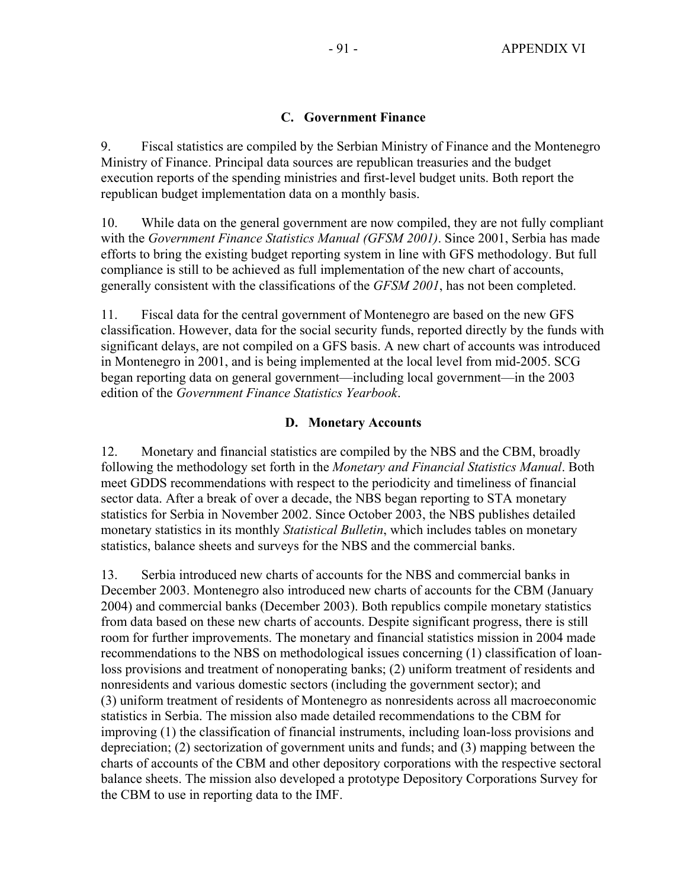### **C. Government Finance**

9. Fiscal statistics are compiled by the Serbian Ministry of Finance and the Montenegro Ministry of Finance. Principal data sources are republican treasuries and the budget execution reports of the spending ministries and first-level budget units. Both report the republican budget implementation data on a monthly basis.

10. While data on the general government are now compiled, they are not fully compliant with the *Government Finance Statistics Manual (GFSM 2001)*. Since 2001, Serbia has made efforts to bring the existing budget reporting system in line with GFS methodology. But full compliance is still to be achieved as full implementation of the new chart of accounts, generally consistent with the classifications of the *GFSM 2001*, has not been completed.

11. Fiscal data for the central government of Montenegro are based on the new GFS classification. However, data for the social security funds, reported directly by the funds with significant delays, are not compiled on a GFS basis. A new chart of accounts was introduced in Montenegro in 2001, and is being implemented at the local level from mid-2005. SCG began reporting data on general government—including local government—in the 2003 edition of the *Government Finance Statistics Yearbook*.

### **D. Monetary Accounts**

12. Monetary and financial statistics are compiled by the NBS and the CBM, broadly following the methodology set forth in the *Monetary and Financial Statistics Manual*. Both meet GDDS recommendations with respect to the periodicity and timeliness of financial sector data. After a break of over a decade, the NBS began reporting to STA monetary statistics for Serbia in November 2002. Since October 2003, the NBS publishes detailed monetary statistics in its monthly *Statistical Bulletin*, which includes tables on monetary statistics, balance sheets and surveys for the NBS and the commercial banks.

13. Serbia introduced new charts of accounts for the NBS and commercial banks in December 2003. Montenegro also introduced new charts of accounts for the CBM (January 2004) and commercial banks (December 2003). Both republics compile monetary statistics from data based on these new charts of accounts. Despite significant progress, there is still room for further improvements. The monetary and financial statistics mission in 2004 made recommendations to the NBS on methodological issues concerning (1) classification of loanloss provisions and treatment of nonoperating banks; (2) uniform treatment of residents and nonresidents and various domestic sectors (including the government sector); and (3) uniform treatment of residents of Montenegro as nonresidents across all macroeconomic statistics in Serbia. The mission also made detailed recommendations to the CBM for improving (1) the classification of financial instruments, including loan-loss provisions and depreciation; (2) sectorization of government units and funds; and (3) mapping between the charts of accounts of the CBM and other depository corporations with the respective sectoral balance sheets. The mission also developed a prototype Depository Corporations Survey for the CBM to use in reporting data to the IMF.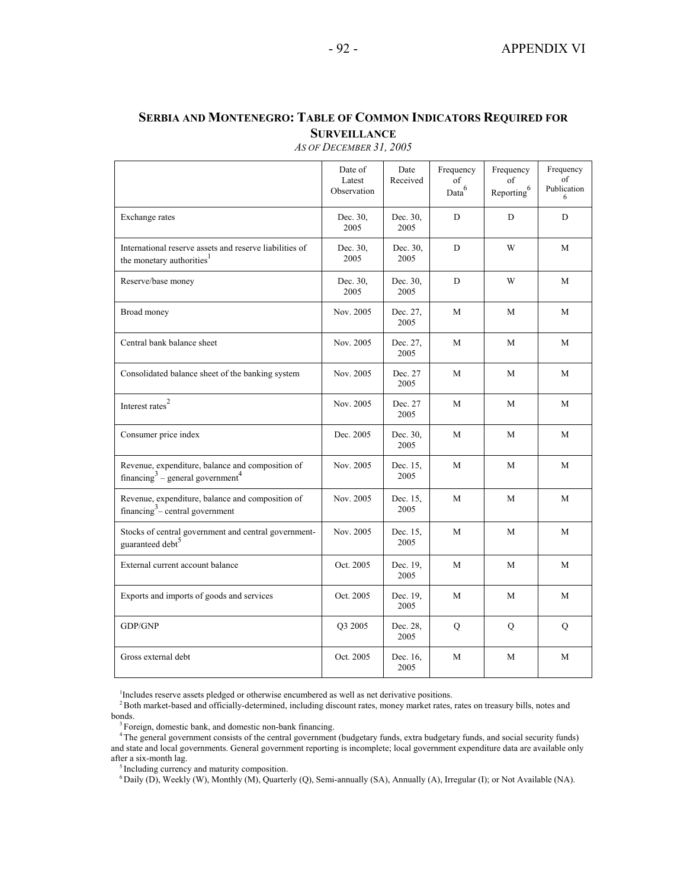#### Date of Latest Observation Date Received Frequency of Data<sup>6</sup> Frequency of Reporting<sup>6</sup> Frequency of Publication  $6$ Exchange rates Dec. 30, 2005 Dec. 30, 2005 D D D International reserve assets and reserve liabilities of the monetary authorities<sup>1</sup> Dec. 30, 2005 Dec. 30, 2005 D | W | M Reserve/base money Dec. 30, 2005 Dec. 30, 2005 D | W | M Broad money Nov. 2005 Dec. 27, 2005 M M M Central bank balance sheet Nov. 2005 Dec. 27, 2005 M M M Consolidated balance sheet of the banking system Nov. 2005 Dec. 27 2005 M M M Interest rates<sup>2</sup> Nov. 2005 Dec. 27 2005 M M M Consumer price index Dec. 2005 Dec. 30, 2005 M M M Revenue, expenditure, balance and composition of financing<sup>3</sup> – general government<sup>4</sup> Nov. 2005 Dec. 15, 2005 M M M Revenue, expenditure, balance and composition of financing<sup>3</sup> – central government Nov. 2005 Dec. 15, 2005 M M M Stocks of central government and central governmentguaranteed debt<sup>5</sup> Nov. 2005 Dec. 15, 2005 M M M External current account balance Oct. 2005 Dec. 19, 2005 M M M Exports and imports of goods and services Oct. 2005 Dec. 19, 2005 M M M GDP/GNP Q3 2005 Dec. 28, 2005  $Q \qquad \qquad Q \qquad \qquad Q$ Gross external debt  $\qquad \qquad$  Oct. 2005 Dec. 16, 2005 M M M

### **SERBIA AND MONTENEGRO: TABLE OF COMMON INDICATORS REQUIRED FOR SURVEILLANCE**

*AS OF DECEMBER 31, 2005* 

 $1$ <sup>1</sup>Includes reserve assets pledged or otherwise encumbered as well as net derivative positions.<br><sup>2</sup> Both market-based and officially-determined, including discount rates, money market rates, rates on treasury bills, no bonds.

 $6$  Daily (D), Weekly (W), Monthly (M), Quarterly (Q), Semi-annually (SA), Annually (A), Irregular (I); or Not Available (NA).

<sup>&</sup>lt;sup>3</sup> Foreign, domestic bank, and domestic non-bank financing.<br><sup>4</sup> The general government consists of the central government (budgetary funds, extra budgetary funds, and social security funds) and state and local governments. General government reporting is incomplete; local government expenditure data are available only after a six-month lag.<br><sup>5</sup> Including currency and maturity composition.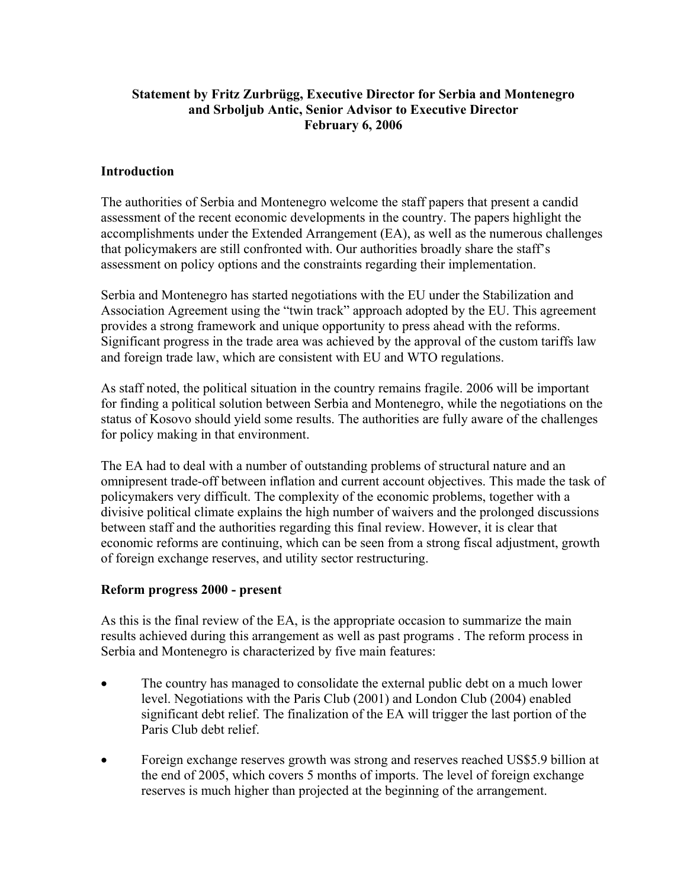### **Statement by Fritz Zurbrügg, Executive Director for Serbia and Montenegro and Srboljub Antic, Senior Advisor to Executive Director February 6, 2006**

### **Introduction**

The authorities of Serbia and Montenegro welcome the staff papers that present a candid assessment of the recent economic developments in the country. The papers highlight the accomplishments under the Extended Arrangement (EA), as well as the numerous challenges that policymakers are still confronted with. Our authorities broadly share the staff's assessment on policy options and the constraints regarding their implementation.

Serbia and Montenegro has started negotiations with the EU under the Stabilization and Association Agreement using the "twin track" approach adopted by the EU. This agreement provides a strong framework and unique opportunity to press ahead with the reforms. Significant progress in the trade area was achieved by the approval of the custom tariffs law and foreign trade law, which are consistent with EU and WTO regulations.

As staff noted, the political situation in the country remains fragile. 2006 will be important for finding a political solution between Serbia and Montenegro, while the negotiations on the status of Kosovo should yield some results. The authorities are fully aware of the challenges for policy making in that environment.

The EA had to deal with a number of outstanding problems of structural nature and an omnipresent trade-off between inflation and current account objectives. This made the task of policymakers very difficult. The complexity of the economic problems, together with a divisive political climate explains the high number of waivers and the prolonged discussions between staff and the authorities regarding this final review. However, it is clear that economic reforms are continuing, which can be seen from a strong fiscal adjustment, growth of foreign exchange reserves, and utility sector restructuring.

### **Reform progress 2000 - present**

As this is the final review of the EA, is the appropriate occasion to summarize the main results achieved during this arrangement as well as past programs . The reform process in Serbia and Montenegro is characterized by five main features:

- The country has managed to consolidate the external public debt on a much lower level. Negotiations with the Paris Club (2001) and London Club (2004) enabled significant debt relief. The finalization of the EA will trigger the last portion of the Paris Club debt relief.
- Foreign exchange reserves growth was strong and reserves reached US\$5.9 billion at the end of 2005, which covers 5 months of imports. The level of foreign exchange reserves is much higher than projected at the beginning of the arrangement.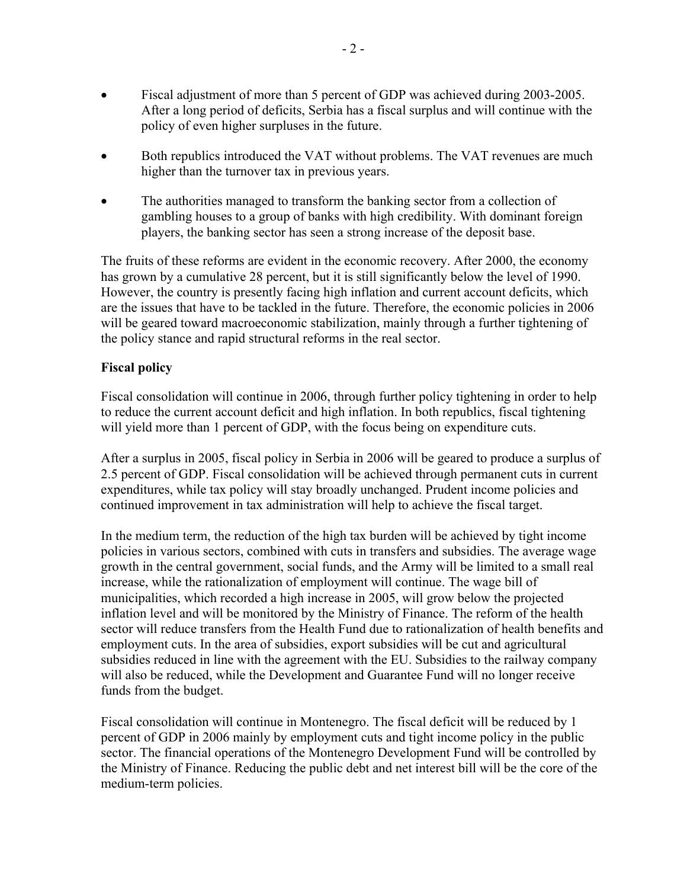- Fiscal adjustment of more than 5 percent of GDP was achieved during 2003-2005. After a long period of deficits, Serbia has a fiscal surplus and will continue with the policy of even higher surpluses in the future.
- Both republics introduced the VAT without problems. The VAT revenues are much higher than the turnover tax in previous years.
- The authorities managed to transform the banking sector from a collection of gambling houses to a group of banks with high credibility. With dominant foreign players, the banking sector has seen a strong increase of the deposit base.

The fruits of these reforms are evident in the economic recovery. After 2000, the economy has grown by a cumulative 28 percent, but it is still significantly below the level of 1990. However, the country is presently facing high inflation and current account deficits, which are the issues that have to be tackled in the future. Therefore, the economic policies in 2006 will be geared toward macroeconomic stabilization, mainly through a further tightening of the policy stance and rapid structural reforms in the real sector.

### **Fiscal policy**

Fiscal consolidation will continue in 2006, through further policy tightening in order to help to reduce the current account deficit and high inflation. In both republics, fiscal tightening will yield more than 1 percent of GDP, with the focus being on expenditure cuts.

After a surplus in 2005, fiscal policy in Serbia in 2006 will be geared to produce a surplus of 2.5 percent of GDP. Fiscal consolidation will be achieved through permanent cuts in current expenditures, while tax policy will stay broadly unchanged. Prudent income policies and continued improvement in tax administration will help to achieve the fiscal target.

In the medium term, the reduction of the high tax burden will be achieved by tight income policies in various sectors, combined with cuts in transfers and subsidies. The average wage growth in the central government, social funds, and the Army will be limited to a small real increase, while the rationalization of employment will continue. The wage bill of municipalities, which recorded a high increase in 2005, will grow below the projected inflation level and will be monitored by the Ministry of Finance. The reform of the health sector will reduce transfers from the Health Fund due to rationalization of health benefits and employment cuts. In the area of subsidies, export subsidies will be cut and agricultural subsidies reduced in line with the agreement with the EU. Subsidies to the railway company will also be reduced, while the Development and Guarantee Fund will no longer receive funds from the budget.

Fiscal consolidation will continue in Montenegro. The fiscal deficit will be reduced by 1 percent of GDP in 2006 mainly by employment cuts and tight income policy in the public sector. The financial operations of the Montenegro Development Fund will be controlled by the Ministry of Finance. Reducing the public debt and net interest bill will be the core of the medium-term policies.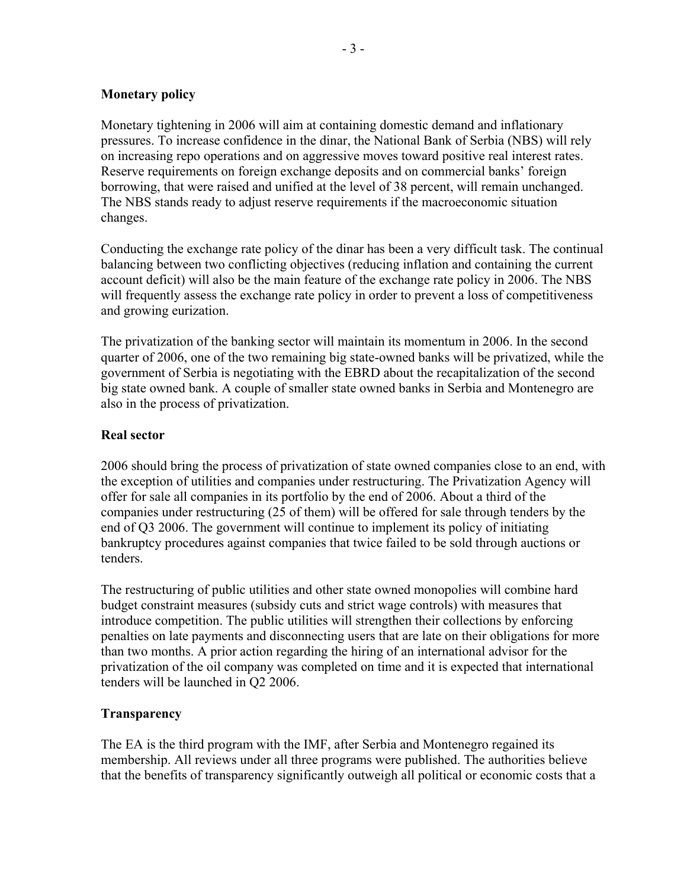### **Monetary policy**

Monetary tightening in 2006 will aim at containing domestic demand and inflationary pressures. To increase confidence in the dinar, the National Bank of Serbia (NBS) will rely on increasing repo operations and on aggressive moves toward positive real interest rates. Reserve requirements on foreign exchange deposits and on commercial banks' foreign borrowing, that were raised and unified at the level of 38 percent, will remain unchanged. The NBS stands ready to adjust reserve requirements if the macroeconomic situation changes.

Conducting the exchange rate policy of the dinar has been a very difficult task. The continual balancing between two conflicting objectives (reducing inflation and containing the current account deficit) will also be the main feature of the exchange rate policy in 2006. The NBS will frequently assess the exchange rate policy in order to prevent a loss of competitiveness and growing eurization.

The privatization of the banking sector will maintain its momentum in 2006. In the second quarter of 2006, one of the two remaining big state-owned banks will be privatized, while the government of Serbia is negotiating with the EBRD about the recapitalization of the second big state owned bank. A couple of smaller state owned banks in Serbia and Montenegro are also in the process of privatization.

### **Real sector**

2006 should bring the process of privatization of state owned companies close to an end, with the exception of utilities and companies under restructuring. The Privatization Agency will offer for sale all companies in its portfolio by the end of 2006. About a third of the companies under restructuring (25 of them) will be offered for sale through tenders by the end of Q3 2006. The government will continue to implement its policy of initiating bankruptcy procedures against companies that twice failed to be sold through auctions or tenders.

The restructuring of public utilities and other state owned monopolies will combine hard budget constraint measures (subsidy cuts and strict wage controls) with measures that introduce competition. The public utilities will strengthen their collections by enforcing penalties on late payments and disconnecting users that are late on their obligations for more than two months. A prior action regarding the hiring of an international advisor for the privatization of the oil company was completed on time and it is expected that international tenders will be launched in Q2 2006.

### **Transparency**

The EA is the third program with the IMF, after Serbia and Montenegro regained its membership. All reviews under all three programs were published. The authorities believe that the benefits of transparency significantly outweigh all political or economic costs that a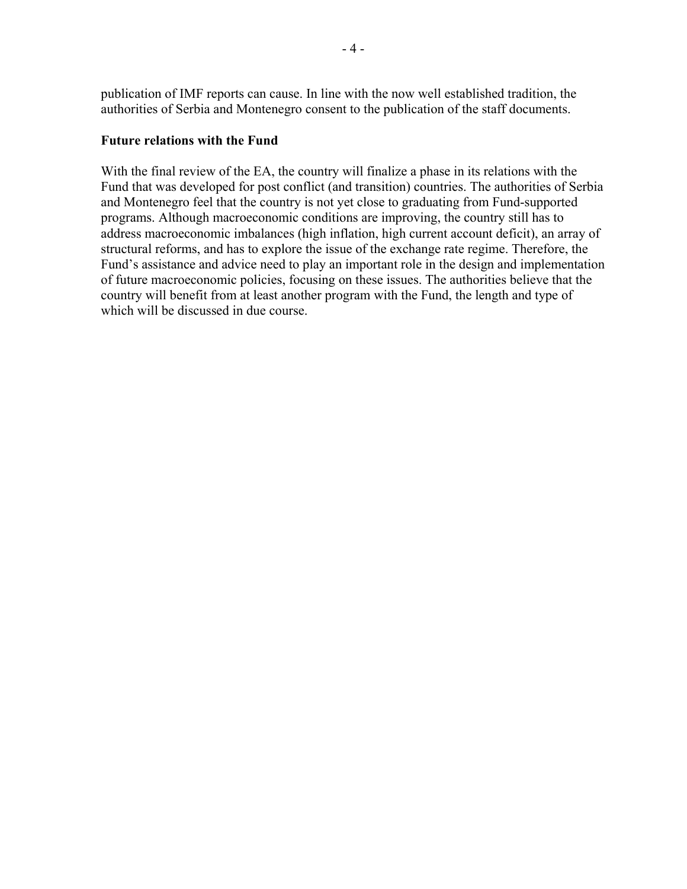publication of IMF reports can cause. In line with the now well established tradition, the authorities of Serbia and Montenegro consent to the publication of the staff documents.

### **Future relations with the Fund**

With the final review of the EA, the country will finalize a phase in its relations with the Fund that was developed for post conflict (and transition) countries. The authorities of Serbia and Montenegro feel that the country is not yet close to graduating from Fund-supported programs. Although macroeconomic conditions are improving, the country still has to address macroeconomic imbalances (high inflation, high current account deficit), an array of structural reforms, and has to explore the issue of the exchange rate regime. Therefore, the Fund's assistance and advice need to play an important role in the design and implementation of future macroeconomic policies, focusing on these issues. The authorities believe that the country will benefit from at least another program with the Fund, the length and type of which will be discussed in due course.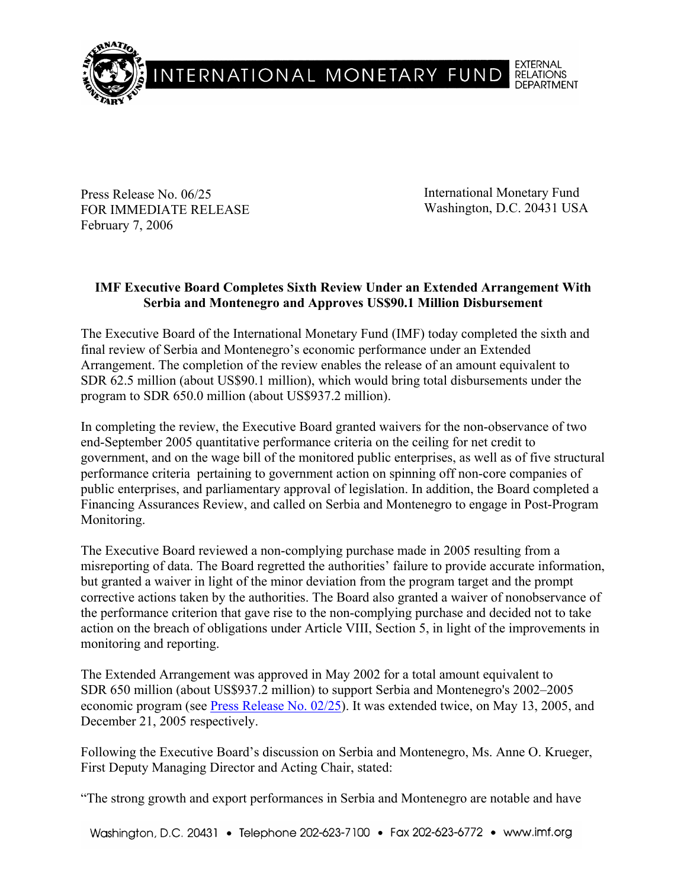

Press Release No. 06/25 FOR IMMEDIATE RELEASE February 7, 2006

International Monetary Fund Washington, D.C. 20431 USA

# **IMF Executive Board Completes Sixth Review Under an Extended Arrangement With Serbia and Montenegro and Approves US\$90.1 Million Disbursement**

The Executive Board of the International Monetary Fund (IMF) today completed the sixth and final review of Serbia and Montenegro's economic performance under an Extended Arrangement. The completion of the review enables the release of an amount equivalent to SDR 62.5 million (about US\$90.1 million), which would bring total disbursements under the program to SDR 650.0 million (about US\$937.2 million).

In completing the review, the Executive Board granted waivers for the non-observance of two end-September 2005 quantitative performance criteria on the ceiling for net credit to government, and on the wage bill of the monitored public enterprises, as well as of five structural performance criteria pertaining to government action on spinning off non-core companies of public enterprises, and parliamentary approval of legislation. In addition, the Board completed a Financing Assurances Review, and called on Serbia and Montenegro to engage in Post-Program Monitoring.

The Executive Board reviewed a non-complying purchase made in 2005 resulting from a misreporting of data. The Board regretted the authorities' failure to provide accurate information, but granted a waiver in light of the minor deviation from the program target and the prompt corrective actions taken by the authorities. The Board also granted a waiver of nonobservance of the performance criterion that gave rise to the non-complying purchase and decided not to take action on the breach of obligations under Article VIII, Section 5, in light of the improvements in monitoring and reporting.

The Extended Arrangement was approved in May 2002 for a total amount equivalent to SDR 650 million (about US\$937.2 million) to support Serbia and Montenegro's 2002–2005 economic program (see Press Release No. 02/25). It was extended twice, on May 13, 2005, and December 21, 2005 respectively.

Following the Executive Board's discussion on Serbia and Montenegro, Ms. Anne O. Krueger, First Deputy Managing Director and Acting Chair, stated:

"The strong growth and export performances in Serbia and Montenegro are notable and have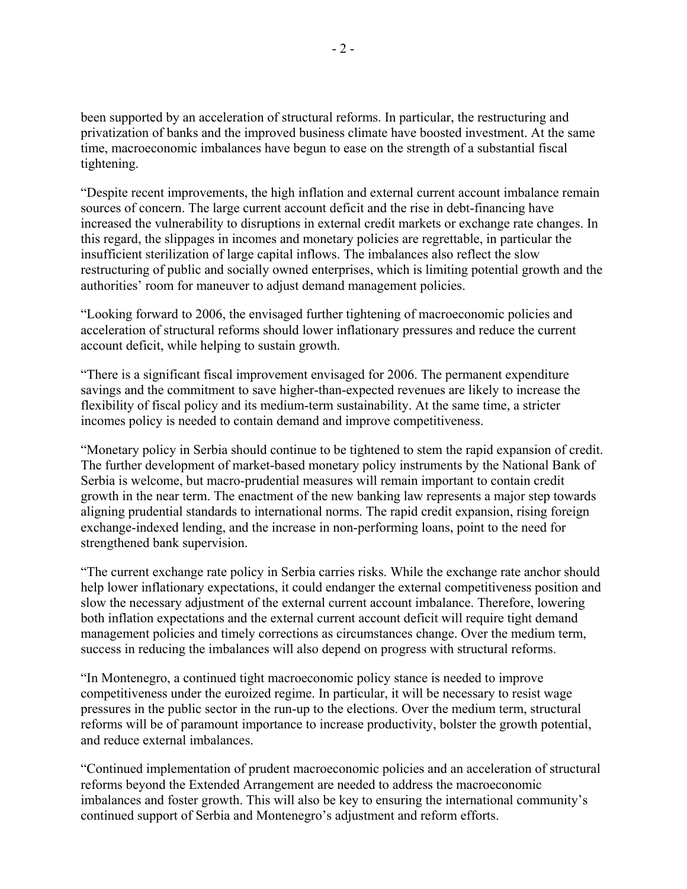been supported by an acceleration of structural reforms. In particular, the restructuring and privatization of banks and the improved business climate have boosted investment. At the same time, macroeconomic imbalances have begun to ease on the strength of a substantial fiscal tightening.

"Despite recent improvements, the high inflation and external current account imbalance remain sources of concern. The large current account deficit and the rise in debt-financing have increased the vulnerability to disruptions in external credit markets or exchange rate changes. In this regard, the slippages in incomes and monetary policies are regrettable, in particular the insufficient sterilization of large capital inflows. The imbalances also reflect the slow restructuring of public and socially owned enterprises, which is limiting potential growth and the authorities' room for maneuver to adjust demand management policies.

"Looking forward to 2006, the envisaged further tightening of macroeconomic policies and acceleration of structural reforms should lower inflationary pressures and reduce the current account deficit, while helping to sustain growth.

"There is a significant fiscal improvement envisaged for 2006. The permanent expenditure savings and the commitment to save higher-than-expected revenues are likely to increase the flexibility of fiscal policy and its medium-term sustainability. At the same time, a stricter incomes policy is needed to contain demand and improve competitiveness.

"Monetary policy in Serbia should continue to be tightened to stem the rapid expansion of credit. The further development of market-based monetary policy instruments by the National Bank of Serbia is welcome, but macro-prudential measures will remain important to contain credit growth in the near term. The enactment of the new banking law represents a major step towards aligning prudential standards to international norms. The rapid credit expansion, rising foreign exchange-indexed lending, and the increase in non-performing loans, point to the need for strengthened bank supervision.

"The current exchange rate policy in Serbia carries risks. While the exchange rate anchor should help lower inflationary expectations, it could endanger the external competitiveness position and slow the necessary adjustment of the external current account imbalance. Therefore, lowering both inflation expectations and the external current account deficit will require tight demand management policies and timely corrections as circumstances change. Over the medium term, success in reducing the imbalances will also depend on progress with structural reforms.

"In Montenegro, a continued tight macroeconomic policy stance is needed to improve competitiveness under the euroized regime. In particular, it will be necessary to resist wage pressures in the public sector in the run-up to the elections. Over the medium term, structural reforms will be of paramount importance to increase productivity, bolster the growth potential, and reduce external imbalances.

"Continued implementation of prudent macroeconomic policies and an acceleration of structural reforms beyond the Extended Arrangement are needed to address the macroeconomic imbalances and foster growth. This will also be key to ensuring the international community's continued support of Serbia and Montenegro's adjustment and reform efforts.